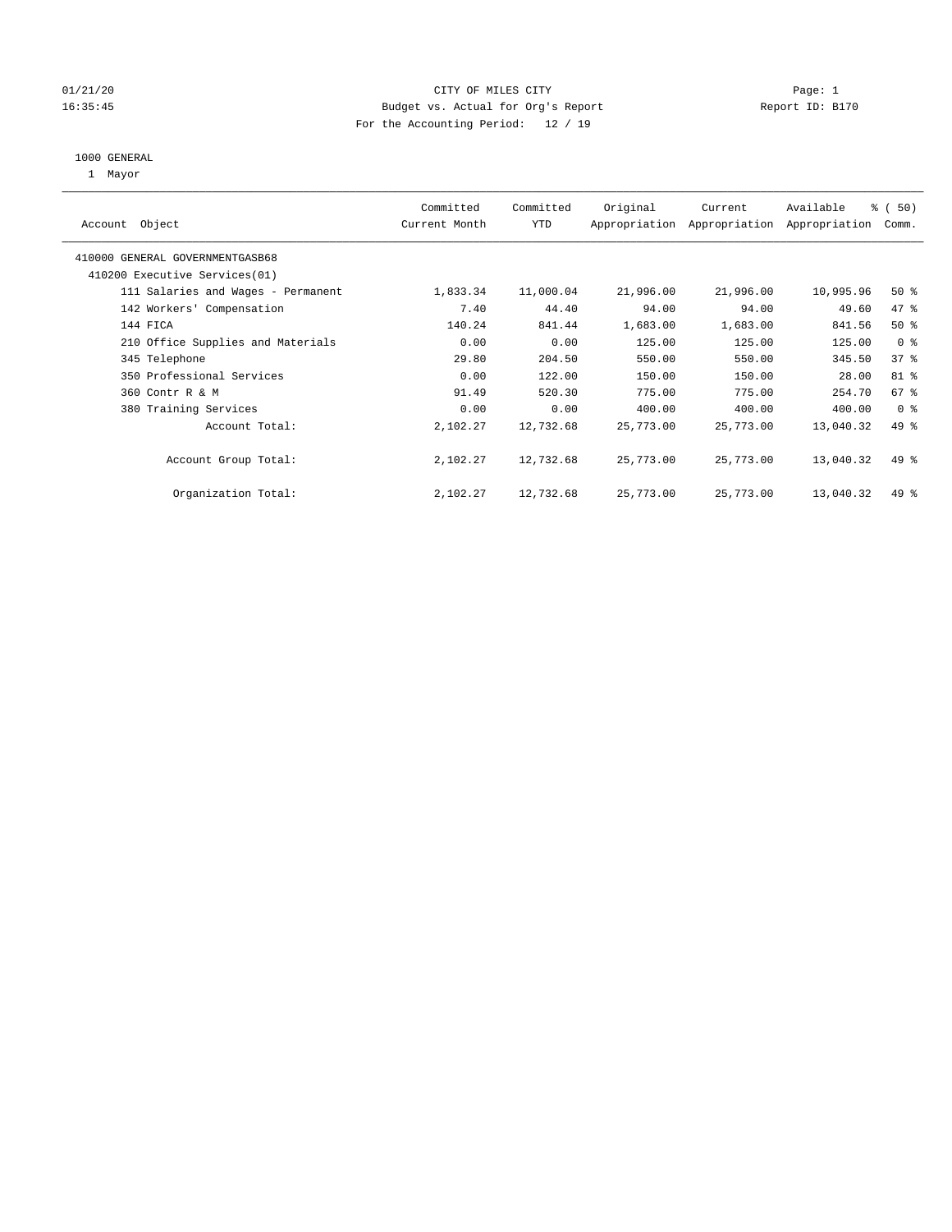#### 01/21/20 Page: 1 16:35:45 Budget vs. Actual for Org's Report Report ID: B170 For the Accounting Period: 12 / 19

#### 1000 GENERAL

1 Mayor

| Object<br>Account                  | Committed<br>Current Month | Committed<br><b>YTD</b> | Original  | Current<br>Appropriation Appropriation | Available<br>Appropriation | % (50)<br>Comm. |
|------------------------------------|----------------------------|-------------------------|-----------|----------------------------------------|----------------------------|-----------------|
| 410000 GENERAL GOVERNMENTGASB68    |                            |                         |           |                                        |                            |                 |
| 410200 Executive Services (01)     |                            |                         |           |                                        |                            |                 |
| 111 Salaries and Wages - Permanent | 1,833.34                   | 11,000.04               | 21,996.00 | 21,996.00                              | 10,995.96                  | $50*$           |
| 142 Workers' Compensation          | 7.40                       | 44.40                   | 94.00     | 94.00                                  | 49.60                      | 47 %            |
| 144 FICA                           | 140.24                     | 841.44                  | 1,683.00  | 1,683.00                               | 841.56                     | $50*$           |
| 210 Office Supplies and Materials  | 0.00                       | 0.00                    | 125.00    | 125.00                                 | 125.00                     | 0 <sup>8</sup>  |
| 345 Telephone                      | 29.80                      | 204.50                  | 550.00    | 550.00                                 | 345.50                     | 37%             |
| 350 Professional Services          | 0.00                       | 122.00                  | 150.00    | 150.00                                 | 28.00                      | 81 %            |
| 360 Contr R & M                    | 91.49                      | 520.30                  | 775.00    | 775.00                                 | 254.70                     | 67%             |
| 380 Training Services              | 0.00                       | 0.00                    | 400.00    | 400.00                                 | 400.00                     | 0 <sup>8</sup>  |
| Account Total:                     | 2,102.27                   | 12,732.68               | 25,773.00 | 25,773.00                              | 13,040.32                  | 49 %            |
| Account Group Total:               | 2,102.27                   | 12,732.68               | 25,773.00 | 25,773.00                              | 13,040.32                  | 49 %            |
| Organization Total:                | 2,102.27                   | 12,732.68               | 25,773.00 | 25,773.00                              | 13,040.32                  | 49 %            |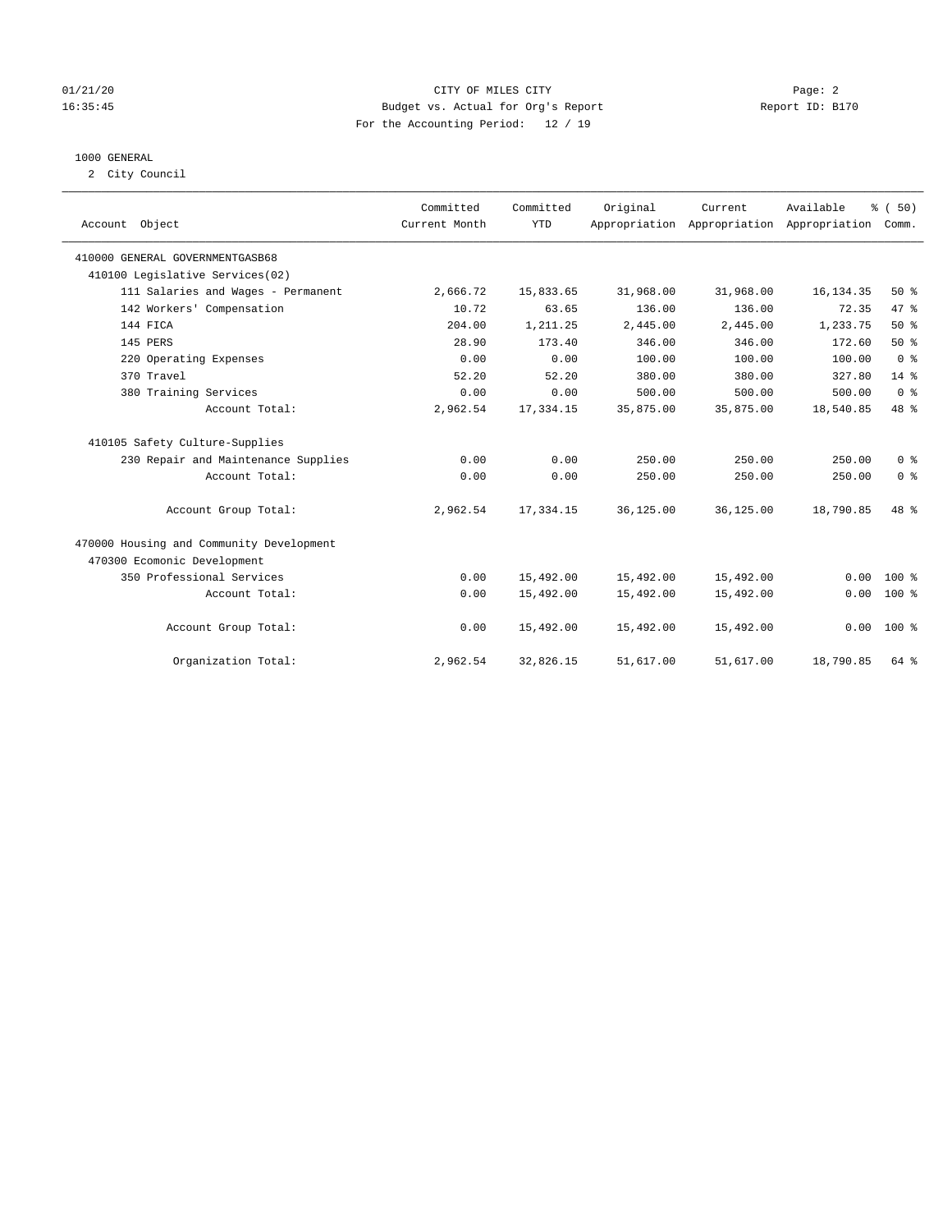#### 01/21/20 Page: 2 16:35:45 Budget vs. Actual for Org's Report Report ID: B170 For the Accounting Period: 12 / 19

#### 1000 GENERAL

2 City Council

| Account Object                           | Committed<br>Current Month | Committed<br><b>YTD</b> | Original  | Current<br>Appropriation Appropriation Appropriation | Available  | % (50)<br>Comm. |
|------------------------------------------|----------------------------|-------------------------|-----------|------------------------------------------------------|------------|-----------------|
| 410000 GENERAL GOVERNMENTGASB68          |                            |                         |           |                                                      |            |                 |
| 410100 Legislative Services(02)          |                            |                         |           |                                                      |            |                 |
| 111 Salaries and Wages - Permanent       | 2,666.72                   | 15,833.65               | 31,968.00 | 31,968.00                                            | 16, 134.35 | 50%             |
| 142 Workers' Compensation                | 10.72                      | 63.65                   | 136.00    | 136.00                                               | 72.35      | 47 %            |
| 144 FICA                                 | 204.00                     | 1,211.25                | 2,445.00  | 2,445.00                                             | 1,233.75   | 50%             |
| 145 PERS                                 | 28.90                      | 173.40                  | 346.00    | 346.00                                               | 172.60     | 50%             |
| 220 Operating Expenses                   | 0.00                       | 0.00                    | 100.00    | 100.00                                               | 100.00     | 0 <sup>8</sup>  |
| 370 Travel                               | 52.20                      | 52.20                   | 380.00    | 380.00                                               | 327.80     | $14*$           |
| 380 Training Services                    | 0.00                       | 0.00                    | 500.00    | 500.00                                               | 500.00     | 0 <sup>8</sup>  |
| Account Total:                           | 2,962.54                   | 17, 334.15              | 35,875.00 | 35,875.00                                            | 18,540.85  | 48 %            |
| 410105 Safety Culture-Supplies           |                            |                         |           |                                                      |            |                 |
| 230 Repair and Maintenance Supplies      | 0.00                       | 0.00                    | 250.00    | 250.00                                               | 250.00     | 0 <sup>8</sup>  |
| Account Total:                           | 0.00                       | 0.00                    | 250.00    | 250.00                                               | 250.00     | 0 <sup>8</sup>  |
| Account Group Total:                     | 2,962.54                   | 17,334.15               | 36,125.00 | 36,125.00                                            | 18,790.85  | 48 %            |
| 470000 Housing and Community Development |                            |                         |           |                                                      |            |                 |
| 470300 Ecomonic Development              |                            |                         |           |                                                      |            |                 |
| 350 Professional Services                | 0.00                       | 15,492.00               | 15,492.00 | 15,492.00                                            | 0.00       | $100*$          |
| Account Total:                           | 0.00                       | 15,492.00               | 15,492.00 | 15,492.00                                            | 0.00       | $100*$          |
| Account Group Total:                     | 0.00                       | 15,492.00               | 15,492.00 | 15,492.00                                            |            | $0.00 100$ %    |
| Organization Total:                      | 2,962.54                   | 32,826.15               | 51,617.00 | 51,617.00                                            | 18,790.85  | 64 %            |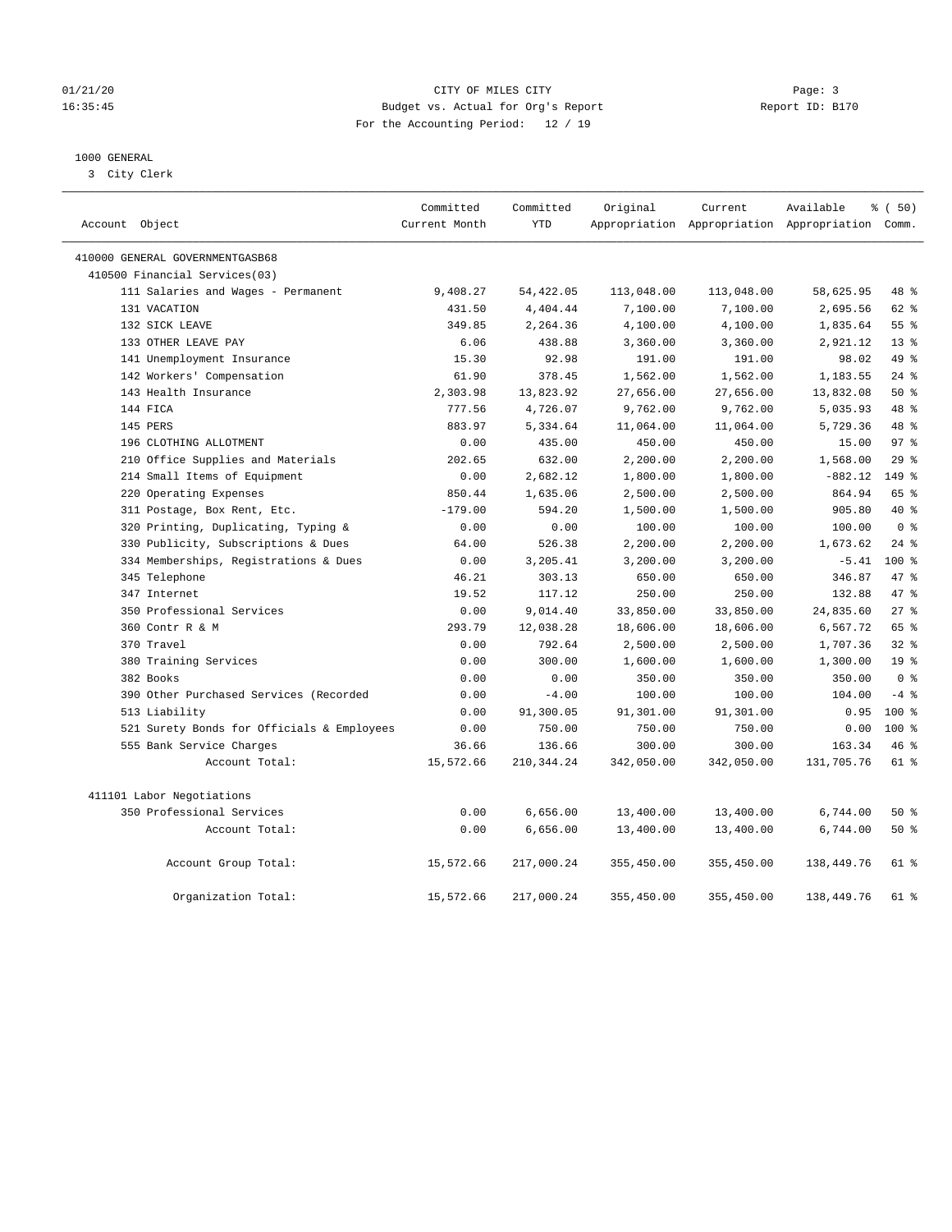#### 01/21/20 Page: 3 16:35:45 Budget vs. Actual for Org's Report Report ID: B170 For the Accounting Period: 12 / 19

#### 1000 GENERAL

3 City Clerk

| Account Object                                     | Committed<br>Current Month | Committed<br><b>YTD</b> | Original               | Current                | Available<br>Appropriation Appropriation Appropriation Comm. | % (50)           |
|----------------------------------------------------|----------------------------|-------------------------|------------------------|------------------------|--------------------------------------------------------------|------------------|
|                                                    |                            |                         |                        |                        |                                                              |                  |
| 410000 GENERAL GOVERNMENTGASB68                    |                            |                         |                        |                        |                                                              |                  |
| 410500 Financial Services(03)                      |                            |                         |                        |                        |                                                              |                  |
| 111 Salaries and Wages - Permanent<br>131 VACATION | 9,408.27<br>431.50         | 54, 422.05<br>4,404.44  | 113,048.00<br>7,100.00 | 113,048.00<br>7,100.00 | 58,625.95<br>2,695.56                                        | 48 %<br>62 %     |
| 132 SICK LEAVE                                     | 349.85                     | 2,264.36                | 4,100.00               | 4,100.00               | 1,835.64                                                     | 55%              |
| 133 OTHER LEAVE PAY                                | 6.06                       | 438.88                  | 3,360.00               | 3,360.00               | 2,921.12                                                     | 13 <sup>8</sup>  |
| 141 Unemployment Insurance                         | 15.30                      | 92.98                   | 191.00                 | 191.00                 | 98.02                                                        | 49 %             |
| 142 Workers' Compensation                          | 61.90                      | 378.45                  | 1,562.00               | 1,562.00               | 1,183.55                                                     | $24$ %           |
| 143 Health Insurance                               | 2,303.98                   | 13,823.92               | 27,656.00              | 27,656.00              | 13,832.08                                                    | 50%              |
| 144 FICA                                           | 777.56                     | 4,726.07                | 9,762.00               | 9,762.00               | 5,035.93                                                     | 48 %             |
| 145 PERS                                           | 883.97                     | 5,334.64                | 11,064.00              | 11,064.00              | 5,729.36                                                     | 48 %             |
| 196 CLOTHING ALLOTMENT                             | 0.00                       | 435.00                  | 450.00                 | 450.00                 | 15.00                                                        | 97 <sub>8</sub>  |
| 210 Office Supplies and Materials                  | 202.65                     | 632.00                  | 2,200.00               | 2,200.00               | 1,568.00                                                     | 29%              |
| 214 Small Items of Equipment                       | 0.00                       | 2,682.12                | 1,800.00               | 1,800.00               | $-882.12$                                                    | 149 %            |
| 220 Operating Expenses                             | 850.44                     | 1,635.06                | 2,500.00               | 2,500.00               | 864.94                                                       | 65 %             |
| 311 Postage, Box Rent, Etc.                        | $-179.00$                  | 594.20                  | 1,500.00               | 1,500.00               | 905.80                                                       | $40*$            |
| 320 Printing, Duplicating, Typing &                | 0.00                       | 0.00                    | 100.00                 | 100.00                 | 100.00                                                       | 0 <sup>8</sup>   |
| 330 Publicity, Subscriptions & Dues                | 64.00                      | 526.38                  | 2,200.00               | 2,200.00               | 1,673.62                                                     | $24$ %           |
| 334 Memberships, Registrations & Dues              | 0.00                       | 3,205.41                | 3,200.00               | 3,200.00               | $-5.41$                                                      | 100 <sub>8</sub> |
| 345 Telephone                                      | 46.21                      | 303.13                  | 650.00                 | 650.00                 | 346.87                                                       | 47.8             |
| 347 Internet                                       | 19.52                      | 117.12                  | 250.00                 | 250.00                 | 132.88                                                       | 47 %             |
| 350 Professional Services                          | 0.00                       | 9,014.40                | 33,850.00              | 33,850.00              | 24,835.60                                                    | 27%              |
| 360 Contr R & M                                    | 293.79                     | 12,038.28               | 18,606.00              | 18,606.00              | 6,567.72                                                     | 65 %             |
| 370 Travel                                         | 0.00                       | 792.64                  | 2,500.00               | 2,500.00               | 1,707.36                                                     | 32%              |
| 380 Training Services                              | 0.00                       | 300.00                  | 1,600.00               | 1,600.00               | 1,300.00                                                     | 19 <sup>°</sup>  |
| 382 Books                                          | 0.00                       | 0.00                    | 350.00                 | 350.00                 | 350.00                                                       | 0 <sup>8</sup>   |
| 390 Other Purchased Services (Recorded             | 0.00                       | $-4.00$                 | 100.00                 | 100.00                 | 104.00                                                       | $-4$ %           |
| 513 Liability                                      | 0.00                       | 91,300.05               | 91,301.00              | 91,301.00              | 0.95                                                         | $100*$           |
| 521 Surety Bonds for Officials & Employees         | 0.00                       | 750.00                  | 750.00                 | 750.00                 | 0.00                                                         | $100*$           |
| 555 Bank Service Charges                           | 36.66                      | 136.66                  | 300.00                 | 300.00                 | 163.34                                                       | 46%              |
| Account Total:                                     | 15,572.66                  | 210, 344.24             | 342,050.00             | 342,050.00             | 131,705.76                                                   | 61 %             |
| 411101 Labor Negotiations                          |                            |                         |                        |                        |                                                              |                  |
| 350 Professional Services                          | 0.00                       | 6,656.00                | 13,400.00              | 13,400.00              | 6,744.00                                                     | 50 %             |
| Account Total:                                     | 0.00                       | 6,656.00                | 13,400.00              | 13,400.00              | 6,744.00                                                     | 50%              |
| Account Group Total:                               | 15,572.66                  | 217,000.24              | 355,450.00             | 355,450.00             | 138,449.76                                                   | $61$ %           |
| Organization Total:                                | 15,572.66                  | 217,000.24              | 355,450.00             | 355,450.00             | 138,449.76                                                   | $61$ $%$         |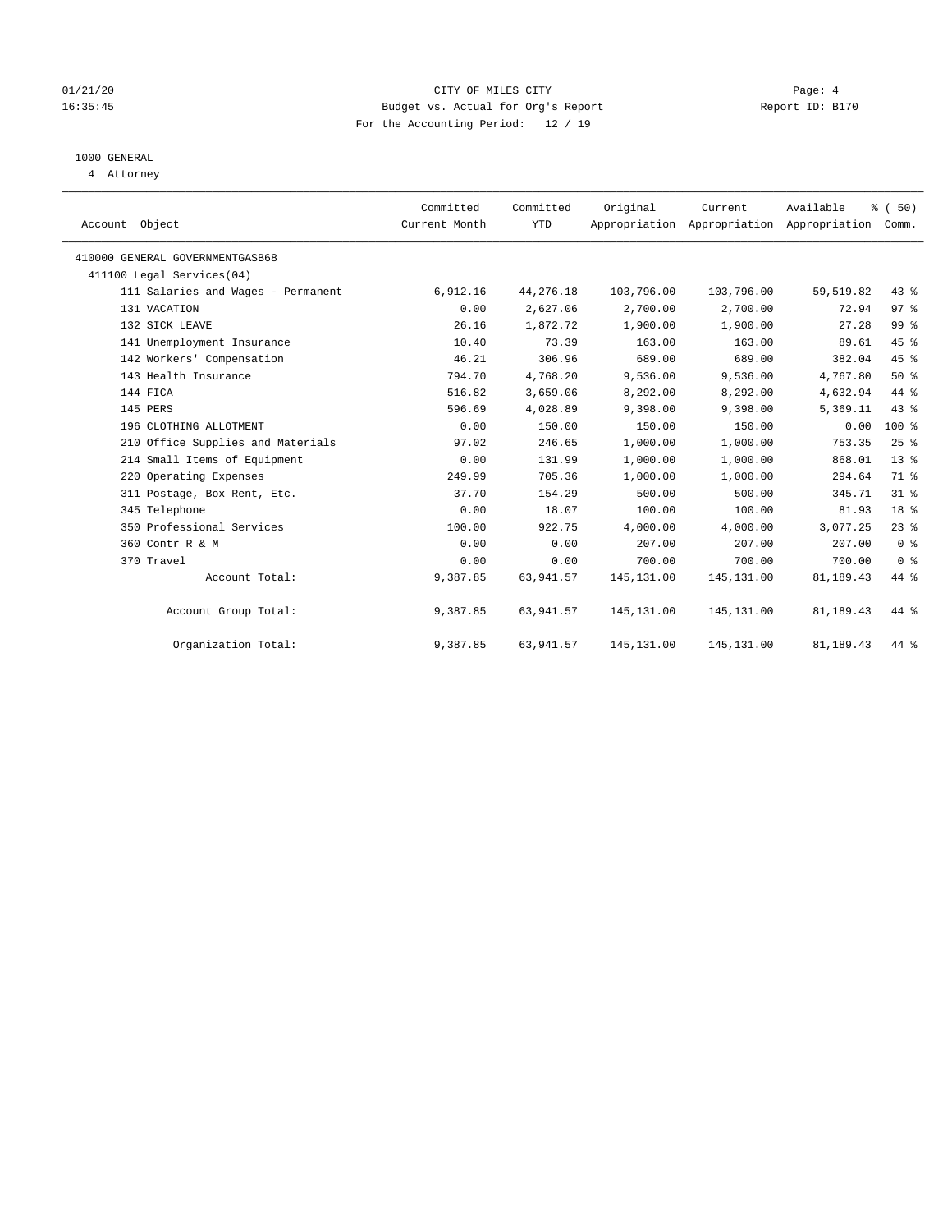#### 01/21/20 Page: 4 16:35:45 Budget vs. Actual for Org's Report Report ID: B170 For the Accounting Period: 12 / 19

## 1000 GENERAL

4 Attorney

| Account Object                     | Committed<br>Current Month | Committed<br><b>YTD</b> | Original    | Current<br>Appropriation Appropriation Appropriation | Available | % (50)<br>Comm. |  |
|------------------------------------|----------------------------|-------------------------|-------------|------------------------------------------------------|-----------|-----------------|--|
|                                    |                            |                         |             |                                                      |           |                 |  |
| 410000 GENERAL GOVERNMENTGASB68    |                            |                         |             |                                                      |           |                 |  |
| 411100 Legal Services(04)          |                            |                         |             |                                                      |           |                 |  |
| 111 Salaries and Wages - Permanent | 6,912.16                   | 44,276.18               | 103,796.00  | 103,796.00                                           | 59,519.82 | 43.8            |  |
| 131 VACATION                       | 0.00                       | 2,627.06                | 2,700.00    | 2,700.00                                             | 72.94     | 97%             |  |
| 132 SICK LEAVE                     | 26.16                      | 1,872.72                | 1,900.00    | 1,900.00                                             | 27.28     | 99 <sub>8</sub> |  |
| 141 Unemployment Insurance         | 10.40                      | 73.39                   | 163.00      | 163.00                                               | 89.61     | 45 %            |  |
| 142 Workers' Compensation          | 46.21                      | 306.96                  | 689.00      | 689.00                                               | 382.04    | 45%             |  |
| 143 Health Insurance               | 794.70                     | 4,768.20                | 9,536.00    | 9,536.00                                             | 4,767.80  | 50%             |  |
| 144 FICA                           | 516.82                     | 3,659.06                | 8,292.00    | 8,292.00                                             | 4,632.94  | 44 %            |  |
| 145 PERS                           | 596.69                     | 4,028.89                | 9,398.00    | 9,398.00                                             | 5,369.11  | 43.8            |  |
| 196 CLOTHING ALLOTMENT             | 0.00                       | 150.00                  | 150.00      | 150.00                                               | 0.00      | $100*$          |  |
| 210 Office Supplies and Materials  | 97.02                      | 246.65                  | 1,000.00    | 1,000.00                                             | 753.35    | $25$ $%$        |  |
| 214 Small Items of Equipment       | 0.00                       | 131.99                  | 1,000.00    | 1,000.00                                             | 868.01    | 13 <sup>°</sup> |  |
| 220 Operating Expenses             | 249.99                     | 705.36                  | 1,000.00    | 1,000.00                                             | 294.64    | 71 %            |  |
| 311 Postage, Box Rent, Etc.        | 37.70                      | 154.29                  | 500.00      | 500.00                                               | 345.71    | $31$ $%$        |  |
| 345 Telephone                      | 0.00                       | 18.07                   | 100.00      | 100.00                                               | 81.93     | 18 <sup>8</sup> |  |
| 350 Professional Services          | 100.00                     | 922.75                  | 4,000.00    | 4,000.00                                             | 3,077.25  | 23%             |  |
| 360 Contr R & M                    | 0.00                       | 0.00                    | 207.00      | 207.00                                               | 207.00    | 0 <sup>8</sup>  |  |
| 370 Travel                         | 0.00                       | 0.00                    | 700.00      | 700.00                                               | 700.00    | 0 <sup>8</sup>  |  |
| Account Total:                     | 9,387.85                   | 63,941.57               | 145, 131.00 | 145, 131.00                                          | 81,189.43 | 44 %            |  |
| Account Group Total:               | 9,387.85                   | 63,941.57               | 145, 131.00 | 145, 131.00                                          | 81,189.43 | 44 %            |  |
| Organization Total:                | 9,387.85                   | 63,941.57               | 145, 131.00 | 145,131.00                                           | 81,189.43 | 44 %            |  |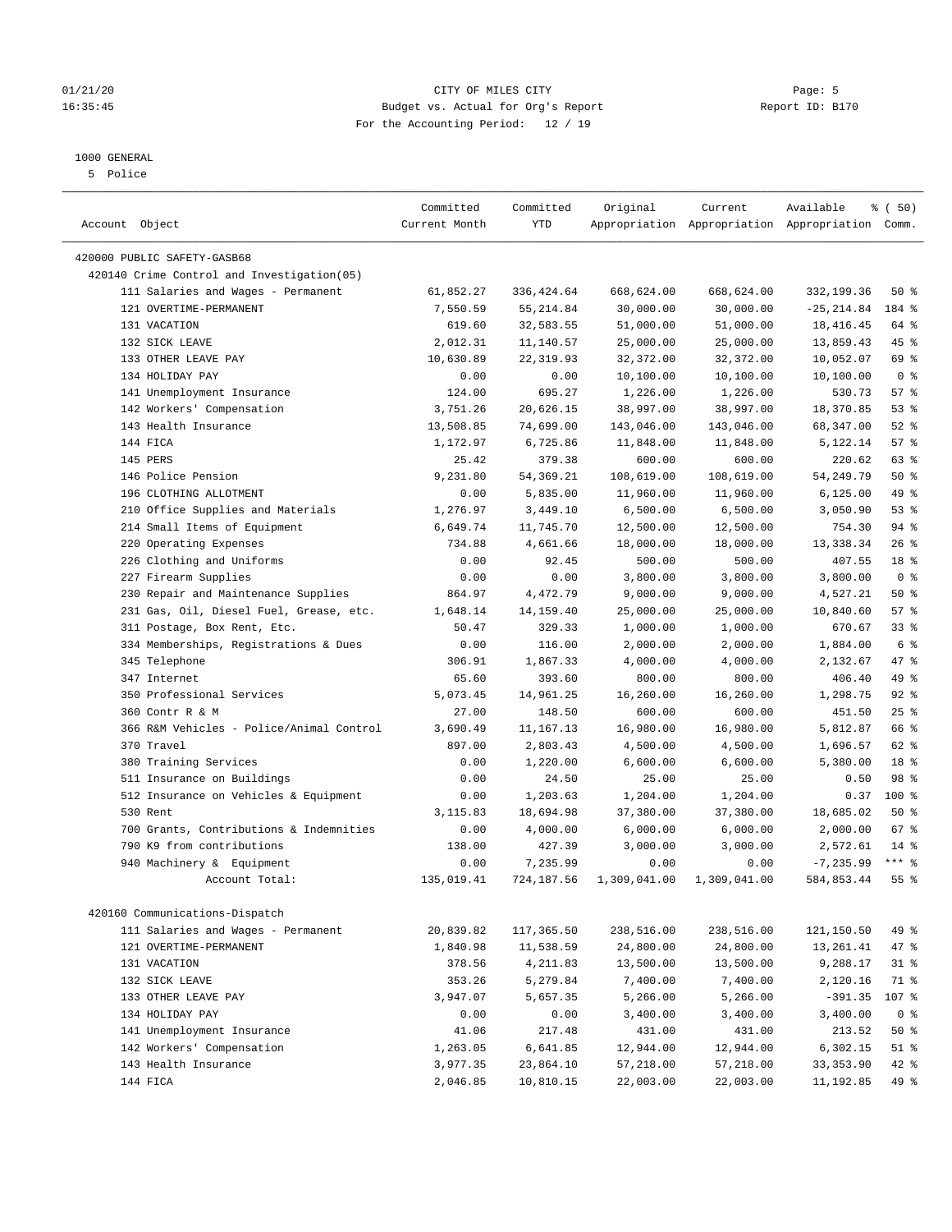#### 01/21/20 Page: 5 16:35:45 Budget vs. Actual for Org's Report Report ID: B170 For the Accounting Period: 12 / 19

————————————————————————————————————————————————————————————————————————————————————————————————————————————————————————————————————

#### 1000 GENERAL

5 Police

| Account Object                             | Committed<br>Current Month | Committed<br><b>YTD</b> | Original     | Current      | Available<br>Appropriation Appropriation Appropriation Comm. | % (50)         |  |
|--------------------------------------------|----------------------------|-------------------------|--------------|--------------|--------------------------------------------------------------|----------------|--|
|                                            |                            |                         |              |              |                                                              |                |  |
| 420000 PUBLIC SAFETY-GASB68                |                            |                         |              |              |                                                              |                |  |
| 420140 Crime Control and Investigation(05) |                            |                         |              |              |                                                              |                |  |
| 111 Salaries and Wages - Permanent         | 61,852.27                  | 336, 424.64             | 668,624.00   | 668,624.00   | 332,199.36                                                   | 50%            |  |
| 121 OVERTIME-PERMANENT                     | 7,550.59                   | 55, 214.84              | 30,000.00    | 30,000.00    | $-25, 214.84$                                                | 184 %          |  |
| 131 VACATION                               | 619.60                     | 32,583.55               | 51,000.00    | 51,000.00    | 18, 416. 45                                                  | 64 %           |  |
| 132 SICK LEAVE                             | 2,012.31                   | 11,140.57               | 25,000.00    | 25,000.00    | 13,859.43                                                    | 45 %           |  |
| 133 OTHER LEAVE PAY                        | 10,630.89                  | 22, 319.93              | 32, 372.00   | 32,372.00    | 10,052.07                                                    | 69 %           |  |
| 134 HOLIDAY PAY                            | 0.00                       | 0.00                    | 10,100.00    | 10,100.00    | 10,100.00                                                    | 0 <sup>8</sup> |  |
| 141 Unemployment Insurance                 | 124.00                     | 695.27                  | 1,226.00     | 1,226.00     | 530.73                                                       | 57%            |  |
| 142 Workers' Compensation                  | 3,751.26                   | 20,626.15               | 38,997.00    | 38,997.00    | 18,370.85                                                    | 53%            |  |
| 143 Health Insurance                       | 13,508.85                  | 74,699.00               | 143,046.00   | 143,046.00   | 68,347.00                                                    | $52$ %         |  |
| 144 FICA                                   | 1,172.97                   | 6,725.86                | 11,848.00    | 11,848.00    | 5,122.14                                                     | 57%            |  |
| 145 PERS                                   | 25.42                      | 379.38                  | 600.00       | 600.00       | 220.62                                                       | 63 %           |  |
| 146 Police Pension                         | 9,231.80                   | 54, 369.21              | 108,619.00   | 108,619.00   | 54, 249.79                                                   | 50%            |  |
| 196 CLOTHING ALLOTMENT                     | 0.00                       | 5,835.00                | 11,960.00    | 11,960.00    | 6, 125.00                                                    | 49 %           |  |
| 210 Office Supplies and Materials          | 1,276.97                   | 3,449.10                | 6,500.00     | 6,500.00     | 3,050.90                                                     | 53%            |  |
| 214 Small Items of Equipment               | 6,649.74                   | 11,745.70               | 12,500.00    | 12,500.00    | 754.30                                                       | 94%            |  |
| 220 Operating Expenses                     | 734.88                     | 4,661.66                | 18,000.00    | 18,000.00    | 13,338.34                                                    | 26%            |  |
| 226 Clothing and Uniforms                  | 0.00                       | 92.45                   | 500.00       | 500.00       | 407.55                                                       | 18 %           |  |
| 227 Firearm Supplies                       | 0.00                       | 0.00                    | 3,800.00     | 3,800.00     | 3,800.00                                                     | 0 <sup>8</sup> |  |
| 230 Repair and Maintenance Supplies        | 864.97                     | 4,472.79                | 9,000.00     | 9,000.00     | 4,527.21                                                     | 50%            |  |
| 231 Gas, Oil, Diesel Fuel, Grease, etc.    | 1,648.14                   | 14, 159. 40             | 25,000.00    | 25,000.00    | 10,840.60                                                    | 57%            |  |
| 311 Postage, Box Rent, Etc.                | 50.47                      | 329.33                  | 1,000.00     | 1,000.00     | 670.67                                                       | 33%            |  |
| 334 Memberships, Registrations & Dues      | 0.00                       | 116.00                  | 2,000.00     | 2,000.00     | 1,884.00                                                     | 6 <sup>°</sup> |  |
| 345 Telephone                              | 306.91                     | 1,867.33                | 4,000.00     | 4,000.00     | 2,132.67                                                     | 47 %           |  |
| 347 Internet                               | 65.60                      | 393.60                  | 800.00       | 800.00       | 406.40                                                       | 49 %           |  |
| 350 Professional Services                  | 5,073.45                   | 14,961.25               | 16,260.00    | 16,260.00    | 1,298.75                                                     | 92%            |  |
| 360 Contr R & M                            | 27.00                      | 148.50                  | 600.00       | 600.00       | 451.50                                                       | 25%            |  |
| 366 R&M Vehicles - Police/Animal Control   | 3,690.49                   | 11,167.13               | 16,980.00    | 16,980.00    | 5,812.87                                                     | 66 %           |  |
| 370 Travel                                 | 897.00                     | 2,803.43                | 4,500.00     | 4,500.00     | 1,696.57                                                     | 62 %           |  |
| 380 Training Services                      | 0.00                       | 1,220.00                | 6,600.00     | 6,600.00     | 5,380.00                                                     | 18 %           |  |
| 511 Insurance on Buildings                 | 0.00                       | 24.50                   | 25.00        | 25.00        | 0.50                                                         | 98 %           |  |
| 512 Insurance on Vehicles & Equipment      | 0.00                       | 1,203.63                | 1,204.00     | 1,204.00     | 0.37                                                         | 100 %          |  |
| 530 Rent                                   | 3,115.83                   | 18,694.98               | 37,380.00    | 37,380.00    | 18,685.02                                                    | 50%            |  |
| 700 Grants, Contributions & Indemnities    | 0.00                       | 4,000.00                | 6,000.00     | 6,000.00     | 2,000.00                                                     | 67 %           |  |
| 790 K9 from contributions                  | 138.00                     | 427.39                  | 3,000.00     | 3,000.00     | 2,572.61                                                     | $14*$          |  |
| 940 Machinery & Equipment                  | 0.00                       | 7,235.99                | 0.00         | 0.00         | $-7, 235.99$                                                 | $***$ $_{8}$   |  |
| Account Total:                             | 135,019.41                 | 724,187.56              | 1,309,041.00 | 1,309,041.00 | 584,853.44                                                   | 55%            |  |
|                                            |                            |                         |              |              |                                                              |                |  |
| 420160 Communications-Dispatch             |                            |                         |              |              |                                                              |                |  |
| 111 Salaries and Wages - Permanent         | 20,839.82                  | 117,365.50              | 238,516.00   | 238,516.00   | 121,150.50                                                   | 49 %           |  |
| 121 OVERTIME-PERMANENT                     | 1,840.98                   | 11,538.59               | 24,800.00    | 24,800.00    | 13,261.41                                                    | 47%            |  |
| 131 VACATION                               | 378.56                     | 4,211.83                | 13,500.00    | 13,500.00    | 9,288.17                                                     | 31 %           |  |
| 132 SICK LEAVE                             | 353.26                     | 5,279.84                | 7,400.00     | 7,400.00     | 2,120.16                                                     | 71 %           |  |
| 133 OTHER LEAVE PAY                        | 3,947.07                   | 5,657.35                | 5,266.00     | 5,266.00     | $-391.35$                                                    | 107 %          |  |
| 134 HOLIDAY PAY                            | 0.00                       | 0.00                    | 3,400.00     | 3,400.00     | 3,400.00                                                     | 0 <sup>8</sup> |  |
| 141 Unemployment Insurance                 | 41.06                      | 217.48                  | 431.00       | 431.00       | 213.52                                                       | 50%            |  |
| 142 Workers' Compensation                  | 1,263.05                   | 6,641.85                | 12,944.00    | 12,944.00    | 6,302.15                                                     | $51$ %         |  |
| 143 Health Insurance                       | 3,977.35                   | 23,864.10               | 57,218.00    | 57,218.00    | 33, 353.90                                                   | $42$ %         |  |
| 144 FICA                                   | 2,046.85                   | 10,810.15               | 22,003.00    | 22,003.00    | 11,192.85                                                    | 49 %           |  |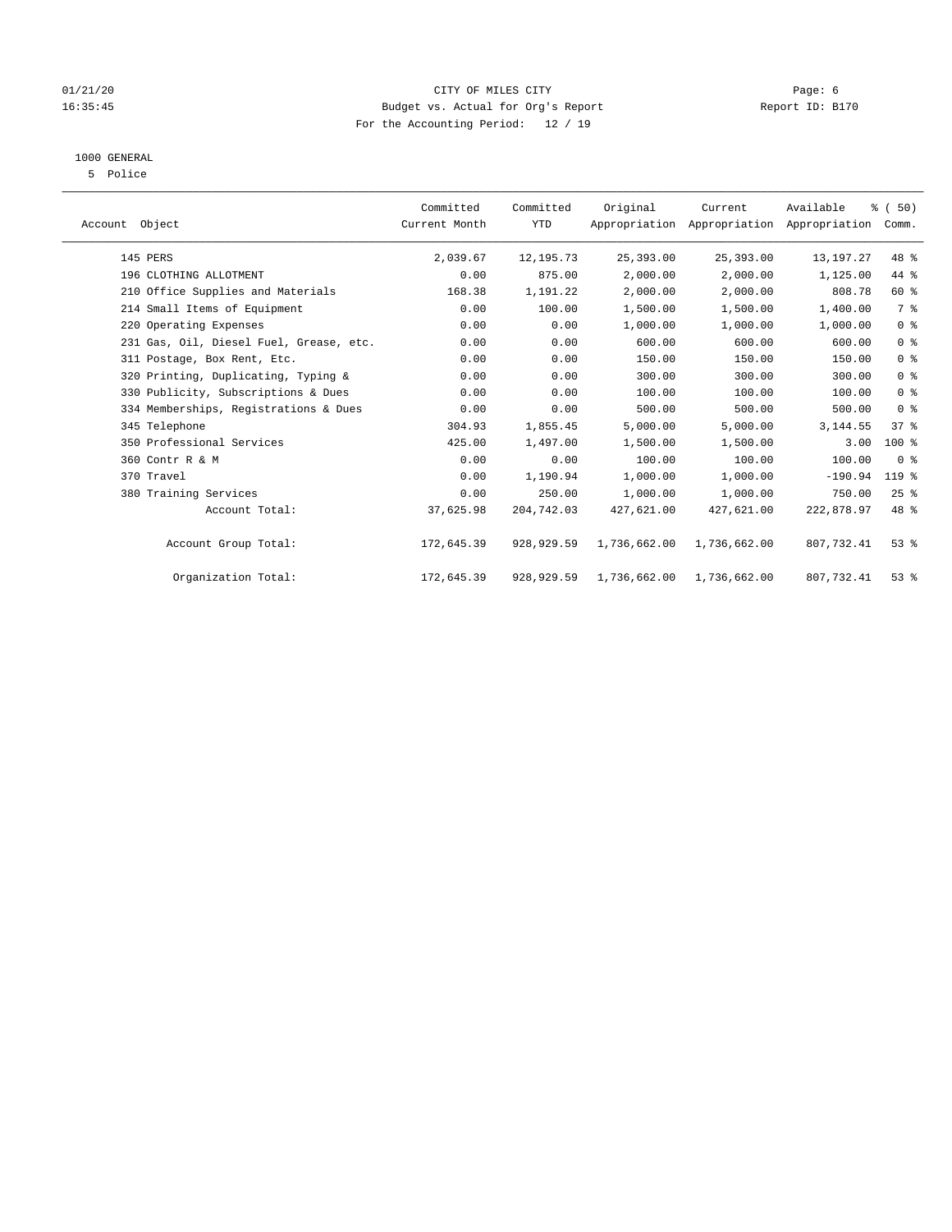#### 01/21/20 Page: 6 16:35:45 Budget vs. Actual for Org's Report Report ID: B170 For the Accounting Period: 12 / 19

## 1000 GENERAL

5 Police

| Account Object                          | Committed<br>Current Month | Committed<br><b>YTD</b> | Original     | Current      | Available<br>Appropriation Appropriation Appropriation | % (50)<br>Comm. |  |
|-----------------------------------------|----------------------------|-------------------------|--------------|--------------|--------------------------------------------------------|-----------------|--|
| 145 PERS                                | 2,039.67                   | 12,195.73               | 25,393.00    | 25,393.00    | 13,197.27                                              | 48 %            |  |
| 196 CLOTHING ALLOTMENT                  | 0.00                       | 875.00                  | 2,000.00     | 2,000.00     | 1,125.00                                               | 44 %            |  |
| 210 Office Supplies and Materials       | 168.38                     | 1,191.22                | 2,000.00     | 2,000.00     | 808.78                                                 | 60 %            |  |
| 214 Small Items of Equipment            | 0.00                       | 100.00                  | 1,500.00     | 1,500.00     | 1,400.00                                               | 7 %             |  |
| 220 Operating Expenses                  | 0.00                       | 0.00                    | 1,000.00     | 1,000.00     | 1,000.00                                               | 0 <sup>8</sup>  |  |
| 231 Gas, Oil, Diesel Fuel, Grease, etc. | 0.00                       | 0.00                    | 600.00       | 600.00       | 600.00                                                 | 0 <sup>8</sup>  |  |
| 311 Postage, Box Rent, Etc.             | 0.00                       | 0.00                    | 150.00       | 150.00       | 150.00                                                 | 0 <sup>8</sup>  |  |
| 320 Printing, Duplicating, Typing &     | 0.00                       | 0.00                    | 300.00       | 300.00       | 300.00                                                 | 0 <sup>8</sup>  |  |
| 330 Publicity, Subscriptions & Dues     | 0.00                       | 0.00                    | 100.00       | 100.00       | 100.00                                                 | 0 <sup>8</sup>  |  |
| 334 Memberships, Registrations & Dues   | 0.00                       | 0.00                    | 500.00       | 500.00       | 500.00                                                 | 0 <sup>8</sup>  |  |
| 345 Telephone                           | 304.93                     | 1,855.45                | 5,000.00     | 5,000.00     | 3, 144.55                                              | 37.8            |  |
| 350 Professional Services               | 425.00                     | 1,497.00                | 1,500.00     | 1,500.00     | 3.00                                                   | $100$ %         |  |
| 360 Contr R & M                         | 0.00                       | 0.00                    | 100.00       | 100.00       | 100.00                                                 | 0 <sup>8</sup>  |  |
| 370 Travel                              | 0.00                       | 1,190.94                | 1,000.00     | 1,000.00     | $-190.94$                                              | 119 %           |  |
| 380 Training Services                   | 0.00                       | 250.00                  | 1,000.00     | 1,000.00     | 750.00                                                 | 25%             |  |
| Account Total:                          | 37,625.98                  | 204,742.03              | 427,621.00   | 427,621.00   | 222,878.97                                             | 48 %            |  |
| Account Group Total:                    | 172,645.39                 | 928,929.59              | 1,736,662.00 | 1,736,662.00 | 807,732.41                                             | $53$ $%$        |  |
| Organization Total:                     | 172,645.39                 | 928,929.59              | 1,736,662.00 | 1,736,662.00 | 807,732.41                                             | 53%             |  |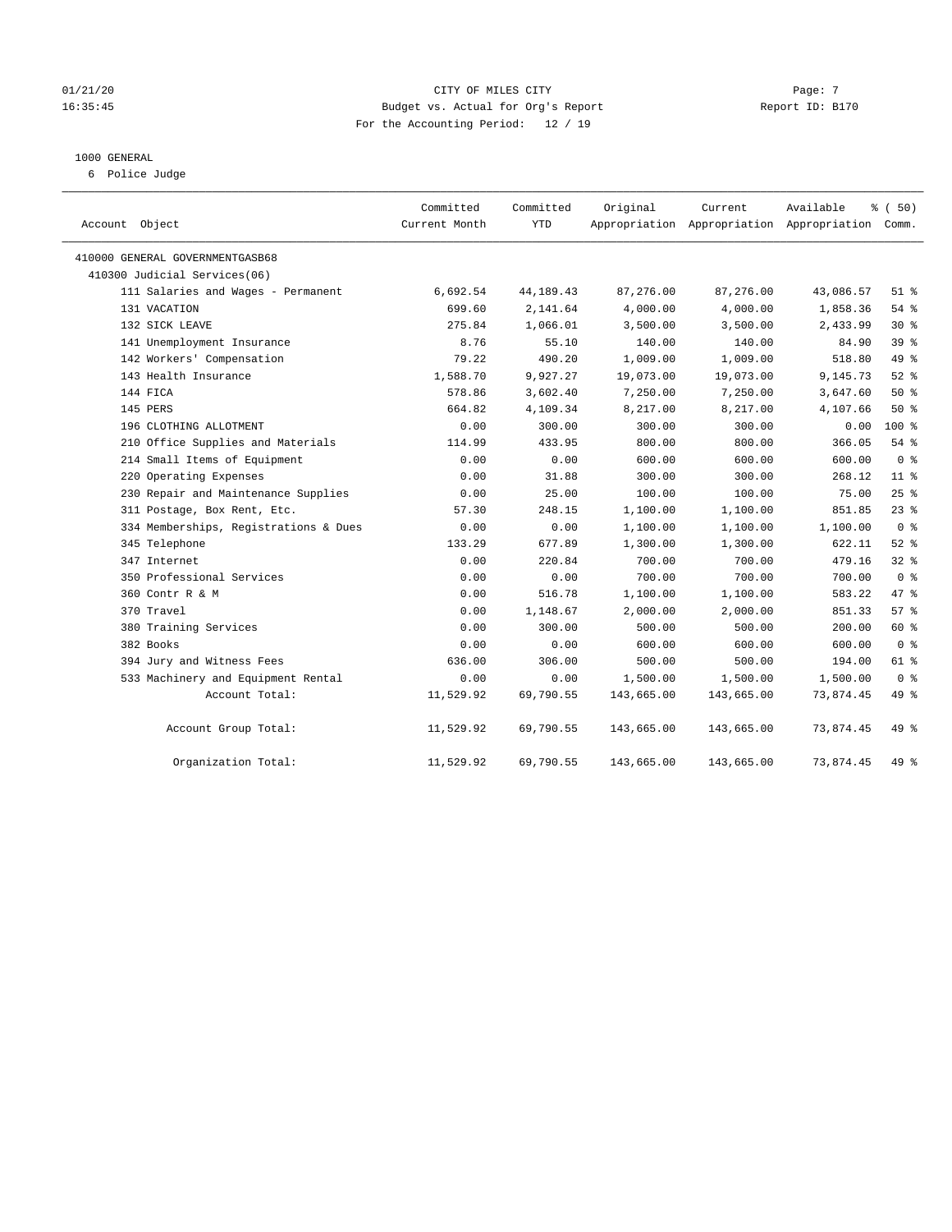#### 01/21/20  $\qquad \qquad$  Page: 7 16:35:45 Budget vs. Actual for Org's Report Report ID: B170 For the Accounting Period: 12 / 19

#### 1000 GENERAL

6 Police Judge

| Account Object                        | Committed<br>Current Month | Committed<br>YTD | Original   | Current    | Available<br>Appropriation Appropriation Appropriation Comm. | % (50)          |
|---------------------------------------|----------------------------|------------------|------------|------------|--------------------------------------------------------------|-----------------|
| 410000 GENERAL GOVERNMENTGASB68       |                            |                  |            |            |                                                              |                 |
| 410300 Judicial Services(06)          |                            |                  |            |            |                                                              |                 |
| 111 Salaries and Wages - Permanent    | 6,692.54                   | 44, 189. 43      | 87,276.00  | 87,276.00  | 43,086.57                                                    | $51$ %          |
| 131 VACATION                          | 699.60                     | 2,141.64         | 4,000.00   | 4,000.00   | 1,858.36                                                     | 54 %            |
| 132 SICK LEAVE                        | 275.84                     | 1,066.01         | 3,500.00   | 3,500.00   | 2,433.99                                                     | $30*$           |
| 141 Unemployment Insurance            | 8.76                       | 55.10            | 140.00     | 140.00     | 84.90                                                        | 39 <sup>°</sup> |
| 142 Workers' Compensation             | 79.22                      | 490.20           | 1,009.00   | 1,009.00   | 518.80                                                       | 49 %            |
| 143 Health Insurance                  | 1,588.70                   | 9,927.27         | 19,073.00  | 19,073.00  | 9,145.73                                                     | 52%             |
| 144 FICA                              | 578.86                     | 3,602.40         | 7,250.00   | 7,250.00   | 3,647.60                                                     | 50%             |
| 145 PERS                              | 664.82                     | 4,109.34         | 8,217.00   | 8,217.00   | 4,107.66                                                     | 50%             |
| 196 CLOTHING ALLOTMENT                | 0.00                       | 300.00           | 300.00     | 300.00     | 0.00                                                         | $100*$          |
| 210 Office Supplies and Materials     | 114.99                     | 433.95           | 800.00     | 800.00     | 366.05                                                       | $54$ %          |
| 214 Small Items of Equipment          | 0.00                       | 0.00             | 600.00     | 600.00     | 600.00                                                       | 0 <sup>8</sup>  |
| 220 Operating Expenses                | 0.00                       | 31.88            | 300.00     | 300.00     | 268.12                                                       | 11 <sup>8</sup> |
| 230 Repair and Maintenance Supplies   | 0.00                       | 25.00            | 100.00     | 100.00     | 75.00                                                        | 25%             |
| 311 Postage, Box Rent, Etc.           | 57.30                      | 248.15           | 1,100.00   | 1,100.00   | 851.85                                                       | 23%             |
| 334 Memberships, Registrations & Dues | 0.00                       | 0.00             | 1,100.00   | 1,100.00   | 1,100.00                                                     | 0 <sup>8</sup>  |
| 345 Telephone                         | 133.29                     | 677.89           | 1,300.00   | 1,300.00   | 622.11                                                       | 52%             |
| 347 Internet                          | 0.00                       | 220.84           | 700.00     | 700.00     | 479.16                                                       | 32%             |
| 350 Professional Services             | 0.00                       | 0.00             | 700.00     | 700.00     | 700.00                                                       | 0 <sup>8</sup>  |
| 360 Contr R & M                       | 0.00                       | 516.78           | 1,100.00   | 1,100.00   | 583.22                                                       | 47.8            |
| 370 Travel                            | 0.00                       | 1,148.67         | 2,000.00   | 2,000.00   | 851.33                                                       | 57%             |
| 380 Training Services                 | 0.00                       | 300.00           | 500.00     | 500.00     | 200.00                                                       | 60 %            |
| 382 Books                             | 0.00                       | 0.00             | 600.00     | 600.00     | 600.00                                                       | 0 <sup>8</sup>  |
| 394 Jury and Witness Fees             | 636.00                     | 306.00           | 500.00     | 500.00     | 194.00                                                       | 61 %            |
| 533 Machinery and Equipment Rental    | 0.00                       | 0.00             | 1,500.00   | 1,500.00   | 1,500.00                                                     | 0 <sup>8</sup>  |
| Account Total:                        | 11,529.92                  | 69,790.55        | 143,665.00 | 143,665.00 | 73,874.45                                                    | 49 %            |
| Account Group Total:                  | 11,529.92                  | 69,790.55        | 143,665.00 | 143,665.00 | 73,874.45                                                    | 49 %            |
| Organization Total:                   | 11,529.92                  | 69,790.55        | 143,665.00 | 143,665.00 | 73,874.45                                                    | 49 %            |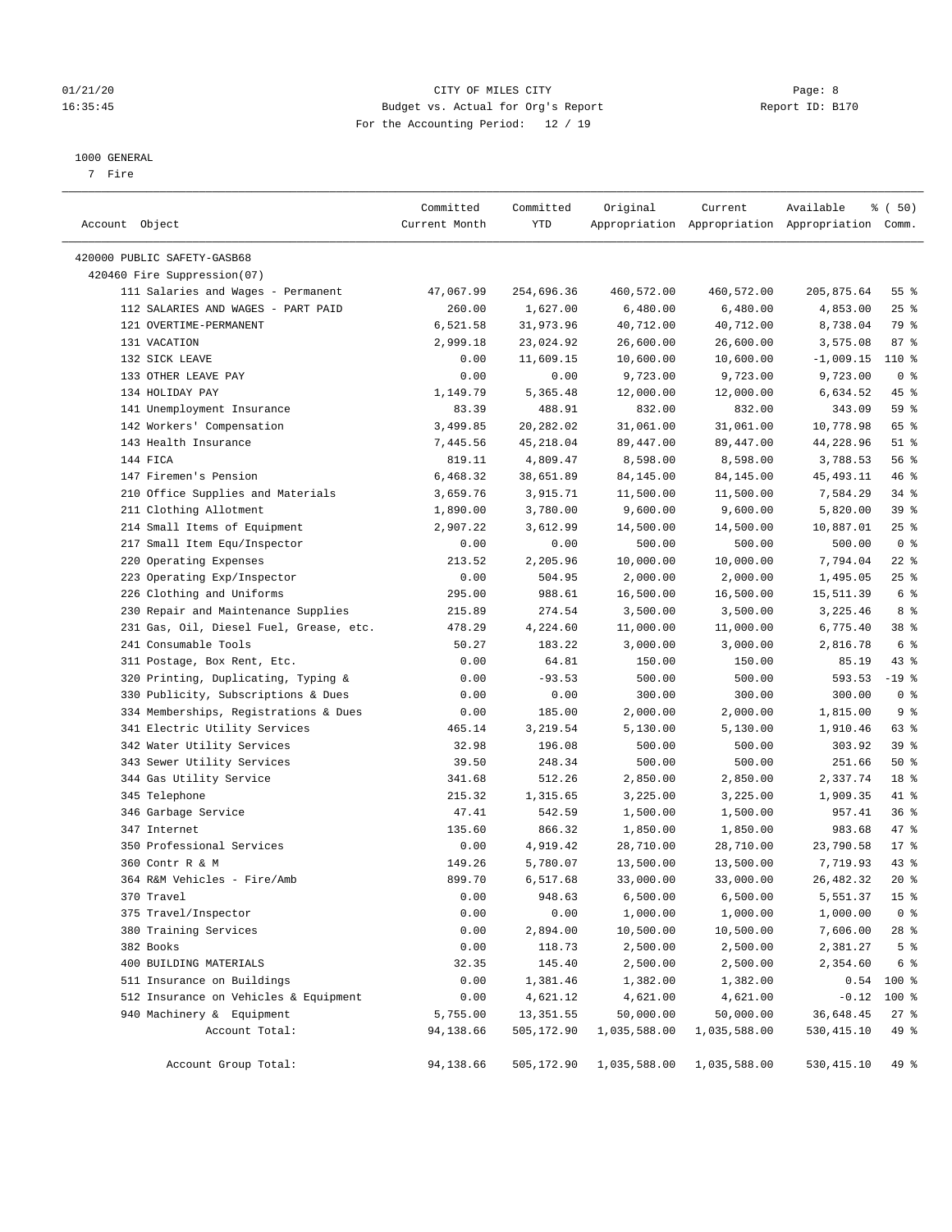#### 01/21/20 Page: 8 16:35:45 Budget vs. Actual for Org's Report Report ID: B170 For the Accounting Period: 12 / 19

#### 1000 GENERAL

7 Fire

| Account Object                          | Committed<br>Current Month | Committed<br>YTD | Original     | Current      | Available<br>Appropriation Appropriation Appropriation Comm. | % (50)          |
|-----------------------------------------|----------------------------|------------------|--------------|--------------|--------------------------------------------------------------|-----------------|
| 420000 PUBLIC SAFETY-GASB68             |                            |                  |              |              |                                                              |                 |
| 420460 Fire Suppression(07)             |                            |                  |              |              |                                                              |                 |
| 111 Salaries and Wages - Permanent      | 47,067.99                  | 254,696.36       | 460,572.00   | 460,572.00   | 205,875.64                                                   | 55 %            |
| 112 SALARIES AND WAGES - PART PAID      | 260.00                     | 1,627.00         | 6,480.00     | 6,480.00     | 4,853.00                                                     | $25$ %          |
| 121 OVERTIME-PERMANENT                  | 6,521.58                   | 31,973.96        | 40,712.00    | 40,712.00    | 8,738.04                                                     | 79 %            |
| 131 VACATION                            | 2,999.18                   | 23,024.92        | 26,600.00    | 26,600.00    | 3,575.08                                                     | 87%             |
| 132 SICK LEAVE                          | 0.00                       | 11,609.15        | 10,600.00    | 10,600.00    | $-1,009.15$                                                  | 110 %           |
| 133 OTHER LEAVE PAY                     | 0.00                       | 0.00             | 9,723.00     | 9,723.00     | 9,723.00                                                     | 0 <sup>8</sup>  |
| 134 HOLIDAY PAY                         | 1,149.79                   | 5,365.48         | 12,000.00    | 12,000.00    | 6,634.52                                                     | 45 %            |
| 141 Unemployment Insurance              | 83.39                      | 488.91           | 832.00       | 832.00       | 343.09                                                       | 59 %            |
| 142 Workers' Compensation               | 3,499.85                   | 20,282.02        | 31,061.00    | 31,061.00    | 10,778.98                                                    | 65 %            |
| 143 Health Insurance                    | 7,445.56                   | 45,218.04        | 89,447.00    | 89,447.00    | 44,228.96                                                    | $51$ %          |
| 144 FICA                                | 819.11                     | 4,809.47         | 8,598.00     | 8,598.00     | 3,788.53                                                     | 56%             |
| 147 Firemen's Pension                   | 6,468.32                   | 38,651.89        | 84,145.00    | 84,145.00    | 45,493.11                                                    | 46 %            |
| 210 Office Supplies and Materials       | 3,659.76                   | 3,915.71         | 11,500.00    | 11,500.00    | 7,584.29                                                     | 34%             |
| 211 Clothing Allotment                  | 1,890.00                   | 3,780.00         | 9,600.00     | 9,600.00     | 5,820.00                                                     | 39%             |
| 214 Small Items of Equipment            | 2,907.22                   | 3,612.99         | 14,500.00    | 14,500.00    | 10,887.01                                                    | $25$ %          |
| 217 Small Item Equ/Inspector            | 0.00                       | 0.00             | 500.00       | 500.00       | 500.00                                                       | 0 <sup>8</sup>  |
| 220 Operating Expenses                  | 213.52                     | 2,205.96         | 10,000.00    | 10,000.00    | 7,794.04                                                     | $22$ %          |
| 223 Operating Exp/Inspector             | 0.00                       | 504.95           | 2,000.00     | 2,000.00     | 1,495.05                                                     | $25$ %          |
| 226 Clothing and Uniforms               | 295.00                     | 988.61           | 16,500.00    | 16,500.00    | 15,511.39                                                    | 6 <sup>°</sup>  |
| 230 Repair and Maintenance Supplies     | 215.89                     | 274.54           | 3,500.00     | 3,500.00     | 3,225.46                                                     | 8 %             |
| 231 Gas, Oil, Diesel Fuel, Grease, etc. | 478.29                     | 4,224.60         | 11,000.00    | 11,000.00    | 6,775.40                                                     | 38 <sup>8</sup> |
| 241 Consumable Tools                    | 50.27                      | 183.22           | 3,000.00     | 3,000.00     | 2,816.78                                                     | 6 <sup>°</sup>  |
| 311 Postage, Box Rent, Etc.             | 0.00                       | 64.81            | 150.00       | 150.00       | 85.19                                                        | $43$ %          |
| 320 Printing, Duplicating, Typing &     | 0.00                       | $-93.53$         | 500.00       | 500.00       | 593.53                                                       | $-19$ %         |
| 330 Publicity, Subscriptions & Dues     | 0.00                       | 0.00             | 300.00       | 300.00       | 300.00                                                       | 0 <sup>8</sup>  |
| 334 Memberships, Registrations & Dues   | 0.00                       | 185.00           | 2,000.00     | 2,000.00     | 1,815.00                                                     | 9 <sup>°</sup>  |
| 341 Electric Utility Services           | 465.14                     | 3,219.54         | 5,130.00     | 5,130.00     | 1,910.46                                                     | 63 %            |
| 342 Water Utility Services              | 32.98                      | 196.08           | 500.00       | 500.00       | 303.92                                                       | 39 %            |
| 343 Sewer Utility Services              | 39.50                      | 248.34           | 500.00       | 500.00       | 251.66                                                       | 50%             |
| 344 Gas Utility Service                 | 341.68                     | 512.26           | 2,850.00     | 2,850.00     | 2,337.74                                                     | 18 %            |
| 345 Telephone                           | 215.32                     | 1,315.65         | 3,225.00     | 3,225.00     | 1,909.35                                                     | 41 %            |
| 346 Garbage Service                     | 47.41                      | 542.59           | 1,500.00     | 1,500.00     | 957.41                                                       | 36%             |
| 347 Internet                            | 135.60                     | 866.32           | 1,850.00     | 1,850.00     | 983.68                                                       | 47 %            |
| 350 Professional Services               | 0.00                       | 4,919.42         | 28,710.00    | 28,710.00    | 23,790.58                                                    | $17*$           |
| 360 Contr R & M                         | 149.26                     | 5,780.07         | 13,500.00    | 13,500.00    | 7,719.93                                                     | 43 %            |
| 364 R&M Vehicles - Fire/Amb             | 899.70                     | 6,517.68         | 33,000.00    | 33,000.00    | 26,482.32                                                    | $20*$           |
| 370 Travel                              | 0.00                       | 948.63           | 6,500.00     | 6,500.00     | 5,551.37                                                     | 15 <sup>°</sup> |
| 375 Travel/Inspector                    | 0.00                       | 0.00             | 1,000.00     | 1,000.00     | 1,000.00                                                     | 0 <sup>8</sup>  |
| 380 Training Services                   | 0.00                       | 2,894.00         | 10,500.00    | 10,500.00    | 7,606.00                                                     | 28 %            |
| 382 Books                               | 0.00                       | 118.73           | 2,500.00     | 2,500.00     | 2,381.27                                                     | 5 <sup>°</sup>  |
| 400 BUILDING MATERIALS                  | 32.35                      | 145.40           | 2,500.00     | 2,500.00     | 2,354.60                                                     | 6 %             |
| 511 Insurance on Buildings              | 0.00                       | 1,381.46         | 1,382.00     | 1,382.00     | 0.54                                                         | 100 %           |
| 512 Insurance on Vehicles & Equipment   | 0.00                       | 4,621.12         | 4,621.00     | 4,621.00     | $-0.12$                                                      | 100 %           |
| 940 Machinery & Equipment               | 5,755.00                   | 13, 351.55       | 50,000.00    | 50,000.00    | 36,648.45                                                    | $27$ %          |
| Account Total:                          | 94,138.66                  | 505,172.90       | 1,035,588.00 | 1,035,588.00 | 530, 415.10                                                  | 49 %            |
| Account Group Total:                    | 94,138.66                  | 505,172.90       | 1,035,588.00 | 1,035,588.00 | 530, 415.10                                                  | 49 %            |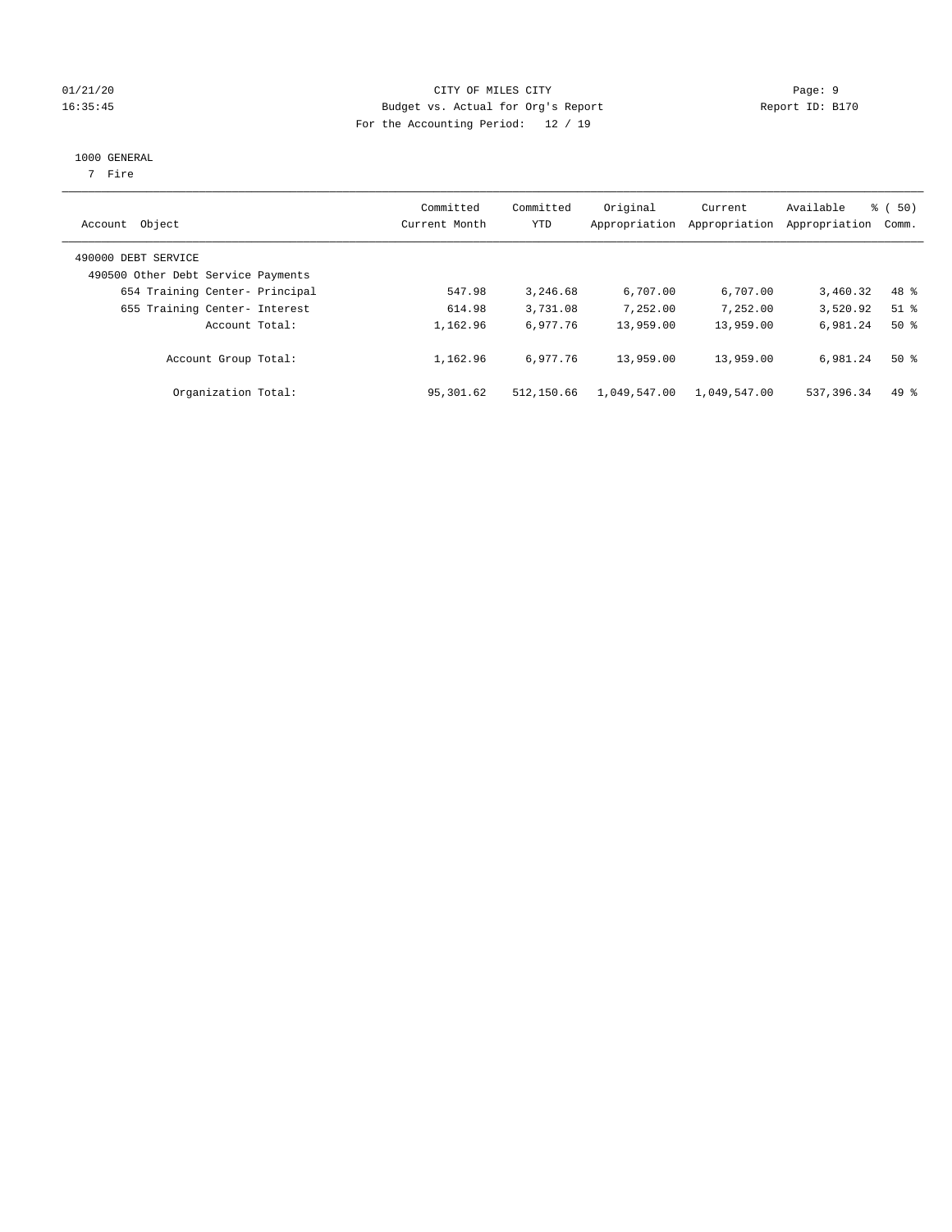#### 01/21/20 Page: 9 16:35:45 Budget vs. Actual for Org's Report Report ID: B170 For the Accounting Period: 12 / 19

#### 1000 GENERAL

7 Fire

| Account Object                                            | Committed<br>Current Month | Committed<br>YTD | Original<br>Appropriation | Current<br>Appropriation | Available<br>Appropriation | % ( 50 )<br>Comm. |
|-----------------------------------------------------------|----------------------------|------------------|---------------------------|--------------------------|----------------------------|-------------------|
| 490000 DEBT SERVICE<br>490500 Other Debt Service Payments |                            |                  |                           |                          |                            |                   |
| 654 Training Center- Principal                            | 547.98                     | 3,246.68         | 6,707.00                  | 6,707.00                 | 3,460.32                   | 48 %              |
| 655 Training Center- Interest                             | 614.98                     | 3,731.08         | 7,252.00                  | 7,252.00                 | 3,520.92                   | $51$ %            |
| Account Total:                                            | 1,162.96                   | 6.977.76         | 13,959.00                 | 13,959.00                | 6.981.24                   | $50*$             |
| Account Group Total:                                      | 1,162.96                   | 6.977.76         | 13,959.00                 | 13,959.00                | 6,981.24                   | $50*$             |
| Organization Total:                                       | 95,301.62                  | 512,150.66       | 1,049,547.00              | 1,049,547.00             | 537, 396.34                | $49*$             |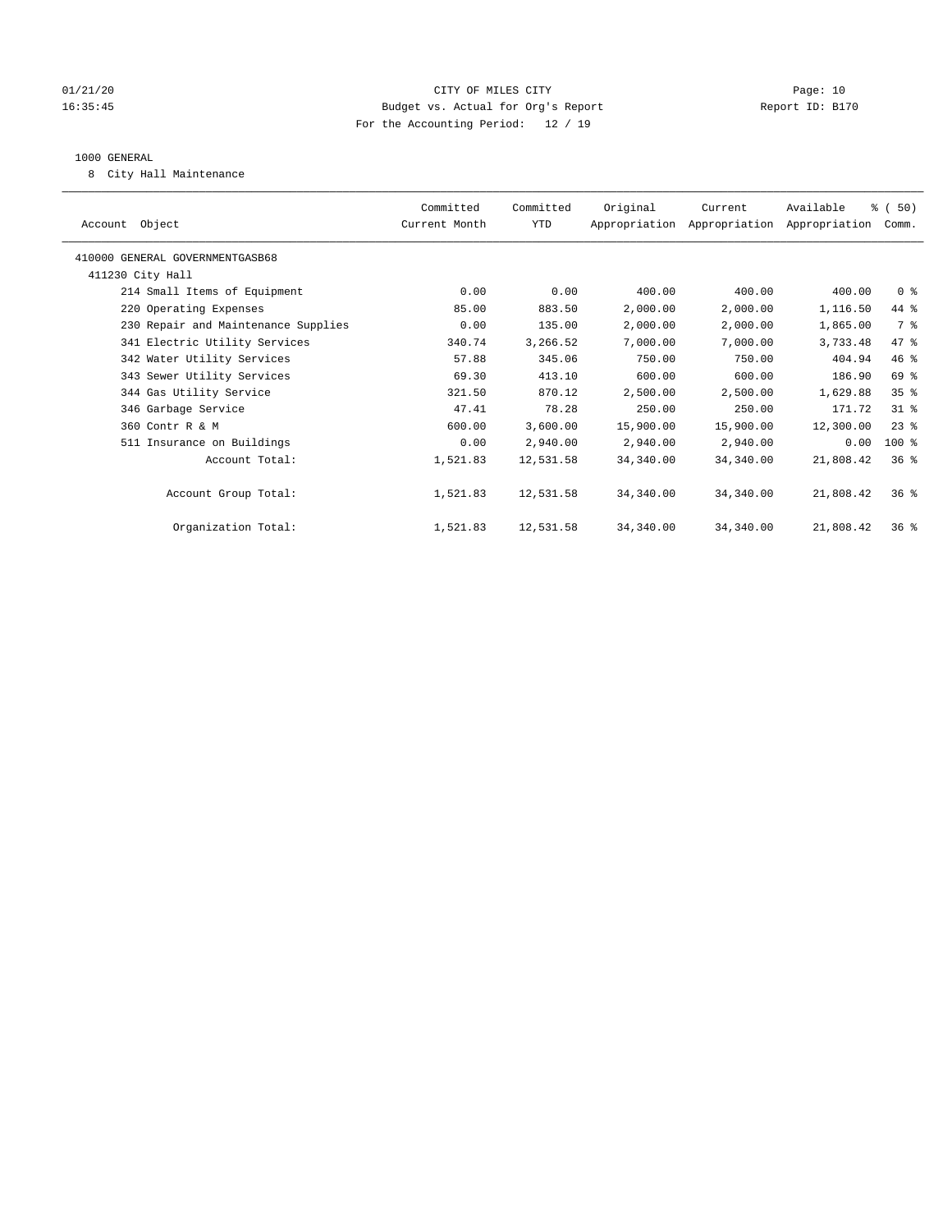#### 01/21/20 Page: 10 16:35:45 Budget vs. Actual for Org's Report Report ID: B170 For the Accounting Period: 12 / 19

#### 1000 GENERAL

8 City Hall Maintenance

| Account Object                      | Committed<br>Current Month | Committed<br>YTD | Original  | Current<br>Appropriation Appropriation Appropriation | Available | % (50)<br>Comm. |  |
|-------------------------------------|----------------------------|------------------|-----------|------------------------------------------------------|-----------|-----------------|--|
| 410000 GENERAL GOVERNMENTGASB68     |                            |                  |           |                                                      |           |                 |  |
| 411230 City Hall                    |                            |                  |           |                                                      |           |                 |  |
| 214 Small Items of Equipment        | 0.00                       | 0.00             | 400.00    | 400.00                                               | 400.00    | 0 <sup>8</sup>  |  |
| 220 Operating Expenses              | 85.00                      | 883.50           | 2,000.00  | 2,000.00                                             | 1,116.50  | 44 %            |  |
| 230 Repair and Maintenance Supplies | 0.00                       | 135.00           | 2,000.00  | 2,000.00                                             | 1,865.00  | 7 %             |  |
| 341 Electric Utility Services       | 340.74                     | 3,266.52         | 7,000.00  | 7,000.00                                             | 3,733.48  | 47 %            |  |
| 342 Water Utility Services          | 57.88                      | 345.06           | 750.00    | 750.00                                               | 404.94    | 46 %            |  |
| 343 Sewer Utility Services          | 69.30                      | 413.10           | 600.00    | 600.00                                               | 186.90    | 69 %            |  |
| 344 Gas Utility Service             | 321.50                     | 870.12           | 2,500.00  | 2,500.00                                             | 1,629.88  | 35 <sup>8</sup> |  |
| 346 Garbage Service                 | 47.41                      | 78.28            | 250.00    | 250.00                                               | 171.72    | $31$ %          |  |
| 360 Contr R & M                     | 600.00                     | 3,600.00         | 15,900.00 | 15,900.00                                            | 12,300.00 | $23$ %          |  |
| 511 Insurance on Buildings          | 0.00                       | 2,940.00         | 2,940.00  | 2,940.00                                             | 0.00      | $100$ %         |  |
| Account Total:                      | 1,521.83                   | 12,531.58        | 34,340.00 | 34,340.00                                            | 21,808.42 | 36 <sup>8</sup> |  |
|                                     |                            |                  |           |                                                      |           |                 |  |
| Account Group Total:                | 1,521.83                   | 12,531.58        | 34,340.00 | 34,340.00                                            | 21,808.42 | $36*$           |  |
|                                     |                            |                  |           |                                                      |           |                 |  |
| Organization Total:                 | 1,521.83                   | 12,531.58        | 34,340.00 | 34,340.00                                            | 21,808.42 | $36*$           |  |
|                                     |                            |                  |           |                                                      |           |                 |  |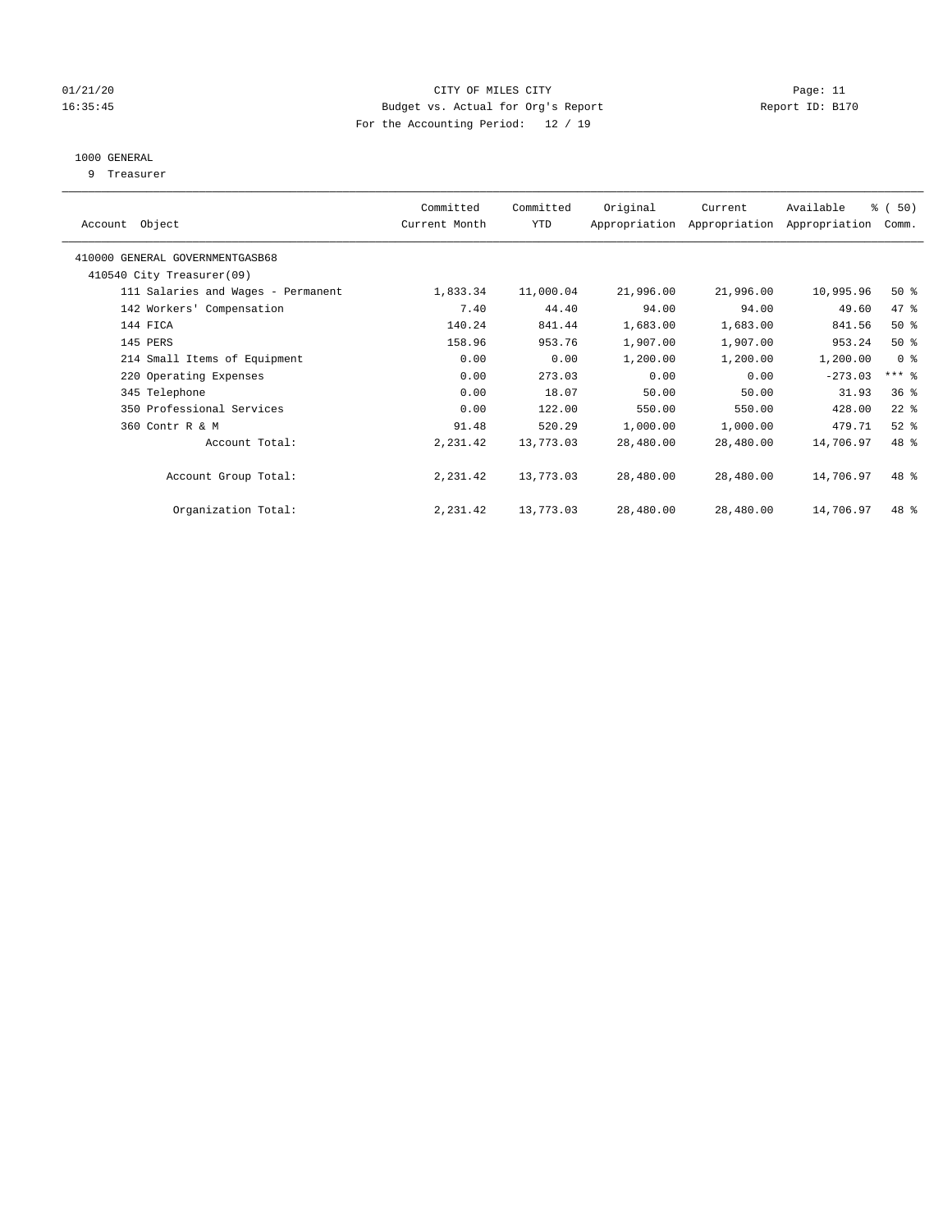#### 01/21/20 Page: 11 16:35:45 Budget vs. Actual for Org's Report Report ID: B170 For the Accounting Period: 12 / 19

### 1000 GENERAL

9 Treasurer

| Object<br>Account                  | Committed<br>Current Month | Committed<br>YTD | Original  | Current<br>Appropriation Appropriation | Available<br>Appropriation | % (50)<br>Comm. |  |
|------------------------------------|----------------------------|------------------|-----------|----------------------------------------|----------------------------|-----------------|--|
| 410000 GENERAL GOVERNMENTGASB68    |                            |                  |           |                                        |                            |                 |  |
| 410540 City Treasurer(09)          |                            |                  |           |                                        |                            |                 |  |
| 111 Salaries and Wages - Permanent | 1,833.34                   | 11,000.04        | 21,996.00 | 21,996.00                              | 10,995.96                  | $50*$           |  |
| 142 Workers' Compensation          | 7.40                       | 44.40            | 94.00     | 94.00                                  | 49.60                      | 47 %            |  |
| 144 FICA                           | 140.24                     | 841.44           | 1,683.00  | 1,683.00                               | 841.56                     | $50*$           |  |
| 145 PERS                           | 158.96                     | 953.76           | 1,907.00  | 1,907.00                               | 953.24                     | $50*$           |  |
| 214 Small Items of Equipment       | 0.00                       | 0.00             | 1,200.00  | 1,200.00                               | 1,200.00                   | 0 <sup>8</sup>  |  |
| 220 Operating Expenses             | 0.00                       | 273.03           | 0.00      | 0.00                                   | $-273.03$                  | $***$ $%$       |  |
| 345 Telephone                      | 0.00                       | 18.07            | 50.00     | 50.00                                  | 31.93                      | 36 <sup>8</sup> |  |
| 350 Professional Services          | 0.00                       | 122.00           | 550.00    | 550.00                                 | 428.00                     | $22$ %          |  |
| 360 Contr R & M                    | 91.48                      | 520.29           | 1,000.00  | 1,000.00                               | 479.71                     | $52$ $%$        |  |
| Account Total:                     | 2,231.42                   | 13,773.03        | 28,480.00 | 28,480.00                              | 14,706.97                  | 48 %            |  |
| Account Group Total:               | 2,231.42                   | 13,773.03        | 28,480.00 | 28,480.00                              | 14,706.97                  | $48*$           |  |
| Organization Total:                | 2,231.42                   | 13,773.03        | 28,480.00 | 28,480.00                              | 14,706.97                  | 48 %            |  |
|                                    |                            |                  |           |                                        |                            |                 |  |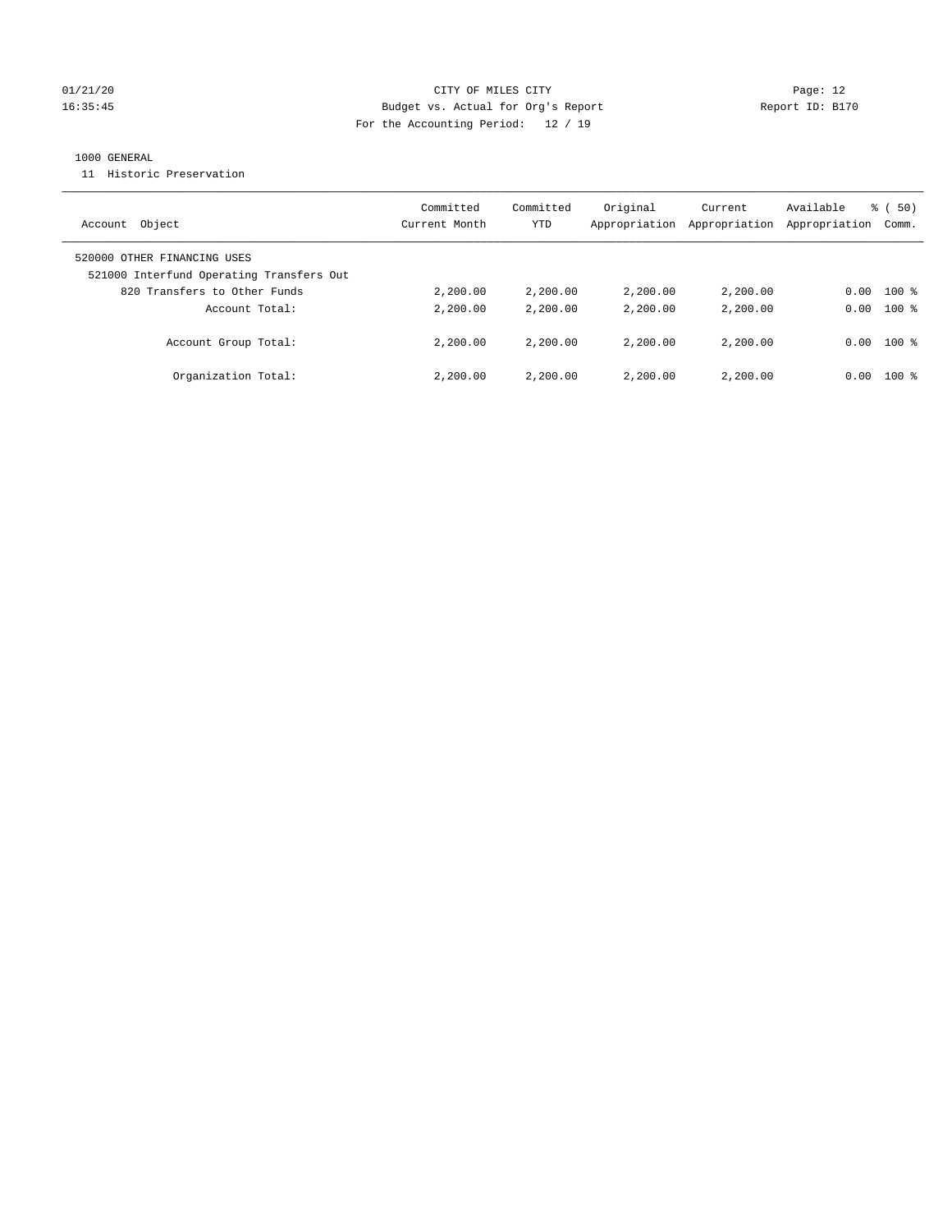#### 01/21/20 Page: 12 16:35:45 Budget vs. Actual for Org's Report Report ID: B170 For the Accounting Period: 12 / 19

#### 1000 GENERAL

11 Historic Preservation

| Object<br>Account                                                       | Committed<br>Current Month | Committed<br>YTD | Original<br>Appropriation | Current<br>Appropriation | Available<br>Appropriation | % ( 50 )<br>Comm. |
|-------------------------------------------------------------------------|----------------------------|------------------|---------------------------|--------------------------|----------------------------|-------------------|
| 520000 OTHER FINANCING USES<br>521000 Interfund Operating Transfers Out |                            |                  |                           |                          |                            |                   |
| 820 Transfers to Other Funds                                            | 2,200.00                   | 2,200.00         | 2,200.00                  | 2,200.00                 | 0.00                       | $100$ %           |
| Account Total:                                                          | 2,200.00                   | 2,200.00         | 2,200.00                  | 2,200.00                 | 0.00                       | $100*$            |
| Account Group Total:                                                    | 2,200.00                   | 2,200.00         | 2,200.00                  | 2,200,00                 | 0.00                       | $100*$            |
| Organization Total:                                                     | 2,200.00                   | 2,200.00         | 2,200.00                  | 2,200,00                 | 0.00                       | $100*$            |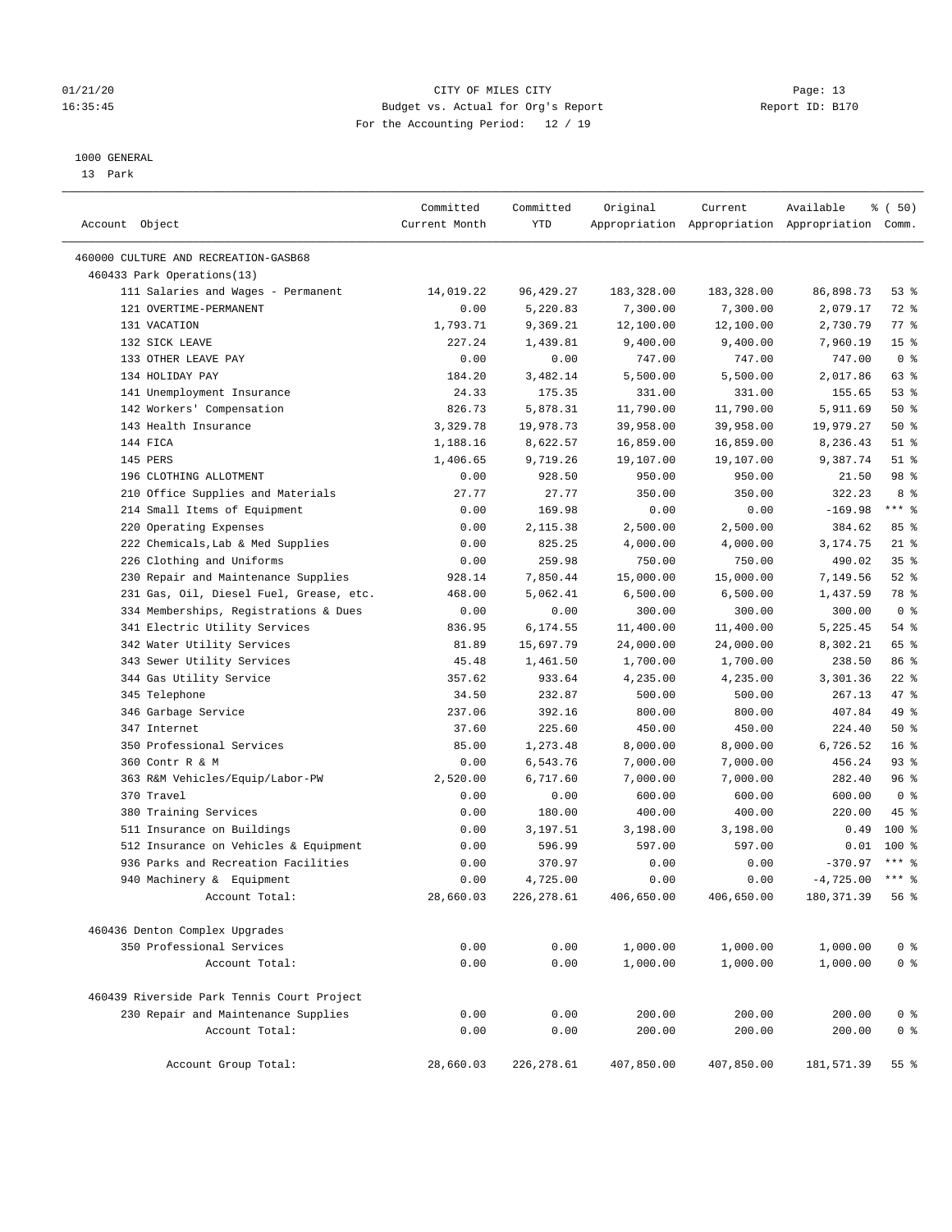#### 01/21/20 Page: 13 16:35:45 Budget vs. Actual for Org's Report Report ID: B170 For the Accounting Period: 12 / 19

————————————————————————————————————————————————————————————————————————————————————————————————————————————————————————————————————

#### 1000 GENERAL

13 Park

|                                                             | Committed     | Committed    | Original             | Current              | Available                                       | ៖ (50)                           |
|-------------------------------------------------------------|---------------|--------------|----------------------|----------------------|-------------------------------------------------|----------------------------------|
| Account Object                                              | Current Month | YTD          |                      |                      | Appropriation Appropriation Appropriation Comm. |                                  |
| 460000 CULTURE AND RECREATION-GASB68                        |               |              |                      |                      |                                                 |                                  |
| 460433 Park Operations(13)                                  |               |              |                      |                      |                                                 |                                  |
| 111 Salaries and Wages - Permanent                          | 14,019.22     | 96, 429.27   | 183,328.00           | 183,328.00           | 86,898.73                                       | 53%                              |
| 121 OVERTIME-PERMANENT                                      | 0.00          | 5,220.83     | 7,300.00             | 7,300.00             | 2,079.17                                        | 72 %                             |
| 131 VACATION                                                | 1,793.71      | 9,369.21     | 12,100.00            | 12,100.00            | 2,730.79                                        | 77.8                             |
| 132 SICK LEAVE                                              | 227.24        | 1,439.81     | 9,400.00             | 9,400.00             | 7,960.19                                        | 15 <sup>°</sup>                  |
| 133 OTHER LEAVE PAY                                         | 0.00          | 0.00         | 747.00               | 747.00               | 747.00                                          | 0 <sup>8</sup>                   |
| 134 HOLIDAY PAY                                             | 184.20        | 3,482.14     | 5,500.00             | 5,500.00             | 2,017.86                                        | 63 %                             |
| 141 Unemployment Insurance                                  | 24.33         | 175.35       | 331.00               | 331.00               | 155.65                                          | 53%                              |
| 142 Workers' Compensation                                   | 826.73        | 5,878.31     | 11,790.00            | 11,790.00            | 5,911.69                                        | 50%                              |
| 143 Health Insurance                                        | 3,329.78      | 19,978.73    | 39,958.00            | 39,958.00            | 19,979.27                                       | 50%                              |
| 144 FICA                                                    | 1,188.16      | 8,622.57     | 16,859.00            | 16,859.00            | 8,236.43                                        | $51$ %                           |
| 145 PERS                                                    | 1,406.65      | 9,719.26     | 19,107.00            | 19,107.00            | 9,387.74                                        | $51$ %                           |
| 196 CLOTHING ALLOTMENT                                      | 0.00          | 928.50       | 950.00               | 950.00               | 21.50                                           | 98 %                             |
| 210 Office Supplies and Materials                           | 27.77         | 27.77        | 350.00               | 350.00               | 322.23                                          | 8 %                              |
| 214 Small Items of Equipment                                | 0.00          | 169.98       | 0.00                 | 0.00                 | $-169.98$                                       | $***$ $_{8}$                     |
| 220 Operating Expenses                                      | 0.00          | 2,115.38     | 2,500.00             | 2,500.00             | 384.62                                          | 85%                              |
| 222 Chemicals, Lab & Med Supplies                           | 0.00          | 825.25       | 4,000.00             | 4,000.00             | 3,174.75                                        | $21$ %                           |
| 226 Clothing and Uniforms                                   | 0.00          | 259.98       | 750.00               | 750.00               | 490.02                                          | 35%                              |
| 230 Repair and Maintenance Supplies                         | 928.14        | 7,850.44     | 15,000.00            | 15,000.00            | 7,149.56                                        | $52$ $%$                         |
| 231 Gas, Oil, Diesel Fuel, Grease, etc.                     | 468.00        | 5,062.41     | 6,500.00             | 6,500.00             | 1,437.59                                        | 78 %                             |
| 334 Memberships, Registrations & Dues                       | 0.00          | 0.00         | 300.00               | 300.00               | 300.00                                          | 0 <sup>8</sup>                   |
| 341 Electric Utility Services                               | 836.95        | 6,174.55     | 11,400.00            | 11,400.00            | 5,225.45                                        | 54 %                             |
| 342 Water Utility Services                                  | 81.89         | 15,697.79    | 24,000.00            | 24,000.00            | 8,302.21                                        | 65 %                             |
| 343 Sewer Utility Services                                  | 45.48         | 1,461.50     | 1,700.00             | 1,700.00             | 238.50                                          | 86 %                             |
| 344 Gas Utility Service                                     | 357.62        | 933.64       | 4,235.00             | 4,235.00             | 3,301.36                                        | $22$ %                           |
| 345 Telephone                                               | 34.50         | 232.87       | 500.00               | 500.00               | 267.13                                          | 47 %                             |
| 346 Garbage Service                                         | 237.06        | 392.16       | 800.00               | 800.00               | 407.84                                          | 49 %                             |
| 347 Internet                                                | 37.60         | 225.60       | 450.00               | 450.00               | 224.40                                          | 50%                              |
| 350 Professional Services                                   | 85.00         | 1,273.48     | 8,000.00             | 8,000.00             | 6,726.52                                        | 16 <sup>°</sup>                  |
| 360 Contr R & M                                             | 0.00          | 6,543.76     | 7,000.00             | 7,000.00             | 456.24                                          | $93$ $%$                         |
| 363 R&M Vehicles/Equip/Labor-PW                             | 2,520.00      | 6,717.60     | 7,000.00             | 7,000.00             | 282.40                                          | 96%                              |
| 370 Travel                                                  | 0.00          | 0.00         | 600.00               | 600.00               | 600.00                                          | 0 <sup>8</sup>                   |
| 380 Training Services                                       | 0.00          | 180.00       | 400.00               | 400.00               | 220.00                                          | 45 %                             |
| 511 Insurance on Buildings                                  | 0.00          | 3,197.51     | 3,198.00             | 3,198.00             | 0.49                                            | $100*$                           |
| 512 Insurance on Vehicles & Equipment                       | 0.00          | 596.99       | 597.00               | 597.00               | 0.01                                            | $100$ %                          |
| 936 Parks and Recreation Facilities                         | 0.00          | 370.97       | 0.00                 | 0.00                 | $-370.97$                                       | $***$ 2                          |
| 940 Machinery & Equipment                                   | 0.00          | 4,725.00     | 0.00                 | 0.00                 | $-4,725.00$                                     | $***$ $%$                        |
| Account Total:                                              | 28,660.03     | 226, 278.61  | 406,650.00           | 406,650.00           | 180, 371.39                                     | 56%                              |
|                                                             |               |              |                      |                      |                                                 |                                  |
| 460436 Denton Complex Upgrades<br>350 Professional Services |               |              |                      |                      |                                                 |                                  |
| Account Total:                                              | 0.00<br>0.00  | 0.00<br>0.00 | 1,000.00<br>1,000.00 | 1,000.00<br>1,000.00 | 1,000.00<br>1,000.00                            | 0 <sup>8</sup><br>0 <sup>°</sup> |
|                                                             |               |              |                      |                      |                                                 |                                  |
| 460439 Riverside Park Tennis Court Project                  |               |              |                      |                      |                                                 |                                  |
| 230 Repair and Maintenance Supplies                         | 0.00          | 0.00         | 200.00               | 200.00               | 200.00                                          | 0 <sup>8</sup>                   |
| Account Total:                                              | 0.00          | 0.00         | 200.00               | 200.00               | 200.00                                          | 0 <sup>8</sup>                   |
| Account Group Total:                                        | 28,660.03     | 226, 278.61  | 407,850.00           | 407,850.00           | 181,571.39                                      | 55 %                             |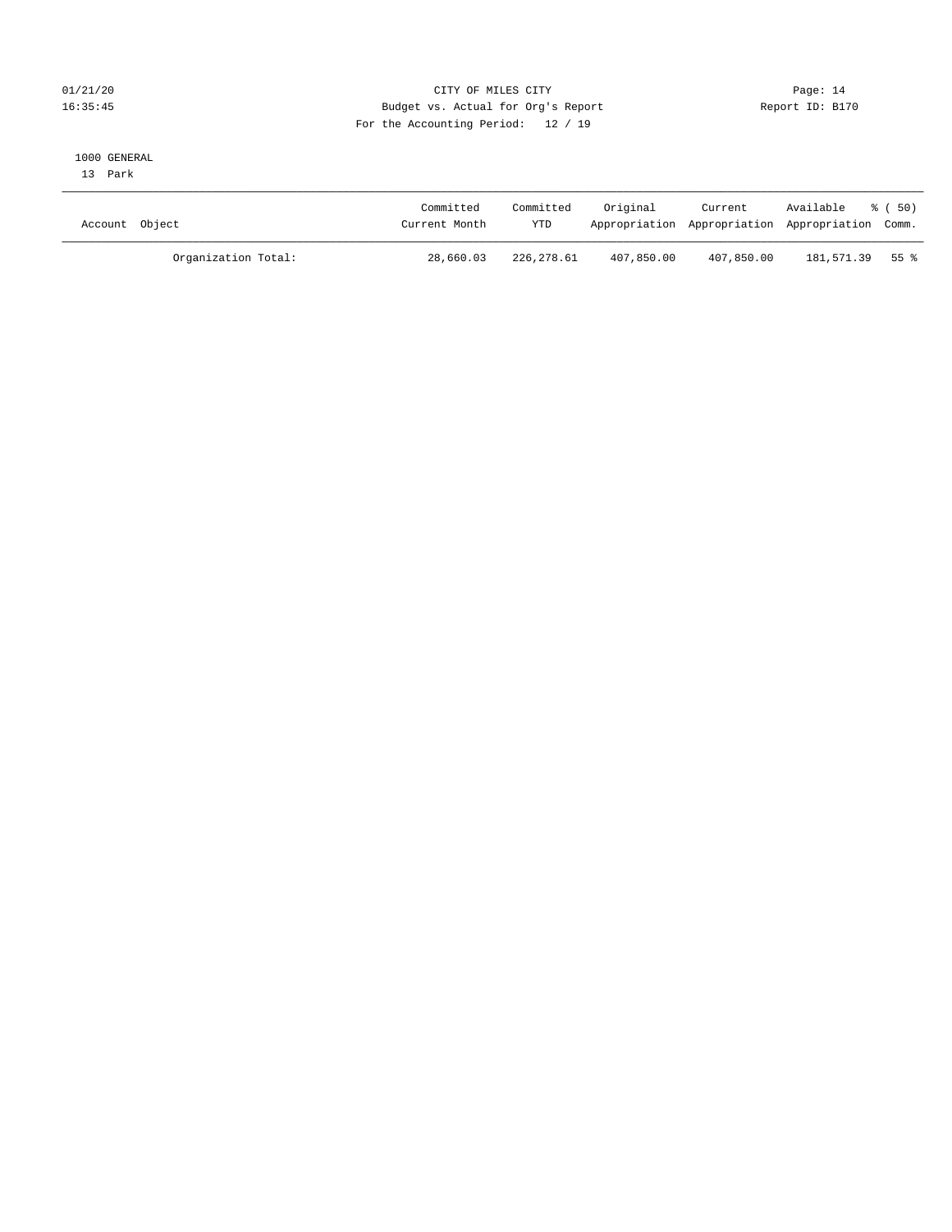#### 01/21/20 **CITY OF MILES CITY CITY CITY Page: 14** 16:35:45 Budget vs. Actual for Org's Report Report ID: B170 For the Accounting Period: 12 / 19

#### 1000 GENERAL

13 Park

| Account Object      | Committed<br>Current Month | Committed<br><b>YTD</b> | Original   | Current<br>Appropriation Appropriation Appropriation Comm. | Available % (50) |  |
|---------------------|----------------------------|-------------------------|------------|------------------------------------------------------------|------------------|--|
| Organization Total: | 28,660.03                  | 226,278.61              | 407,850.00 | 407,850.00                                                 | 181,571.39 55 %  |  |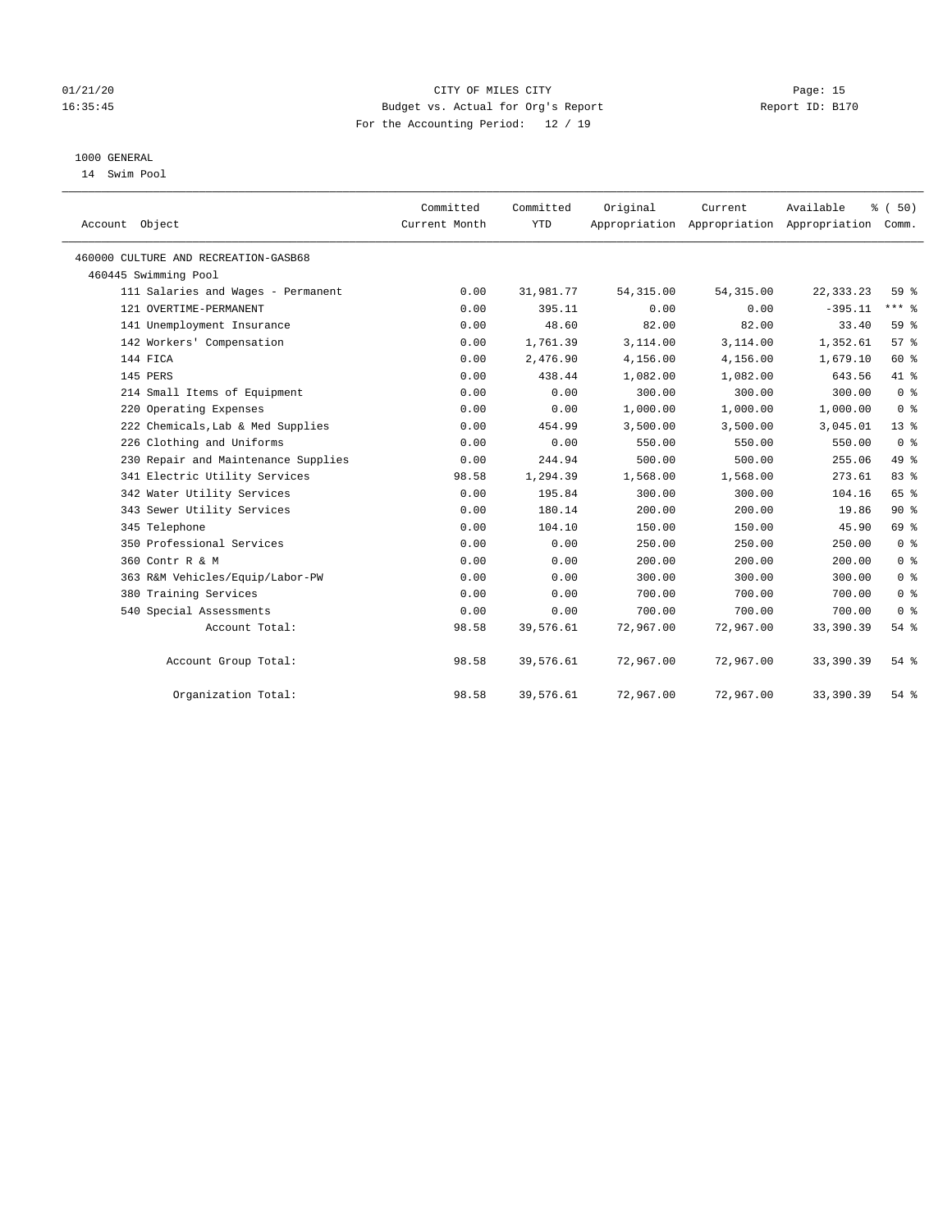#### 01/21/20 Page: 15 16:35:45 Budget vs. Actual for Org's Report Report ID: B170 For the Accounting Period: 12 / 19

### 1000 GENERAL

14 Swim Pool

| Account Object                       | Committed<br>Current Month | Committed<br><b>YTD</b> | Original   | Current    | Available<br>Appropriation Appropriation Appropriation | % (50)<br>Comm. |
|--------------------------------------|----------------------------|-------------------------|------------|------------|--------------------------------------------------------|-----------------|
| 460000 CULTURE AND RECREATION-GASB68 |                            |                         |            |            |                                                        |                 |
| 460445 Swimming Pool                 |                            |                         |            |            |                                                        |                 |
| 111 Salaries and Wages - Permanent   | 0.00                       | 31,981.77               | 54, 315.00 | 54, 315.00 | 22, 333. 23                                            | 59 %            |
| 121 OVERTIME-PERMANENT               | 0.00                       | 395.11                  | 0.00       | 0.00       | $-395.11$                                              | $***$ $%$       |
| 141 Unemployment Insurance           | 0.00                       | 48.60                   | 82.00      | 82.00      | 33.40                                                  | 59 %            |
| 142 Workers' Compensation            | 0.00                       | 1,761.39                | 3,114.00   | 3,114.00   | 1,352.61                                               | 57%             |
| 144 FICA                             | 0.00                       | 2,476.90                | 4,156.00   | 4,156.00   | 1,679.10                                               | 60 %            |
| 145 PERS                             | 0.00                       | 438.44                  | 1,082.00   | 1,082.00   | 643.56                                                 | 41 %            |
| 214 Small Items of Equipment         | 0.00                       | 0.00                    | 300.00     | 300.00     | 300.00                                                 | 0 <sup>8</sup>  |
| 220 Operating Expenses               | 0.00                       | 0.00                    | 1,000.00   | 1,000.00   | 1,000.00                                               | 0 <sup>8</sup>  |
| 222 Chemicals, Lab & Med Supplies    | 0.00                       | 454.99                  | 3,500.00   | 3,500.00   | 3,045.01                                               | $13*$           |
| 226 Clothing and Uniforms            | 0.00                       | 0.00                    | 550.00     | 550.00     | 550.00                                                 | 0 <sup>8</sup>  |
| 230 Repair and Maintenance Supplies  | 0.00                       | 244.94                  | 500.00     | 500.00     | 255.06                                                 | 49 %            |
| 341 Electric Utility Services        | 98.58                      | 1,294.39                | 1,568.00   | 1,568.00   | 273.61                                                 | 83 %            |
| 342 Water Utility Services           | 0.00                       | 195.84                  | 300.00     | 300.00     | 104.16                                                 | 65 %            |
| 343 Sewer Utility Services           | 0.00                       | 180.14                  | 200.00     | 200.00     | 19.86                                                  | 90%             |
| 345 Telephone                        | 0.00                       | 104.10                  | 150.00     | 150.00     | 45.90                                                  | 69 %            |
| 350 Professional Services            | 0.00                       | 0.00                    | 250.00     | 250.00     | 250.00                                                 | 0 <sup>8</sup>  |
| 360 Contr R & M                      | 0.00                       | 0.00                    | 200.00     | 200.00     | 200.00                                                 | 0 <sup>8</sup>  |
| 363 R&M Vehicles/Equip/Labor-PW      | 0.00                       | 0.00                    | 300.00     | 300.00     | 300.00                                                 | 0 <sup>8</sup>  |
| 380 Training Services                | 0.00                       | 0.00                    | 700.00     | 700.00     | 700.00                                                 | 0 <sup>8</sup>  |
| 540 Special Assessments              | 0.00                       | 0.00                    | 700.00     | 700.00     | 700.00                                                 | 0 <sup>8</sup>  |
| Account Total:                       | 98.58                      | 39,576.61               | 72,967.00  | 72,967.00  | 33,390.39                                              | 54%             |
| Account Group Total:                 | 98.58                      | 39,576.61               | 72,967.00  | 72,967.00  | 33, 390.39                                             | 54%             |
| Organization Total:                  | 98.58                      | 39,576.61               | 72,967.00  | 72,967.00  | 33, 390.39                                             | 54%             |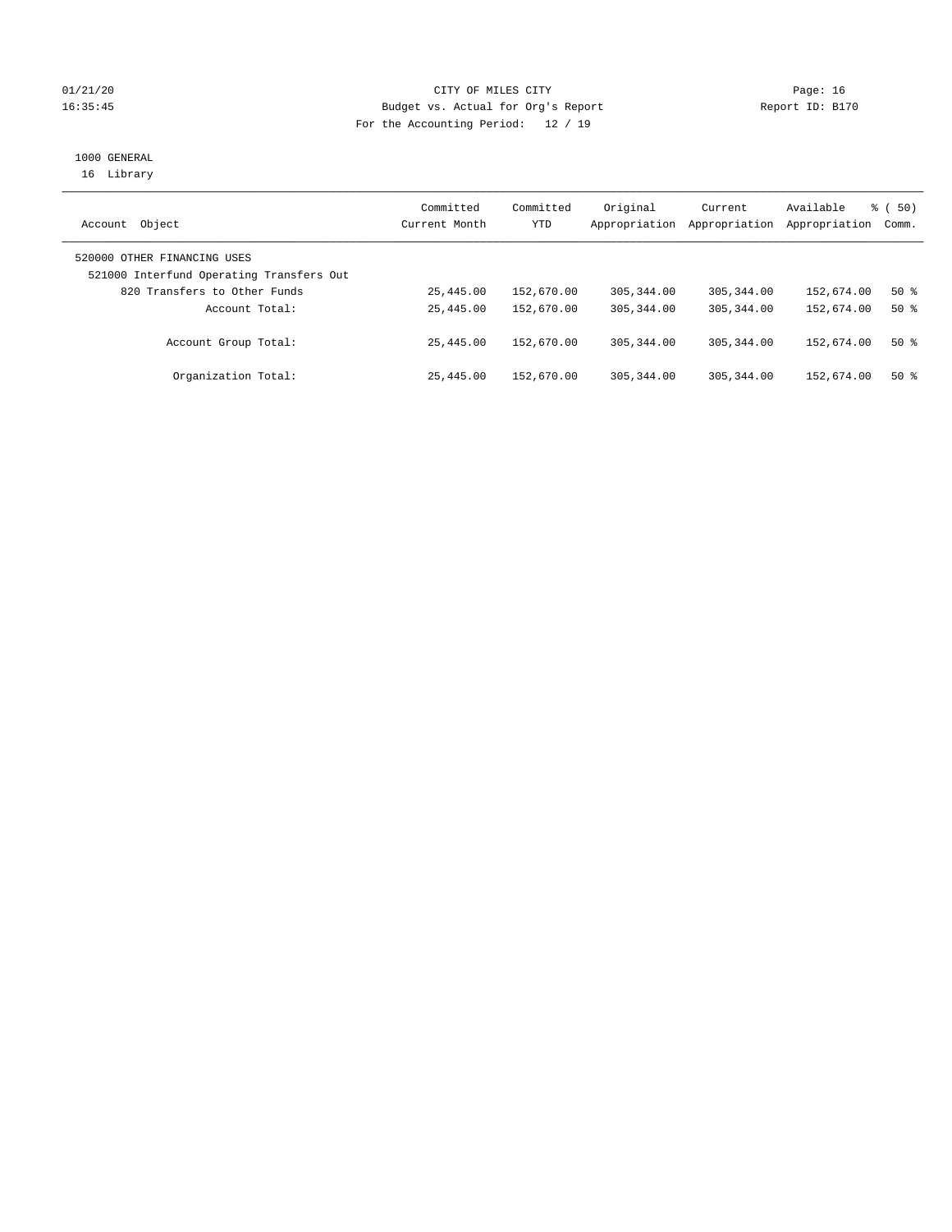#### 01/21/20 **CITY OF MILES CITY CITY CITY Page: 16** 16:35:45 Budget vs. Actual for Org's Report Report ID: B170 For the Accounting Period: 12 / 19

## 1000 GENERAL

16 Library

| Object<br>Account                                                       | Committed<br>Current Month | Committed<br><b>YTD</b> | Original<br>Appropriation | Current<br>Appropriation | Available<br>Appropriation | 50)<br>ී (<br>Comm. |
|-------------------------------------------------------------------------|----------------------------|-------------------------|---------------------------|--------------------------|----------------------------|---------------------|
| 520000 OTHER FINANCING USES<br>521000 Interfund Operating Transfers Out |                            |                         |                           |                          |                            |                     |
| 820 Transfers to Other Funds                                            | 25,445.00                  | 152,670.00              | 305, 344, 00              | 305, 344, 00             | 152,674.00                 | $50*$               |
| Account Total:                                                          | 25,445.00                  | 152,670.00              | 305, 344, 00              | 305, 344, 00             | 152,674.00                 | $50*$               |
| Account Group Total:                                                    | 25,445.00                  | 152,670.00              | 305, 344, 00              | 305, 344, 00             | 152,674.00                 | $50*$               |
| Organization Total:                                                     | 25,445.00                  | 152,670.00              | 305, 344, 00              | 305, 344, 00             | 152,674.00                 | $50*$               |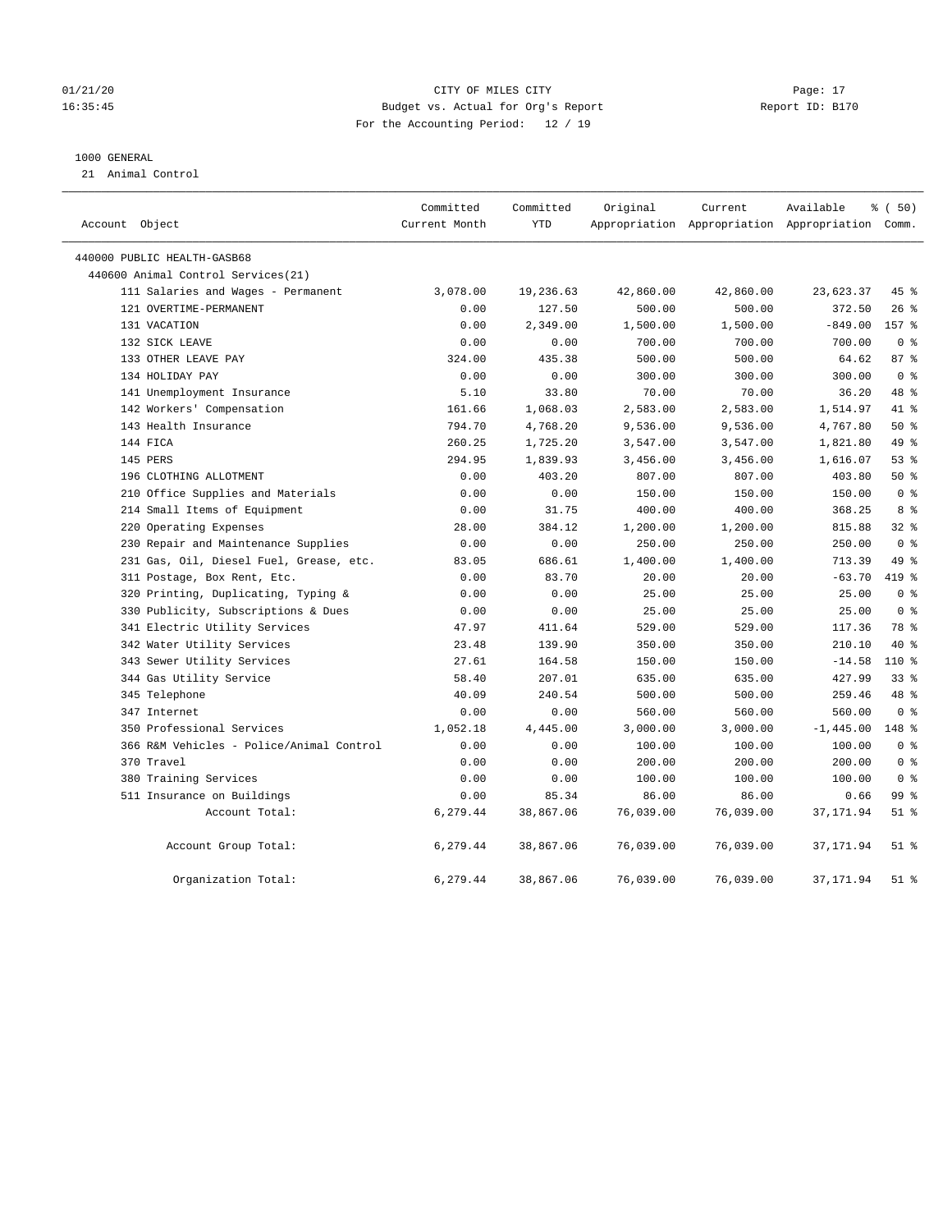#### 01/21/20 Page: 17 CITY OF MILES CITY CONTROL Page: 17 16:35:45 Budget vs. Actual for Org's Report Report ID: B170 For the Accounting Period: 12 / 19

#### 1000 GENERAL

21 Animal Control

| Account Object                           | Committed<br>Current Month | Committed<br>YTD | Original  | Current<br>Appropriation Appropriation Appropriation Comm. | Available    | % (50)         |  |
|------------------------------------------|----------------------------|------------------|-----------|------------------------------------------------------------|--------------|----------------|--|
| 440000 PUBLIC HEALTH-GASB68              |                            |                  |           |                                                            |              |                |  |
| 440600 Animal Control Services(21)       |                            |                  |           |                                                            |              |                |  |
| 111 Salaries and Wages - Permanent       | 3,078.00                   | 19,236.63        | 42,860.00 | 42,860.00                                                  | 23,623.37    | 45 %           |  |
| 121 OVERTIME-PERMANENT                   | 0.00                       | 127.50           | 500.00    | 500.00                                                     | 372.50       | $26$ %         |  |
| 131 VACATION                             | 0.00                       | 2,349.00         | 1,500.00  | 1,500.00                                                   | $-849.00$    | 157 %          |  |
| 132 SICK LEAVE                           | 0.00                       | 0.00             | 700.00    | 700.00                                                     | 700.00       | 0 <sup>8</sup> |  |
| 133 OTHER LEAVE PAY                      | 324.00                     | 435.38           | 500.00    | 500.00                                                     | 64.62        | 87%            |  |
| 134 HOLIDAY PAY                          | 0.00                       | 0.00             | 300.00    | 300.00                                                     | 300.00       | 0 <sup>8</sup> |  |
| 141 Unemployment Insurance               | 5.10                       | 33.80            | 70.00     | 70.00                                                      | 36.20        | 48 %           |  |
| 142 Workers' Compensation                | 161.66                     | 1,068.03         | 2,583.00  | 2,583.00                                                   | 1,514.97     | 41 %           |  |
| 143 Health Insurance                     | 794.70                     | 4,768.20         | 9,536.00  | 9,536.00                                                   | 4,767.80     | 50%            |  |
| 144 FICA                                 | 260.25                     | 1,725.20         | 3,547.00  | 3,547.00                                                   | 1,821.80     | 49 %           |  |
| 145 PERS                                 | 294.95                     | 1,839.93         | 3,456.00  | 3,456.00                                                   | 1,616.07     | 53%            |  |
| 196 CLOTHING ALLOTMENT                   | 0.00                       | 403.20           | 807.00    | 807.00                                                     | 403.80       | 50%            |  |
| 210 Office Supplies and Materials        | 0.00                       | 0.00             | 150.00    | 150.00                                                     | 150.00       | 0 <sup>8</sup> |  |
| 214 Small Items of Equipment             | 0.00                       | 31.75            | 400.00    | 400.00                                                     | 368.25       | 8 %            |  |
| 220 Operating Expenses                   | 28.00                      | 384.12           | 1,200.00  | 1,200.00                                                   | 815.88       | 32%            |  |
| 230 Repair and Maintenance Supplies      | 0.00                       | 0.00             | 250.00    | 250.00                                                     | 250.00       | 0 <sup>8</sup> |  |
| 231 Gas, Oil, Diesel Fuel, Grease, etc.  | 83.05                      | 686.61           | 1,400.00  | 1,400.00                                                   | 713.39       | 49 %           |  |
| 311 Postage, Box Rent, Etc.              | 0.00                       | 83.70            | 20.00     | 20.00                                                      | $-63.70$     | 419 %          |  |
| 320 Printing, Duplicating, Typing &      | 0.00                       | 0.00             | 25.00     | 25.00                                                      | 25.00        | 0 <sup>8</sup> |  |
| 330 Publicity, Subscriptions & Dues      | 0.00                       | 0.00             | 25.00     | 25.00                                                      | 25.00        | 0 <sup>8</sup> |  |
| 341 Electric Utility Services            | 47.97                      | 411.64           | 529.00    | 529.00                                                     | 117.36       | 78 %           |  |
| 342 Water Utility Services               | 23.48                      | 139.90           | 350.00    | 350.00                                                     | 210.10       | 40 %           |  |
| 343 Sewer Utility Services               | 27.61                      | 164.58           | 150.00    | 150.00                                                     | $-14.58$     | $110*$         |  |
| 344 Gas Utility Service                  | 58.40                      | 207.01           | 635.00    | 635.00                                                     | 427.99       | $33$ $%$       |  |
| 345 Telephone                            | 40.09                      | 240.54           | 500.00    | 500.00                                                     | 259.46       | 48 %           |  |
| 347 Internet                             | 0.00                       | 0.00             | 560.00    | 560.00                                                     | 560.00       | 0 <sup>8</sup> |  |
| 350 Professional Services                | 1,052.18                   | 4,445.00         | 3,000.00  | 3,000.00                                                   | $-1, 445.00$ | 148 %          |  |
| 366 R&M Vehicles - Police/Animal Control | 0.00                       | 0.00             | 100.00    | 100.00                                                     | 100.00       | 0 <sup>8</sup> |  |
| 370 Travel                               | 0.00                       | 0.00             | 200.00    | 200.00                                                     | 200.00       | 0 <sup>8</sup> |  |
| 380 Training Services                    | 0.00                       | 0.00             | 100.00    | 100.00                                                     | 100.00       | 0 <sup>8</sup> |  |
| 511 Insurance on Buildings               | 0.00                       | 85.34            | 86.00     | 86.00                                                      | 0.66         | 99 %           |  |
| Account Total:                           | 6,279.44                   | 38,867.06        | 76,039.00 | 76,039.00                                                  | 37, 171.94   | $51$ %         |  |
| Account Group Total:                     | 6,279.44                   | 38,867.06        | 76,039.00 | 76,039.00                                                  | 37, 171.94   | $51$ %         |  |
| Organization Total:                      | 6,279.44                   | 38,867.06        | 76,039.00 | 76,039.00                                                  | 37, 171.94   | $51$ %         |  |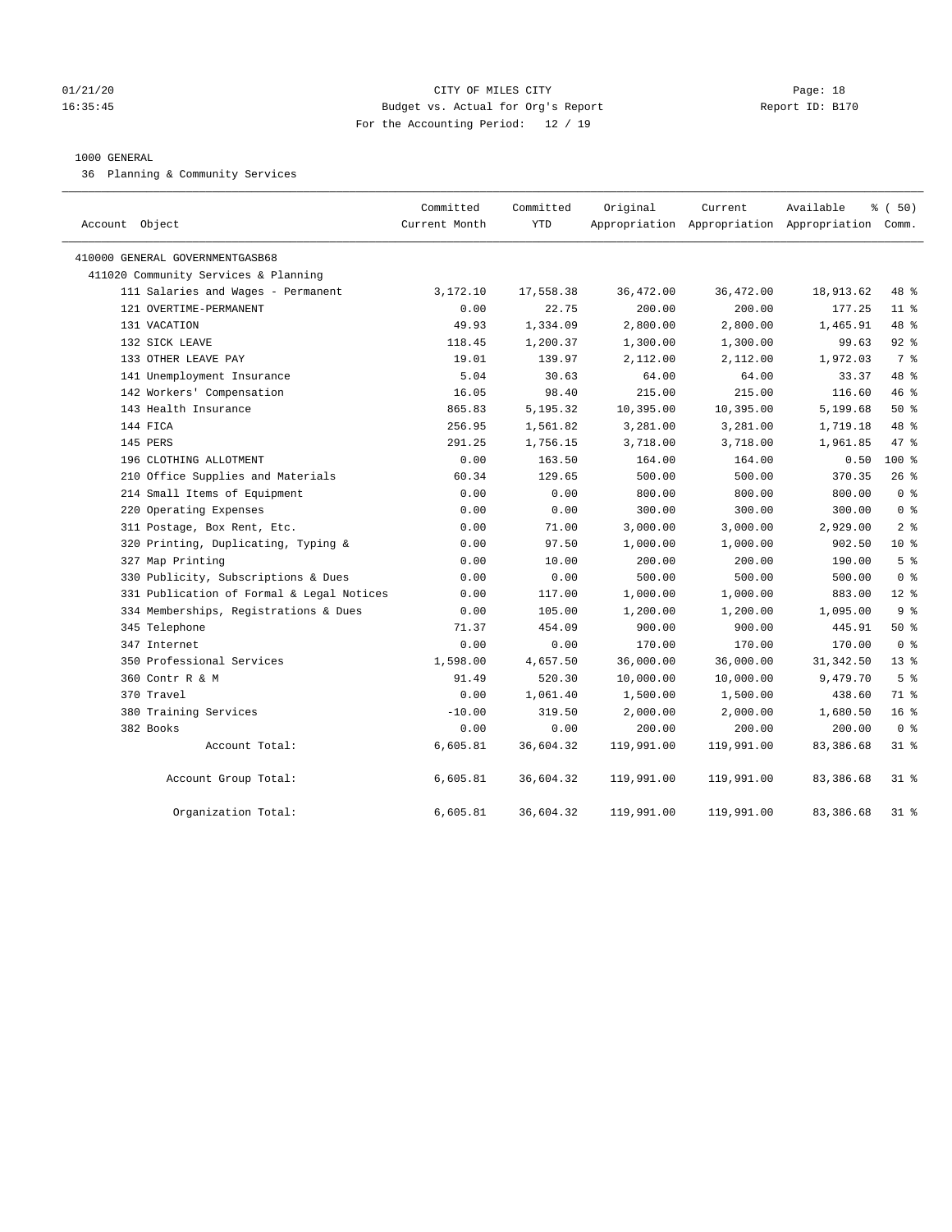#### 01/21/20 Page: 18 16:35:45 Budget vs. Actual for Org's Report Report ID: B170 For the Accounting Period: 12 / 19

#### 1000 GENERAL

36 Planning & Community Services

| Account Object                            | Committed<br>Current Month | Committed<br><b>YTD</b> | Original   | Current    | Available<br>Appropriation Appropriation Appropriation Comm. | % (50)          |
|-------------------------------------------|----------------------------|-------------------------|------------|------------|--------------------------------------------------------------|-----------------|
| 410000 GENERAL GOVERNMENTGASB68           |                            |                         |            |            |                                                              |                 |
| 411020 Community Services & Planning      |                            |                         |            |            |                                                              |                 |
| 111 Salaries and Wages - Permanent        | 3,172.10                   | 17,558.38               | 36,472.00  | 36,472.00  | 18,913.62                                                    | 48 %            |
| 121 OVERTIME-PERMANENT                    | 0.00                       | 22.75                   | 200.00     | 200.00     | 177.25                                                       | $11$ %          |
| 131 VACATION                              | 49.93                      | 1,334.09                | 2,800.00   | 2,800.00   | 1,465.91                                                     | 48 %            |
| 132 SICK LEAVE                            | 118.45                     | 1,200.37                | 1,300.00   | 1,300.00   | 99.63                                                        | $92$ %          |
| 133 OTHER LEAVE PAY                       | 19.01                      | 139.97                  | 2,112.00   | 2,112.00   | 1,972.03                                                     | 7 %             |
| 141 Unemployment Insurance                | 5.04                       | 30.63                   | 64.00      | 64.00      | 33.37                                                        | 48 %            |
| 142 Workers' Compensation                 | 16.05                      | 98.40                   | 215.00     | 215.00     | 116.60                                                       | 46 %            |
| 143 Health Insurance                      | 865.83                     | 5,195.32                | 10,395.00  | 10,395.00  | 5,199.68                                                     | 50%             |
| 144 FICA                                  | 256.95                     | 1,561.82                | 3,281.00   | 3,281.00   | 1,719.18                                                     | 48 %            |
| 145 PERS                                  | 291.25                     | 1,756.15                | 3,718.00   | 3,718.00   | 1,961.85                                                     | 47 %            |
| 196 CLOTHING ALLOTMENT                    | 0.00                       | 163.50                  | 164.00     | 164.00     | 0.50                                                         | $100*$          |
| 210 Office Supplies and Materials         | 60.34                      | 129.65                  | 500.00     | 500.00     | 370.35                                                       | 26%             |
| 214 Small Items of Equipment              | 0.00                       | 0.00                    | 800.00     | 800.00     | 800.00                                                       | 0 <sup>8</sup>  |
| 220 Operating Expenses                    | 0.00                       | 0.00                    | 300.00     | 300.00     | 300.00                                                       | 0 <sup>8</sup>  |
| 311 Postage, Box Rent, Etc.               | 0.00                       | 71.00                   | 3,000.00   | 3,000.00   | 2,929.00                                                     | 2 <sup>8</sup>  |
| 320 Printing, Duplicating, Typing &       | 0.00                       | 97.50                   | 1,000.00   | 1,000.00   | 902.50                                                       | $10*$           |
| 327 Map Printing                          | 0.00                       | 10.00                   | 200.00     | 200.00     | 190.00                                                       | 5 <sup>°</sup>  |
| 330 Publicity, Subscriptions & Dues       | 0.00                       | 0.00                    | 500.00     | 500.00     | 500.00                                                       | 0 <sup>8</sup>  |
| 331 Publication of Formal & Legal Notices | 0.00                       | 117.00                  | 1,000.00   | 1,000.00   | 883.00                                                       | $12*$           |
| 334 Memberships, Registrations & Dues     | 0.00                       | 105.00                  | 1,200.00   | 1,200.00   | 1,095.00                                                     | 9 <sup>°</sup>  |
| 345 Telephone                             | 71.37                      | 454.09                  | 900.00     | 900.00     | 445.91                                                       | 50%             |
| 347 Internet                              | 0.00                       | 0.00                    | 170.00     | 170.00     | 170.00                                                       | 0 <sup>8</sup>  |
| 350 Professional Services                 | 1,598.00                   | 4,657.50                | 36,000.00  | 36,000.00  | 31, 342.50                                                   | $13*$           |
| 360 Contr R & M                           | 91.49                      | 520.30                  | 10,000.00  | 10,000.00  | 9,479.70                                                     | 5 <sup>8</sup>  |
| 370 Travel                                | 0.00                       | 1,061.40                | 1,500.00   | 1,500.00   | 438.60                                                       | 71 %            |
| 380 Training Services                     | $-10.00$                   | 319.50                  | 2,000.00   | 2,000.00   | 1,680.50                                                     | 16 <sup>°</sup> |
| 382 Books                                 | 0.00                       | 0.00                    | 200.00     | 200.00     | 200.00                                                       | 0 <sup>8</sup>  |
| Account Total:                            | 6,605.81                   | 36,604.32               | 119,991.00 | 119,991.00 | 83,386.68                                                    | 318             |
| Account Group Total:                      | 6,605.81                   | 36,604.32               | 119,991.00 | 119,991.00 | 83,386.68                                                    | $31$ %          |
| Organization Total:                       | 6,605.81                   | 36,604.32               | 119,991.00 | 119,991.00 | 83, 386.68                                                   | 31.8            |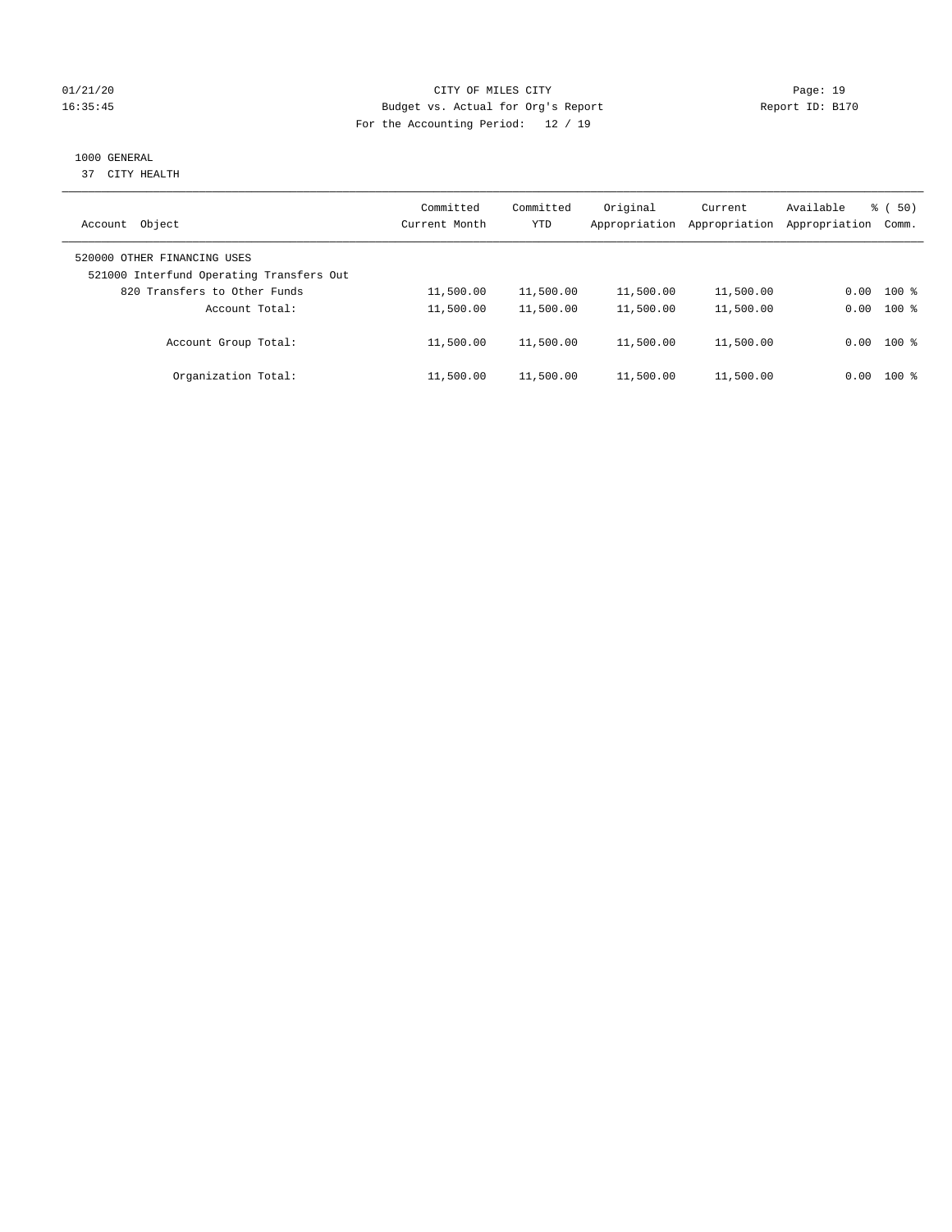#### 01/21/20 Page: 19 16:35:45 Budget vs. Actual for Org's Report Report ID: B170 For the Accounting Period: 12 / 19

## 1000 GENERAL

37 CITY HEALTH

| Object<br>Account                                                       | Committed<br>Current Month | Committed<br><b>YTD</b> | Original<br>Appropriation | Current<br>Appropriation | Available<br>Appropriation | $\frac{2}{3}$ (50)<br>Comm. |
|-------------------------------------------------------------------------|----------------------------|-------------------------|---------------------------|--------------------------|----------------------------|-----------------------------|
| 520000 OTHER FINANCING USES<br>521000 Interfund Operating Transfers Out |                            |                         |                           |                          |                            |                             |
| 820 Transfers to Other Funds                                            | 11,500.00                  | 11,500.00               | 11,500.00                 | 11,500.00                | 0.00                       | $100$ %                     |
| Account Total:                                                          | 11,500.00                  | 11,500.00               | 11,500.00                 | 11,500.00                | 0.00                       | $100$ %                     |
| Account Group Total:                                                    | 11,500.00                  | 11,500.00               | 11,500.00                 | 11,500.00                | 0.00                       | $100$ %                     |
| Organization Total:                                                     | 11,500.00                  | 11,500.00               | 11,500.00                 | 11,500.00                | 0.00                       | $100*$                      |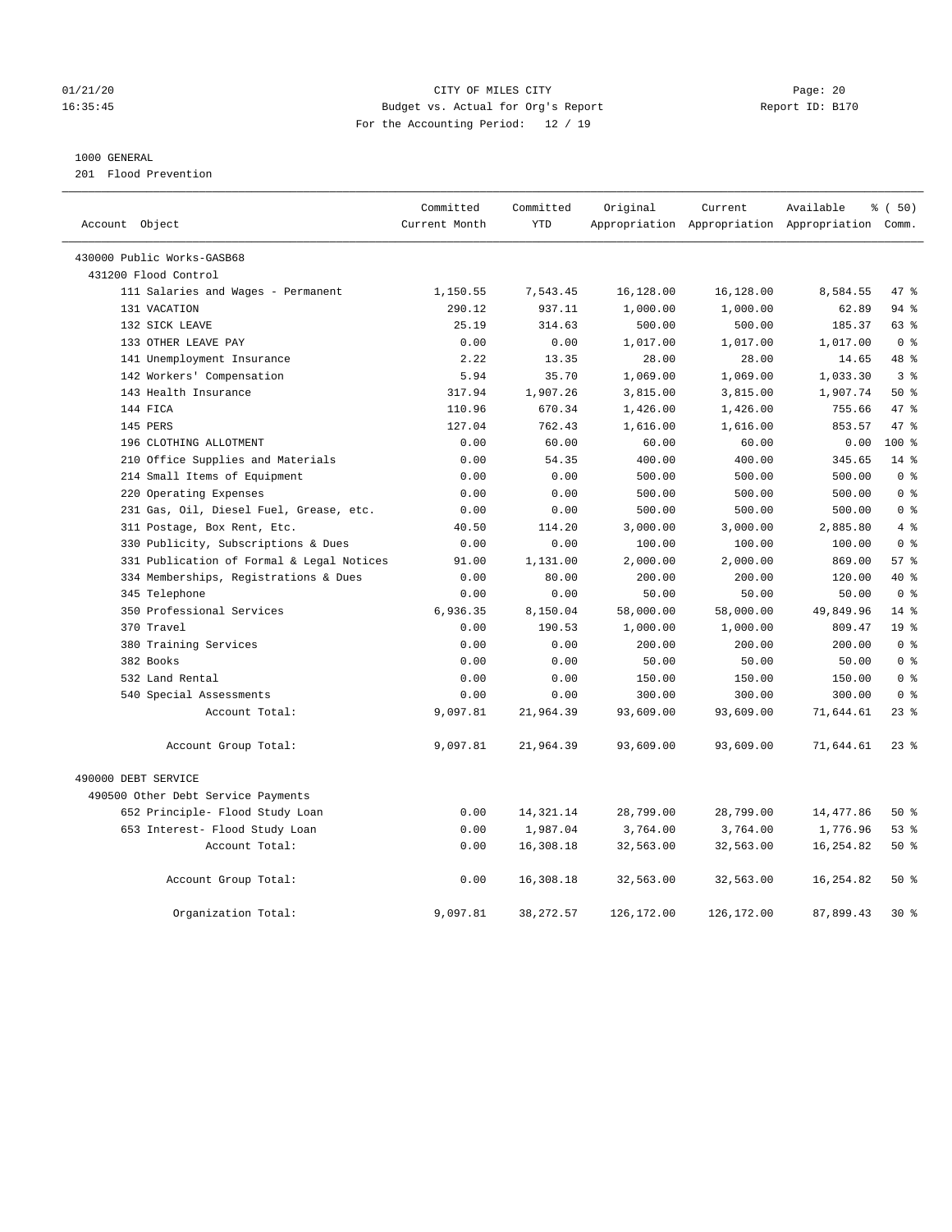#### 01/21/20 Page: 20 16:35:45 Budget vs. Actual for Org's Report Report ID: B170 For the Accounting Period: 12 / 19

#### 1000 GENERAL

201 Flood Prevention

| Account Object                            | Committed<br>Current Month | Committed<br><b>YTD</b> | Original   | Current    | Available<br>Appropriation Appropriation Appropriation Comm. | % (50)          |
|-------------------------------------------|----------------------------|-------------------------|------------|------------|--------------------------------------------------------------|-----------------|
|                                           |                            |                         |            |            |                                                              |                 |
| 430000 Public Works-GASB68                |                            |                         |            |            |                                                              |                 |
| 431200 Flood Control                      |                            |                         |            |            |                                                              |                 |
| 111 Salaries and Wages - Permanent        | 1,150.55                   | 7,543.45                | 16,128.00  | 16,128.00  | 8,584.55                                                     | 47 %            |
| 131 VACATION                              | 290.12                     | 937.11                  | 1,000.00   | 1,000.00   | 62.89                                                        | $94$ %          |
| 132 SICK LEAVE                            | 25.19                      | 314.63                  | 500.00     | 500.00     | 185.37                                                       | 63 %            |
| 133 OTHER LEAVE PAY                       | 0.00                       | 0.00                    | 1,017.00   | 1,017.00   | 1,017.00                                                     | 0 <sup>8</sup>  |
| 141 Unemployment Insurance                | 2.22                       | 13.35                   | 28.00      | 28.00      | 14.65                                                        | 48 %            |
| 142 Workers' Compensation                 | 5.94                       | 35.70                   | 1,069.00   | 1,069.00   | 1,033.30                                                     | 3 <sup>8</sup>  |
| 143 Health Insurance                      | 317.94                     | 1,907.26                | 3,815.00   | 3,815.00   | 1,907.74                                                     | 50%             |
| 144 FICA                                  | 110.96                     | 670.34                  | 1,426.00   | 1,426.00   | 755.66                                                       | 47.8            |
| 145 PERS                                  | 127.04                     | 762.43                  | 1,616.00   | 1,616.00   | 853.57                                                       | 47.8            |
| 196 CLOTHING ALLOTMENT                    | 0.00                       | 60.00                   | 60.00      | 60.00      | 0.00                                                         | 100 %           |
| 210 Office Supplies and Materials         | 0.00                       | 54.35                   | 400.00     | 400.00     | 345.65                                                       | $14*$           |
| 214 Small Items of Equipment              | 0.00                       | 0.00                    | 500.00     | 500.00     | 500.00                                                       | 0 <sup>8</sup>  |
| 220 Operating Expenses                    | 0.00                       | 0.00                    | 500.00     | 500.00     | 500.00                                                       | 0 <sup>8</sup>  |
| 231 Gas, Oil, Diesel Fuel, Grease, etc.   | 0.00                       | 0.00                    | 500.00     | 500.00     | 500.00                                                       | 0 <sup>8</sup>  |
| 311 Postage, Box Rent, Etc.               | 40.50                      | 114.20                  | 3,000.00   | 3,000.00   | 2,885.80                                                     | 4%              |
| 330 Publicity, Subscriptions & Dues       | 0.00                       | 0.00                    | 100.00     | 100.00     | 100.00                                                       | 0 <sup>8</sup>  |
| 331 Publication of Formal & Legal Notices | 91.00                      | 1,131.00                | 2,000.00   | 2,000.00   | 869.00                                                       | 57%             |
| 334 Memberships, Registrations & Dues     | 0.00                       | 80.00                   | 200.00     | 200.00     | 120.00                                                       | 40 %            |
| 345 Telephone                             | 0.00                       | 0.00                    | 50.00      | 50.00      | 50.00                                                        | 0 <sup>8</sup>  |
| 350 Professional Services                 | 6,936.35                   | 8,150.04                | 58,000.00  | 58,000.00  | 49,849.96                                                    | 14.8            |
| 370 Travel                                | 0.00                       | 190.53                  | 1,000.00   | 1,000.00   | 809.47                                                       | 19 <sup>°</sup> |
| 380 Training Services                     | 0.00                       | 0.00                    | 200.00     | 200.00     | 200.00                                                       | 0 <sup>8</sup>  |
| 382 Books                                 | 0.00                       | 0.00                    | 50.00      | 50.00      | 50.00                                                        | 0 <sup>8</sup>  |
| 532 Land Rental                           | 0.00                       | 0.00                    | 150.00     | 150.00     | 150.00                                                       | 0 <sup>8</sup>  |
| 540 Special Assessments                   | 0.00                       | 0.00                    | 300.00     | 300.00     | 300.00                                                       | 0 <sup>8</sup>  |
| Account Total:                            | 9,097.81                   | 21,964.39               | 93,609.00  | 93,609.00  | 71,644.61                                                    | $23$ $%$        |
| Account Group Total:                      | 9,097.81                   | 21,964.39               | 93,609.00  | 93,609.00  | 71,644.61                                                    | $23$ $%$        |
| 490000 DEBT SERVICE                       |                            |                         |            |            |                                                              |                 |
| 490500 Other Debt Service Payments        |                            |                         |            |            |                                                              |                 |
| 652 Principle- Flood Study Loan           | 0.00                       | 14,321.14               | 28,799.00  | 28,799.00  | 14,477.86                                                    | 50%             |
| 653 Interest- Flood Study Loan            | 0.00                       | 1,987.04                | 3,764.00   | 3,764.00   | 1,776.96                                                     | 53%             |
| Account Total:                            | 0.00                       | 16,308.18               | 32,563.00  | 32,563.00  | 16,254.82                                                    | 50%             |
| Account Group Total:                      | 0.00                       | 16,308.18               | 32,563.00  | 32,563.00  | 16, 254.82                                                   | 50%             |
| Organization Total:                       | 9,097.81                   | 38, 272.57              | 126,172.00 | 126,172.00 | 87,899.43                                                    | $30*$           |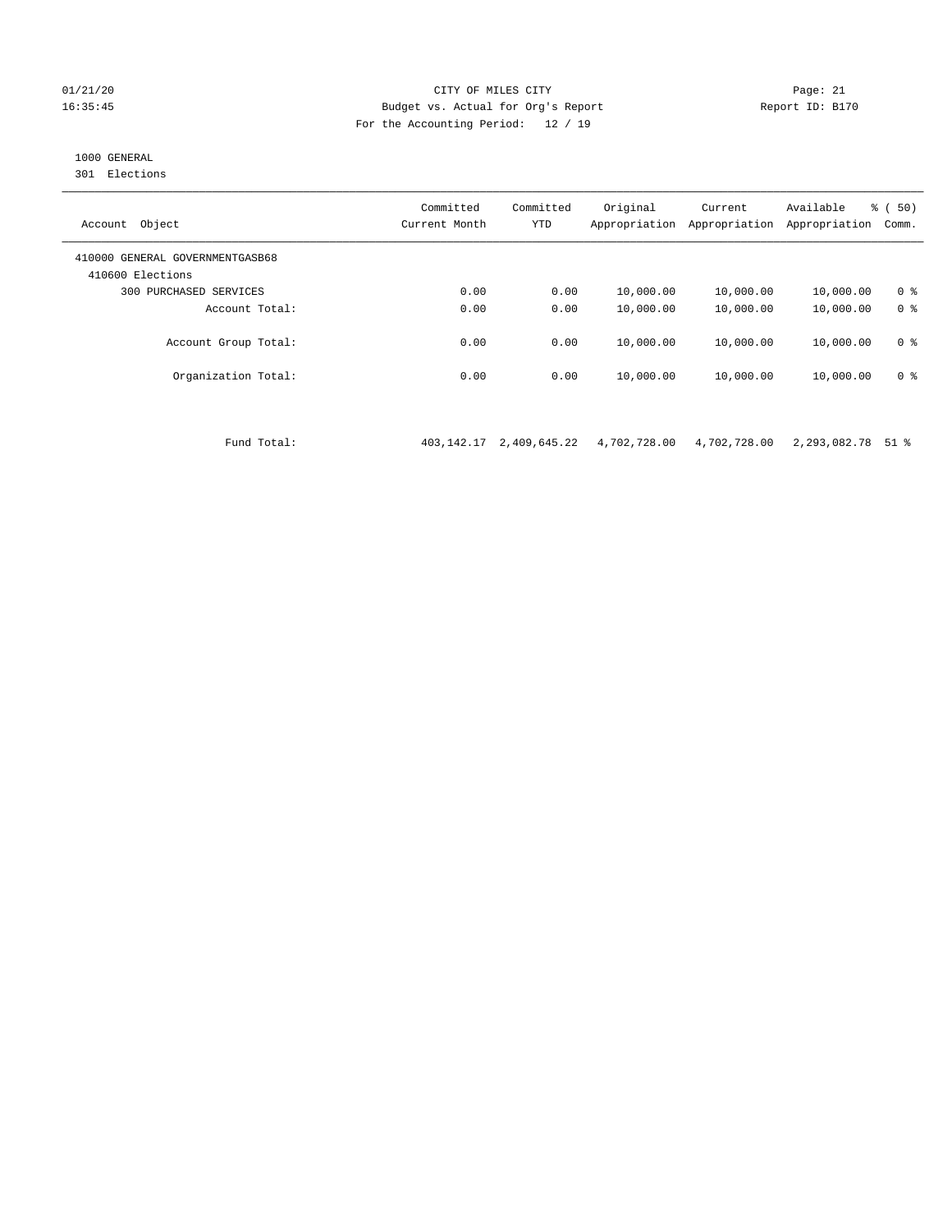#### 01/21/20 Page: 21 16:35:45 Budget vs. Actual for Org's Report Report ID: B170 For the Accounting Period: 12 / 19

## 1000 GENERAL

301 Elections

| Object<br>Account                                   | Committed<br>Current Month | Committed<br><b>YTD</b> | Original<br>Appropriation | Current<br>Appropriation | Available<br>Appropriation | % ( 50)<br>Comm. |
|-----------------------------------------------------|----------------------------|-------------------------|---------------------------|--------------------------|----------------------------|------------------|
| 410000 GENERAL GOVERNMENTGASB68<br>410600 Elections |                            |                         |                           |                          |                            |                  |
| 300<br>PURCHASED SERVICES                           | 0.00                       | 0.00                    | 10,000.00                 | 10,000.00                | 10,000.00                  | 0 <sup>8</sup>   |
| Account Total:                                      | 0.00                       | 0.00                    | 10,000.00                 | 10,000.00                | 10,000.00                  | 0 <sup>8</sup>   |
| Account Group Total:                                | 0.00                       | 0.00                    | 10,000.00                 | 10,000.00                | 10,000.00                  | 0 <sup>8</sup>   |
| Organization Total:                                 | 0.00                       | 0.00                    | 10,000.00                 | 10,000.00                | 10,000.00                  | 0 <sup>8</sup>   |
|                                                     |                            |                         |                           |                          |                            |                  |

Fund Total: 403,142.17 2,409,645.22 4,702,728.00 4,702,728.00 2,293,082.78 51 %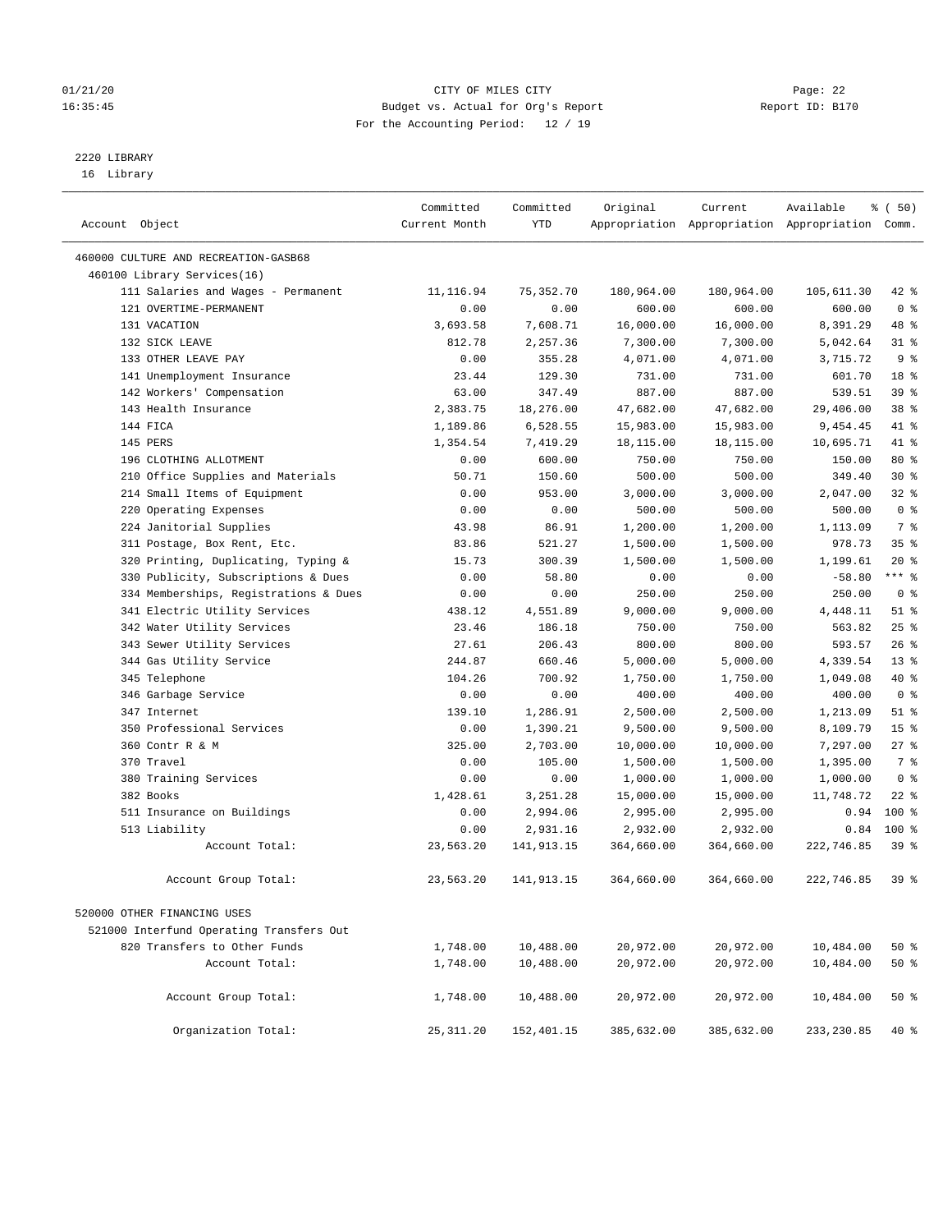#### 01/21/20 Page: 22 16:35:45 Budget vs. Actual for Org's Report Report ID: B170 For the Accounting Period: 12 / 19

————————————————————————————————————————————————————————————————————————————————————————————————————————————————————————————————————

## 2220 LIBRARY

16 Library

|                                          | Committed     | Committed  | Original   | Current    | Available                                       | % ( 50)         |
|------------------------------------------|---------------|------------|------------|------------|-------------------------------------------------|-----------------|
| Account Object                           | Current Month | YTD        |            |            | Appropriation Appropriation Appropriation Comm. |                 |
|                                          |               |            |            |            |                                                 |                 |
| 460000 CULTURE AND RECREATION-GASB68     |               |            |            |            |                                                 |                 |
| 460100 Library Services(16)              |               |            |            |            |                                                 |                 |
| 111 Salaries and Wages - Permanent       | 11,116.94     | 75,352.70  | 180,964.00 | 180,964.00 | 105,611.30                                      | $42$ %          |
| 121 OVERTIME-PERMANENT                   | 0.00          | 0.00       | 600.00     | 600.00     | 600.00                                          | 0 <sup>8</sup>  |
| 131 VACATION                             | 3,693.58      | 7,608.71   | 16,000.00  | 16,000.00  | 8,391.29                                        | 48 %            |
| 132 SICK LEAVE                           | 812.78        | 2,257.36   | 7,300.00   | 7,300.00   | 5,042.64                                        | $31$ %          |
| 133 OTHER LEAVE PAY                      | 0.00          | 355.28     | 4,071.00   | 4,071.00   | 3,715.72                                        | 9 <sup>°</sup>  |
| 141 Unemployment Insurance               | 23.44         | 129.30     | 731.00     | 731.00     | 601.70                                          | 18 %            |
| 142 Workers' Compensation                | 63.00         | 347.49     | 887.00     | 887.00     | 539.51                                          | 39 %            |
| 143 Health Insurance                     | 2,383.75      | 18,276.00  | 47,682.00  | 47,682.00  | 29,406.00                                       | 38 %            |
| 144 FICA                                 | 1,189.86      | 6,528.55   | 15,983.00  | 15,983.00  | 9,454.45                                        | 41 %            |
| 145 PERS                                 | 1,354.54      | 7,419.29   | 18,115.00  | 18,115.00  | 10,695.71                                       | 41 %            |
| 196 CLOTHING ALLOTMENT                   | 0.00          | 600.00     | 750.00     | 750.00     | 150.00                                          | 80 %            |
| 210 Office Supplies and Materials        | 50.71         | 150.60     | 500.00     | 500.00     | 349.40                                          | $30*$           |
| 214 Small Items of Equipment             | 0.00          | 953.00     | 3,000.00   | 3,000.00   | 2,047.00                                        | 32%             |
| 220 Operating Expenses                   | 0.00          | 0.00       | 500.00     | 500.00     | 500.00                                          | 0 <sup>8</sup>  |
| 224 Janitorial Supplies                  | 43.98         | 86.91      | 1,200.00   | 1,200.00   | 1,113.09                                        | 7 %             |
| 311 Postage, Box Rent, Etc.              | 83.86         | 521.27     | 1,500.00   | 1,500.00   | 978.73                                          | 35%             |
| 320 Printing, Duplicating, Typing &      | 15.73         | 300.39     | 1,500.00   | 1,500.00   | 1,199.61                                        | $20*$           |
| 330 Publicity, Subscriptions & Dues      | 0.00          | 58.80      | 0.00       | 0.00       | $-58.80$                                        | *** 응           |
| 334 Memberships, Registrations & Dues    | 0.00          | 0.00       | 250.00     | 250.00     | 250.00                                          | 0 <sup>8</sup>  |
| 341 Electric Utility Services            | 438.12        | 4,551.89   | 9,000.00   | 9,000.00   | 4,448.11                                        | $51$ %          |
| 342 Water Utility Services               | 23.46         | 186.18     | 750.00     | 750.00     | 563.82                                          | 25%             |
| 343 Sewer Utility Services               | 27.61         | 206.43     | 800.00     | 800.00     | 593.57                                          | 26%             |
| 344 Gas Utility Service                  | 244.87        | 660.46     | 5,000.00   | 5,000.00   | 4,339.54                                        | $13*$           |
| 345 Telephone                            | 104.26        | 700.92     | 1,750.00   | 1,750.00   | 1,049.08                                        | 40 %            |
| 346 Garbage Service                      | 0.00          | 0.00       | 400.00     | 400.00     | 400.00                                          | 0 <sup>8</sup>  |
| 347 Internet                             | 139.10        | 1,286.91   | 2,500.00   | 2,500.00   | 1,213.09                                        | $51$ %          |
| 350 Professional Services                | 0.00          | 1,390.21   | 9,500.00   | 9,500.00   | 8,109.79                                        | 15 <sup>°</sup> |
| 360 Contr R & M                          | 325.00        | 2,703.00   | 10,000.00  | 10,000.00  | 7,297.00                                        | $27$ %          |
| 370 Travel                               | 0.00          | 105.00     | 1,500.00   | 1,500.00   | 1,395.00                                        | 7 %             |
| 380 Training Services                    | 0.00          | 0.00       | 1,000.00   | 1,000.00   | 1,000.00                                        | 0 <sup>8</sup>  |
| 382 Books                                | 1,428.61      | 3,251.28   | 15,000.00  | 15,000.00  | 11,748.72                                       | $22$ %          |
| 511 Insurance on Buildings               | 0.00          | 2,994.06   | 2,995.00   | 2,995.00   | 0.94                                            | $100*$          |
| 513 Liability                            | 0.00          | 2,931.16   | 2,932.00   | 2,932.00   | 0.84                                            | $100*$          |
| Account Total:                           | 23,563.20     | 141,913.15 | 364,660.00 | 364,660.00 | 222,746.85                                      | 39 <sup>8</sup> |
| Account Group Total:                     | 23,563.20     | 141,913.15 | 364,660.00 | 364,660.00 | 222,746.85                                      | 39%             |
| 520000 OTHER FINANCING USES              |               |            |            |            |                                                 |                 |
| 521000 Interfund Operating Transfers Out |               |            |            |            |                                                 |                 |
| 820 Transfers to Other Funds             | 1,748.00      | 10,488.00  | 20,972.00  | 20,972.00  | 10,484.00                                       | 50%             |
| Account Total:                           | 1,748.00      | 10,488.00  | 20,972.00  | 20,972.00  | 10,484.00                                       | 50%             |
|                                          |               |            |            |            |                                                 |                 |
| Account Group Total:                     | 1,748.00      | 10,488.00  | 20,972.00  | 20,972.00  | 10,484.00                                       | 50%             |
| Organization Total:                      | 25, 311.20    | 152,401.15 | 385,632.00 | 385,632.00 | 233, 230.85                                     | $40*$           |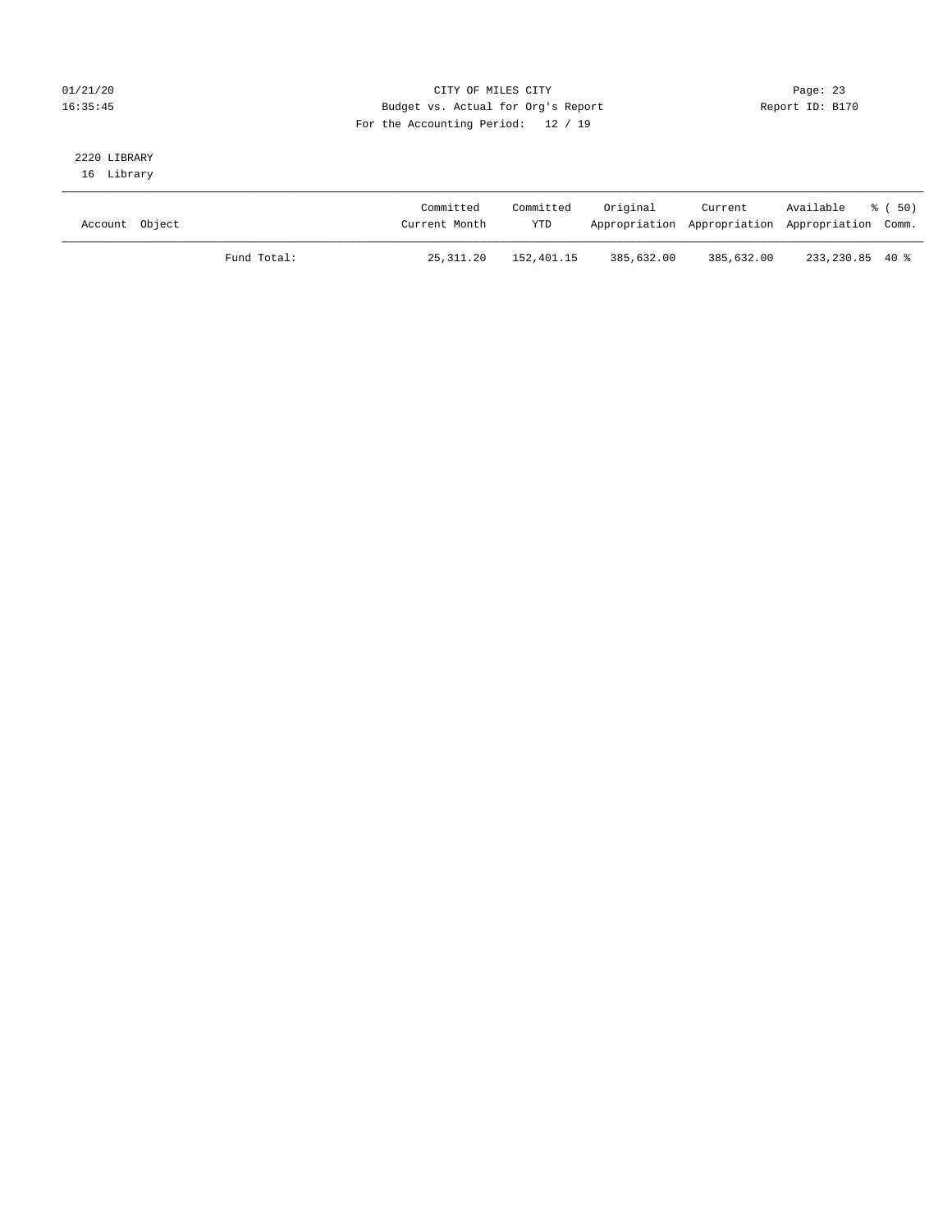#### 01/21/20 Page: 23 16:35:45 Budget vs. Actual for Org's Report Report ID: B170 For the Accounting Period: 12 / 19

## 2220 LIBRARY

16 Library

| Account Object |             | Committed<br>Current Month | Committed<br>YTD | Original   | Current    | Available<br>Appropriation Appropriation Appropriation Comm. | - 8 ( 50) |
|----------------|-------------|----------------------------|------------------|------------|------------|--------------------------------------------------------------|-----------|
|                | Fund Total: | 25,311.20                  | 152,401.15       | 385,632.00 | 385,632.00 | 233,230.85 40 %                                              |           |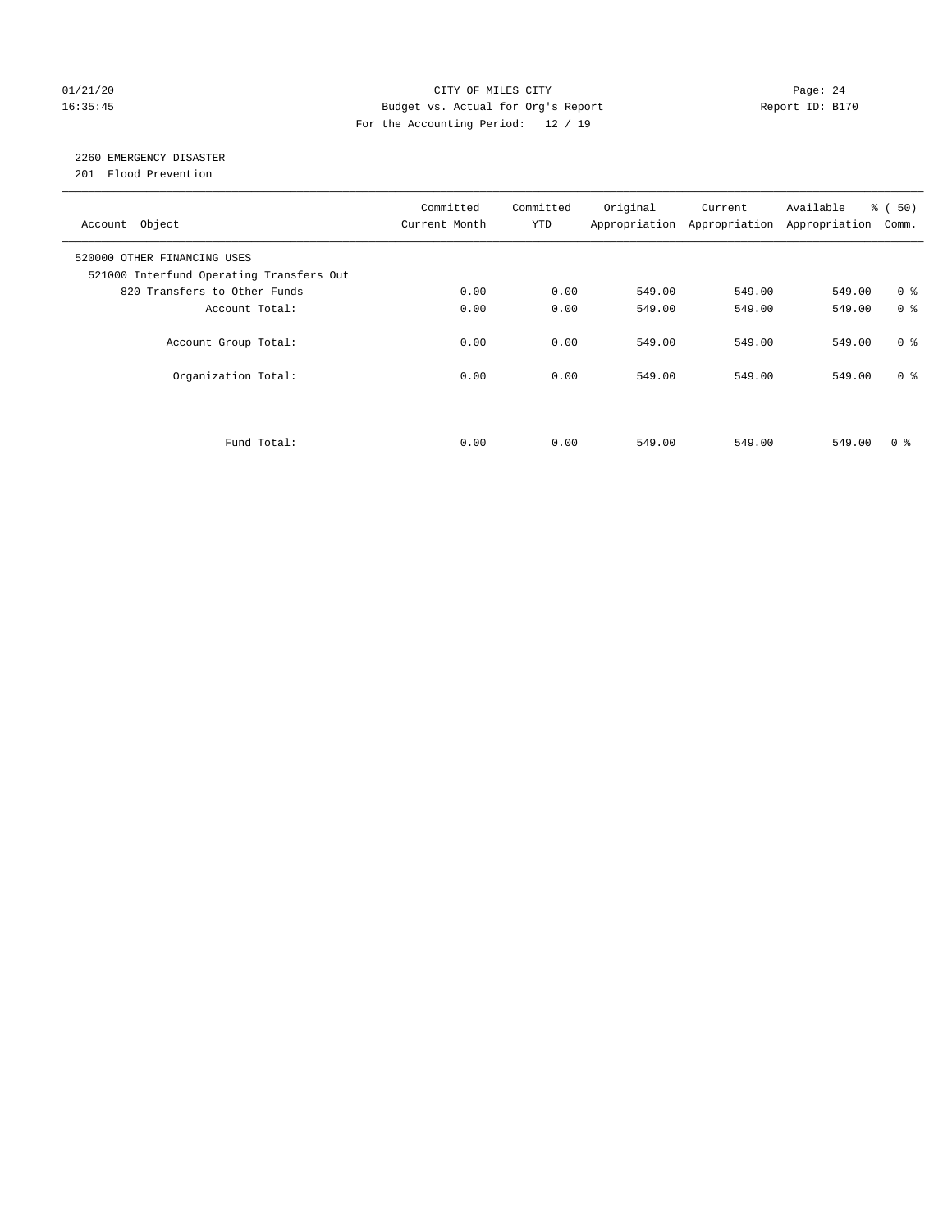#### 01/21/20 Page: 24 16:35:45 Budget vs. Actual for Org's Report Report ID: B170 For the Accounting Period: 12 / 19

## 2260 EMERGENCY DISASTER

201 Flood Prevention

| Account Object                                                          | Committed<br>Current Month | Committed<br><b>YTD</b> | Original | Current<br>Appropriation Appropriation | Available<br>Appropriation | % ( 50 )<br>Comm. |
|-------------------------------------------------------------------------|----------------------------|-------------------------|----------|----------------------------------------|----------------------------|-------------------|
| 520000 OTHER FINANCING USES<br>521000 Interfund Operating Transfers Out |                            |                         |          |                                        |                            |                   |
| 820 Transfers to Other Funds                                            | 0.00                       | 0.00                    | 549.00   | 549.00                                 | 549.00                     | 0 <sup>8</sup>    |
| Account Total:                                                          | 0.00                       | 0.00                    | 549.00   | 549.00                                 | 549.00                     | 0 <sup>8</sup>    |
| Account Group Total:                                                    | 0.00                       | 0.00                    | 549.00   | 549.00                                 | 549.00                     | 0 <sup>8</sup>    |
| Organization Total:                                                     | 0.00                       | 0.00                    | 549.00   | 549.00                                 | 549.00                     | 0 <sup>8</sup>    |
|                                                                         |                            |                         |          |                                        |                            |                   |
| Fund Total:                                                             | 0.00                       | 0.00                    | 549.00   | 549.00                                 | 549.00                     | 0 %               |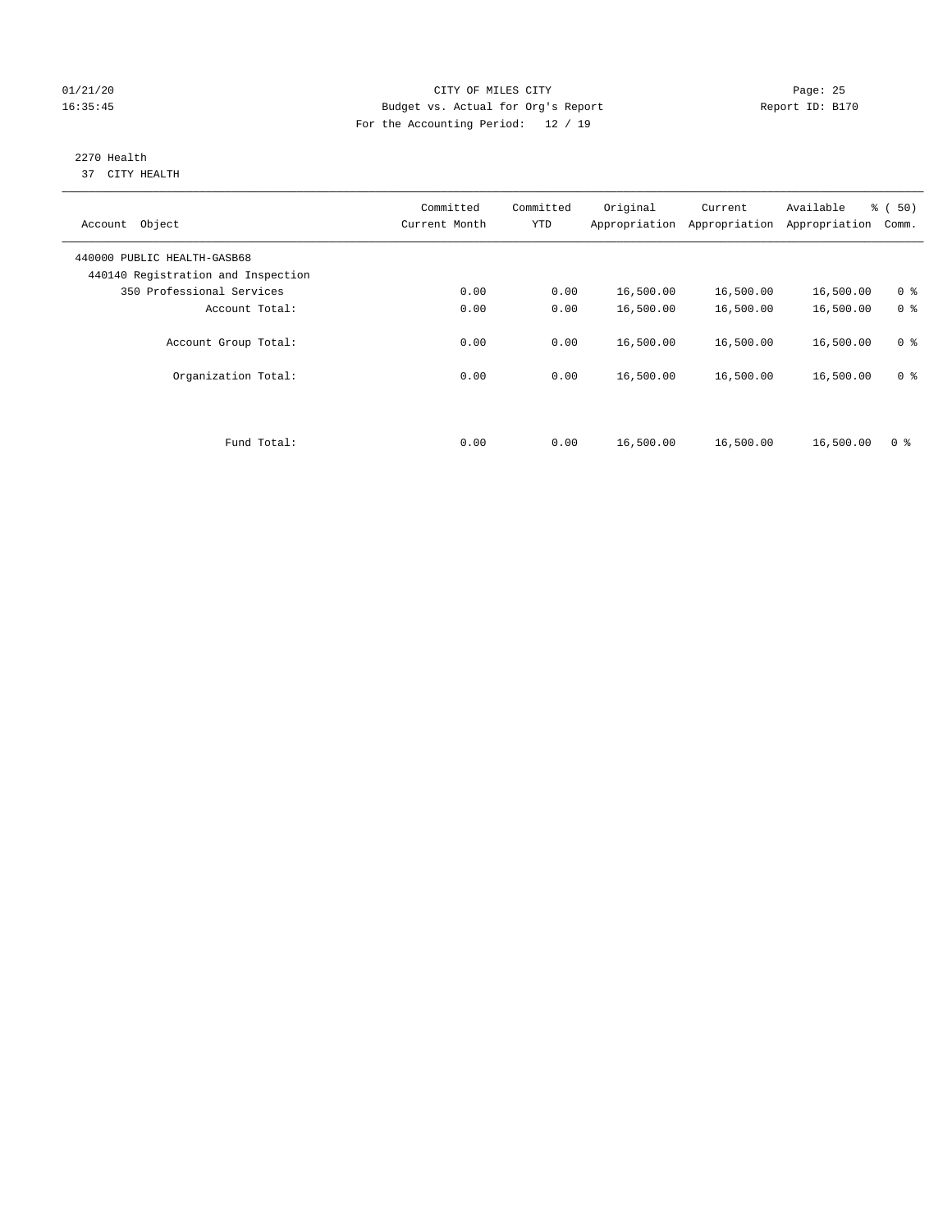#### 01/21/20 Page: 25 16:35:45 Budget vs. Actual for Org's Report Report ID: B170 For the Accounting Period: 12 / 19

#### 2270 Health 37 CITY HEALTH

| Account Object                                                    | Committed<br>Current Month | Committed<br><b>YTD</b> | Original  | Current<br>Appropriation Appropriation | Available<br>Appropriation | % ( 50 )<br>Comm. |
|-------------------------------------------------------------------|----------------------------|-------------------------|-----------|----------------------------------------|----------------------------|-------------------|
| 440000 PUBLIC HEALTH-GASB68<br>440140 Registration and Inspection |                            |                         |           |                                        |                            |                   |
| 350 Professional Services                                         | 0.00                       | 0.00                    | 16,500.00 | 16,500.00                              | 16,500.00                  | 0 <sup>8</sup>    |
| Account Total:                                                    | 0.00                       | 0.00                    | 16,500.00 | 16,500.00                              | 16,500.00                  | 0 <sup>8</sup>    |
| Account Group Total:                                              | 0.00                       | 0.00                    | 16,500.00 | 16,500.00                              | 16,500.00                  | 0 <sup>8</sup>    |
| Organization Total:                                               | 0.00                       | 0.00                    | 16,500.00 | 16,500.00                              | 16,500.00                  | 0 <sup>8</sup>    |
|                                                                   |                            |                         |           |                                        |                            |                   |
| Fund Total:                                                       | 0.00                       | 0.00                    | 16,500.00 | 16,500.00                              | 16,500.00                  | 0 <sup>8</sup>    |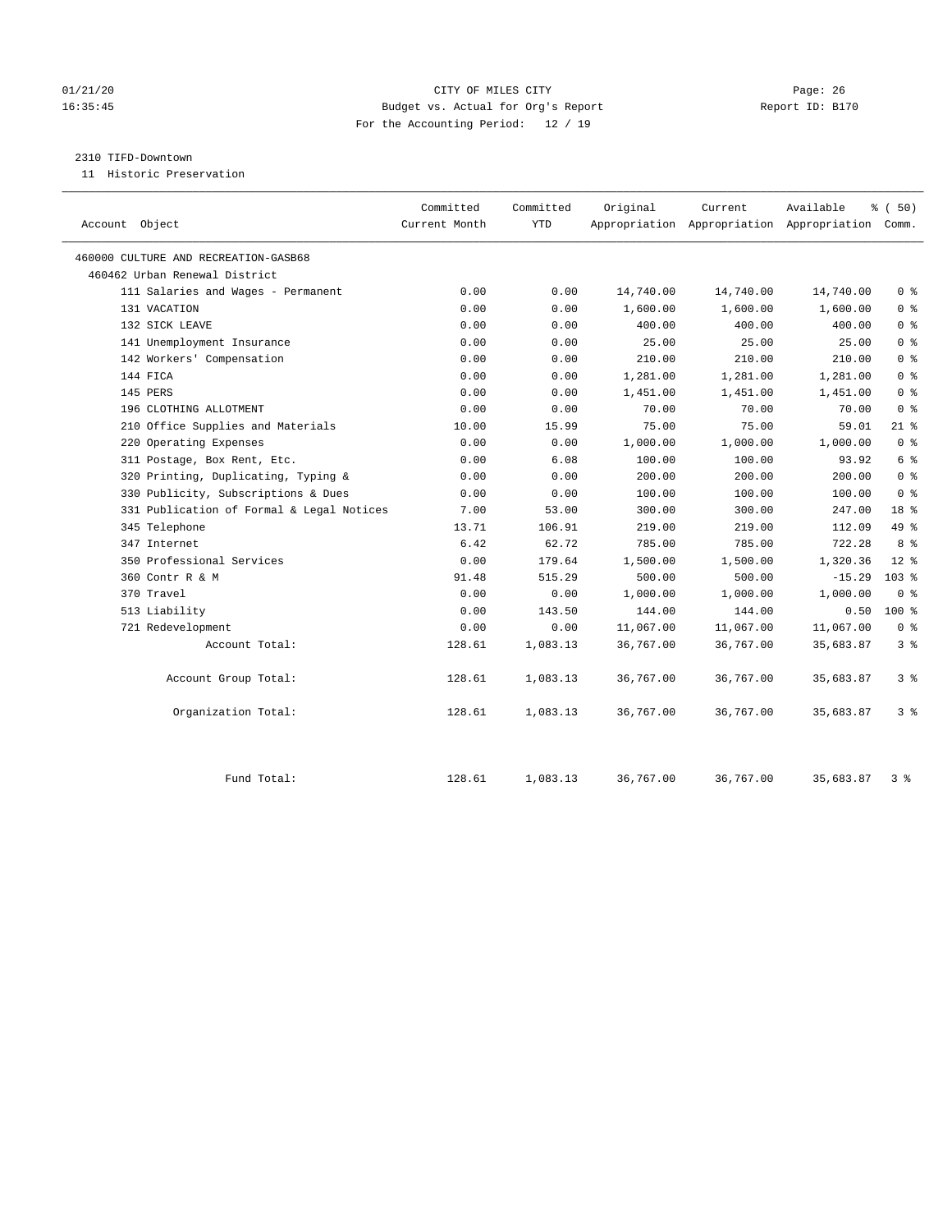#### 01/21/20 Page: 26 16:35:45 Budget vs. Actual for Org's Report Report ID: B170 For the Accounting Period: 12 / 19

#### 2310 TIFD-Downtown

11 Historic Preservation

|                                           | Committed     | Committed  | Original  | Current   | Available                                       | % (50)           |
|-------------------------------------------|---------------|------------|-----------|-----------|-------------------------------------------------|------------------|
| Account Object                            | Current Month | <b>YTD</b> |           |           | Appropriation Appropriation Appropriation Comm. |                  |
| 460000 CULTURE AND RECREATION-GASB68      |               |            |           |           |                                                 |                  |
| 460462 Urban Renewal District             |               |            |           |           |                                                 |                  |
| 111 Salaries and Wages - Permanent        | 0.00          | 0.00       | 14,740.00 | 14,740.00 | 14,740.00                                       | 0 <sup>8</sup>   |
| 131 VACATION                              | 0.00          | 0.00       | 1,600.00  | 1,600.00  | 1,600.00                                        | 0 <sup>8</sup>   |
| 132 SICK LEAVE                            | 0.00          | 0.00       | 400.00    | 400.00    | 400.00                                          | 0 <sup>8</sup>   |
| 141 Unemployment Insurance                | 0.00          | 0.00       | 25.00     | 25.00     | 25.00                                           | 0 <sup>8</sup>   |
| 142 Workers' Compensation                 | 0.00          | 0.00       | 210.00    | 210.00    | 210.00                                          | 0 <sup>8</sup>   |
| 144 FICA                                  | 0.00          | 0.00       | 1,281.00  | 1,281.00  | 1,281.00                                        | 0 <sup>8</sup>   |
| 145 PERS                                  | 0.00          | 0.00       | 1,451.00  | 1,451.00  | 1,451.00                                        | 0 <sup>8</sup>   |
| 196 CLOTHING ALLOTMENT                    | 0.00          | 0.00       | 70.00     | 70.00     | 70.00                                           | 0 <sup>8</sup>   |
| 210 Office Supplies and Materials         | 10.00         | 15.99      | 75.00     | 75.00     | 59.01                                           | $21$ %           |
| 220 Operating Expenses                    | 0.00          | 0.00       | 1,000.00  | 1,000.00  | 1,000.00                                        | 0 <sup>8</sup>   |
| 311 Postage, Box Rent, Etc.               | 0.00          | 6.08       | 100.00    | 100.00    | 93.92                                           | 6 %              |
| 320 Printing, Duplicating, Typing &       | 0.00          | 0.00       | 200.00    | 200.00    | 200.00                                          | 0 <sup>8</sup>   |
| 330 Publicity, Subscriptions & Dues       | 0.00          | 0.00       | 100.00    | 100.00    | 100.00                                          | 0 <sup>8</sup>   |
| 331 Publication of Formal & Legal Notices | 7.00          | 53.00      | 300.00    | 300.00    | 247.00                                          | 18 %             |
| 345 Telephone                             | 13.71         | 106.91     | 219.00    | 219.00    | 112.09                                          | 49 %             |
| 347 Internet                              | 6.42          | 62.72      | 785.00    | 785.00    | 722.28                                          | 8 %              |
| 350 Professional Services                 | 0.00          | 179.64     | 1,500.00  | 1,500.00  | 1,320.36                                        | $12*$            |
| 360 Contr R & M                           | 91.48         | 515.29     | 500.00    | 500.00    | $-15.29$                                        | 103 <sub>8</sub> |
| 370 Travel                                | 0.00          | 0.00       | 1,000.00  | 1,000.00  | 1,000.00                                        | 0 <sup>8</sup>   |
| 513 Liability                             | 0.00          | 143.50     | 144.00    | 144.00    | 0.50                                            | 100 %            |
| 721 Redevelopment                         | 0.00          | 0.00       | 11,067.00 | 11,067.00 | 11,067.00                                       | 0 <sup>8</sup>   |
| Account Total:                            | 128.61        | 1,083.13   | 36,767.00 | 36,767.00 | 35,683.87                                       | 3%               |
| Account Group Total:                      | 128.61        | 1,083.13   | 36,767.00 | 36,767.00 | 35,683.87                                       | 3%               |
| Organization Total:                       | 128.61        | 1,083.13   | 36,767.00 | 36,767.00 | 35,683.87                                       | 3%               |
| Fund Total:                               | 128.61        | 1,083.13   | 36,767.00 | 36,767.00 | 35,683.87                                       | 3%               |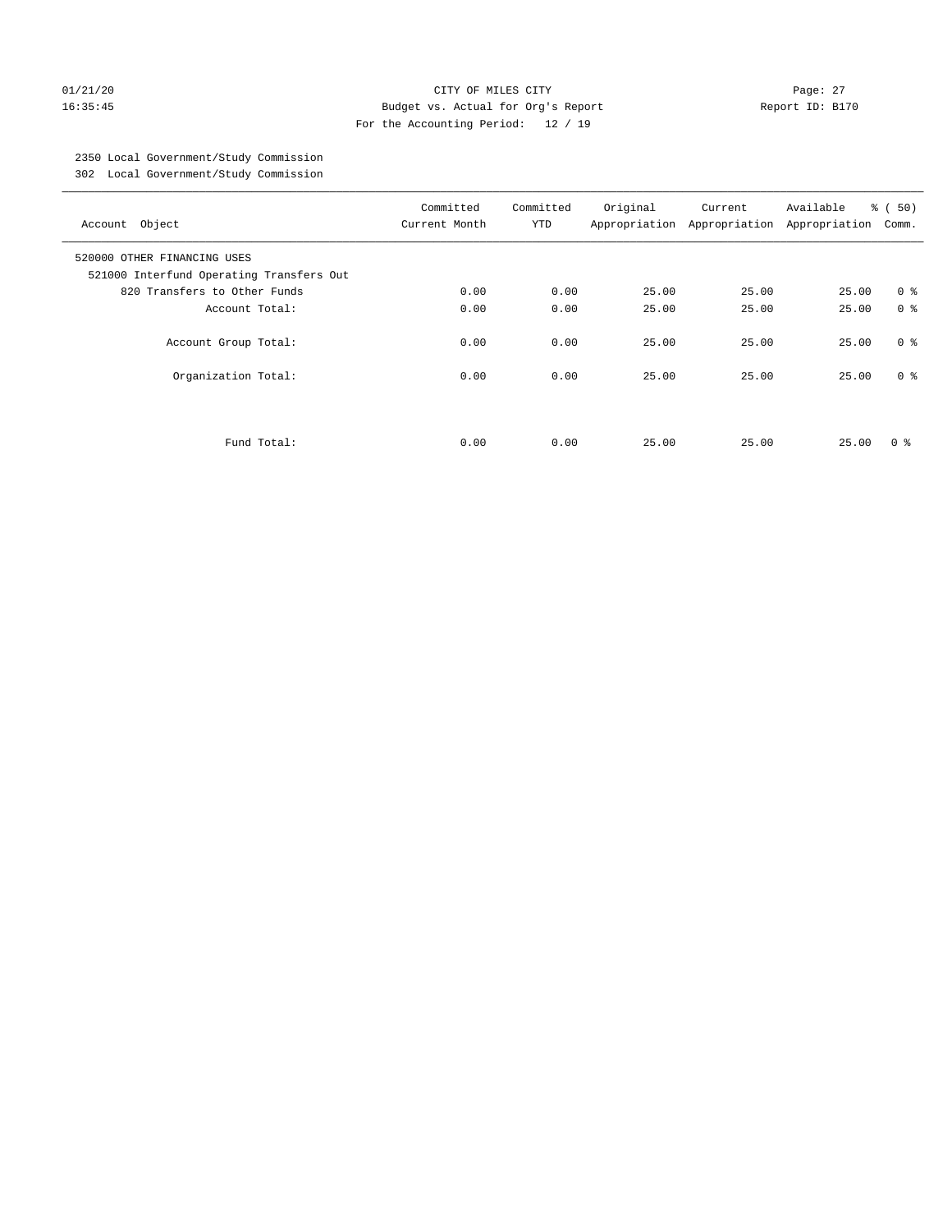#### 01/21/20 Page: 27 16:35:45 Budget vs. Actual for Org's Report Report ID: B170 For the Accounting Period: 12 / 19

## 2350 Local Government/Study Commission

302 Local Government/Study Commission

| Account Object                                                          | Committed<br>Current Month | Committed<br><b>YTD</b> | Original | Current<br>Appropriation Appropriation | Available<br>Appropriation | % ( 50 )<br>Comm. |
|-------------------------------------------------------------------------|----------------------------|-------------------------|----------|----------------------------------------|----------------------------|-------------------|
| 520000 OTHER FINANCING USES<br>521000 Interfund Operating Transfers Out |                            |                         |          |                                        |                            |                   |
| 820 Transfers to Other Funds                                            | 0.00                       | 0.00                    | 25.00    | 25.00                                  | 25.00                      | 0 <sup>8</sup>    |
| Account Total:                                                          | 0.00                       | 0.00                    | 25.00    | 25.00                                  | 25.00                      | 0 <sup>8</sup>    |
| Account Group Total:                                                    | 0.00                       | 0.00                    | 25.00    | 25.00                                  | 25.00                      | 0 <sup>8</sup>    |
| Organization Total:                                                     | 0.00                       | 0.00                    | 25.00    | 25.00                                  | 25.00                      | 0 <sup>8</sup>    |
|                                                                         |                            |                         |          |                                        |                            |                   |
| Fund Total:                                                             | 0.00                       | 0.00                    | 25.00    | 25.00                                  | 25.00                      | 0 ៖               |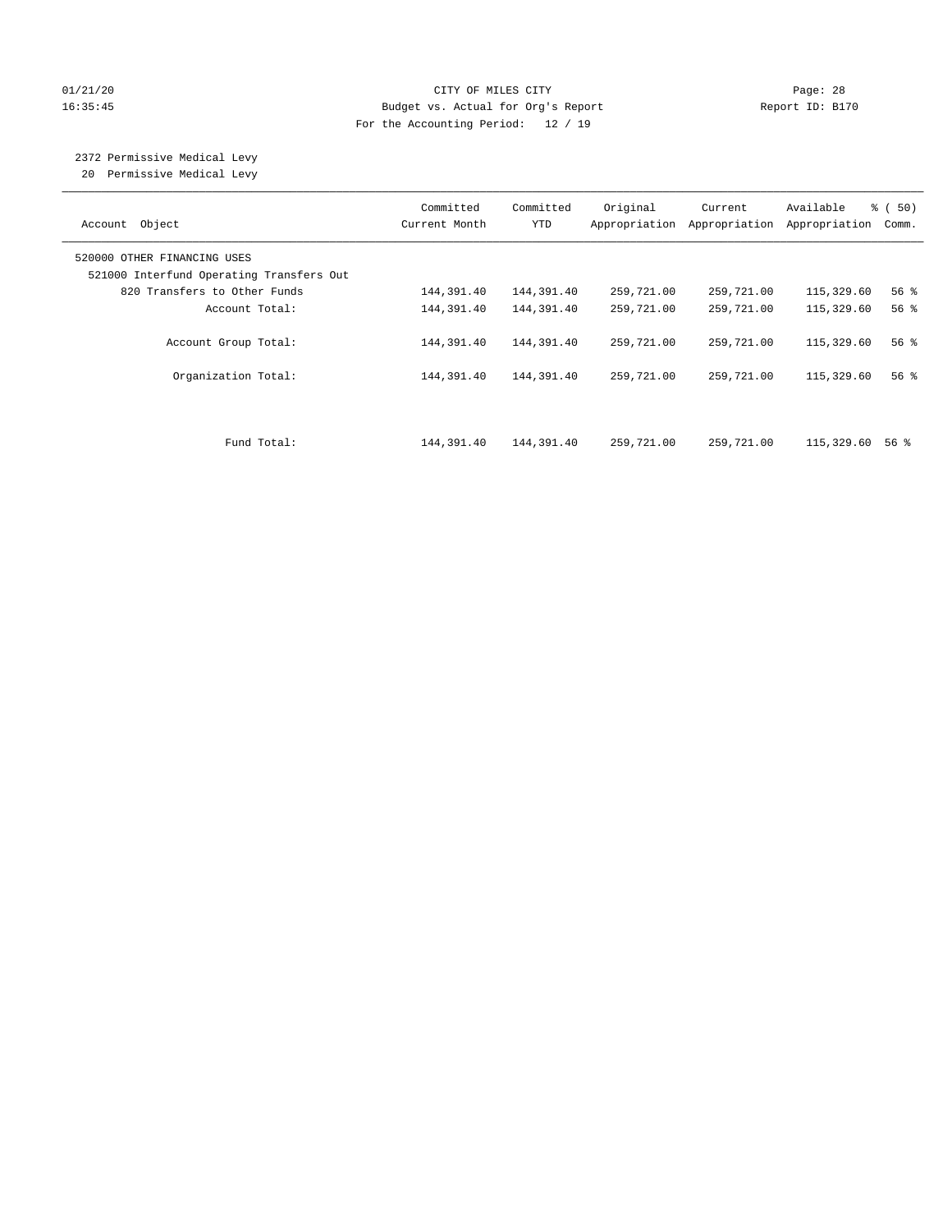#### 01/21/20 Page: 28 16:35:45 Budget vs. Actual for Org's Report Report ID: B170 For the Accounting Period: 12 / 19

# 2372 Permissive Medical Levy

20 Permissive Medical Levy

| Account Object                                                          | Committed<br>Current Month | Committed<br><b>YTD</b> | Original   | Current<br>Appropriation Appropriation | Available<br>Appropriation | 8 ( 50)<br>Comm.   |
|-------------------------------------------------------------------------|----------------------------|-------------------------|------------|----------------------------------------|----------------------------|--------------------|
| 520000 OTHER FINANCING USES<br>521000 Interfund Operating Transfers Out |                            |                         |            |                                        |                            |                    |
| 820 Transfers to Other Funds                                            | 144,391.40                 | 144,391.40              | 259,721.00 | 259,721.00                             | 115,329.60                 | 56%                |
| Account Total:                                                          | 144,391.40                 | 144,391.40              | 259,721.00 | 259,721.00                             | 115,329.60                 | $56$ $\frac{6}{3}$ |
| Account Group Total:                                                    | 144,391.40                 | 144,391.40              | 259,721.00 | 259,721.00                             | 115,329.60                 | 56%                |
| Organization Total:                                                     | 144,391.40                 | 144,391.40              | 259,721.00 | 259,721.00                             | 115,329.60                 | 56%                |
|                                                                         |                            |                         |            |                                        |                            |                    |
| Fund Total:                                                             | 144,391.40                 | 144,391.40              | 259,721.00 | 259,721.00                             | 115,329.60                 | 56 %               |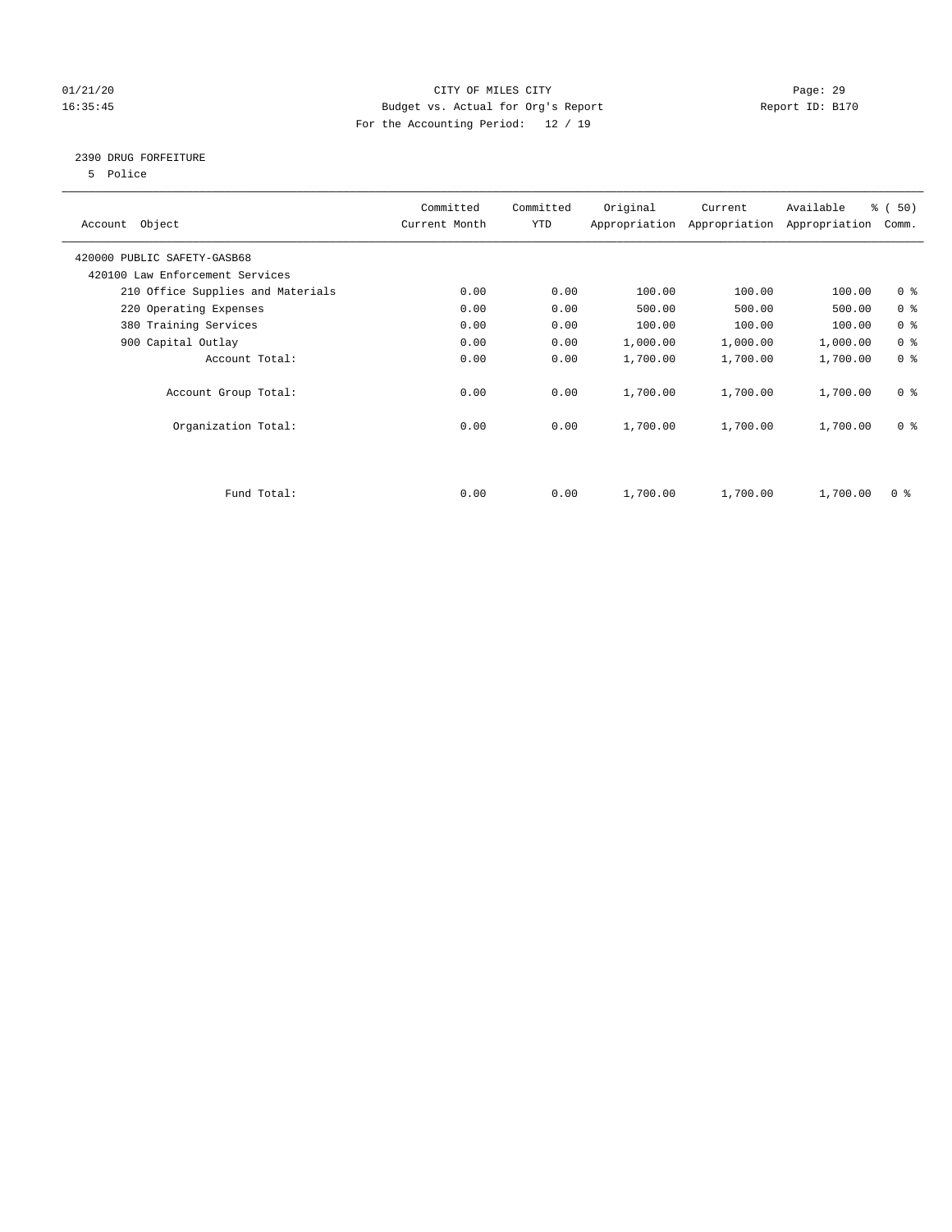#### 01/21/20 Page: 29 16:35:45 Budget vs. Actual for Org's Report Report ID: B170 For the Accounting Period: 12 / 19

#### 2390 DRUG FORFEITURE

5 Police

| Account Object                    | Committed<br>Current Month | Committed<br>YTD | Original | Current<br>Appropriation Appropriation | Available<br>Appropriation | % (50)<br>Comm. |
|-----------------------------------|----------------------------|------------------|----------|----------------------------------------|----------------------------|-----------------|
| 420000 PUBLIC SAFETY-GASB68       |                            |                  |          |                                        |                            |                 |
| 420100 Law Enforcement Services   |                            |                  |          |                                        |                            |                 |
| 210 Office Supplies and Materials | 0.00                       | 0.00             | 100.00   | 100.00                                 | 100.00                     | 0 <sub>8</sub>  |
| 220 Operating Expenses            | 0.00                       | 0.00             | 500.00   | 500.00                                 | 500.00                     | 0 <sup>8</sup>  |
| 380 Training Services             | 0.00                       | 0.00             | 100.00   | 100.00                                 | 100.00                     | 0 <sup>8</sup>  |
| 900 Capital Outlay                | 0.00                       | 0.00             | 1,000.00 | 1,000.00                               | 1,000.00                   | 0 <sup>8</sup>  |
| Account Total:                    | 0.00                       | 0.00             | 1,700.00 | 1,700.00                               | 1,700.00                   | 0 <sup>8</sup>  |
| Account Group Total:              | 0.00                       | 0.00             | 1,700.00 | 1,700.00                               | 1,700.00                   | 0 <sup>8</sup>  |
| Organization Total:               | 0.00                       | 0.00             | 1,700.00 | 1,700.00                               | 1,700.00                   | 0 <sup>8</sup>  |
|                                   |                            |                  |          |                                        |                            |                 |
| Fund Total:                       | 0.00                       | 0.00             | 1,700.00 | 1,700.00                               | 1,700.00                   | 0 <sup>8</sup>  |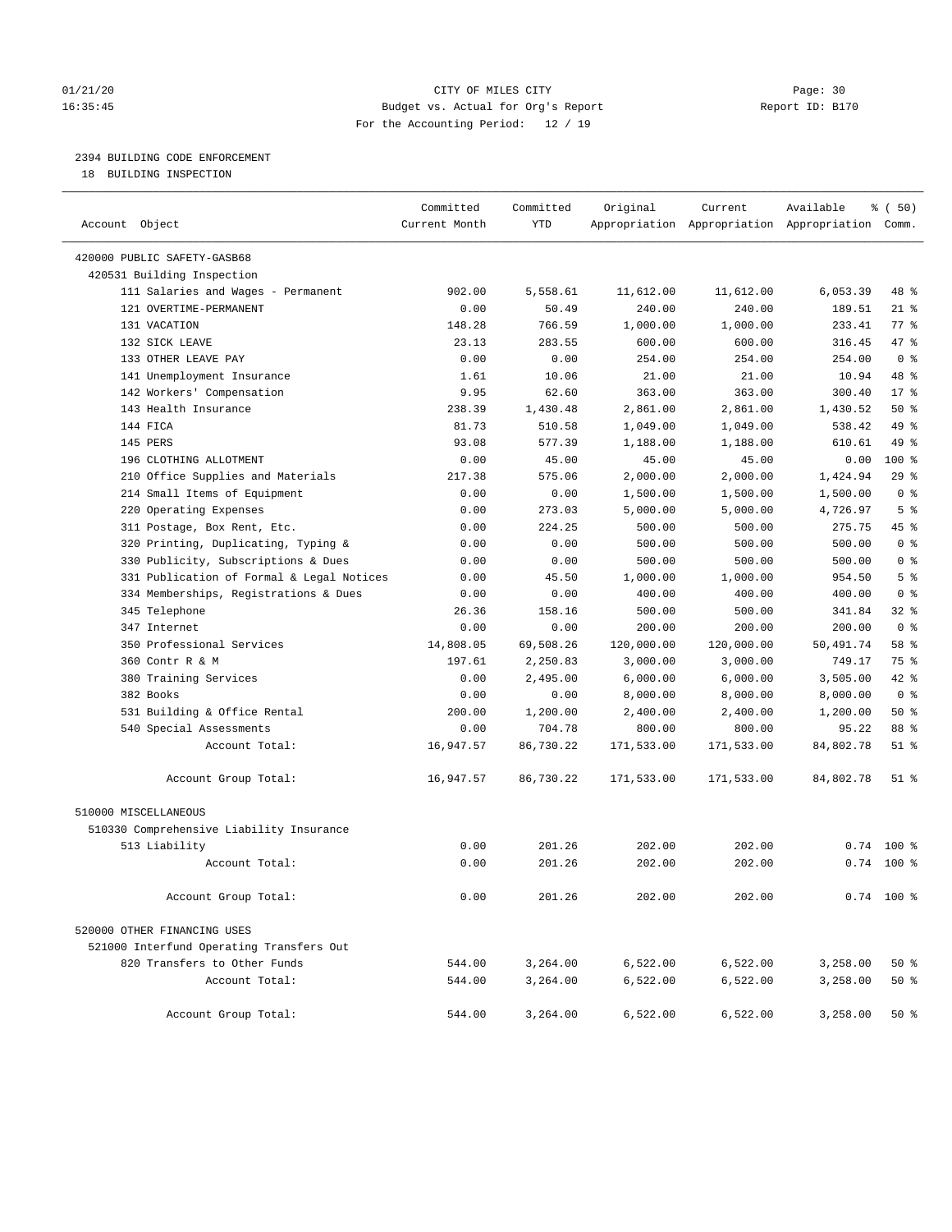#### 01/21/20 Page: 30 16:35:45 Budget vs. Actual for Org's Report Report ID: B170 For the Accounting Period: 12 / 19

#### 2394 BUILDING CODE ENFORCEMENT

18 BUILDING INSPECTION

| Account Object                            | Committed<br>Current Month | Committed<br><b>YTD</b> | Original   | Current    | Available<br>Appropriation Appropriation Appropriation Comm. | % ( 50)         |
|-------------------------------------------|----------------------------|-------------------------|------------|------------|--------------------------------------------------------------|-----------------|
|                                           |                            |                         |            |            |                                                              |                 |
| 420000 PUBLIC SAFETY-GASB68               |                            |                         |            |            |                                                              |                 |
| 420531 Building Inspection                |                            |                         |            |            |                                                              |                 |
| 111 Salaries and Wages - Permanent        | 902.00                     | 5,558.61                | 11,612.00  | 11,612.00  | 6,053.39                                                     | 48 %            |
| 121 OVERTIME-PERMANENT                    | 0.00                       | 50.49                   | 240.00     | 240.00     | 189.51                                                       | $21$ %          |
| 131 VACATION                              | 148.28                     | 766.59                  | 1,000.00   | 1,000.00   | 233.41                                                       | 77.8            |
| 132 SICK LEAVE                            | 23.13                      | 283.55                  | 600.00     | 600.00     | 316.45                                                       | 47.8            |
| 133 OTHER LEAVE PAY                       | 0.00                       | 0.00                    | 254.00     | 254.00     | 254.00                                                       | 0 <sup>8</sup>  |
| 141 Unemployment Insurance                | 1.61                       | 10.06                   | 21.00      | 21.00      | 10.94                                                        | 48 %            |
| 142 Workers' Compensation                 | 9.95                       | 62.60                   | 363.00     | 363.00     | 300.40                                                       | 17 <sup>8</sup> |
| 143 Health Insurance                      | 238.39                     | 1,430.48                | 2,861.00   | 2,861.00   | 1,430.52                                                     | 50%             |
| 144 FICA                                  | 81.73                      | 510.58                  | 1,049.00   | 1,049.00   | 538.42                                                       | 49 %            |
| 145 PERS                                  | 93.08                      | 577.39                  | 1,188.00   | 1,188.00   | 610.61                                                       | 49 %            |
| 196 CLOTHING ALLOTMENT                    | 0.00                       | 45.00                   | 45.00      | 45.00      | 0.00                                                         | 100 %           |
| 210 Office Supplies and Materials         | 217.38                     | 575.06                  | 2,000.00   | 2,000.00   | 1,424.94                                                     | 29%             |
| 214 Small Items of Equipment              | 0.00                       | 0.00                    | 1,500.00   | 1,500.00   | 1,500.00                                                     | 0 <sup>8</sup>  |
| 220 Operating Expenses                    | 0.00                       | 273.03                  | 5,000.00   | 5,000.00   | 4,726.97                                                     | 5 <sup>8</sup>  |
| 311 Postage, Box Rent, Etc.               | 0.00                       | 224.25                  | 500.00     | 500.00     | 275.75                                                       | 45 %            |
| 320 Printing, Duplicating, Typing &       | 0.00                       | 0.00                    | 500.00     | 500.00     | 500.00                                                       | 0 <sup>8</sup>  |
| 330 Publicity, Subscriptions & Dues       | 0.00                       | 0.00                    | 500.00     | 500.00     | 500.00                                                       | 0 <sup>8</sup>  |
| 331 Publication of Formal & Legal Notices | 0.00                       | 45.50                   | 1,000.00   | 1,000.00   | 954.50                                                       | 5 <sup>8</sup>  |
| 334 Memberships, Registrations & Dues     | 0.00                       | 0.00                    | 400.00     | 400.00     | 400.00                                                       | 0 <sup>8</sup>  |
| 345 Telephone                             | 26.36                      | 158.16                  | 500.00     | 500.00     | 341.84                                                       | 32%             |
| 347 Internet                              | 0.00                       | 0.00                    | 200.00     | 200.00     | 200.00                                                       | 0 <sup>8</sup>  |
| 350 Professional Services                 | 14,808.05                  | 69,508.26               | 120,000.00 | 120,000.00 | 50,491.74                                                    | 58 %            |
| 360 Contr R & M                           | 197.61                     | 2,250.83                | 3,000.00   | 3,000.00   | 749.17                                                       | 75 %            |
| 380 Training Services                     | 0.00                       | 2,495.00                | 6,000.00   | 6,000.00   | 3,505.00                                                     | $42$ $%$        |
| 382 Books                                 | 0.00                       | 0.00                    | 8,000.00   | 8,000.00   | 8,000.00                                                     | 0 <sup>8</sup>  |
| 531 Building & Office Rental              | 200.00                     | 1,200.00                | 2,400.00   | 2,400.00   | 1,200.00                                                     | 50%             |
| 540 Special Assessments                   | 0.00                       | 704.78                  | 800.00     | 800.00     | 95.22                                                        | 88 %            |
| Account Total:                            | 16,947.57                  | 86,730.22               | 171,533.00 | 171,533.00 | 84,802.78                                                    | $51$ %          |
| Account Group Total:                      | 16,947.57                  | 86,730.22               | 171,533.00 | 171,533.00 | 84,802.78                                                    | $51$ %          |
| 510000 MISCELLANEOUS                      |                            |                         |            |            |                                                              |                 |
| 510330 Comprehensive Liability Insurance  |                            |                         |            |            |                                                              |                 |
| 513 Liability                             | 0.00                       | 201.26                  | 202.00     | 202.00     | 0.74                                                         | $100*$          |
| Account Total:                            | 0.00                       | 201.26                  | 202.00     | 202.00     |                                                              | $0.74$ 100 %    |
|                                           |                            |                         |            |            |                                                              |                 |
| Account Group Total:                      | 0.00                       | 201.26                  | 202.00     | 202.00     |                                                              | $0.74$ 100 %    |
| 520000 OTHER FINANCING USES               |                            |                         |            |            |                                                              |                 |
| 521000 Interfund Operating Transfers Out  |                            |                         |            |            |                                                              |                 |
| 820 Transfers to Other Funds              | 544.00                     | 3,264.00                | 6,522.00   | 6,522.00   | 3,258.00                                                     | 50%             |
| Account Total:                            | 544.00                     | 3,264.00                | 6,522.00   | 6,522.00   | 3,258.00                                                     | 50%             |
|                                           |                            |                         |            |            |                                                              |                 |
| Account Group Total:                      | 544.00                     | 3,264.00                | 6,522.00   | 6,522.00   | 3,258.00                                                     | $50*$           |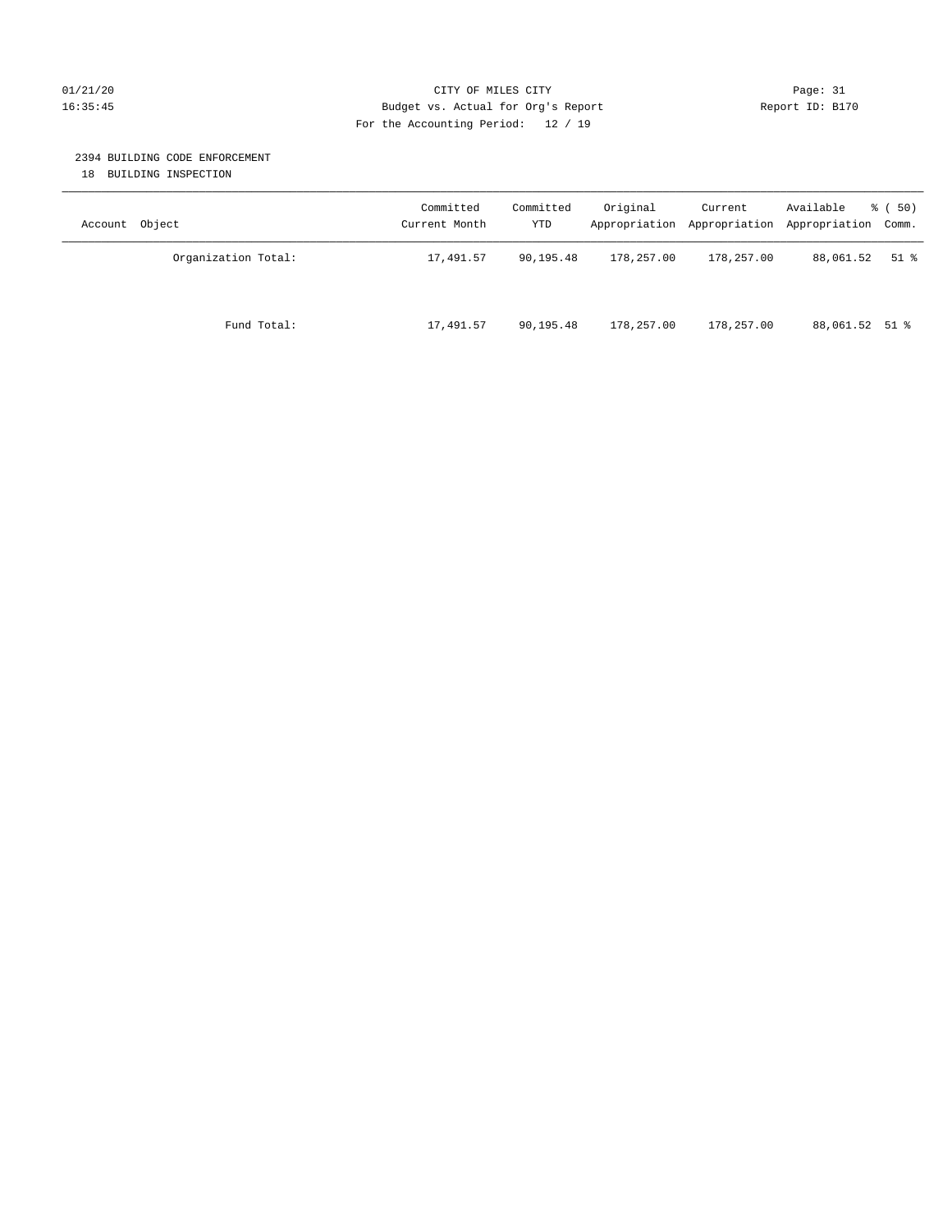#### 01/21/20 Page: 31 CITY OF MILES CITY CONTROL Page: 31 16:35:45 Budget vs. Actual for Org's Report Report ID: B170 For the Accounting Period: 12 / 19

#### 2394 BUILDING CODE ENFORCEMENT

18 BUILDING INSPECTION

| Account Object      | Committed<br>Current Month | Committed<br>YTD | Original   | Current<br>Appropriation Appropriation | Available<br>Appropriation Comm. | 8 ( 50) |
|---------------------|----------------------------|------------------|------------|----------------------------------------|----------------------------------|---------|
| Organization Total: | 17,491.57                  | 90,195.48        | 178,257.00 | 178,257.00                             | 88,061.52                        | $51$ %  |
| Fund Total:         | 17,491.57                  | 90,195.48        | 178,257.00 | 178,257.00                             | 88,061.52 51 %                   |         |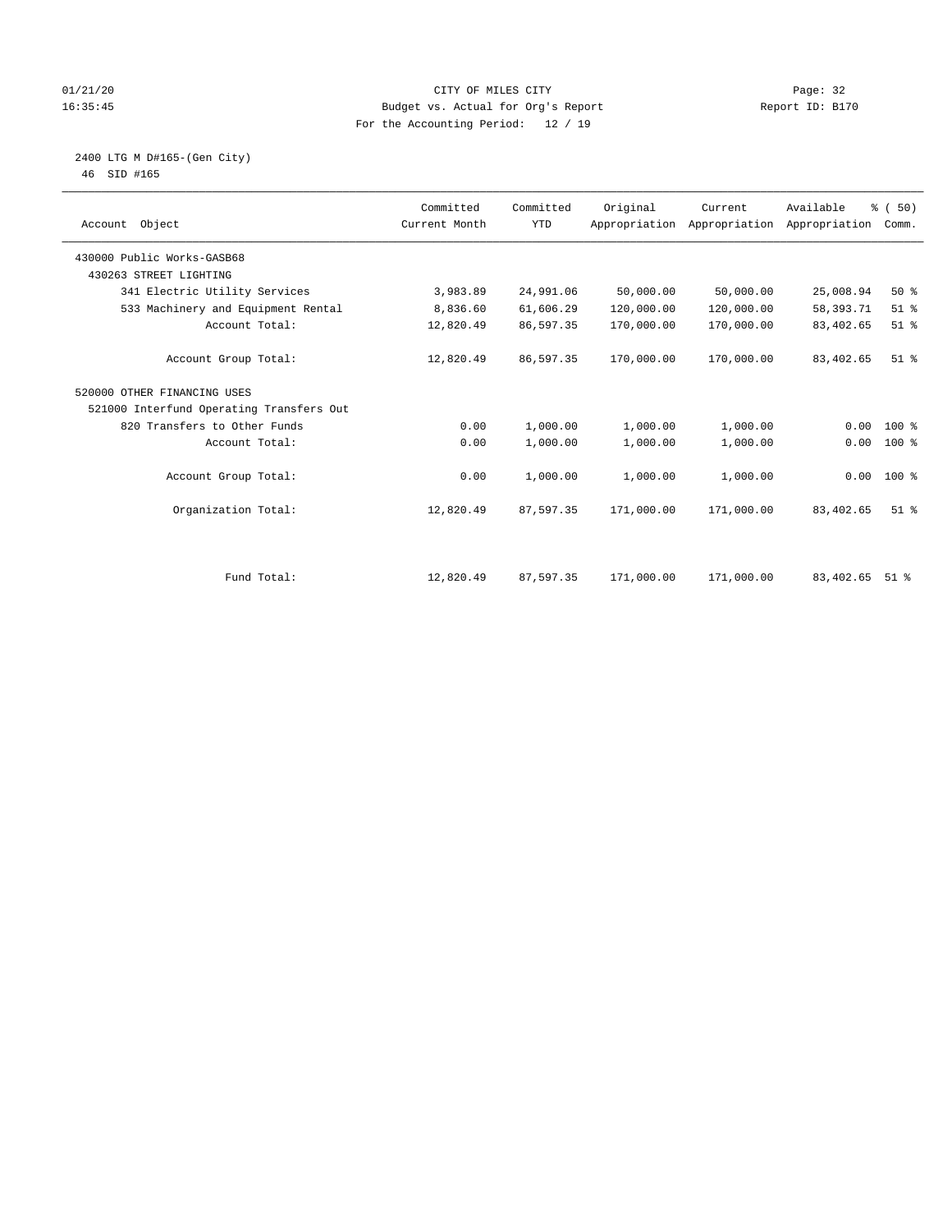#### 01/21/20 Page: 32 16:35:45 Budget vs. Actual for Org's Report Report ID: B170 For the Accounting Period: 12 / 19

#### 2400 LTG M D#165-(Gen City) 46 SID #165

| Account Object                           | Committed<br>Current Month | Committed<br><b>YTD</b> | Original   | Current<br>Appropriation Appropriation | Available<br>Appropriation | % (50)<br>Comm.    |
|------------------------------------------|----------------------------|-------------------------|------------|----------------------------------------|----------------------------|--------------------|
| 430000 Public Works-GASB68               |                            |                         |            |                                        |                            |                    |
| 430263 STREET LIGHTING                   |                            |                         |            |                                        |                            |                    |
| 341 Electric Utility Services            | 3,983.89                   | 24,991.06               | 50,000.00  | 50,000.00                              | 25,008.94                  | 50%                |
| 533 Machinery and Equipment Rental       | 8,836.60                   | 61,606.29               | 120,000.00 | 120,000.00                             | 58,393.71                  | $51$ %             |
| Account Total:                           | 12,820.49                  | 86,597.35               | 170,000.00 | 170,000.00                             | 83,402.65                  | $51$ %             |
| Account Group Total:                     | 12,820.49                  | 86,597.35               | 170,000.00 | 170,000.00                             | 83,402.65                  | $51$ $%$           |
| 520000 OTHER FINANCING USES              |                            |                         |            |                                        |                            |                    |
| 521000 Interfund Operating Transfers Out |                            |                         |            |                                        |                            |                    |
| 820 Transfers to Other Funds             | 0.00                       | 1,000.00                | 1,000.00   | 1,000.00                               | 0.00                       | $100*$             |
| Account Total:                           | 0.00                       | 1,000.00                | 1,000.00   | 1,000.00                               | 0.00                       | $100*$             |
| Account Group Total:                     | 0.00                       | 1,000.00                | 1,000.00   | 1,000.00                               |                            | $0.00$ 100 %       |
| Organization Total:                      | 12,820.49                  | 87,597.35               | 171,000.00 | 171,000.00                             | 83,402.65                  | $51$ $%$           |
|                                          |                            |                         |            |                                        |                            |                    |
| Fund Total:                              | 12,820.49                  | 87,597.35               | 171,000.00 | 171,000.00                             | 83,402.65                  | $51$ $\frac{6}{3}$ |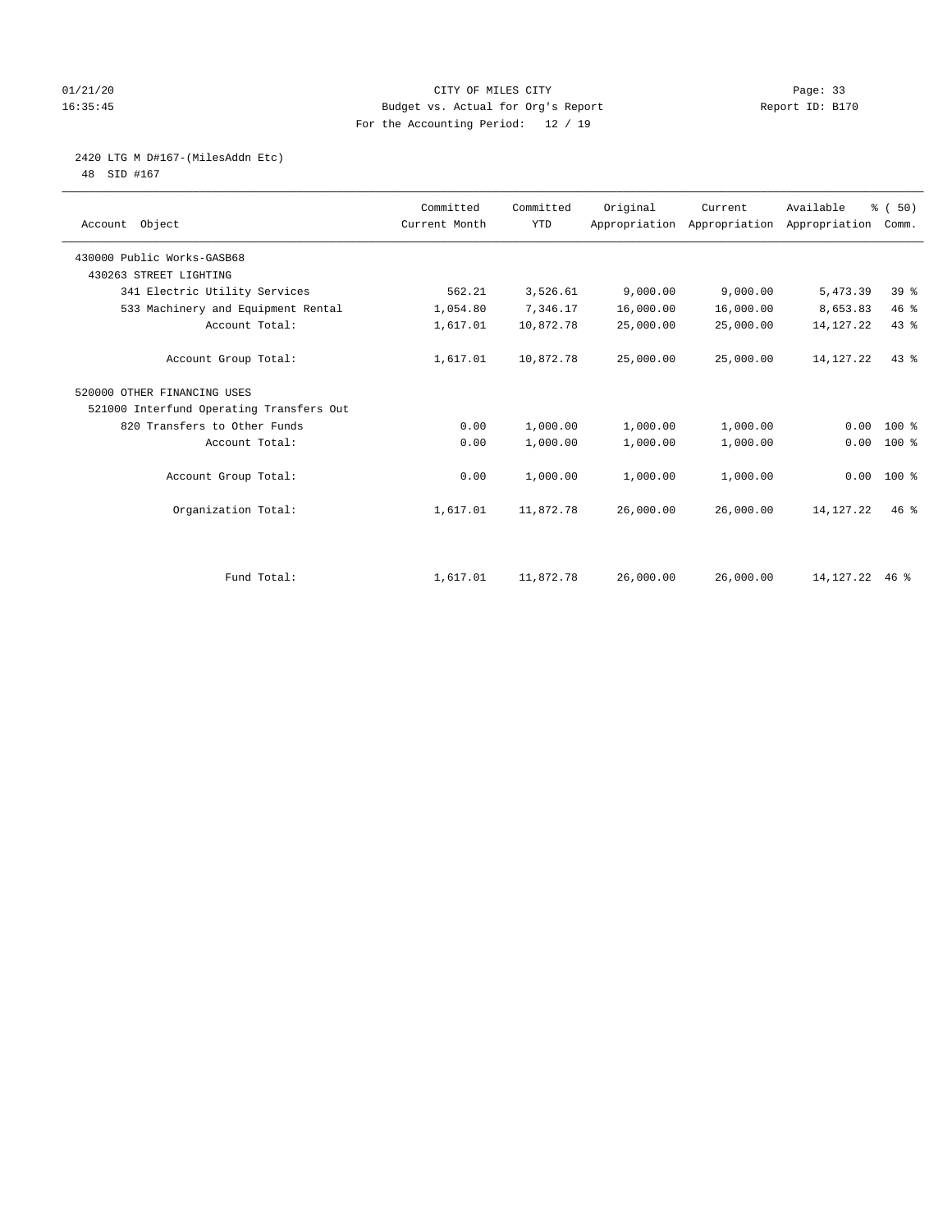#### 01/21/20 Page: 33 16:35:45 Budget vs. Actual for Org's Report Report ID: B170 For the Accounting Period: 12 / 19

2420 LTG M D#167-(MilesAddn Etc)

48 SID #167

| Account Object                           | Committed<br>Current Month | Committed<br><b>YTD</b> | Original  | Current   | Available<br>Appropriation Appropriation Appropriation | % (50)<br>Comm. |  |
|------------------------------------------|----------------------------|-------------------------|-----------|-----------|--------------------------------------------------------|-----------------|--|
| 430000 Public Works-GASB68               |                            |                         |           |           |                                                        |                 |  |
| 430263 STREET LIGHTING                   |                            |                         |           |           |                                                        |                 |  |
| 341 Electric Utility Services            | 562.21                     | 3,526.61                | 9,000.00  | 9,000.00  | 5,473.39                                               | 39 <sup>8</sup> |  |
| 533 Machinery and Equipment Rental       | 1,054.80                   | 7,346.17                | 16,000.00 | 16,000.00 | 8,653.83                                               | 46%             |  |
| Account Total:                           | 1,617.01                   | 10,872.78               | 25,000.00 | 25,000.00 | 14, 127. 22                                            | 43%             |  |
| Account Group Total:                     | 1,617.01                   | 10,872.78               | 25,000.00 | 25,000.00 | 14, 127. 22                                            | 43%             |  |
| 520000 OTHER FINANCING USES              |                            |                         |           |           |                                                        |                 |  |
| 521000 Interfund Operating Transfers Out |                            |                         |           |           |                                                        |                 |  |
| 820 Transfers to Other Funds             | 0.00                       | 1,000.00                | 1,000.00  | 1,000.00  | 0.00                                                   | $100*$          |  |
| Account Total:                           | 0.00                       | 1,000.00                | 1,000.00  | 1,000.00  | 0.00                                                   | $100$ %         |  |
| Account Group Total:                     | 0.00                       | 1,000.00                | 1,000.00  | 1,000.00  |                                                        | $0.00 100$ %    |  |
| Organization Total:                      | 1,617.01                   | 11,872.78               | 26,000.00 | 26,000.00 | 14, 127. 22                                            | $46*$           |  |
|                                          |                            |                         |           |           |                                                        |                 |  |
| Fund Total:                              | 1,617.01                   | 11,872.78               | 26,000.00 | 26,000.00 | 14, 127. 22 46 %                                       |                 |  |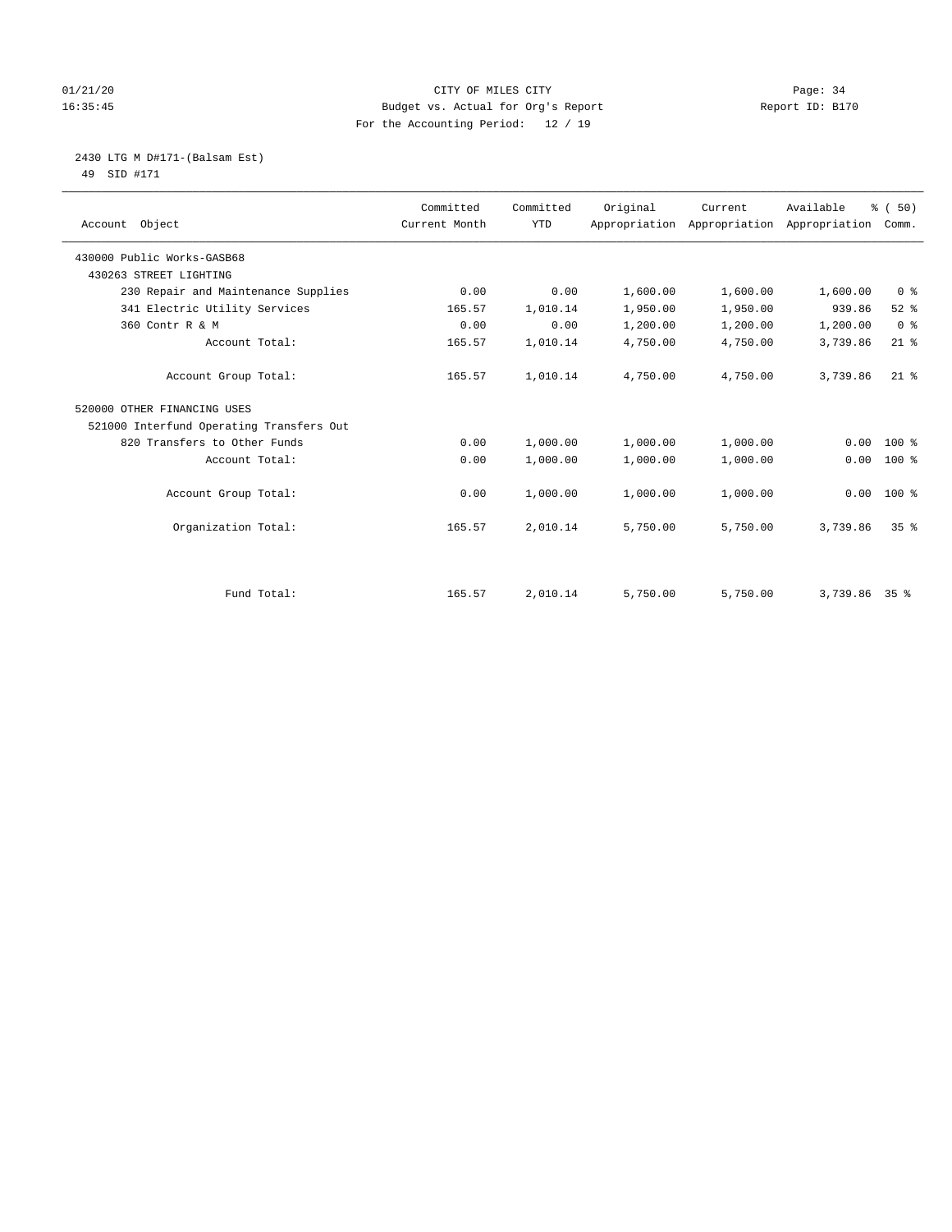#### 01/21/20 Page: 34 16:35:45 Budget vs. Actual for Org's Report Report ID: B170 For the Accounting Period: 12 / 19

 2430 LTG M D#171-(Balsam Est) 49 SID #171

| Account Object                           | Committed<br>Current Month | Committed<br><b>YTD</b> | Original | Current<br>Appropriation Appropriation | Available<br>Appropriation | % (50)<br>Comm. |
|------------------------------------------|----------------------------|-------------------------|----------|----------------------------------------|----------------------------|-----------------|
| 430000 Public Works-GASB68               |                            |                         |          |                                        |                            |                 |
| 430263 STREET LIGHTING                   |                            |                         |          |                                        |                            |                 |
| 230 Repair and Maintenance Supplies      | 0.00                       | 0.00                    | 1,600.00 | 1,600.00                               | 1,600.00                   | 0 <sup>8</sup>  |
| 341 Electric Utility Services            | 165.57                     | 1,010.14                | 1,950.00 | 1,950.00                               | 939.86                     | $52$ $%$        |
| 360 Contr R & M                          | 0.00                       | 0.00                    | 1,200.00 | 1,200.00                               | 1,200.00                   | 0 <sup>8</sup>  |
| Account Total:                           | 165.57                     | 1,010.14                | 4,750.00 | 4,750.00                               | 3,739.86                   | $21$ %          |
| Account Group Total:                     | 165.57                     | 1,010.14                | 4,750.00 | 4,750.00                               | 3,739.86                   | $21$ %          |
| 520000 OTHER FINANCING USES              |                            |                         |          |                                        |                            |                 |
| 521000 Interfund Operating Transfers Out |                            |                         |          |                                        |                            |                 |
| 820 Transfers to Other Funds             | 0.00                       | 1,000.00                | 1,000.00 | 1,000.00                               | 0.00                       | $100$ %         |
| Account Total:                           | 0.00                       | 1,000.00                | 1,000.00 | 1,000.00                               | 0.00                       | $100*$          |
| Account Group Total:                     | 0.00                       | 1,000.00                | 1,000.00 | 1,000.00                               | 0.00                       | $100*$          |
| Organization Total:                      | 165.57                     | 2,010.14                | 5,750.00 | 5,750.00                               | 3,739.86                   | 35 <sup>8</sup> |
|                                          |                            |                         |          |                                        |                            |                 |
| Fund Total:                              | 165.57                     | 2,010.14                | 5,750.00 | 5,750.00                               | 3,739.86 35 %              |                 |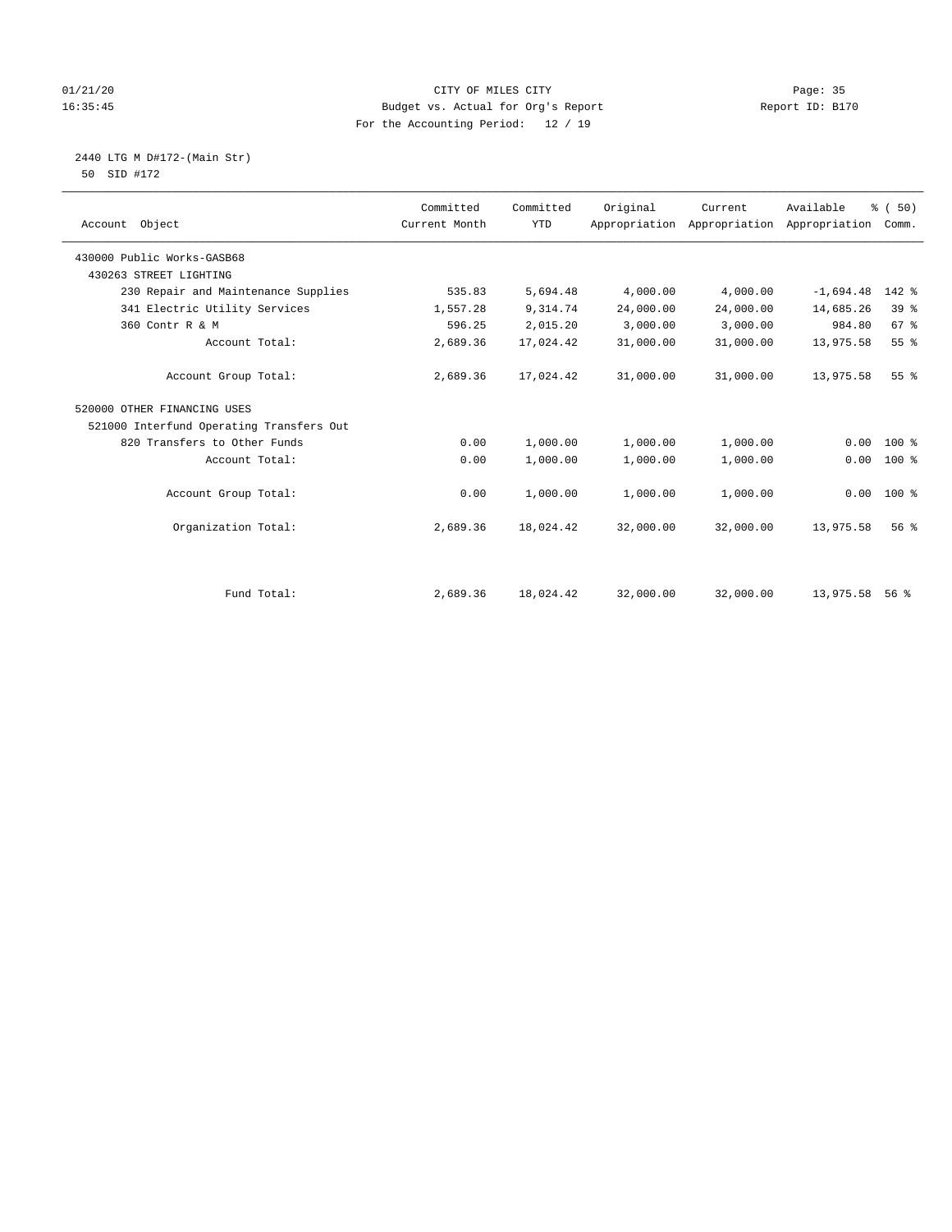#### 01/21/20 Page: 35 16:35:45 Budget vs. Actual for Org's Report Report ID: B170 For the Accounting Period: 12 / 19

 2440 LTG M D#172-(Main Str) 50 SID #172

| Account Object                           | Committed<br>Current Month | Committed<br><b>YTD</b> | Original  | Current<br>Appropriation Appropriation Appropriation | Available   | % (50)<br>Comm. |  |
|------------------------------------------|----------------------------|-------------------------|-----------|------------------------------------------------------|-------------|-----------------|--|
| 430000 Public Works-GASB68               |                            |                         |           |                                                      |             |                 |  |
| 430263 STREET LIGHTING                   |                            |                         |           |                                                      |             |                 |  |
| 230 Repair and Maintenance Supplies      | 535.83                     | 5,694.48                | 4,000.00  | 4,000.00                                             | $-1,694.48$ | 142 %           |  |
| 341 Electric Utility Services            | 1,557.28                   | 9,314.74                | 24,000.00 | 24,000.00                                            | 14,685.26   | 39%             |  |
| 360 Contr R & M                          | 596.25                     | 2,015.20                | 3,000.00  | 3,000.00                                             | 984.80      | 67 %            |  |
| Account Total:                           | 2,689.36                   | 17,024.42               | 31,000.00 | 31,000.00                                            | 13,975.58   | 55%             |  |
| Account Group Total:                     | 2,689.36                   | 17,024.42               | 31,000.00 | 31,000.00                                            | 13,975.58   | 55%             |  |
| 520000 OTHER FINANCING USES              |                            |                         |           |                                                      |             |                 |  |
| 521000 Interfund Operating Transfers Out |                            |                         |           |                                                      |             |                 |  |
| 820 Transfers to Other Funds             | 0.00                       | 1,000.00                | 1,000.00  | 1,000.00                                             | 0.00        | $100*$          |  |
| Account Total:                           | 0.00                       | 1,000.00                | 1,000.00  | 1,000.00                                             | 0.00        | $100$ %         |  |
| Account Group Total:                     | 0.00                       | 1,000.00                | 1,000.00  | 1,000.00                                             |             | $0.00 100$ %    |  |
| Organization Total:                      | 2,689.36                   | 18,024.42               | 32,000.00 | 32,000.00                                            | 13,975.58   | 56 <sup>8</sup> |  |
|                                          |                            |                         |           |                                                      |             |                 |  |
| Fund Total:                              | 2,689.36                   | 18,024.42               | 32,000.00 | 32,000.00                                            | 13,975.58   | $56$ $%$        |  |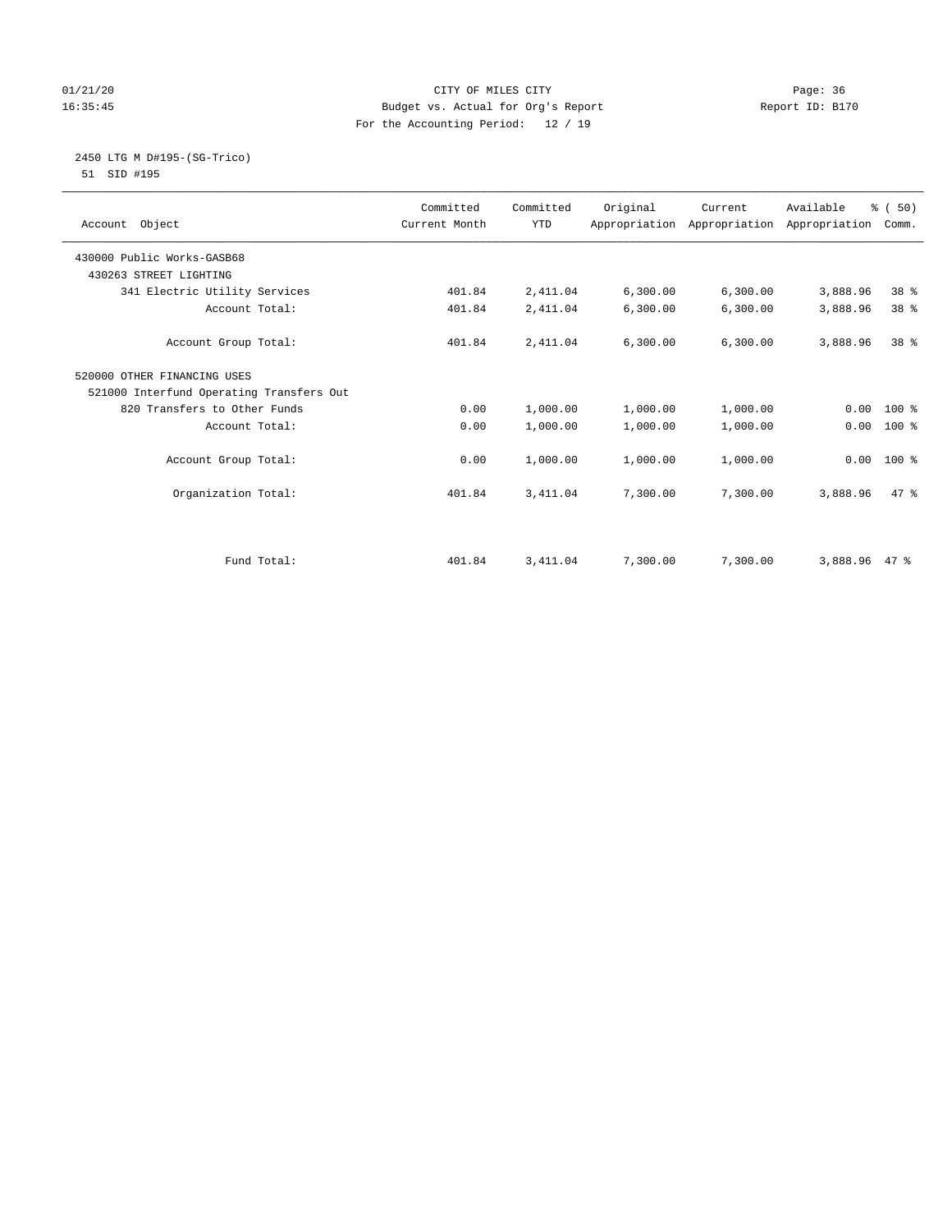#### 01/21/20 Page: 36 16:35:45 Budget vs. Actual for Org's Report Report ID: B170 For the Accounting Period: 12 / 19

 2450 LTG M D#195-(SG-Trico) 51 SID #195

| Account Object                           | Committed<br>Current Month | Committed<br><b>YTD</b> | Original | Current<br>Appropriation Appropriation Appropriation | Available | % (50)<br>Comm. |  |
|------------------------------------------|----------------------------|-------------------------|----------|------------------------------------------------------|-----------|-----------------|--|
|                                          |                            |                         |          |                                                      |           |                 |  |
| 430000 Public Works-GASB68               |                            |                         |          |                                                      |           |                 |  |
| 430263 STREET LIGHTING                   |                            |                         |          |                                                      |           |                 |  |
| 341 Electric Utility Services            | 401.84                     | 2,411.04                | 6,300.00 | 6,300.00                                             | 3,888.96  | 38 %            |  |
| Account Total:                           | 401.84                     | 2,411.04                | 6,300.00 | 6,300.00                                             | 3,888.96  | 38 <sup>8</sup> |  |
| Account Group Total:                     | 401.84                     | 2,411.04                | 6,300.00 | 6, 300.00                                            | 3,888.96  | $38*$           |  |
| 520000 OTHER FINANCING USES              |                            |                         |          |                                                      |           |                 |  |
| 521000 Interfund Operating Transfers Out |                            |                         |          |                                                      |           |                 |  |
| 820 Transfers to Other Funds             | 0.00                       | 1,000.00                | 1,000.00 | 1,000.00                                             | 0.00      | $100*$          |  |
| Account Total:                           | 0.00                       | 1,000.00                | 1,000.00 | 1,000.00                                             | 0.00      | $100$ %         |  |
| Account Group Total:                     | 0.00                       | 1,000.00                | 1,000.00 | 1,000.00                                             | 0.00      | $100*$          |  |
| Organization Total:                      | 401.84                     | 3,411.04                | 7,300.00 | 7,300.00                                             | 3,888.96  | 47.8            |  |
| Fund Total:                              |                            |                         |          |                                                      | 3,888.96  | 47 %            |  |
|                                          | 401.84                     | 3,411.04                | 7,300.00 | 7,300.00                                             |           |                 |  |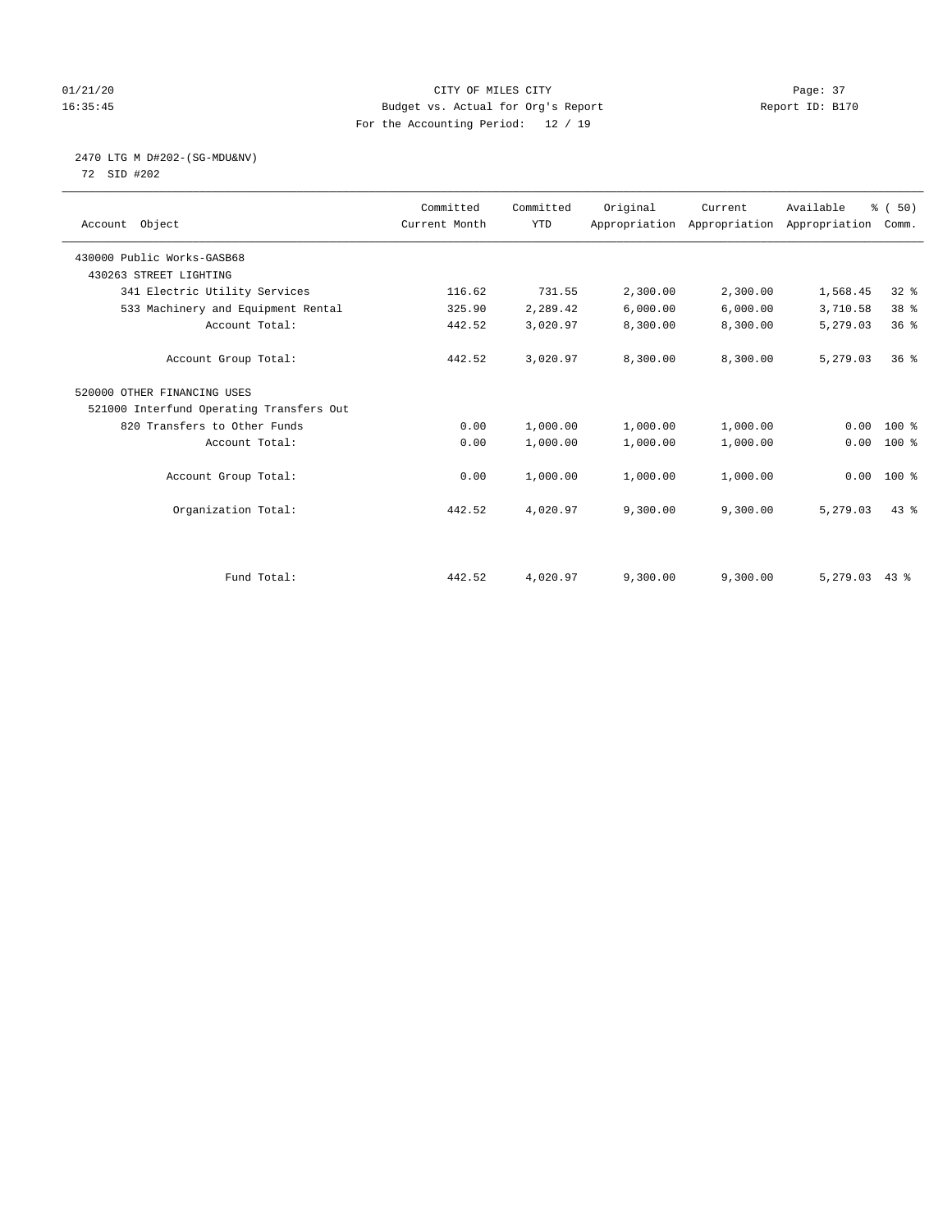# 01/21/20 Page: 37 16:35:45 Budget vs. Actual for Org's Report Report ID: B170 For the Accounting Period: 12 / 19

# 2470 LTG M D#202-(SG-MDU&NV)

72 SID #202

| Account Object                           | Committed<br>Current Month | Committed<br><b>YTD</b> | Original | Current<br>Appropriation Appropriation Appropriation | Available | % (50)<br>Comm. |
|------------------------------------------|----------------------------|-------------------------|----------|------------------------------------------------------|-----------|-----------------|
| 430000 Public Works-GASB68               |                            |                         |          |                                                      |           |                 |
| 430263 STREET LIGHTING                   |                            |                         |          |                                                      |           |                 |
| 341 Electric Utility Services            | 116.62                     | 731.55                  | 2,300.00 | 2,300.00                                             | 1,568.45  | 328             |
| 533 Machinery and Equipment Rental       | 325.90                     | 2,289.42                | 6,000.00 | 6,000.00                                             | 3,710.58  | 38 %            |
| Account Total:                           | 442.52                     | 3,020.97                | 8,300.00 | 8,300.00                                             | 5,279.03  | 36%             |
| Account Group Total:                     | 442.52                     | 3,020.97                | 8,300.00 | 8,300.00                                             | 5,279.03  | 36 <sup>8</sup> |
| 520000 OTHER FINANCING USES              |                            |                         |          |                                                      |           |                 |
| 521000 Interfund Operating Transfers Out |                            |                         |          |                                                      |           |                 |
| 820 Transfers to Other Funds             | 0.00                       | 1,000.00                | 1,000.00 | 1,000.00                                             | 0.00      | $100*$          |
| Account Total:                           | 0.00                       | 1,000.00                | 1,000.00 | 1,000.00                                             | 0.00      | $100$ %         |
| Account Group Total:                     | 0.00                       | 1,000.00                | 1,000.00 | 1,000.00                                             | 0.00      | $100*$          |
| Organization Total:                      | 442.52                     | 4,020.97                | 9,300.00 | 9,300.00                                             | 5,279.03  | $43*$           |
|                                          |                            |                         |          |                                                      |           |                 |
| Fund Total:                              | 442.52                     | 4,020.97                | 9,300.00 | 9,300.00                                             | 5,279.03  | $43$ %          |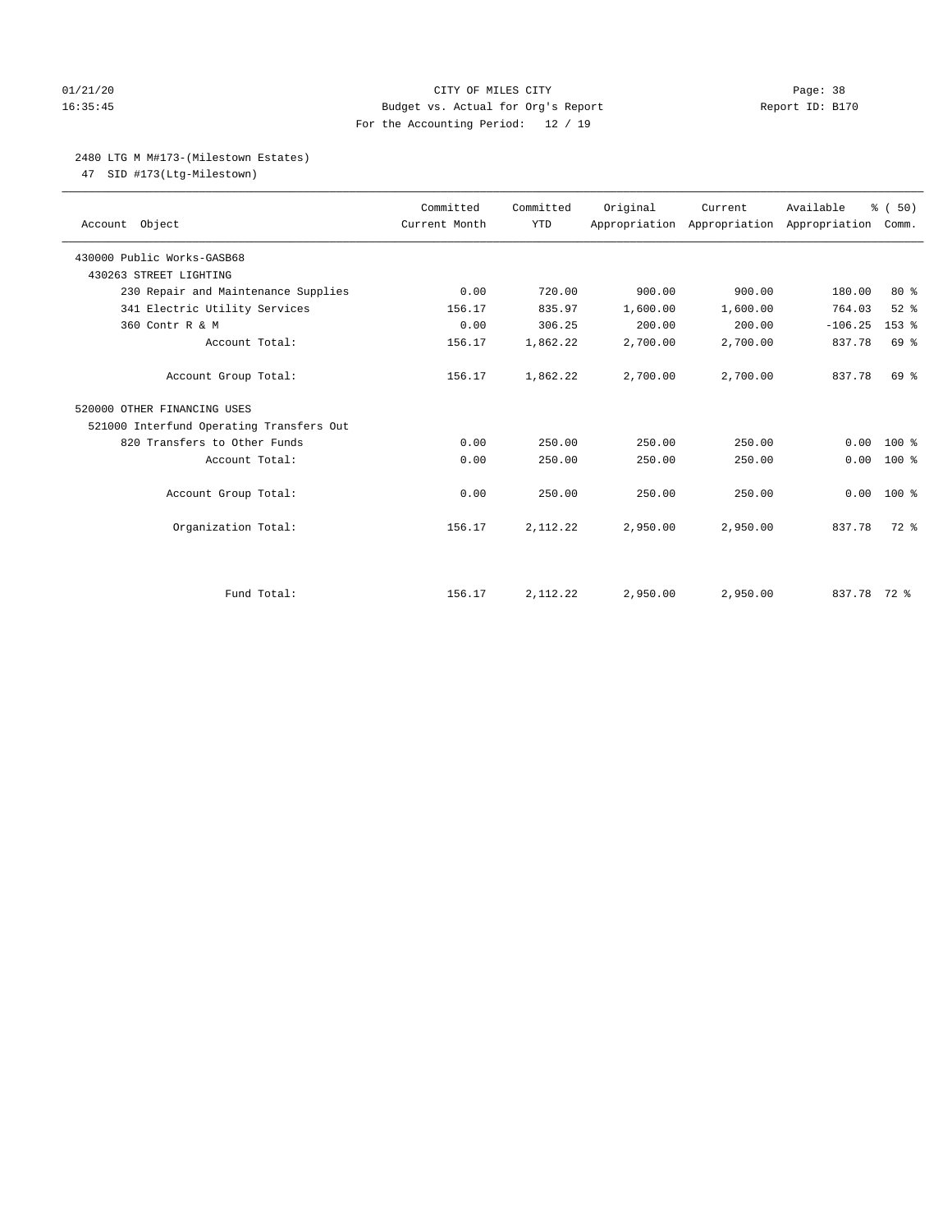# 01/21/20 Page: 38 16:35:45 Budget vs. Actual for Org's Report Report ID: B170 For the Accounting Period: 12 / 19

# 2480 LTG M M#173-(Milestown Estates)

47 SID #173(Ltg-Milestown)

| Account Object                           | Committed<br>Current Month | Committed<br><b>YTD</b> | Original | Current<br>Appropriation Appropriation Appropriation | Available   | % (50)<br>Comm. |
|------------------------------------------|----------------------------|-------------------------|----------|------------------------------------------------------|-------------|-----------------|
| 430000 Public Works-GASB68               |                            |                         |          |                                                      |             |                 |
| 430263 STREET LIGHTING                   |                            |                         |          |                                                      |             |                 |
| 230 Repair and Maintenance Supplies      | 0.00                       | 720.00                  | 900.00   | 900.00                                               | 180.00      | $80*$           |
| 341 Electric Utility Services            | 156.17                     | 835.97                  | 1,600.00 | 1,600.00                                             | 764.03      | $52$ $%$        |
| 360 Contr R & M                          | 0.00                       | 306.25                  | 200.00   | 200.00                                               | $-106.25$   | $153$ $%$       |
| Account Total:                           | 156.17                     | 1,862.22                | 2,700.00 | 2,700.00                                             | 837.78      | 69 %            |
| Account Group Total:                     | 156.17                     | 1,862.22                | 2,700.00 | 2,700.00                                             | 837.78      | 69 %            |
| 520000 OTHER FINANCING USES              |                            |                         |          |                                                      |             |                 |
| 521000 Interfund Operating Transfers Out |                            |                         |          |                                                      |             |                 |
| 820 Transfers to Other Funds             | 0.00                       | 250.00                  | 250.00   | 250.00                                               | 0.00        | $100*$          |
| Account Total:                           | 0.00                       | 250.00                  | 250.00   | 250.00                                               | 0.00        | $100*$          |
| Account Group Total:                     | 0.00                       | 250.00                  | 250.00   | 250.00                                               | 0.00        | $100*$          |
| Organization Total:                      | 156.17                     | 2,112.22                | 2,950.00 | 2,950.00                                             | 837.78      | 72 %            |
|                                          |                            |                         |          |                                                      |             |                 |
| Fund Total:                              | 156.17                     | 2,112.22                | 2,950.00 | 2,950.00                                             | 837.78 72 % |                 |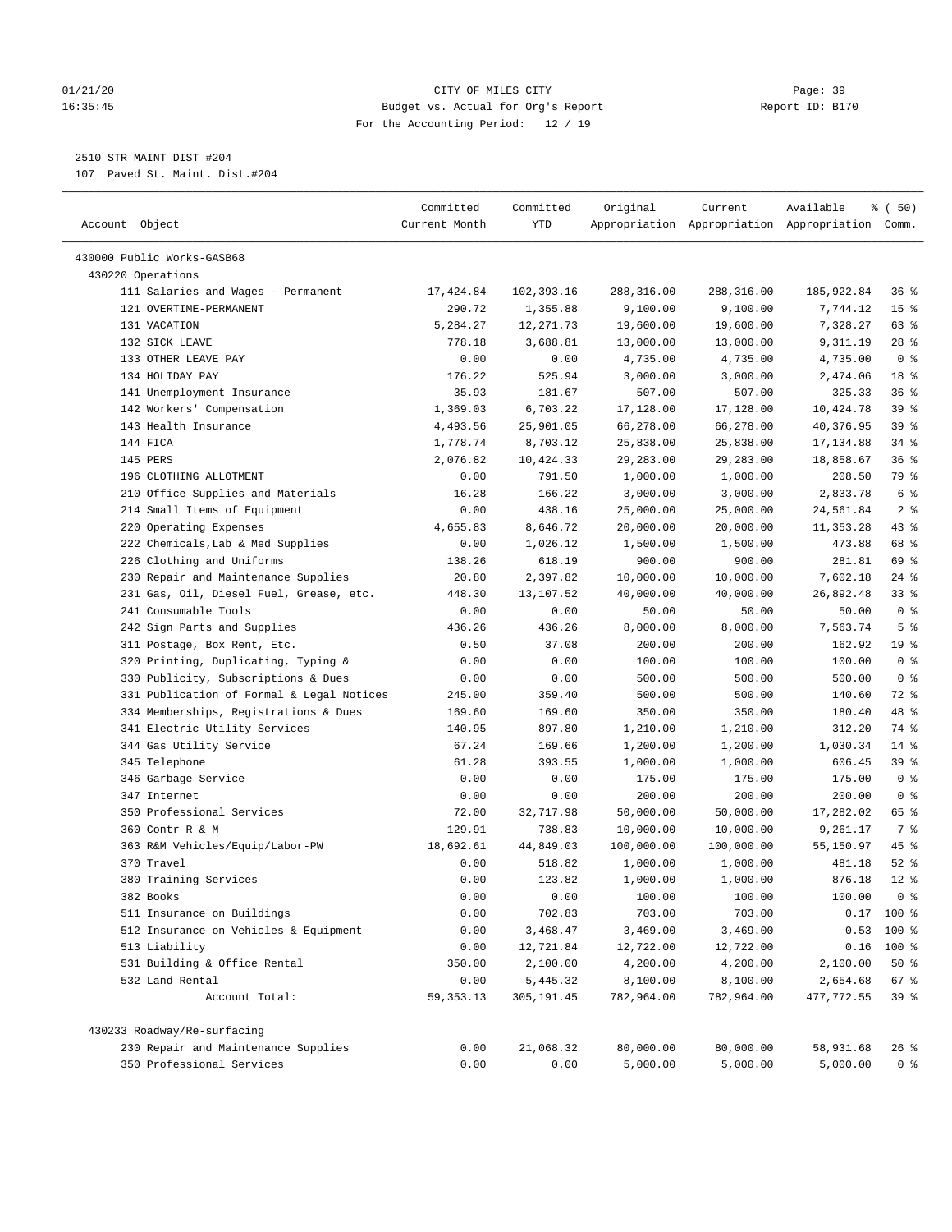# 01/21/20 Page: 39 16:35:45 Budget vs. Actual for Org's Report Report ID: B170 For the Accounting Period: 12 / 19

————————————————————————————————————————————————————————————————————————————————————————————————————————————————————————————————————

# 2510 STR MAINT DIST #204

107 Paved St. Maint. Dist.#204

|                                                 | Committed     | Committed  | Original   | Current                                         | Available  | ៖ (50)          |
|-------------------------------------------------|---------------|------------|------------|-------------------------------------------------|------------|-----------------|
| Account Object                                  | Current Month | YTD        |            | Appropriation Appropriation Appropriation Comm. |            |                 |
|                                                 |               |            |            |                                                 |            |                 |
| 430000 Public Works-GASB68<br>430220 Operations |               |            |            |                                                 |            |                 |
| 111 Salaries and Wages - Permanent              | 17,424.84     | 102,393.16 | 288,316.00 | 288,316.00                                      | 185,922.84 | 36 %            |
| 121 OVERTIME-PERMANENT                          | 290.72        | 1,355.88   | 9,100.00   | 9,100.00                                        | 7,744.12   | 15 <sup>°</sup> |
| 131 VACATION                                    | 5,284.27      | 12,271.73  | 19,600.00  | 19,600.00                                       | 7,328.27   | 63 %            |
| 132 SICK LEAVE                                  | 778.18        | 3,688.81   | 13,000.00  | 13,000.00                                       | 9,311.19   | $28$ %          |
| 133 OTHER LEAVE PAY                             | 0.00          | 0.00       | 4,735.00   | 4,735.00                                        | 4,735.00   | 0 <sup>8</sup>  |
| 134 HOLIDAY PAY                                 | 176.22        | 525.94     | 3,000.00   | 3,000.00                                        | 2,474.06   | 18 %            |
| 141 Unemployment Insurance                      | 35.93         | 181.67     | 507.00     | 507.00                                          | 325.33     | 36%             |
| 142 Workers' Compensation                       | 1,369.03      | 6,703.22   | 17,128.00  | 17,128.00                                       | 10,424.78  | 39 %            |
| 143 Health Insurance                            | 4,493.56      | 25,901.05  | 66,278.00  | 66,278.00                                       | 40,376.95  | 39%             |
| 144 FICA                                        | 1,778.74      | 8,703.12   | 25,838.00  | 25,838.00                                       | 17,134.88  | $34$ %          |
| 145 PERS                                        | 2,076.82      | 10,424.33  | 29,283.00  | 29,283.00                                       | 18,858.67  | 36%             |
| 196 CLOTHING ALLOTMENT                          | 0.00          | 791.50     | 1,000.00   | 1,000.00                                        | 208.50     | 79 %            |
| 210 Office Supplies and Materials               | 16.28         | 166.22     | 3,000.00   | 3,000.00                                        | 2,833.78   | 6 <sup>°</sup>  |
| 214 Small Items of Equipment                    | 0.00          | 438.16     | 25,000.00  | 25,000.00                                       | 24,561.84  | 2 <sup>8</sup>  |
| 220 Operating Expenses                          | 4,655.83      | 8,646.72   | 20,000.00  | 20,000.00                                       | 11,353.28  | 43 %            |
| 222 Chemicals, Lab & Med Supplies               | 0.00          | 1,026.12   | 1,500.00   | 1,500.00                                        | 473.88     | 68 %            |
| 226 Clothing and Uniforms                       | 138.26        | 618.19     | 900.00     | 900.00                                          | 281.81     | 69 %            |
| 230 Repair and Maintenance Supplies             | 20.80         | 2,397.82   | 10,000.00  | 10,000.00                                       | 7,602.18   | $24$ %          |
| 231 Gas, Oil, Diesel Fuel, Grease, etc.         | 448.30        | 13,107.52  | 40,000.00  | 40,000.00                                       | 26,892.48  | 33%             |
| 241 Consumable Tools                            | 0.00          | 0.00       | 50.00      | 50.00                                           | 50.00      | 0 <sup>8</sup>  |
| 242 Sign Parts and Supplies                     | 436.26        | 436.26     | 8,000.00   | 8,000.00                                        | 7,563.74   | 5 <sup>°</sup>  |
| 311 Postage, Box Rent, Etc.                     | 0.50          | 37.08      | 200.00     | 200.00                                          | 162.92     | 19 <sup>°</sup> |
| 320 Printing, Duplicating, Typing &             | 0.00          | 0.00       | 100.00     | 100.00                                          | 100.00     | 0 <sup>8</sup>  |
| 330 Publicity, Subscriptions & Dues             | 0.00          | 0.00       | 500.00     | 500.00                                          | 500.00     | 0 <sup>8</sup>  |
| 331 Publication of Formal & Legal Notices       | 245.00        | 359.40     | 500.00     | 500.00                                          | 140.60     | 72 %            |
| 334 Memberships, Registrations & Dues           | 169.60        | 169.60     | 350.00     | 350.00                                          | 180.40     | 48 %            |
| 341 Electric Utility Services                   | 140.95        | 897.80     | 1,210.00   | 1,210.00                                        | 312.20     | 74 %            |
| 344 Gas Utility Service                         | 67.24         | 169.66     | 1,200.00   | 1,200.00                                        | 1,030.34   | $14$ %          |
| 345 Telephone                                   | 61.28         | 393.55     | 1,000.00   | 1,000.00                                        | 606.45     | 39%             |
| 346 Garbage Service                             | 0.00          | 0.00       | 175.00     | 175.00                                          | 175.00     | 0 <sup>8</sup>  |
| 347 Internet                                    | 0.00          | 0.00       | 200.00     | 200.00                                          | 200.00     | 0 <sup>8</sup>  |
| 350 Professional Services                       | 72.00         | 32,717.98  | 50,000.00  | 50,000.00                                       | 17,282.02  | 65 %            |
| 360 Contr R & M                                 | 129.91        | 738.83     | 10,000.00  | 10,000.00                                       | 9,261.17   | 7 %             |
| 363 R&M Vehicles/Equip/Labor-PW                 | 18,692.61     | 44,849.03  | 100,000.00 | 100,000.00                                      | 55,150.97  | 45 %            |
| 370 Travel                                      | 0.00          | 518.82     | 1,000.00   | 1,000.00                                        | 481.18     | $52$ $%$        |
| 380 Training Services                           | 0.00          | 123.82     | 1,000.00   | 1,000.00                                        | 876.18     | $12*$           |
| 382 Books                                       | 0.00          | 0.00       | 100.00     | 100.00                                          | 100.00     | 0 <sup>8</sup>  |
| 511 Insurance on Buildings                      | 0.00          | 702.83     | 703.00     | 703.00                                          |            | $0.17$ 100 %    |
| 512 Insurance on Vehicles & Equipment           | 0.00          | 3,468.47   | 3,469.00   | 3,469.00                                        |            | $0.53$ 100 %    |
| 513 Liability                                   | 0.00          | 12,721.84  | 12,722.00  | 12,722.00                                       |            | $0.16$ 100 %    |
| 531 Building & Office Rental                    | 350.00        | 2,100.00   | 4,200.00   | 4,200.00                                        | 2,100.00   | 50%             |
| 532 Land Rental                                 | 0.00          | 5,445.32   | 8,100.00   | 8,100.00                                        | 2,654.68   | 67 %            |
| Account Total:                                  | 59, 353. 13   | 305,191.45 | 782,964.00 | 782,964.00                                      | 477,772.55 | 39%             |
| 430233 Roadway/Re-surfacing                     |               |            |            |                                                 |            |                 |
| 230 Repair and Maintenance Supplies             | 0.00          | 21,068.32  | 80,000.00  | 80,000.00                                       | 58,931.68  | 26 %            |
| 350 Professional Services                       | 0.00          | 0.00       | 5,000.00   | 5,000.00                                        | 5,000.00   | 0 <sup>8</sup>  |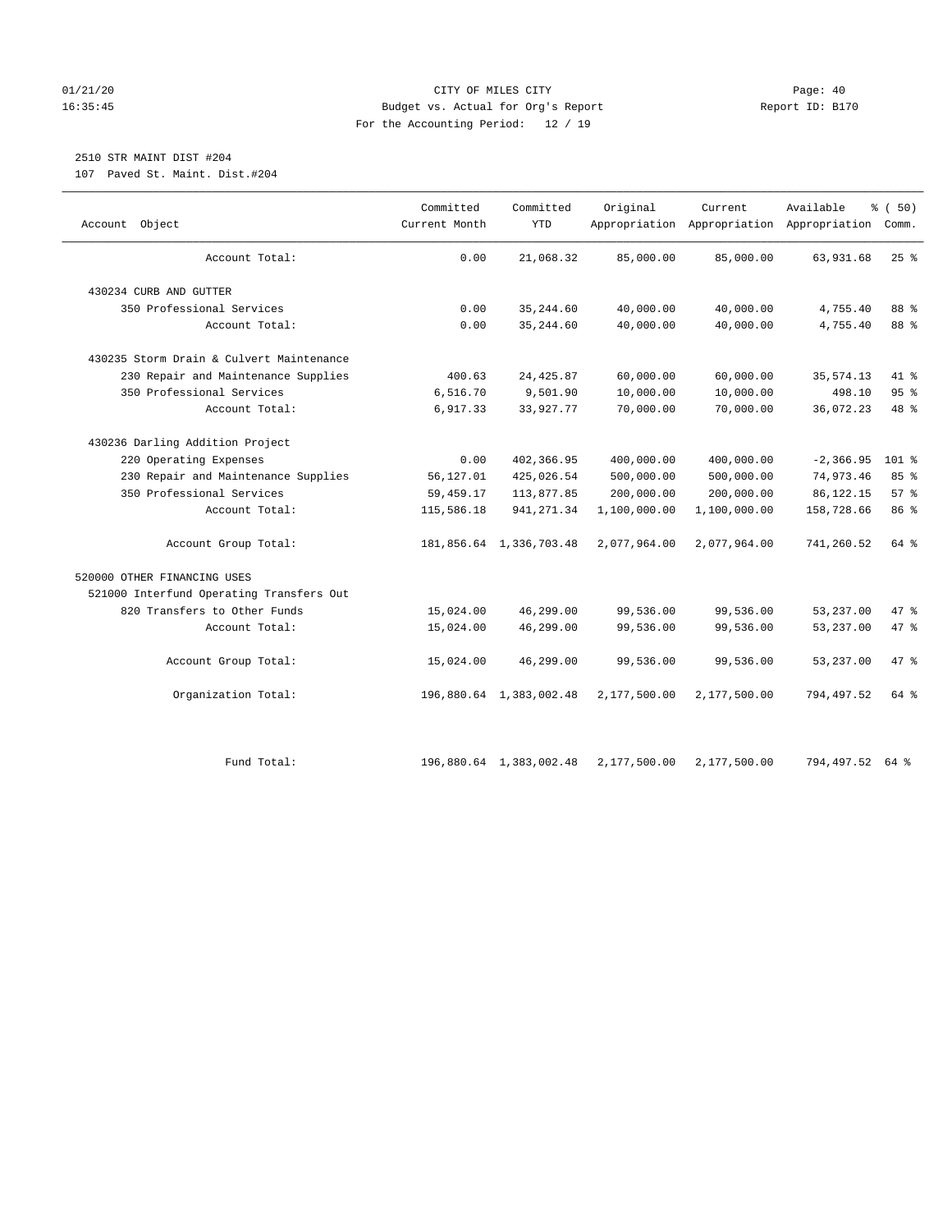# 01/21/20 Page: 40 16:35:45 Budget vs. Actual for Org's Report Report ID: B170 For the Accounting Period: 12 / 19

# 2510 STR MAINT DIST #204

107 Paved St. Maint. Dist.#204

| Object<br>Account                        | Committed<br>Current Month | Committed<br><b>YTD</b> | Original     | Current      | Available<br>Appropriation Appropriation Appropriation Comm. | % (50)  |
|------------------------------------------|----------------------------|-------------------------|--------------|--------------|--------------------------------------------------------------|---------|
| Account Total:                           | 0.00                       | 21,068.32               | 85,000.00    | 85,000.00    | 63,931.68                                                    | $25$ %  |
| 430234 CURB AND GUTTER                   |                            |                         |              |              |                                                              |         |
| 350 Professional Services                | 0.00                       | 35, 244.60              | 40,000.00    | 40,000.00    | 4,755.40                                                     | 88 %    |
| Account Total:                           | 0.00                       | 35, 244.60              | 40,000.00    | 40,000.00    | 4,755.40                                                     | 88 %    |
| 430235 Storm Drain & Culvert Maintenance |                            |                         |              |              |                                                              |         |
| 230 Repair and Maintenance Supplies      | 400.63                     | 24, 425.87              | 60,000.00    | 60,000.00    | 35, 574.13                                                   | 41 %    |
| 350 Professional Services                | 6,516.70                   | 9,501.90                | 10,000.00    | 10,000.00    | 498.10                                                       | 95%     |
| Account Total:                           | 6,917.33                   | 33,927.77               | 70,000.00    | 70,000.00    | 36,072.23                                                    | 48 %    |
| 430236 Darling Addition Project          |                            |                         |              |              |                                                              |         |
| 220 Operating Expenses                   | 0.00                       | 402,366.95              | 400,000.00   | 400,000.00   | $-2, 366.95$                                                 | $101$ % |
| 230 Repair and Maintenance Supplies      | 56,127.01                  | 425,026.54              | 500,000.00   | 500,000.00   | 74,973.46                                                    | 85%     |
| 350 Professional Services                | 59,459.17                  | 113,877.85              | 200,000.00   | 200,000.00   | 86,122.15                                                    | 57%     |
| Account Total:                           | 115,586.18                 | 941, 271.34             | 1,100,000.00 | 1,100,000.00 | 158,728.66                                                   | 86 %    |
| Account Group Total:                     |                            | 181,856.64 1,336,703.48 | 2,077,964.00 | 2,077,964.00 | 741,260.52                                                   | 64 %    |
| 520000 OTHER FINANCING USES              |                            |                         |              |              |                                                              |         |
| 521000 Interfund Operating Transfers Out |                            |                         |              |              |                                                              |         |
| 820 Transfers to Other Funds             | 15,024.00                  | 46,299.00               | 99,536.00    | 99,536.00    | 53,237.00                                                    | 47 %    |
| Account Total:                           | 15,024.00                  | 46,299.00               | 99,536.00    | 99,536.00    | 53,237.00                                                    | 47 %    |
| Account Group Total:                     | 15,024.00                  | 46,299.00               | 99,536.00    | 99,536.00    | 53,237.00                                                    | 47 %    |
| Organization Total:                      |                            | 196,880.64 1,383,002.48 | 2,177,500.00 | 2,177,500.00 | 794,497.52                                                   | 64 %    |
| Fund Total:                              |                            | 196,880.64 1,383,002.48 | 2,177,500.00 | 2,177,500.00 | 794,497.52                                                   | 64 %    |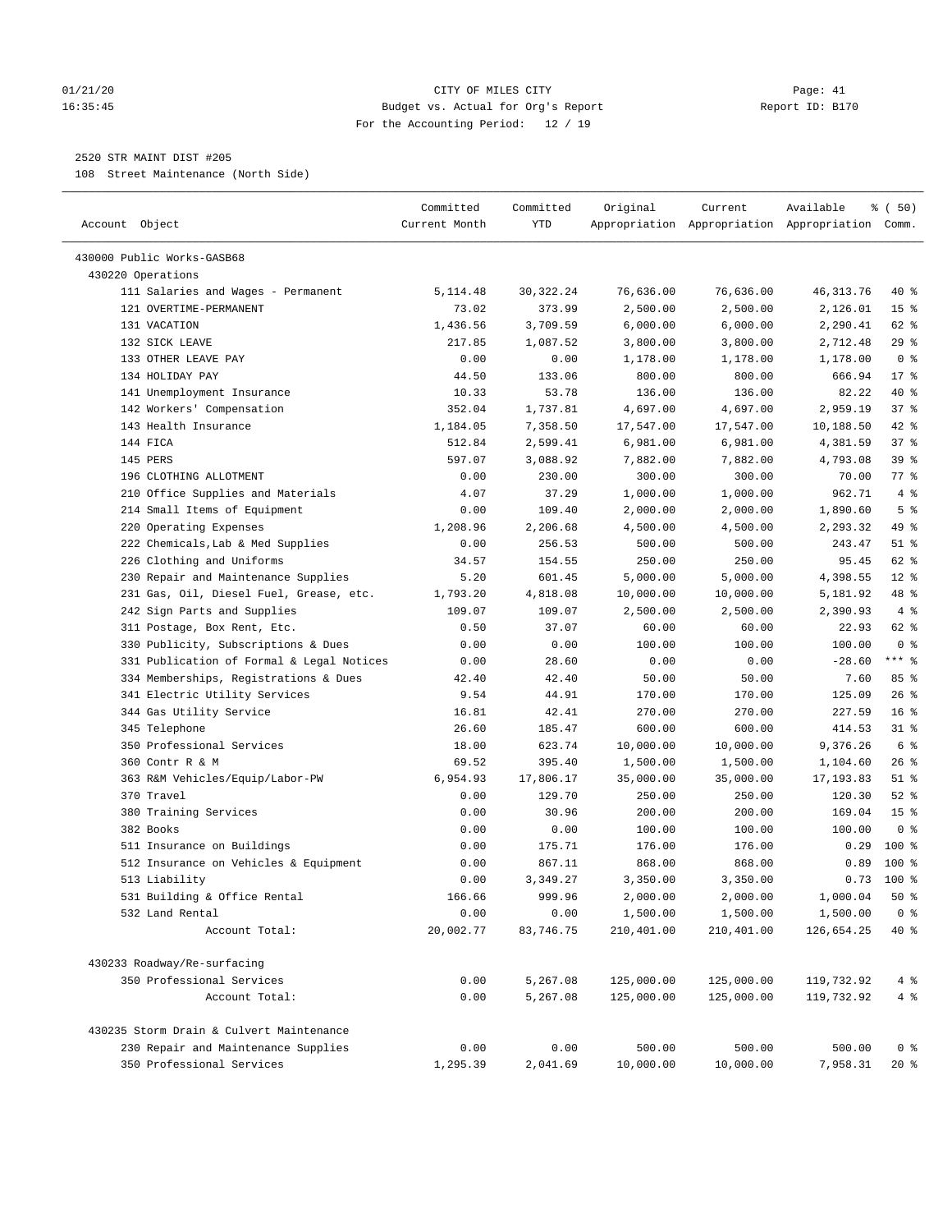# 01/21/20 Page: 41 16:35:45 Budget vs. Actual for Org's Report Report ID: B170 For the Accounting Period: 12 / 19

————————————————————————————————————————————————————————————————————————————————————————————————————————————————————————————————————

# 2520 STR MAINT DIST #205

108 Street Maintenance (North Side)

|                                           | Committed     | Committed   | Original   | Current    | Available                                       | ៖ (50)          |
|-------------------------------------------|---------------|-------------|------------|------------|-------------------------------------------------|-----------------|
| Account Object                            | Current Month | YTD         |            |            | Appropriation Appropriation Appropriation Comm. |                 |
| 430000 Public Works-GASB68                |               |             |            |            |                                                 |                 |
| 430220 Operations                         |               |             |            |            |                                                 |                 |
| 111 Salaries and Wages - Permanent        | 5,114.48      | 30, 322. 24 | 76,636.00  | 76,636.00  | 46, 313. 76                                     | 40 %            |
| 121 OVERTIME-PERMANENT                    | 73.02         | 373.99      | 2,500.00   | 2,500.00   | 2,126.01                                        | 15 <sup>°</sup> |
| 131 VACATION                              | 1,436.56      | 3,709.59    | 6,000.00   | 6,000.00   | 2,290.41                                        | 62 %            |
| 132 SICK LEAVE                            | 217.85        | 1,087.52    | 3,800.00   | 3,800.00   | 2,712.48                                        | $29$ %          |
| 133 OTHER LEAVE PAY                       | 0.00          | 0.00        | 1,178.00   | 1,178.00   | 1,178.00                                        | 0 <sup>8</sup>  |
| 134 HOLIDAY PAY                           | 44.50         | 133.06      | 800.00     | 800.00     | 666.94                                          | $17*$           |
| 141 Unemployment Insurance                | 10.33         | 53.78       | 136.00     | 136.00     | 82.22                                           | 40 %            |
| 142 Workers' Compensation                 | 352.04        | 1,737.81    | 4,697.00   | 4,697.00   | 2,959.19                                        | 37%             |
| 143 Health Insurance                      | 1,184.05      | 7,358.50    | 17,547.00  | 17,547.00  | 10,188.50                                       | $42$ %          |
| 144 FICA                                  | 512.84        | 2,599.41    | 6,981.00   | 6,981.00   | 4,381.59                                        | 37%             |
| 145 PERS                                  | 597.07        | 3,088.92    | 7,882.00   | 7,882.00   | 4,793.08                                        | 39%             |
| 196 CLOTHING ALLOTMENT                    | 0.00          | 230.00      | 300.00     | 300.00     | 70.00                                           | 77.8            |
| 210 Office Supplies and Materials         | 4.07          | 37.29       | 1,000.00   | 1,000.00   | 962.71                                          | 4%              |
| 214 Small Items of Equipment              | 0.00          | 109.40      | 2,000.00   | 2,000.00   | 1,890.60                                        | 5 <sup>°</sup>  |
| 220 Operating Expenses                    | 1,208.96      | 2,206.68    | 4,500.00   | 4,500.00   | 2,293.32                                        | 49 %            |
| 222 Chemicals, Lab & Med Supplies         | 0.00          | 256.53      | 500.00     | 500.00     | 243.47                                          | $51$ %          |
| 226 Clothing and Uniforms                 | 34.57         | 154.55      | 250.00     | 250.00     | 95.45                                           | 62 %            |
| 230 Repair and Maintenance Supplies       | 5.20          | 601.45      | 5,000.00   | 5,000.00   | 4,398.55                                        | $12*$           |
| 231 Gas, Oil, Diesel Fuel, Grease, etc.   | 1,793.20      | 4,818.08    | 10,000.00  | 10,000.00  | 5,181.92                                        | 48 %            |
| 242 Sign Parts and Supplies               | 109.07        | 109.07      | 2,500.00   | 2,500.00   | 2,390.93                                        | 4%              |
| 311 Postage, Box Rent, Etc.               | 0.50          | 37.07       | 60.00      | 60.00      | 22.93                                           | 62 %            |
| 330 Publicity, Subscriptions & Dues       | 0.00          | 0.00        | 100.00     | 100.00     | 100.00                                          | 0 <sup>8</sup>  |
| 331 Publication of Formal & Legal Notices | 0.00          | 28.60       | 0.00       | 0.00       | $-28.60$                                        | $***$ $-$       |
| 334 Memberships, Registrations & Dues     | 42.40         | 42.40       | 50.00      | 50.00      | 7.60                                            | 85%             |
| 341 Electric Utility Services             | 9.54          | 44.91       | 170.00     | 170.00     | 125.09                                          | $26$ %          |
| 344 Gas Utility Service                   | 16.81         | 42.41       | 270.00     | 270.00     | 227.59                                          | 16 <sup>°</sup> |
| 345 Telephone                             | 26.60         | 185.47      | 600.00     | 600.00     | 414.53                                          | $31$ %          |
| 350 Professional Services                 | 18.00         | 623.74      | 10,000.00  | 10,000.00  | 9,376.26                                        | 6 %             |
| 360 Contr R & M                           | 69.52         | 395.40      | 1,500.00   | 1,500.00   | 1,104.60                                        | $26$ %          |
| 363 R&M Vehicles/Equip/Labor-PW           | 6,954.93      | 17,806.17   | 35,000.00  | 35,000.00  | 17, 193.83                                      | $51$ %          |
| 370 Travel                                | 0.00          | 129.70      | 250.00     | 250.00     | 120.30                                          | $52$ $%$        |
| 380 Training Services                     | 0.00          | 30.96       | 200.00     | 200.00     | 169.04                                          | 15 <sup>°</sup> |
| 382 Books                                 | 0.00          | 0.00        | 100.00     | 100.00     | 100.00                                          | 0 <sup>8</sup>  |
| 511 Insurance on Buildings                | 0.00          | 175.71      | 176.00     | 176.00     | 0.29                                            | $100*$          |
| 512 Insurance on Vehicles & Equipment     | 0.00          | 867.11      | 868.00     | 868.00     | 0.89                                            | $100*$          |
| 513 Liability                             | 0.00          | 3,349.27    | 3,350.00   | 3,350.00   | 0.73                                            | $100*$          |
| 531 Building & Office Rental              | 166.66        | 999.96      | 2,000.00   | 2,000.00   | 1,000.04                                        | 50%             |
| 532 Land Rental                           | 0.00          | 0.00        | 1,500.00   | 1,500.00   | 1,500.00                                        | 0 <sup>8</sup>  |
| Account Total:                            | 20,002.77     | 83,746.75   | 210,401.00 | 210,401.00 | 126,654.25                                      | 40 %            |
| 430233 Roadway/Re-surfacing               |               |             |            |            |                                                 |                 |
| 350 Professional Services                 | 0.00          | 5,267.08    | 125,000.00 | 125,000.00 | 119,732.92                                      | 4%              |
| Account Total:                            | 0.00          | 5,267.08    | 125,000.00 | 125,000.00 | 119,732.92                                      | $4\degree$      |
| 430235 Storm Drain & Culvert Maintenance  |               |             |            |            |                                                 |                 |
| 230 Repair and Maintenance Supplies       | 0.00          | 0.00        | 500.00     | 500.00     | 500.00                                          | 0 <sup>8</sup>  |
| 350 Professional Services                 | 1,295.39      | 2,041.69    | 10,000.00  | 10,000.00  | 7,958.31                                        | $20*$           |
|                                           |               |             |            |            |                                                 |                 |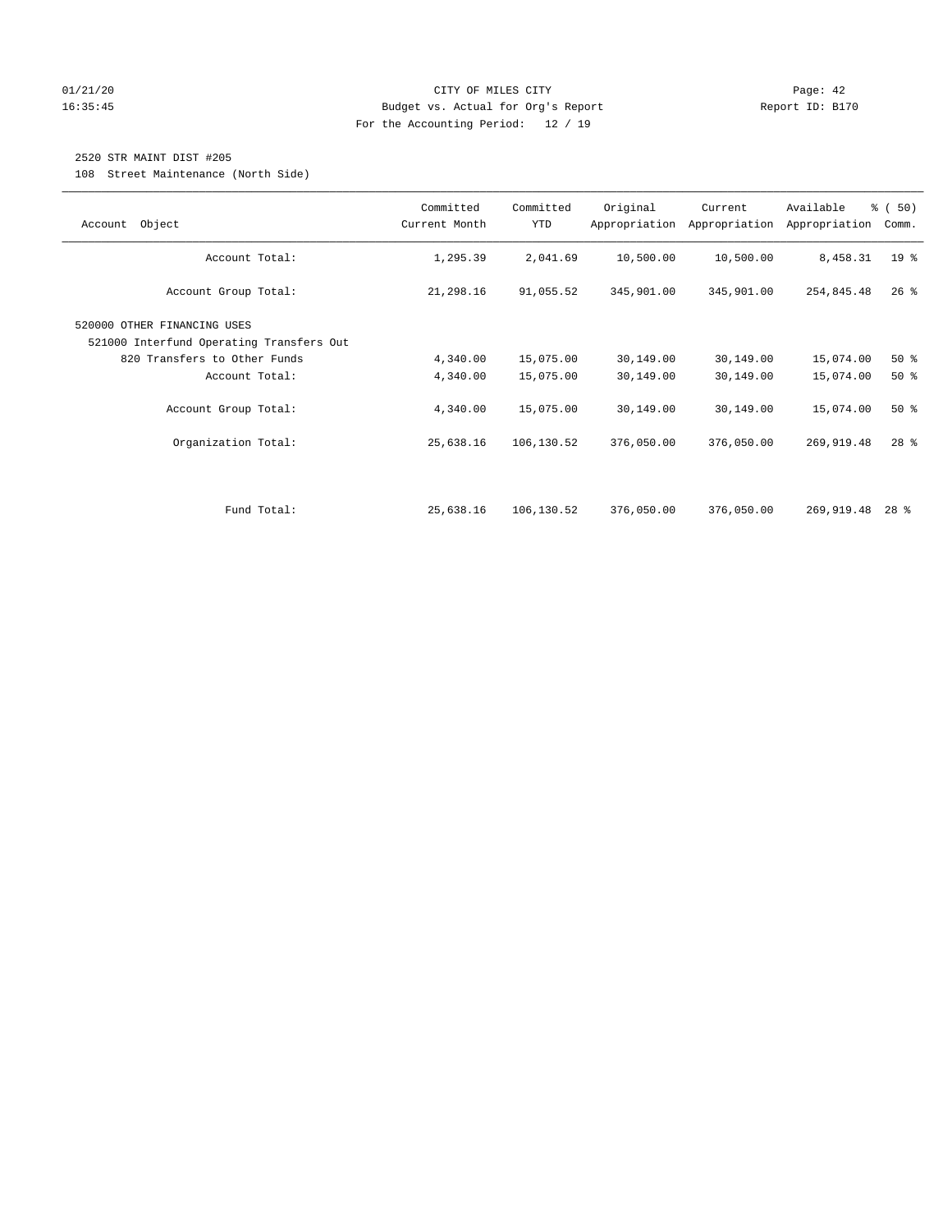# 01/21/20 Page: 42 16:35:45 Budget vs. Actual for Org's Report Report ID: B170 For the Accounting Period: 12 / 19

# 2520 STR MAINT DIST #205

108 Street Maintenance (North Side)

| Object<br>Account                                                       | Committed<br>Current Month | Committed<br>YTD | Original   | Current<br>Appropriation Appropriation | Available<br>Appropriation | % (50)<br>Comm. |
|-------------------------------------------------------------------------|----------------------------|------------------|------------|----------------------------------------|----------------------------|-----------------|
| Account Total:                                                          | 1,295.39                   | 2,041.69         | 10,500.00  | 10,500.00                              | 8,458.31                   | 19 <sup>°</sup> |
| Account Group Total:                                                    | 21,298.16                  | 91,055.52        | 345,901.00 | 345,901.00                             | 254,845.48                 | $26$ %          |
| 520000 OTHER FINANCING USES<br>521000 Interfund Operating Transfers Out |                            |                  |            |                                        |                            |                 |
| 820 Transfers to Other Funds                                            | 4,340.00                   | 15,075.00        | 30,149.00  | 30,149.00                              | 15,074.00                  | 50%             |
| Account Total:                                                          | 4,340.00                   | 15,075.00        | 30,149.00  | 30,149.00                              | 15,074.00                  | 50%             |
| Account Group Total:                                                    | 4,340.00                   | 15,075.00        | 30,149.00  | 30,149.00                              | 15,074.00                  | 50%             |
| Organization Total:                                                     | 25,638.16                  | 106,130.52       | 376,050.00 | 376,050.00                             | 269,919.48                 | $28$ %          |
|                                                                         |                            |                  |            |                                        |                            |                 |
| Fund Total:                                                             | 25,638.16                  | 106,130.52       | 376,050.00 | 376,050.00                             | 269,919.48                 | $28$ %          |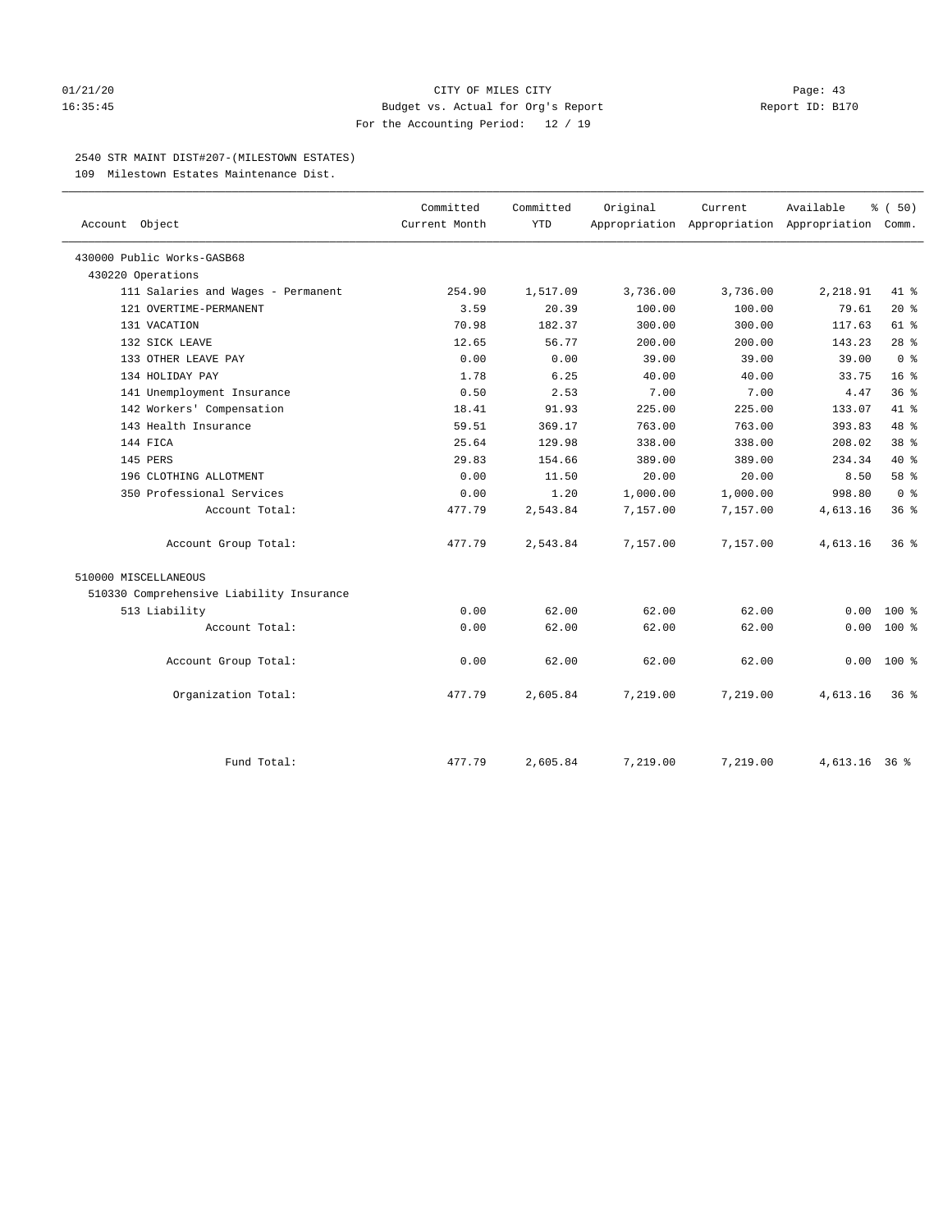# 01/21/20 Page: 43 16:35:45 Budget vs. Actual for Org's Report Report ID: B170 For the Accounting Period: 12 / 19

# 2540 STR MAINT DIST#207-(MILESTOWN ESTATES)

109 Milestown Estates Maintenance Dist.

| Account Object                           | Committed<br>Current Month | Committed<br><b>YTD</b> | Original | Current<br>Appropriation Appropriation Appropriation Comm. | Available     | % (50)          |
|------------------------------------------|----------------------------|-------------------------|----------|------------------------------------------------------------|---------------|-----------------|
| 430000 Public Works-GASB68               |                            |                         |          |                                                            |               |                 |
| 430220 Operations                        |                            |                         |          |                                                            |               |                 |
| 111 Salaries and Wages - Permanent       | 254.90                     | 1,517.09                | 3,736.00 | 3,736.00                                                   | 2,218.91      | $41*$           |
| 121 OVERTIME-PERMANENT                   | 3.59                       | 20.39                   | 100.00   | 100.00                                                     | 79.61         | $20*$           |
| 131 VACATION                             | 70.98                      | 182.37                  | 300.00   | 300.00                                                     | 117.63        | $61$ %          |
| 132 SICK LEAVE                           | 12.65                      | 56.77                   | 200.00   | 200.00                                                     | 143.23        | $28$ $%$        |
| 133 OTHER LEAVE PAY                      | 0.00                       | 0.00                    | 39.00    | 39.00                                                      | 39.00         | 0 <sup>8</sup>  |
| 134 HOLIDAY PAY                          | 1.78                       | 6.25                    | 40.00    | 40.00                                                      | 33.75         | 16 <sup>8</sup> |
| 141 Unemployment Insurance               | 0.50                       | 2.53                    | 7.00     | 7.00                                                       | 4.47          | 36%             |
| 142 Workers' Compensation                | 18.41                      | 91.93                   | 225.00   | 225.00                                                     | 133.07        | 41 %            |
| 143 Health Insurance                     | 59.51                      | 369.17                  | 763.00   | 763.00                                                     | 393.83        | 48 %            |
| 144 FICA                                 | 25.64                      | 129.98                  | 338.00   | 338.00                                                     | 208.02        | 38 <sup>8</sup> |
| 145 PERS                                 | 29.83                      | 154.66                  | 389.00   | 389.00                                                     | 234.34        | $40*$           |
| 196 CLOTHING ALLOTMENT                   | 0.00                       | 11.50                   | 20.00    | 20.00                                                      | 8.50          | 58 %            |
| 350 Professional Services                | 0.00                       | 1.20                    | 1,000.00 | 1,000.00                                                   | 998.80        | 0 <sup>8</sup>  |
| Account Total:                           | 477.79                     | 2,543.84                | 7,157.00 | 7,157.00                                                   | 4,613.16      | 36%             |
| Account Group Total:                     | 477.79                     | 2,543.84                | 7,157.00 | 7,157.00                                                   | 4,613.16      | 36 <sup>8</sup> |
| 510000 MISCELLANEOUS                     |                            |                         |          |                                                            |               |                 |
| 510330 Comprehensive Liability Insurance |                            |                         |          |                                                            |               |                 |
| 513 Liability                            | 0.00                       | 62.00                   | 62.00    | 62.00                                                      | 0.00          | $100*$          |
| Account Total:                           | 0.00                       | 62.00                   | 62.00    | 62.00                                                      | 0.00          | $100*$          |
| Account Group Total:                     | 0.00                       | 62.00                   | 62.00    | 62.00                                                      | 0.00          | $100*$          |
| Organization Total:                      | 477.79                     | 2,605.84                | 7,219.00 | 7,219.00                                                   | 4,613.16      | 36%             |
| Fund Total:                              | 477.79                     | 2,605.84                | 7,219.00 | 7,219.00                                                   | 4,613.16 36 % |                 |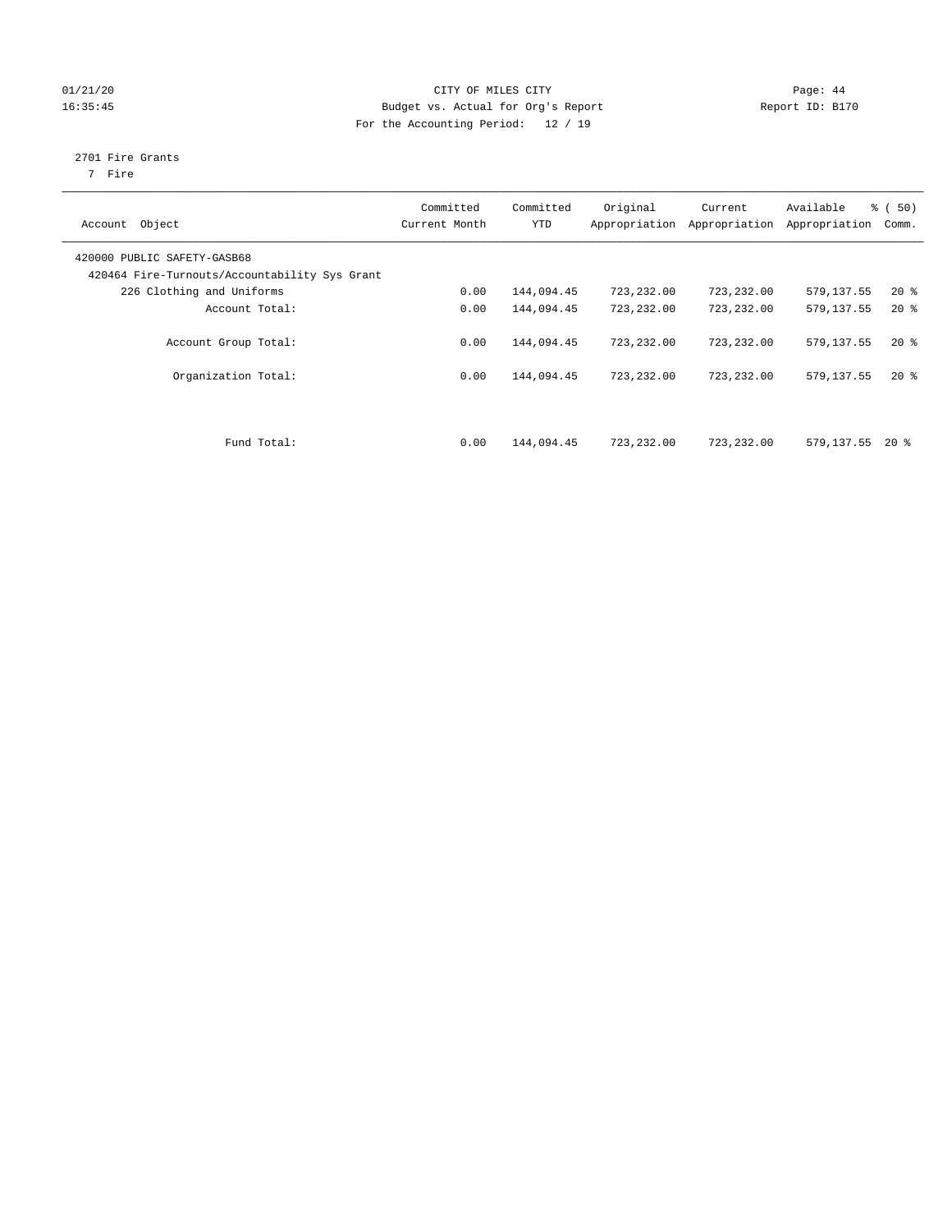# 01/21/20 Page: 44 16:35:45 Budget vs. Actual for Org's Report Report ID: B170 For the Accounting Period: 12 / 19

# 2701 Fire Grants

7 Fire

| Object<br>Account                                                            | Committed<br>Current Month | Committed<br><b>YTD</b> | Original<br>Appropriation | Current<br>Appropriation | Available<br>Appropriation | % (50)<br>Comm. |
|------------------------------------------------------------------------------|----------------------------|-------------------------|---------------------------|--------------------------|----------------------------|-----------------|
| 420000 PUBLIC SAFETY-GASB68<br>420464 Fire-Turnouts/Accountability Sys Grant |                            |                         |                           |                          |                            |                 |
| 226 Clothing and Uniforms                                                    | 0.00                       | 144,094.45              | 723,232.00                | 723,232.00               | 579,137.55                 | $20*$           |
| Account Total:                                                               | 0.00                       | 144,094.45              | 723,232.00                | 723,232.00               | 579,137.55                 | $20*$           |
| Account Group Total:                                                         | 0.00                       | 144,094.45              | 723,232.00                | 723,232.00               | 579,137.55                 | $20*$           |
| Organization Total:                                                          | 0.00                       | 144,094.45              | 723,232.00                | 723,232.00               | 579,137.55                 | $20*$           |
| Fund Total:                                                                  | 0.00                       | 144,094.45              | 723,232.00                | 723,232.00               | 579,137.55                 | $20*$           |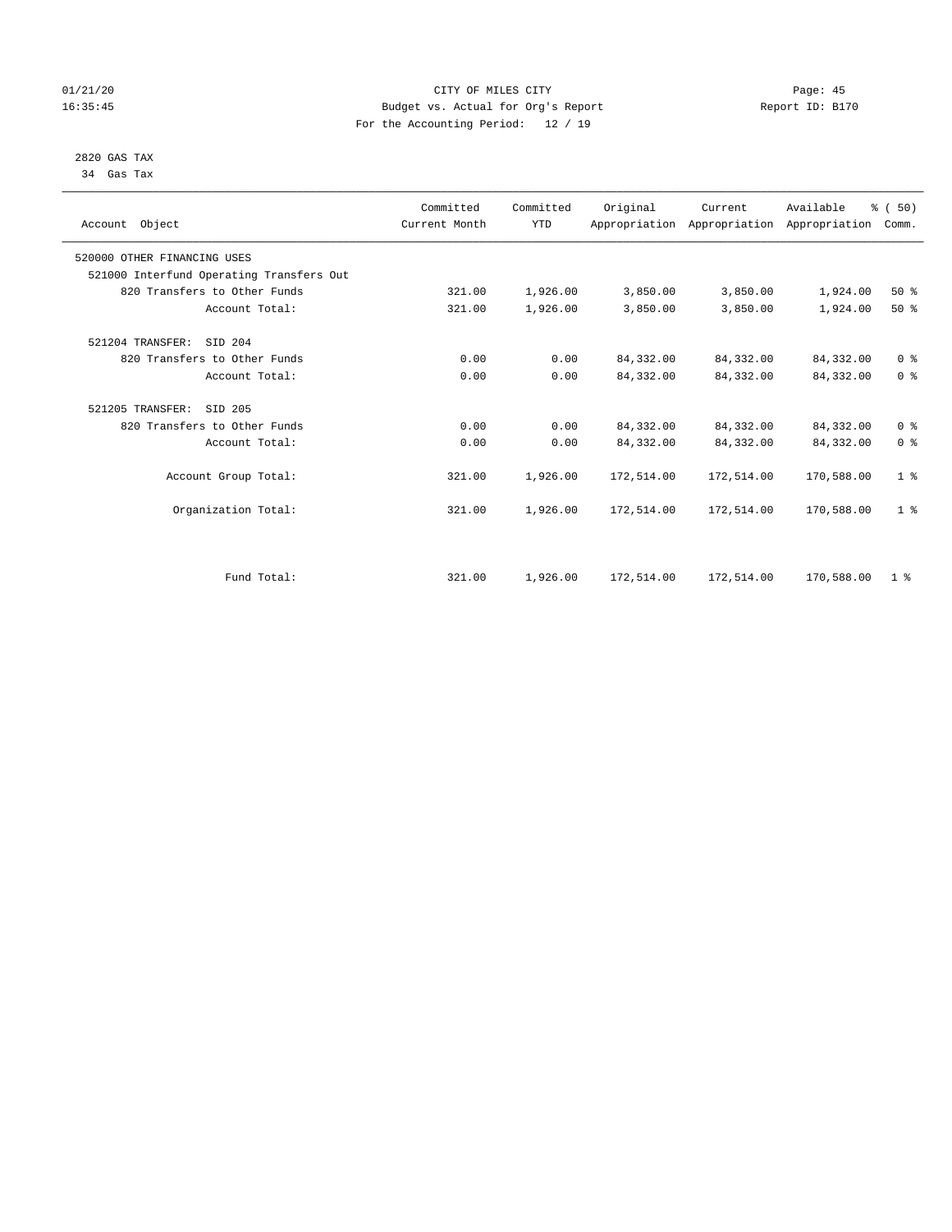# 01/21/20 Page: 45 16:35:45 Budget vs. Actual for Org's Report Report ID: B170 For the Accounting Period: 12 / 19

 2820 GAS TAX 34 Gas Tax

| Account Object                           | Committed<br>Current Month | Committed<br><b>YTD</b> | Original   | Current<br>Appropriation Appropriation Appropriation | Available  | % (50)<br>Comm. |  |
|------------------------------------------|----------------------------|-------------------------|------------|------------------------------------------------------|------------|-----------------|--|
|                                          |                            |                         |            |                                                      |            |                 |  |
| 520000 OTHER FINANCING USES              |                            |                         |            |                                                      |            |                 |  |
| 521000 Interfund Operating Transfers Out |                            |                         |            |                                                      |            |                 |  |
| 820 Transfers to Other Funds             | 321.00                     | 1,926.00                | 3,850.00   | 3,850.00                                             | 1,924.00   | 50%             |  |
| Account Total:                           | 321.00                     | 1,926.00                | 3,850.00   | 3,850.00                                             | 1,924.00   | $50*$           |  |
| STD 204<br>521204 TRANSFER:              |                            |                         |            |                                                      |            |                 |  |
| 820 Transfers to Other Funds             | 0.00                       | 0.00                    | 84,332.00  | 84,332.00                                            | 84,332.00  | 0 <sup>8</sup>  |  |
| Account Total:                           | 0.00                       | 0.00                    | 84, 332.00 | 84,332.00                                            | 84,332.00  | 0 <sup>8</sup>  |  |
| 521205 TRANSFER:<br>SID 205              |                            |                         |            |                                                      |            |                 |  |
| 820 Transfers to Other Funds             | 0.00                       | 0.00                    | 84, 332.00 | 84,332.00                                            | 84,332.00  | 0 <sup>8</sup>  |  |
| Account Total:                           | 0.00                       | 0.00                    | 84, 332.00 | 84,332.00                                            | 84,332.00  | 0 <sup>8</sup>  |  |
| Account Group Total:                     | 321.00                     | 1,926.00                | 172,514.00 | 172,514.00                                           | 170,588.00 | 1 <sup>°</sup>  |  |
| Organization Total:                      | 321.00                     | 1,926.00                | 172,514.00 | 172,514.00                                           | 170,588.00 | 1 <sup>°</sup>  |  |
|                                          |                            |                         |            |                                                      |            |                 |  |
| Fund Total:                              | 321.00                     | 1,926.00                | 172,514.00 | 172,514.00                                           | 170,588.00 | 1 <sup>8</sup>  |  |
|                                          |                            |                         |            |                                                      |            |                 |  |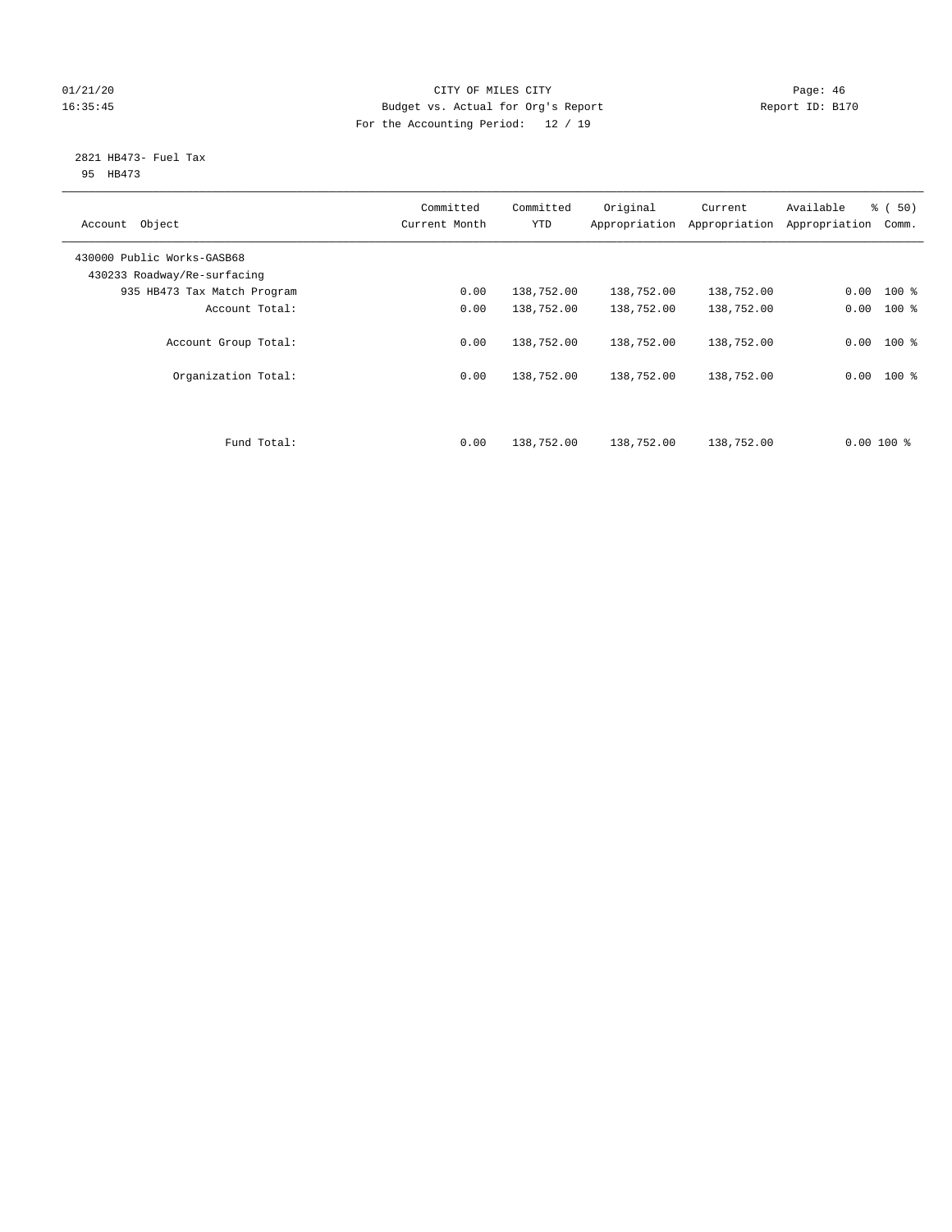# 01/21/20 Page: 46 16:35:45 Budget vs. Actual for Org's Report Report ID: B170 For the Accounting Period: 12 / 19

#### 2821 HB473- Fuel Tax 95 HB473

| Object<br>Account                                         | Committed<br>Current Month | Committed<br><b>YTD</b>  | Original<br>Appropriation | Current<br>Appropriation | Available<br>Appropriation | % (50)<br>Comm.        |
|-----------------------------------------------------------|----------------------------|--------------------------|---------------------------|--------------------------|----------------------------|------------------------|
| 430000 Public Works-GASB68<br>430233 Roadway/Re-surfacing |                            |                          |                           |                          |                            |                        |
| 935 HB473 Tax Match Program                               | 0.00                       | 138,752.00               | 138,752.00                | 138,752.00               | 0.00                       | $100$ %                |
| Account Total:                                            | 0.00                       | 138,752.00               | 138,752.00                | 138,752.00               | 0.00                       | $100$ %                |
| Account Group Total:<br>Organization Total:               | 0.00<br>0.00               | 138,752.00<br>138,752.00 | 138,752.00<br>138,752.00  | 138,752.00<br>138,752.00 | 0.00                       | $0.00$ 100 %<br>$100*$ |
| Fund Total:                                               | 0.00                       | 138,752.00               | 138,752.00                | 138,752.00               | $0.00100$ %                |                        |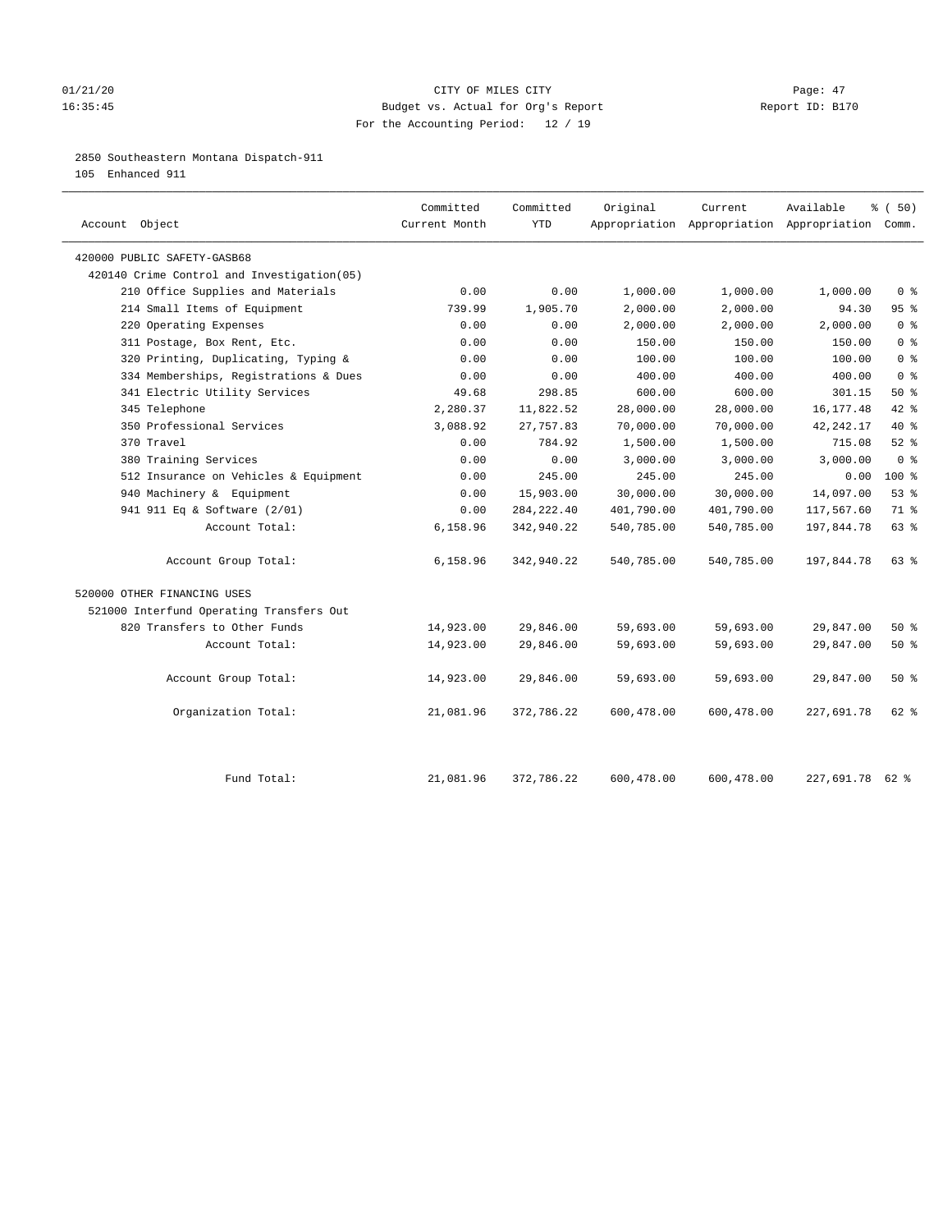# 01/21/20 Page: 47 16:35:45 Budget vs. Actual for Org's Report Report ID: B170 For the Accounting Period: 12 / 19

2850 Southeastern Montana Dispatch-911

105 Enhanced 911

| Account Object                              | Committed<br>Current Month | Committed<br><b>YTD</b> | Original   | Current    | Available<br>Appropriation Appropriation Appropriation Comm. | % (50)         |
|---------------------------------------------|----------------------------|-------------------------|------------|------------|--------------------------------------------------------------|----------------|
| 420000 PUBLIC SAFETY-GASB68                 |                            |                         |            |            |                                                              |                |
| 420140 Crime Control and Investigation (05) |                            |                         |            |            |                                                              |                |
| 210 Office Supplies and Materials           | 0.00                       | 0.00                    | 1,000.00   | 1,000.00   | 1,000.00                                                     | 0 <sup>8</sup> |
| 214 Small Items of Equipment                | 739.99                     | 1,905.70                | 2,000.00   | 2,000.00   | 94.30                                                        | 95%            |
| 220 Operating Expenses                      | 0.00                       | 0.00                    | 2,000.00   | 2,000.00   | 2,000.00                                                     | 0 <sup>8</sup> |
| 311 Postage, Box Rent, Etc.                 | 0.00                       | 0.00                    | 150.00     | 150.00     | 150.00                                                       | 0 <sup>8</sup> |
| 320 Printing, Duplicating, Typing &         | 0.00                       | 0.00                    | 100.00     | 100.00     | 100.00                                                       | 0 <sup>8</sup> |
| 334 Memberships, Registrations & Dues       | 0.00                       | 0.00                    | 400.00     | 400.00     | 400.00                                                       | 0 <sup>°</sup> |
| 341 Electric Utility Services               | 49.68                      | 298.85                  | 600.00     | 600.00     | 301.15                                                       | 50%            |
| 345 Telephone                               | 2,280.37                   | 11,822.52               | 28,000.00  | 28,000.00  | 16, 177.48                                                   | $42$ $%$       |
| 350 Professional Services                   | 3,088.92                   | 27,757.83               | 70,000.00  | 70,000.00  | 42, 242. 17                                                  | 40 %           |
| 370 Travel                                  | 0.00                       | 784.92                  | 1,500.00   | 1,500.00   | 715.08                                                       | $52$ $%$       |
| 380 Training Services                       | 0.00                       | 0.00                    | 3,000.00   | 3,000.00   | 3,000.00                                                     | 0 <sup>8</sup> |
| 512 Insurance on Vehicles & Equipment       | 0.00                       | 245.00                  | 245.00     | 245.00     | 0.00                                                         | $100*$         |
| 940 Machinery & Equipment                   | 0.00                       | 15,903.00               | 30,000.00  | 30,000.00  | 14,097.00                                                    | 53%            |
| 941 911 Eq & Software (2/01)                | 0.00                       | 284, 222.40             | 401,790.00 | 401,790.00 | 117,567.60                                                   | 71 %           |
| Account Total:                              | 6,158.96                   | 342,940.22              | 540,785.00 | 540,785.00 | 197,844.78                                                   | 63%            |
| Account Group Total:                        | 6,158.96                   | 342,940.22              | 540,785.00 | 540,785.00 | 197,844.78                                                   | 63 %           |
| 520000 OTHER FINANCING USES                 |                            |                         |            |            |                                                              |                |
| 521000 Interfund Operating Transfers Out    |                            |                         |            |            |                                                              |                |
| 820 Transfers to Other Funds                | 14,923.00                  | 29,846.00               | 59,693.00  | 59,693.00  | 29,847.00                                                    | 50%            |
| Account Total:                              | 14,923.00                  | 29,846.00               | 59,693.00  | 59,693.00  | 29,847.00                                                    | 50%            |
| Account Group Total:                        | 14,923.00                  | 29,846.00               | 59,693.00  | 59,693.00  | 29,847.00                                                    | 50%            |
| Organization Total:                         | 21,081.96                  | 372,786.22              | 600,478.00 | 600,478.00 | 227,691.78                                                   | 62 %           |
|                                             |                            |                         |            |            |                                                              |                |
| Fund Total:                                 | 21,081.96                  | 372,786.22              | 600,478.00 | 600,478.00 | 227.691.78 62 %                                              |                |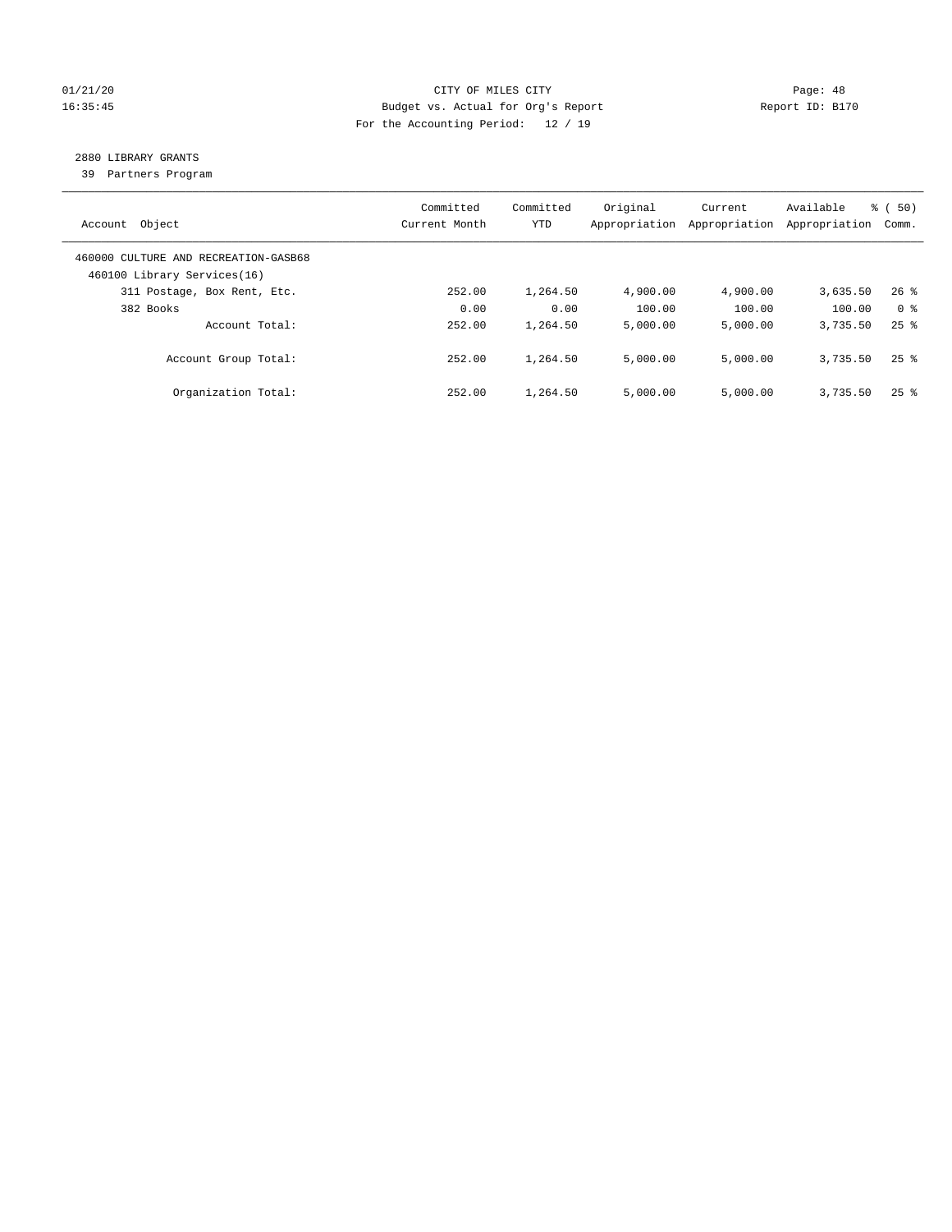# 01/21/20 Page: 48 16:35:45 Budget vs. Actual for Org's Report Report ID: B170 For the Accounting Period: 12 / 19

# 2880 LIBRARY GRANTS

39 Partners Program

| Account Object                                                      | Committed<br>Current Month | Committed<br><b>YTD</b> | Original<br>Appropriation | Current<br>Appropriation | Available<br>Appropriation | % ( 50)<br>Comm.   |
|---------------------------------------------------------------------|----------------------------|-------------------------|---------------------------|--------------------------|----------------------------|--------------------|
| 460000 CULTURE AND RECREATION-GASB68<br>460100 Library Services(16) |                            |                         |                           |                          |                            |                    |
| 311 Postage, Box Rent, Etc.                                         | 252.00                     | 1,264.50                | 4,900.00                  | 4,900.00                 | 3,635.50                   | $26$ %             |
| 382 Books                                                           | 0.00                       | 0.00                    | 100.00                    | 100.00                   | 100.00                     | 0 <sup>8</sup>     |
| Account Total:                                                      | 252.00                     | 1,264.50                | 5,000.00                  | 5,000.00                 | 3,735.50                   | $25$ $%$           |
| Account Group Total:                                                | 252.00                     | 1,264.50                | 5,000.00                  | 5,000.00                 | 3,735.50                   | $25$ $%$           |
| Organization Total:                                                 | 252.00                     | 1,264.50                | 5.000.00                  | 5,000.00                 | 3,735.50                   | $25$ $\frac{6}{5}$ |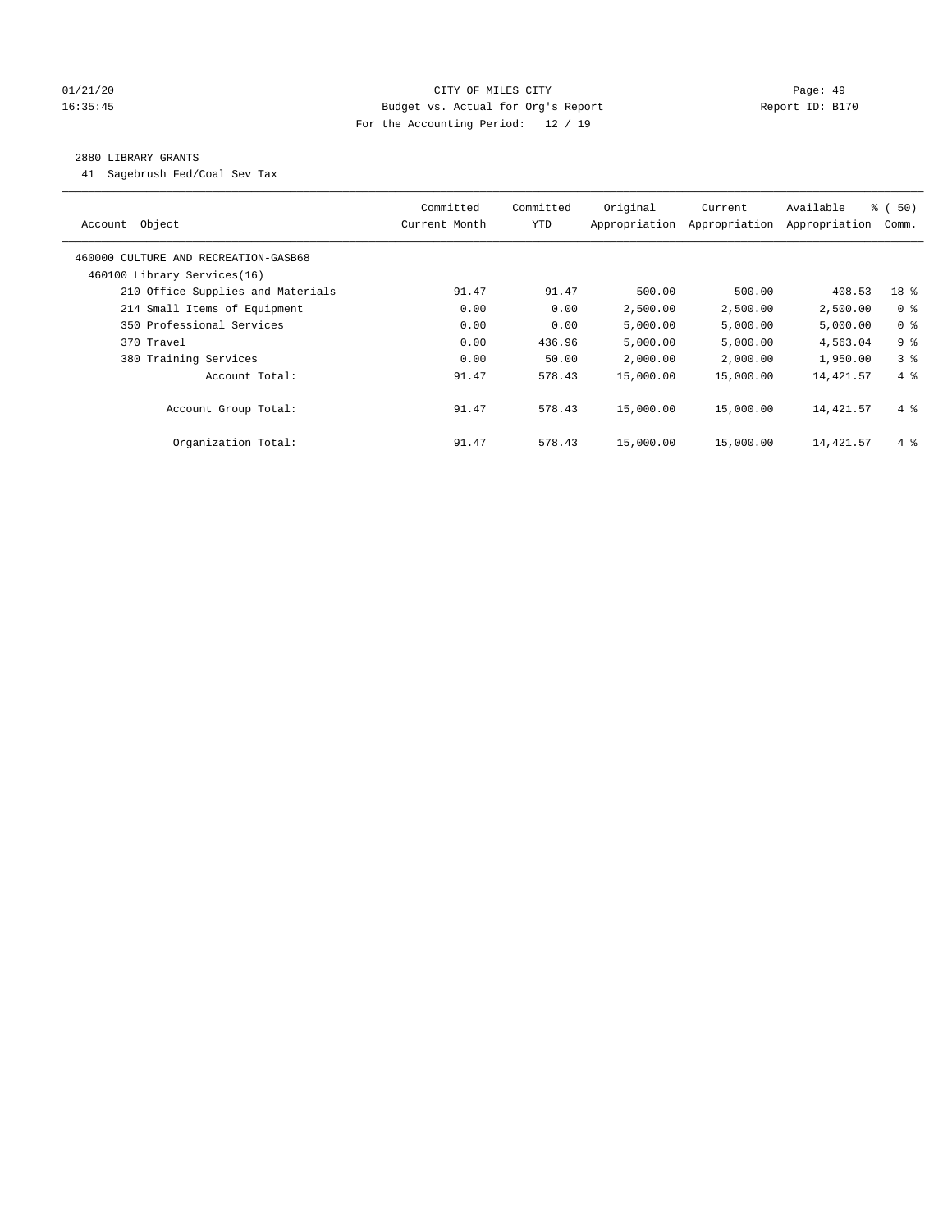# 01/21/20 Page: 49 16:35:45 Budget vs. Actual for Org's Report Report ID: B170 For the Accounting Period: 12 / 19

# 2880 LIBRARY GRANTS

41 Sagebrush Fed/Coal Sev Tax

| Object<br>Account                    | Committed<br>Current Month | Committed<br><b>YTD</b> | Original<br>Appropriation | Current<br>Appropriation | Available<br>Appropriation | % (50)<br>Comm. |
|--------------------------------------|----------------------------|-------------------------|---------------------------|--------------------------|----------------------------|-----------------|
| 460000 CULTURE AND RECREATION-GASB68 |                            |                         |                           |                          |                            |                 |
| 460100 Library Services(16)          |                            |                         |                           |                          |                            |                 |
| 210 Office Supplies and Materials    | 91.47                      | 91.47                   | 500.00                    | 500.00                   | 408.53                     | 18 %            |
| 214 Small Items of Equipment         | 0.00                       | 0.00                    | 2,500.00                  | 2,500.00                 | 2,500.00                   | 0 <sup>8</sup>  |
| 350 Professional Services            | 0.00                       | 0.00                    | 5,000.00                  | 5,000.00                 | 5,000.00                   | 0 <sup>8</sup>  |
| 370 Travel                           | 0.00                       | 436.96                  | 5,000.00                  | 5,000.00                 | 4,563.04                   | 9 <sup>8</sup>  |
| 380 Training Services                | 0.00                       | 50.00                   | 2,000.00                  | 2,000.00                 | 1,950.00                   | 3 <sup>8</sup>  |
| Account Total:                       | 91.47                      | 578.43                  | 15,000.00                 | 15,000.00                | 14,421.57                  | 4%              |
| Account Group Total:                 | 91.47                      | 578.43                  | 15,000.00                 | 15,000.00                | 14,421.57                  | $4\degree$      |
| Organization Total:                  | 91.47                      | 578.43                  | 15,000.00                 | 15,000.00                | 14,421.57                  | $4\degree$      |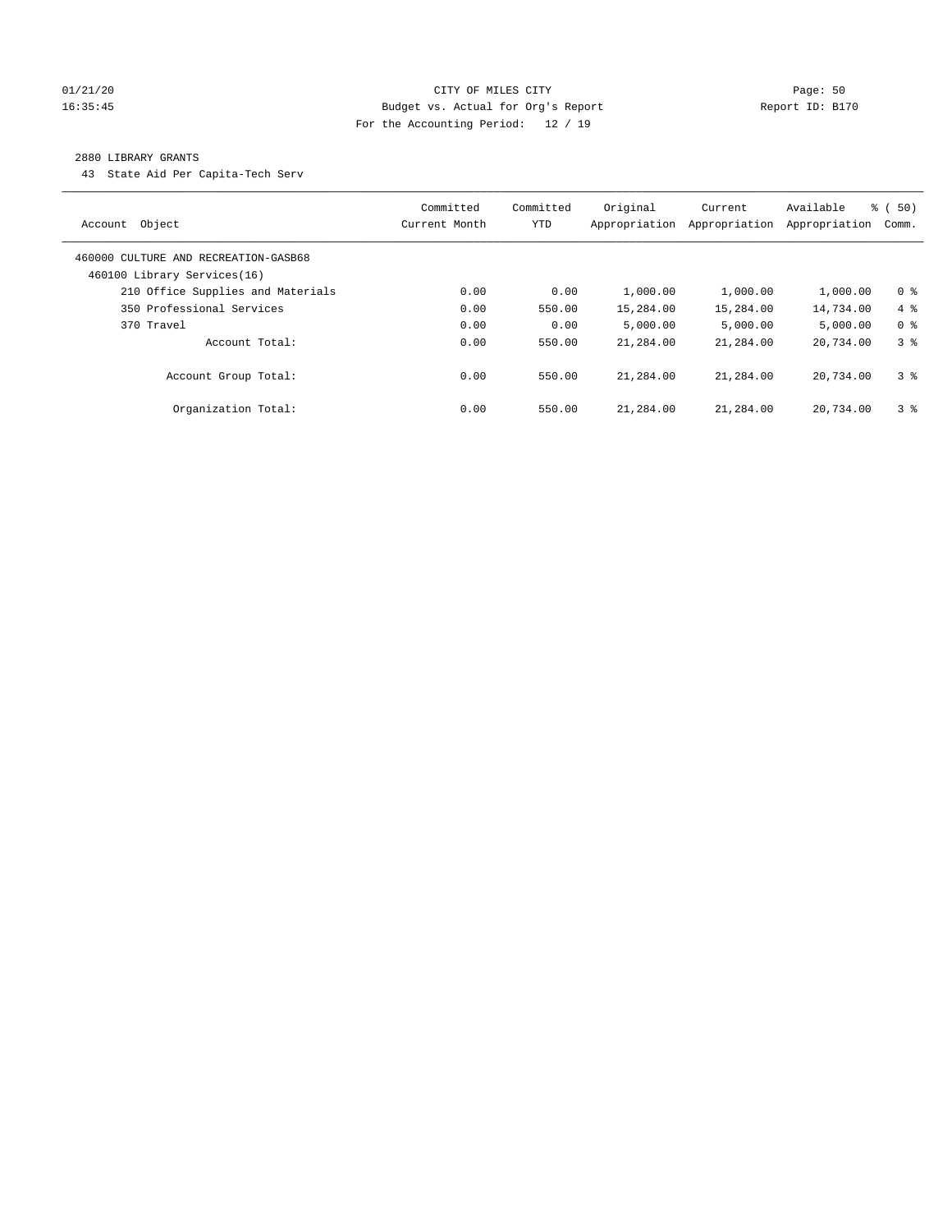# 01/21/20 Page: 50 16:35:45 Budget vs. Actual for Org's Report Report ID: B170 For the Accounting Period: 12 / 19

#### 2880 LIBRARY GRANTS

43 State Aid Per Capita-Tech Serv

| Object<br>Account                                                   | Committed<br>Current Month | Committed<br>YTD | Original<br>Appropriation | Current<br>Appropriation | Available<br>Appropriation | % (50)<br>Comm. |
|---------------------------------------------------------------------|----------------------------|------------------|---------------------------|--------------------------|----------------------------|-----------------|
| 460000 CULTURE AND RECREATION-GASB68<br>460100 Library Services(16) |                            |                  |                           |                          |                            |                 |
| 210 Office Supplies and Materials                                   | 0.00                       | 0.00             | 1,000.00                  | 1,000.00                 | 1,000.00                   | 0 <sup>8</sup>  |
| 350 Professional Services                                           | 0.00                       | 550.00           | 15,284.00                 | 15,284.00                | 14,734.00                  | $4\degree$      |
| 370 Travel                                                          | 0.00                       | 0.00             | 5.000.00                  | 5,000.00                 | 5,000.00                   | 0 <sup>8</sup>  |
| Account Total:                                                      | 0.00                       | 550.00           | 21,284.00                 | 21,284.00                | 20,734.00                  | 3 <sup>8</sup>  |
| Account Group Total:                                                | 0.00                       | 550.00           | 21,284.00                 | 21,284.00                | 20,734.00                  | 3 <sup>8</sup>  |
| Organization Total:                                                 | 0.00                       | 550.00           | 21,284.00                 | 21,284.00                | 20,734.00                  | 3 <sup>8</sup>  |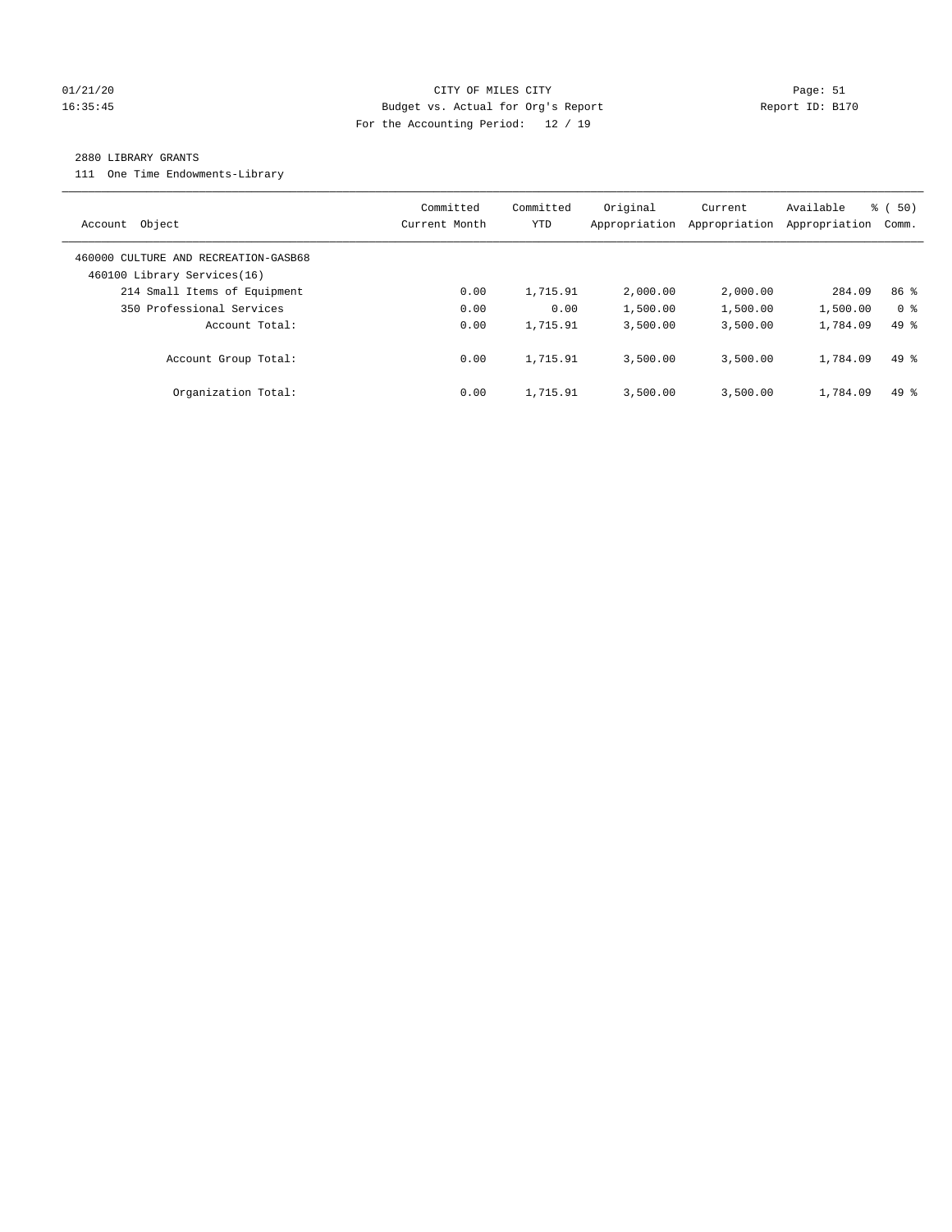# 01/21/20 Page: 51 16:35:45 Budget vs. Actual for Org's Report Report ID: B170 For the Accounting Period: 12 / 19

#### 2880 LIBRARY GRANTS

111 One Time Endowments-Library

| Object<br>Account                                                   | Committed<br>Current Month | Committed<br><b>YTD</b> | Original<br>Appropriation | Current<br>Appropriation | Available<br>Appropriation | % ( 50)<br>Comm. |
|---------------------------------------------------------------------|----------------------------|-------------------------|---------------------------|--------------------------|----------------------------|------------------|
| 460000 CULTURE AND RECREATION-GASB68<br>460100 Library Services(16) |                            |                         |                           |                          |                            |                  |
| 214 Small Items of Equipment                                        | 0.00                       | 1,715.91                | 2,000.00                  | 2,000.00                 | 284.09                     | 86 <sup>8</sup>  |
| 350 Professional Services                                           | 0.00                       | 0.00                    | 1,500.00                  | 1,500.00                 | 1,500.00                   | 0 <sup>8</sup>   |
| Account Total:                                                      | 0.00                       | 1,715.91                | 3,500.00                  | 3,500.00                 | 1,784.09                   | $49*$            |
| Account Group Total:                                                | 0.00                       | 1,715.91                | 3.500.00                  | 3.500.00                 | 1,784.09                   | $49*$            |
| Organization Total:                                                 | 0.00                       | 1,715.91                | 3.500.00                  | 3,500.00                 | 1,784.09                   | $49*$            |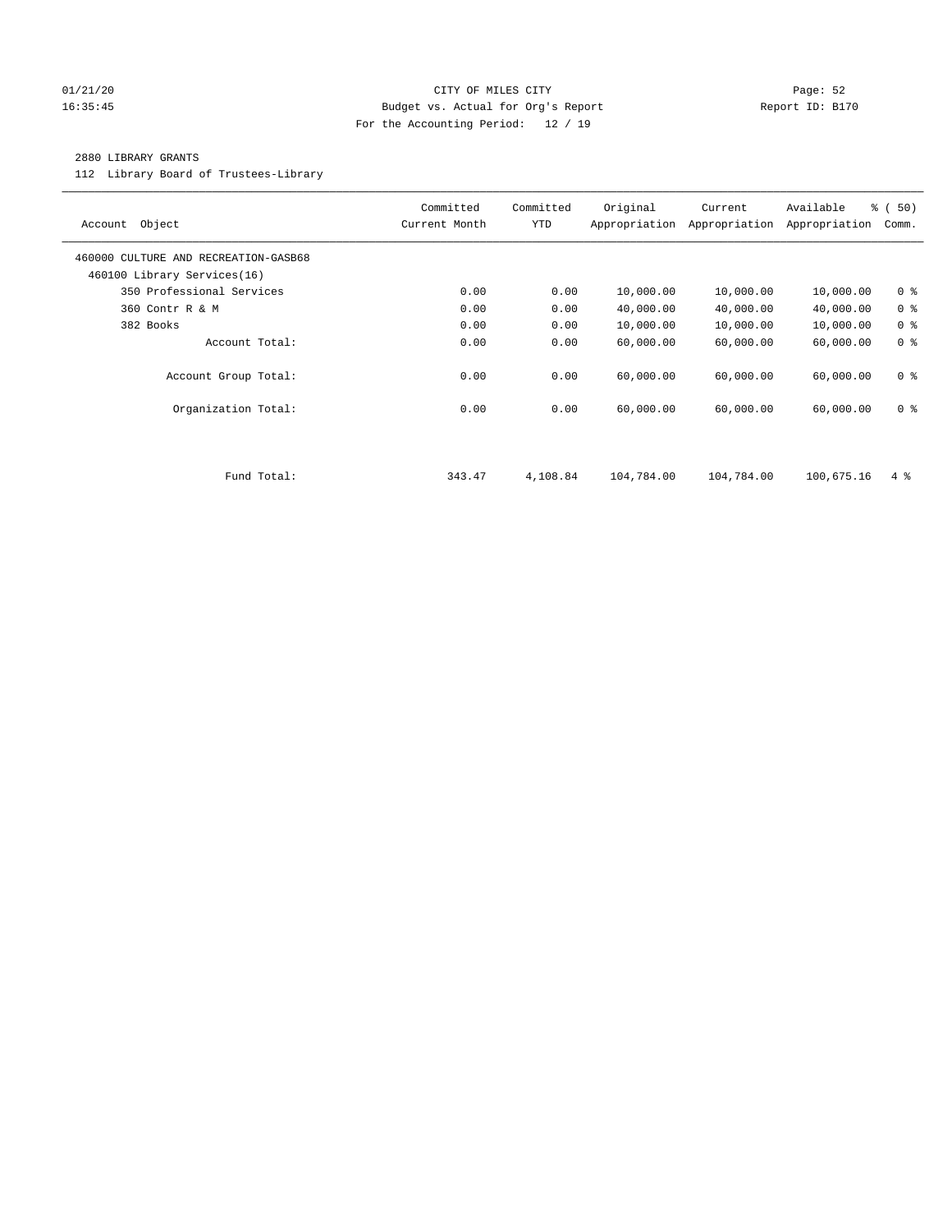# 01/21/20 Page: 52 16:35:45 Budget vs. Actual for Org's Report Report ID: B170 For the Accounting Period: 12 / 19

# 2880 LIBRARY GRANTS

112 Library Board of Trustees-Library

| Object<br>Account                                                   | Committed<br>Current Month | Committed<br><b>YTD</b> | Original<br>Appropriation | Current<br>Appropriation | Available<br>Appropriation | % (50)<br>Comm. |
|---------------------------------------------------------------------|----------------------------|-------------------------|---------------------------|--------------------------|----------------------------|-----------------|
| 460000 CULTURE AND RECREATION-GASB68<br>460100 Library Services(16) |                            |                         |                           |                          |                            |                 |
| 350 Professional Services                                           | 0.00                       | 0.00                    | 10,000.00                 | 10,000.00                | 10,000.00                  | 0 <sup>8</sup>  |
| 360 Contr R & M                                                     | 0.00                       | 0.00                    | 40,000.00                 | 40,000.00                | 40,000.00                  | 0 <sup>8</sup>  |
| 382 Books                                                           | 0.00                       | 0.00                    | 10,000.00                 | 10,000.00                | 10,000.00                  | 0 <sup>8</sup>  |
| Account Total:                                                      | 0.00                       | 0.00                    | 60,000.00                 | 60,000.00                | 60,000.00                  | 0 <sup>8</sup>  |
| Account Group Total:                                                | 0.00                       | 0.00                    | 60,000.00                 | 60,000.00                | 60,000.00                  | 0 <sub>8</sub>  |
| Organization Total:                                                 | 0.00                       | 0.00                    | 60,000.00                 | 60,000.00                | 60,000.00                  | 0 <sup>8</sup>  |
|                                                                     |                            |                         |                           |                          |                            |                 |
| Fund Total:                                                         | 343.47                     | 4,108.84                | 104,784.00                | 104,784.00               | 100,675.16                 | $4\degree$      |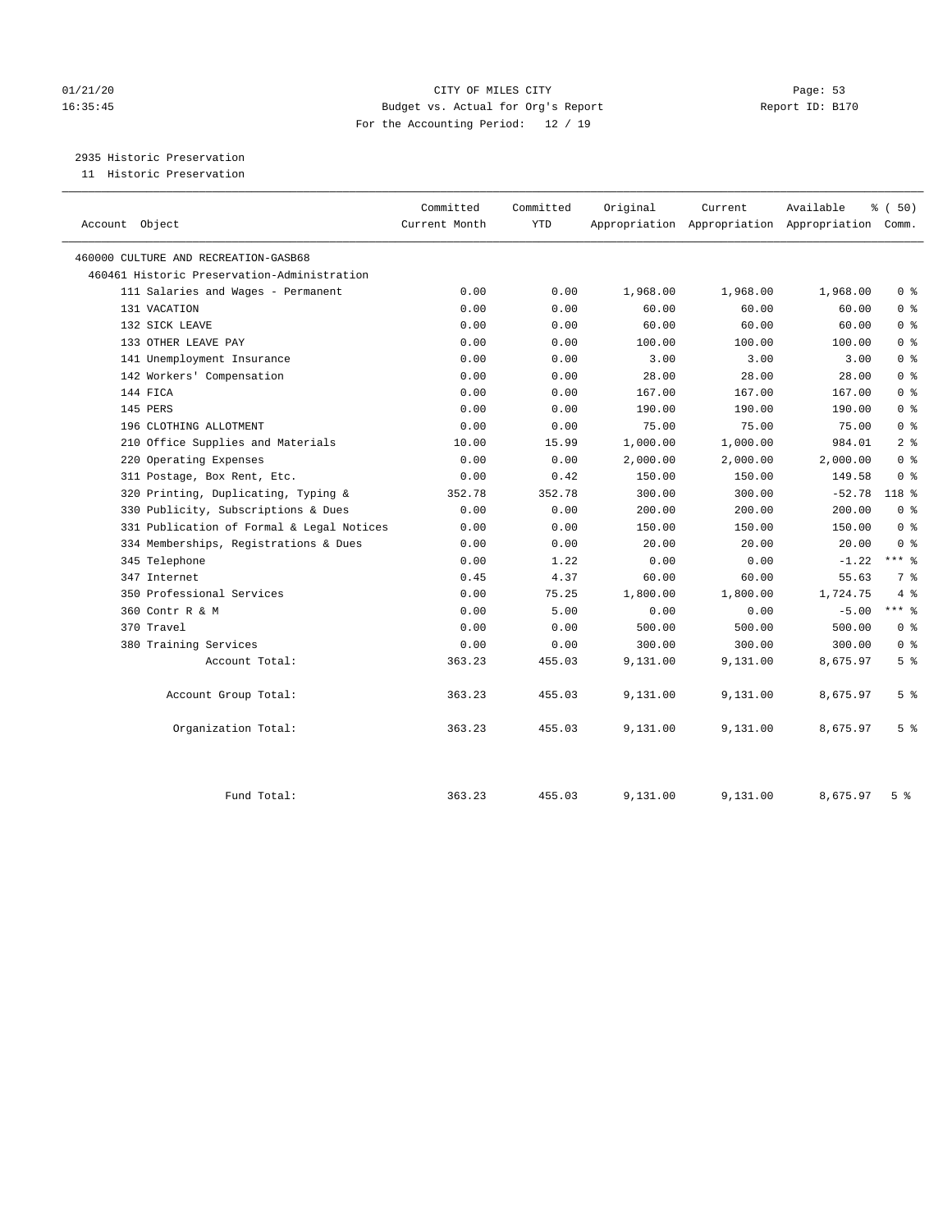# 01/21/20 Page: 53 16:35:45 Budget vs. Actual for Org's Report Report ID: B170 For the Accounting Period: 12 / 19

2935 Historic Preservation

11 Historic Preservation

| Account Object                              | Committed<br>Current Month | Committed<br><b>YTD</b> | Original | Current  | Available<br>Appropriation Appropriation Appropriation Comm. | % (50)         |
|---------------------------------------------|----------------------------|-------------------------|----------|----------|--------------------------------------------------------------|----------------|
| 460000 CULTURE AND RECREATION-GASB68        |                            |                         |          |          |                                                              |                |
| 460461 Historic Preservation-Administration |                            |                         |          |          |                                                              |                |
| 111 Salaries and Wages - Permanent          | 0.00                       | 0.00                    | 1,968.00 | 1,968.00 | 1,968.00                                                     | 0 <sup>8</sup> |
| 131 VACATION                                | 0.00                       | 0.00                    | 60.00    | 60.00    | 60.00                                                        | 0 <sup>8</sup> |
| 132 SICK LEAVE                              | 0.00                       | 0.00                    | 60.00    | 60.00    | 60.00                                                        | 0 <sup>8</sup> |
| 133 OTHER LEAVE PAY                         | 0.00                       | 0.00                    | 100.00   | 100.00   | 100.00                                                       | 0 <sup>8</sup> |
| 141 Unemployment Insurance                  | 0.00                       | 0.00                    | 3.00     | 3.00     | 3.00                                                         | 0 <sup>8</sup> |
| 142 Workers' Compensation                   | 0.00                       | 0.00                    | 28.00    | 28.00    | 28.00                                                        | 0 <sup>8</sup> |
| 144 FICA                                    | 0.00                       | 0.00                    | 167.00   | 167.00   | 167.00                                                       | 0 <sup>8</sup> |
| 145 PERS                                    | 0.00                       | 0.00                    | 190.00   | 190.00   | 190.00                                                       | 0 <sup>8</sup> |
| 196 CLOTHING ALLOTMENT                      | 0.00                       | 0.00                    | 75.00    | 75.00    | 75.00                                                        | 0 <sup>8</sup> |
| 210 Office Supplies and Materials           | 10.00                      | 15.99                   | 1,000.00 | 1,000.00 | 984.01                                                       | 2 <sup>8</sup> |
| 220 Operating Expenses                      | 0.00                       | 0.00                    | 2,000.00 | 2,000.00 | 2,000.00                                                     | 0 <sup>8</sup> |
| 311 Postage, Box Rent, Etc.                 | 0.00                       | 0.42                    | 150.00   | 150.00   | 149.58                                                       | 0 <sup>8</sup> |
| 320 Printing, Duplicating, Typing &         | 352.78                     | 352.78                  | 300.00   | 300.00   | $-52.78$                                                     | 118 %          |
| 330 Publicity, Subscriptions & Dues         | 0.00                       | 0.00                    | 200.00   | 200.00   | 200.00                                                       | 0 <sup>8</sup> |
| 331 Publication of Formal & Legal Notices   | 0.00                       | 0.00                    | 150.00   | 150.00   | 150.00                                                       | 0 <sup>8</sup> |
| 334 Memberships, Registrations & Dues       | 0.00                       | 0.00                    | 20.00    | 20.00    | 20.00                                                        | 0 <sup>8</sup> |
| 345 Telephone                               | 0.00                       | 1.22                    | 0.00     | 0.00     | $-1.22$                                                      | $***$ $-$      |
| 347 Internet                                | 0.45                       | 4.37                    | 60.00    | 60.00    | 55.63                                                        | 7 %            |
| 350 Professional Services                   | 0.00                       | 75.25                   | 1,800.00 | 1,800.00 | 1,724.75                                                     | 4%             |
| 360 Contr R & M                             | 0.00                       | 5.00                    | 0.00     | 0.00     | $-5.00$                                                      | $***$ $%$      |
| 370 Travel                                  | 0.00                       | 0.00                    | 500.00   | 500.00   | 500.00                                                       | 0 <sup>8</sup> |
| 380 Training Services                       | 0.00                       | 0.00                    | 300.00   | 300.00   | 300.00                                                       | 0 <sup>8</sup> |
| Account Total:                              | 363.23                     | 455.03                  | 9,131.00 | 9,131.00 | 8,675.97                                                     | 5 <sup>8</sup> |
| Account Group Total:                        | 363.23                     | 455.03                  | 9,131.00 | 9,131.00 | 8,675.97                                                     | 5 <sup>°</sup> |
| Organization Total:                         | 363.23                     | 455.03                  | 9,131.00 | 9,131.00 | 8,675.97                                                     | 5 <sup>°</sup> |
| Fund Total:                                 | 363.23                     | 455.03                  | 9,131.00 | 9,131.00 | 8,675.97                                                     | 5 <sup>8</sup> |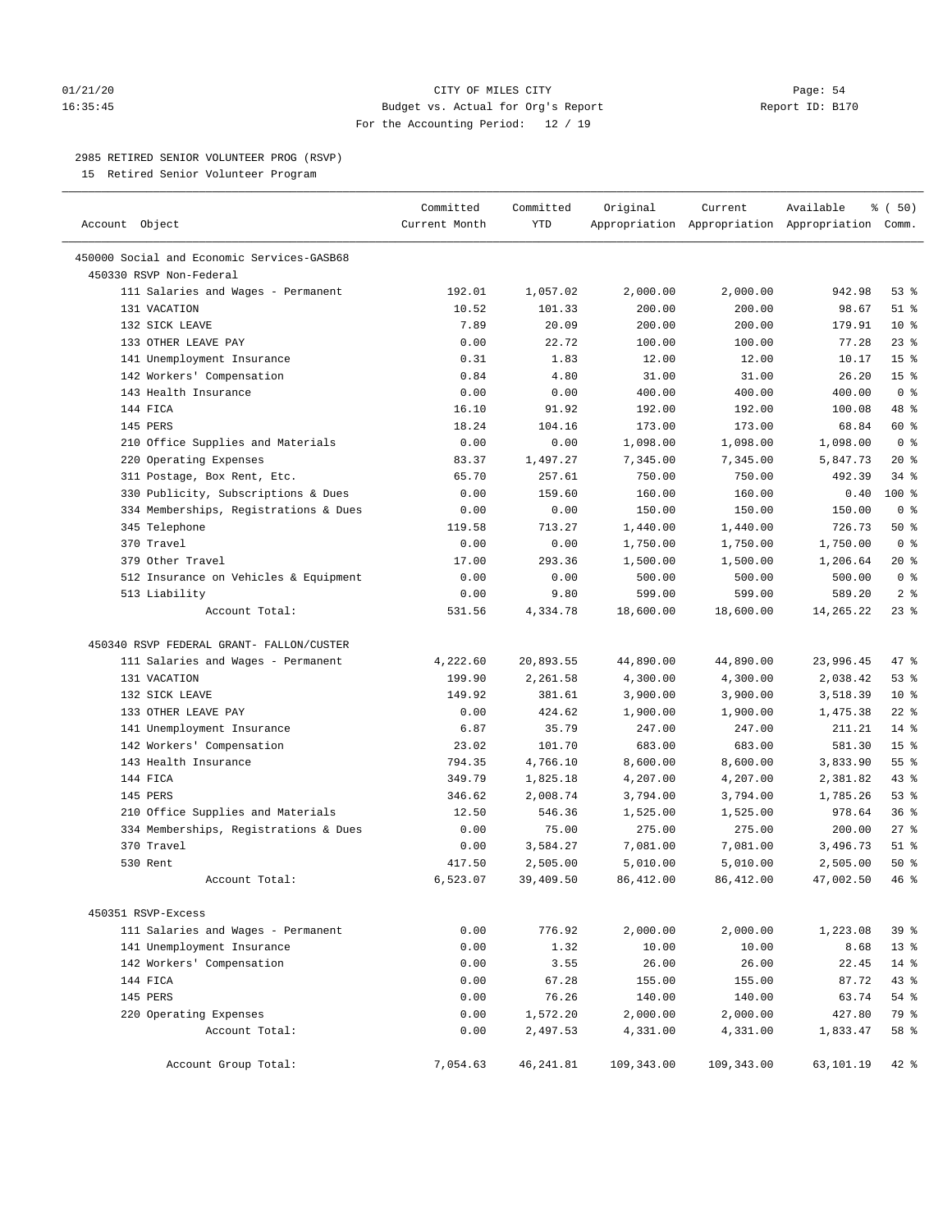# 01/21/20 Page: 54 16:35:45 Budget vs. Actual for Org's Report Report ID: B170 For the Accounting Period: 12 / 19

————————————————————————————————————————————————————————————————————————————————————————————————————————————————————————————————————

# 2985 RETIRED SENIOR VOLUNTEER PROG (RSVP)

15 Retired Senior Volunteer Program

|                                            | Committed     | Committed  | Original   | Current    | Available                                       | % ( 50)         |
|--------------------------------------------|---------------|------------|------------|------------|-------------------------------------------------|-----------------|
| Account Object                             | Current Month | <b>YTD</b> |            |            | Appropriation Appropriation Appropriation Comm. |                 |
| 450000 Social and Economic Services-GASB68 |               |            |            |            |                                                 |                 |
| 450330 RSVP Non-Federal                    |               |            |            |            |                                                 |                 |
| 111 Salaries and Wages - Permanent         | 192.01        | 1,057.02   | 2,000.00   | 2,000.00   | 942.98                                          | 53%             |
| 131 VACATION                               | 10.52         | 101.33     | 200.00     | 200.00     | 98.67                                           | $51$ %          |
| 132 SICK LEAVE                             | 7.89          | 20.09      | 200.00     | 200.00     | 179.91                                          | $10*$           |
| 133 OTHER LEAVE PAY                        | 0.00          | 22.72      | 100.00     | 100.00     | 77.28                                           | $23$ %          |
| 141 Unemployment Insurance                 | 0.31          | 1.83       | 12.00      | 12.00      | 10.17                                           | 15 <sup>°</sup> |
| 142 Workers' Compensation                  | 0.84          | 4.80       | 31.00      | 31.00      | 26.20                                           | 15 <sup>°</sup> |
| 143 Health Insurance                       | 0.00          | 0.00       | 400.00     | 400.00     | 400.00                                          | 0 <sup>8</sup>  |
| 144 FICA                                   | 16.10         | 91.92      | 192.00     | 192.00     | 100.08                                          | 48 %            |
| 145 PERS                                   | 18.24         | 104.16     | 173.00     | 173.00     | 68.84                                           | 60 %            |
| 210 Office Supplies and Materials          | 0.00          | 0.00       | 1,098.00   | 1,098.00   | 1,098.00                                        | 0 <sup>8</sup>  |
| 220 Operating Expenses                     | 83.37         | 1,497.27   | 7,345.00   | 7,345.00   | 5,847.73                                        | $20*$           |
| 311 Postage, Box Rent, Etc.                | 65.70         | 257.61     | 750.00     | 750.00     | 492.39                                          | $34$ $%$        |
| 330 Publicity, Subscriptions & Dues        | 0.00          | 159.60     | 160.00     | 160.00     | 0.40                                            | 100 %           |
| 334 Memberships, Registrations & Dues      | 0.00          | 0.00       | 150.00     | 150.00     | 150.00                                          | 0 <sup>8</sup>  |
| 345 Telephone                              | 119.58        | 713.27     | 1,440.00   | 1,440.00   | 726.73                                          | 50%             |
| 370 Travel                                 | 0.00          | 0.00       | 1,750.00   | 1,750.00   | 1,750.00                                        | 0 <sup>8</sup>  |
| 379 Other Travel                           | 17.00         | 293.36     | 1,500.00   | 1,500.00   | 1,206.64                                        | $20*$           |
| 512 Insurance on Vehicles & Equipment      | 0.00          | 0.00       | 500.00     | 500.00     | 500.00                                          | 0 <sup>8</sup>  |
| 513 Liability                              | 0.00          | 9.80       | 599.00     | 599.00     | 589.20                                          | 2 <sup>°</sup>  |
| Account Total:                             | 531.56        | 4,334.78   | 18,600.00  | 18,600.00  | 14,265.22                                       | $23$ %          |
| 450340 RSVP FEDERAL GRANT- FALLON/CUSTER   |               |            |            |            |                                                 |                 |
| 111 Salaries and Wages - Permanent         | 4,222.60      | 20,893.55  | 44,890.00  | 44,890.00  | 23,996.45                                       | 47 %            |
| 131 VACATION                               | 199.90        | 2,261.58   | 4,300.00   | 4,300.00   | 2,038.42                                        | 53%             |
| 132 SICK LEAVE                             | 149.92        | 381.61     | 3,900.00   | 3,900.00   | 3,518.39                                        | $10*$           |
| 133 OTHER LEAVE PAY                        | 0.00          | 424.62     | 1,900.00   | 1,900.00   | 1,475.38                                        | $22$ %          |
| 141 Unemployment Insurance                 | 6.87          | 35.79      | 247.00     | 247.00     | 211.21                                          | $14*$           |
| 142 Workers' Compensation                  | 23.02         | 101.70     | 683.00     | 683.00     | 581.30                                          | 15 <sup>°</sup> |
| 143 Health Insurance                       | 794.35        | 4,766.10   | 8,600.00   | 8,600.00   | 3,833.90                                        | 55%             |
| 144 FICA                                   | 349.79        | 1,825.18   | 4,207.00   | 4,207.00   | 2,381.82                                        | $43$ %          |
| 145 PERS                                   | 346.62        | 2,008.74   | 3,794.00   | 3,794.00   | 1,785.26                                        | 53%             |
| 210 Office Supplies and Materials          | 12.50         | 546.36     | 1,525.00   | 1,525.00   | 978.64                                          | 36%             |
| 334 Memberships, Registrations & Dues      | 0.00          | 75.00      | 275.00     | 275.00     | 200.00                                          | 27%             |
| 370 Travel                                 | 0.00          | 3,584.27   | 7,081.00   | 7,081.00   | 3,496.73                                        | $51$ %          |
| 530 Rent                                   | 417.50        | 2,505.00   | 5,010.00   | 5,010.00   | 2,505.00                                        | 50%             |
| Account Total:                             | 6,523.07      | 39,409.50  | 86,412.00  | 86, 412.00 | 47,002.50                                       | 46%             |
| 450351 RSVP-Excess                         |               |            |            |            |                                                 |                 |
| 111 Salaries and Wages - Permanent         | 0.00          | 776.92     | 2,000.00   | 2,000.00   | 1,223.08                                        | 39 %            |
| 141 Unemployment Insurance                 | 0.00          | 1.32       | 10.00      | 10.00      | 8.68                                            | 13 <sup>°</sup> |
| 142 Workers' Compensation                  | 0.00          | 3.55       | 26.00      | 26.00      | 22.45                                           | $14$ %          |
| 144 FICA                                   | 0.00          | 67.28      | 155.00     | 155.00     | 87.72                                           | 43 %            |
| 145 PERS                                   | 0.00          | 76.26      | 140.00     | 140.00     | 63.74                                           | 54 %            |
| 220 Operating Expenses                     | 0.00          | 1,572.20   | 2,000.00   | 2,000.00   | 427.80                                          | 79 %            |
| Account Total:                             | 0.00          | 2,497.53   | 4,331.00   | 4,331.00   | 1,833.47                                        | 58 %            |
| Account Group Total:                       | 7,054.63      | 46,241.81  | 109,343.00 | 109,343.00 | 63,101.19                                       | $42$ %          |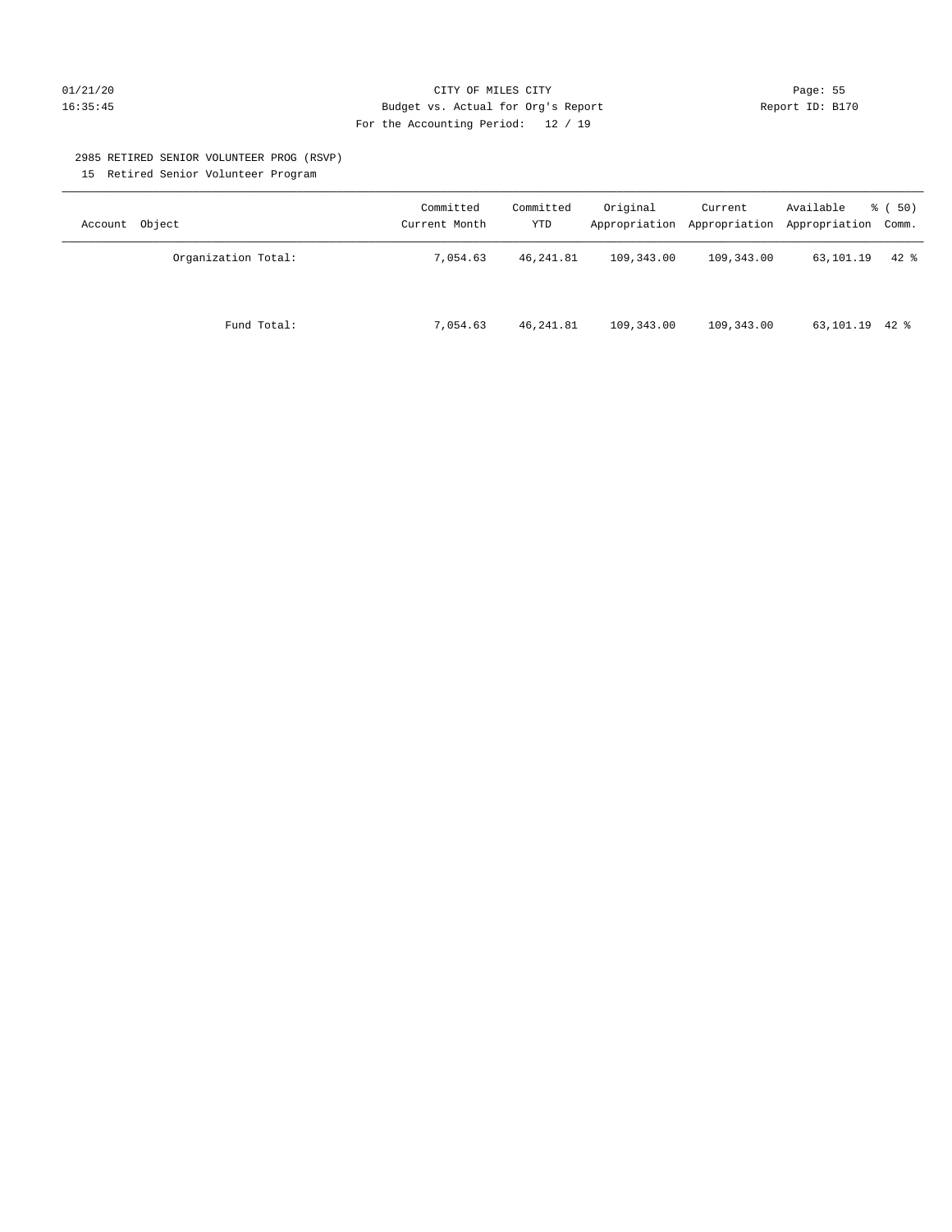# 01/21/20 Page: 55 16:35:45 Budget vs. Actual for Org's Report Report ID: B170 For the Accounting Period: 12 / 19

#### 2985 RETIRED SENIOR VOLUNTEER PROG (RSVP)

15 Retired Senior Volunteer Program

| Account Object      | Committed<br>Current Month | Committed<br>YTD | Original   | Current    | Available<br>Appropriation Appropriation Appropriation Comm. | 8 ( 50)  |
|---------------------|----------------------------|------------------|------------|------------|--------------------------------------------------------------|----------|
| Organization Total: | 7.054.63                   | 46, 241.81       | 109,343.00 | 109,343.00 | 63,101.19                                                    | $42$ $%$ |
| Fund Total:         | 7,054.63                   | 46,241.81        | 109,343.00 | 109,343.00 | 63,101.19 42 %                                               |          |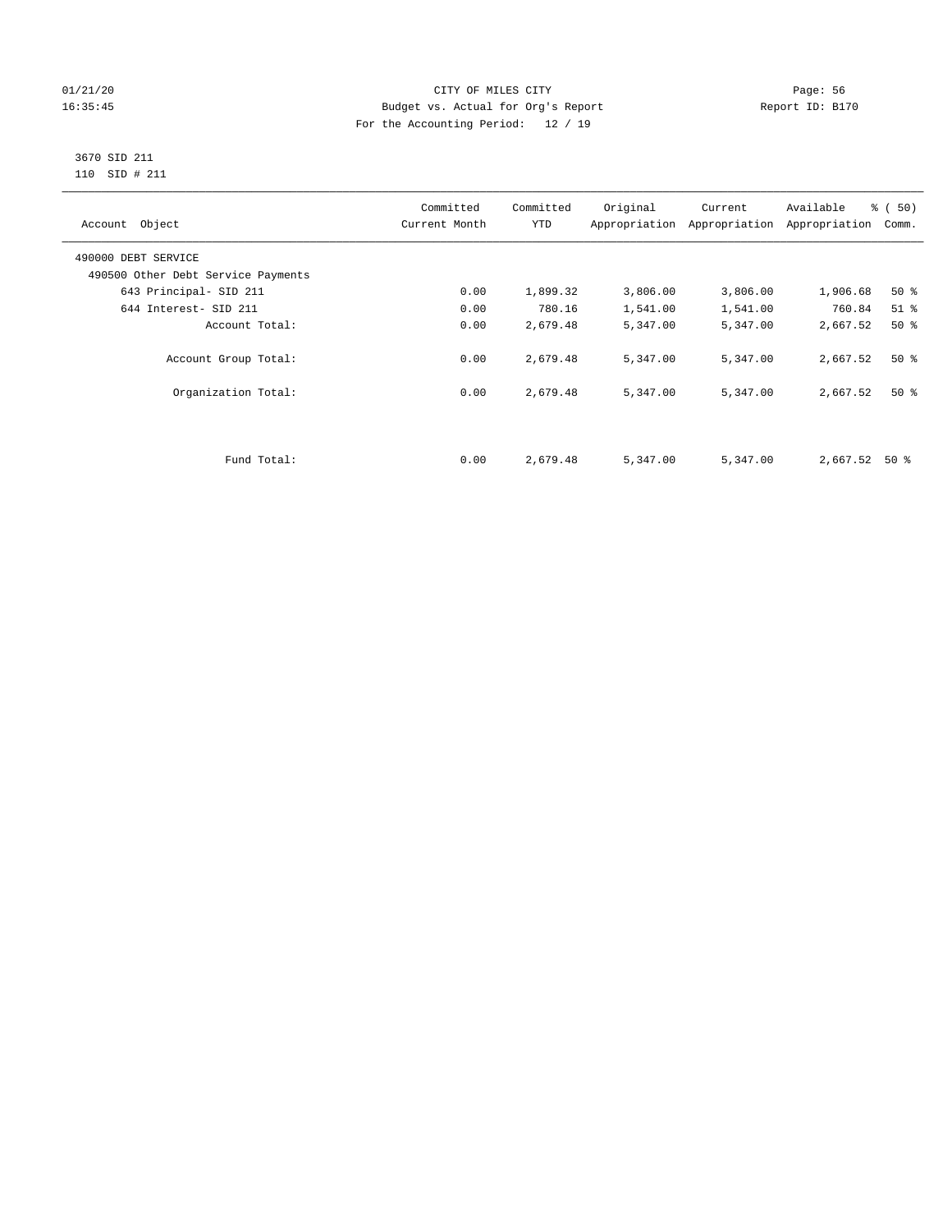# 01/21/20 Page: 56 16:35:45 Budget vs. Actual for Org's Report Report ID: B170 For the Accounting Period: 12 / 19

#### 3670 SID 211 110 SID # 211

| Account Object                     | Committed<br>Current Month | Committed<br><b>YTD</b> | Original | Current<br>Appropriation Appropriation | Available<br>Appropriation | % (50)<br>Comm. |
|------------------------------------|----------------------------|-------------------------|----------|----------------------------------------|----------------------------|-----------------|
| 490000 DEBT SERVICE                |                            |                         |          |                                        |                            |                 |
| 490500 Other Debt Service Payments |                            |                         |          |                                        |                            |                 |
| 643 Principal- SID 211             | 0.00                       | 1,899.32                | 3,806.00 | 3,806.00                               | 1,906.68                   | $50*$           |
| 644 Interest- SID 211              | 0.00                       | 780.16                  | 1,541.00 | 1,541.00                               | 760.84                     | $51$ %          |
| Account Total:                     | 0.00                       | 2,679.48                | 5,347.00 | 5,347.00                               | 2,667.52                   | 50%             |
| Account Group Total:               | 0.00                       | 2,679.48                | 5,347.00 | 5,347.00                               | 2,667.52                   | $50*$           |
| Organization Total:                | 0.00                       | 2,679.48                | 5,347.00 | 5,347.00                               | 2,667.52                   | $50*$           |
|                                    |                            |                         |          |                                        |                            |                 |
| Fund Total:                        | 0.00                       | 2,679.48                | 5,347.00 | 5,347.00                               | 2,667.52                   | 50 %            |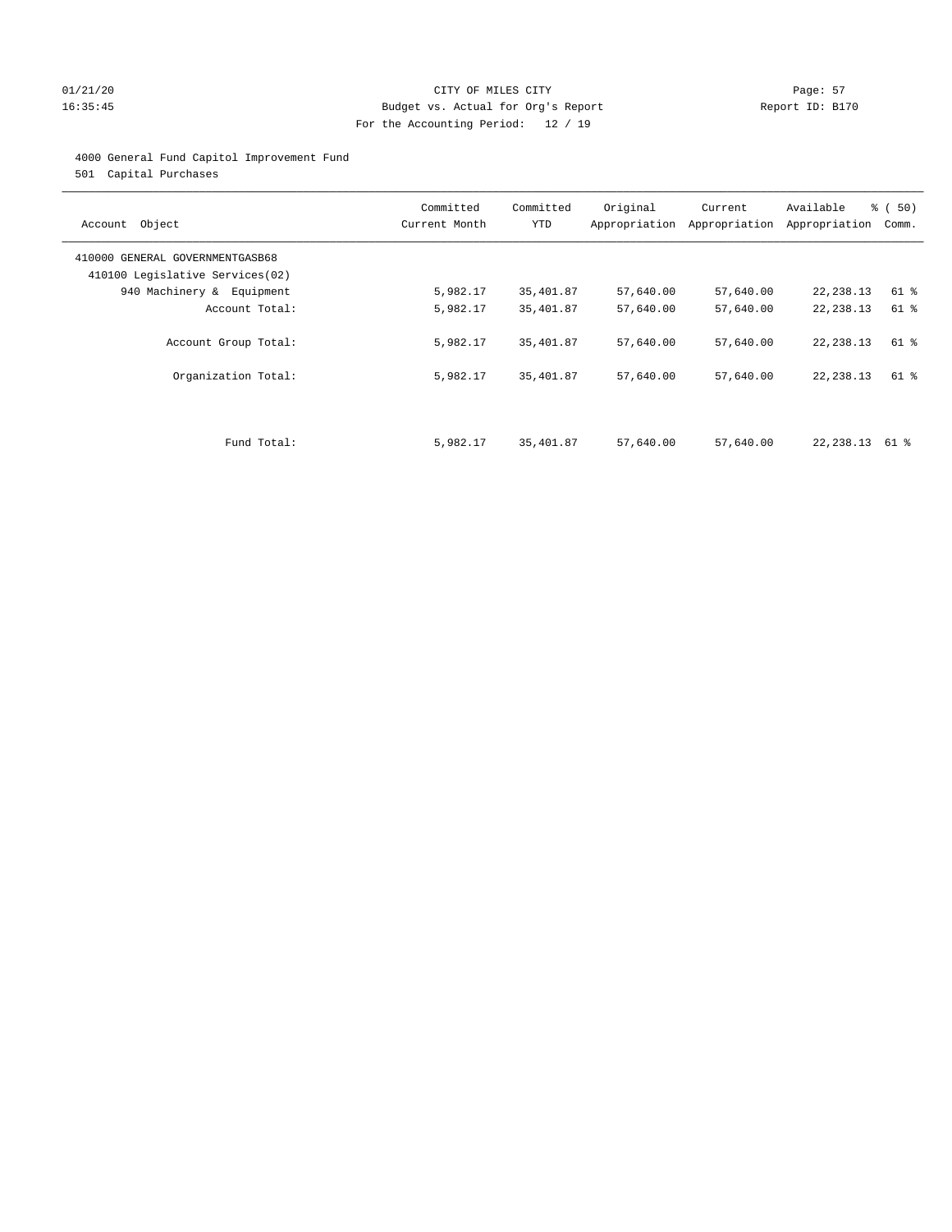# 01/21/20 Page: 57 16:35:45 Budget vs. Actual for Org's Report Report ID: B170 For the Accounting Period: 12 / 19

# 4000 General Fund Capitol Improvement Fund

501 Capital Purchases

| Account Object                                                     | Committed<br>Current Month | Committed<br><b>YTD</b> | Original  | Current<br>Appropriation Appropriation | Available<br>Appropriation | % (50)<br>Comm. |
|--------------------------------------------------------------------|----------------------------|-------------------------|-----------|----------------------------------------|----------------------------|-----------------|
| 410000 GENERAL GOVERNMENTGASB68<br>410100 Legislative Services(02) |                            |                         |           |                                        |                            |                 |
| 940 Machinery & Equipment                                          | 5,982.17                   | 35,401.87               | 57,640.00 | 57,640.00                              | 22, 238.13                 | 61 %            |
| Account Total:                                                     | 5,982.17                   | 35,401.87               | 57,640.00 | 57,640.00                              | 22, 238.13                 | 61 %            |
| Account Group Total:                                               | 5,982.17                   | 35,401.87               | 57,640.00 | 57,640.00                              | 22, 238.13                 | 61 %            |
| Organization Total:                                                | 5,982.17                   | 35,401.87               | 57,640.00 | 57,640.00                              | 22, 238.13                 | 61 %            |
|                                                                    |                            |                         |           |                                        |                            |                 |
| Fund Total:                                                        | 5,982.17                   | 35,401.87               | 57,640.00 | 57,640.00                              | 22,238.13                  | 61 %            |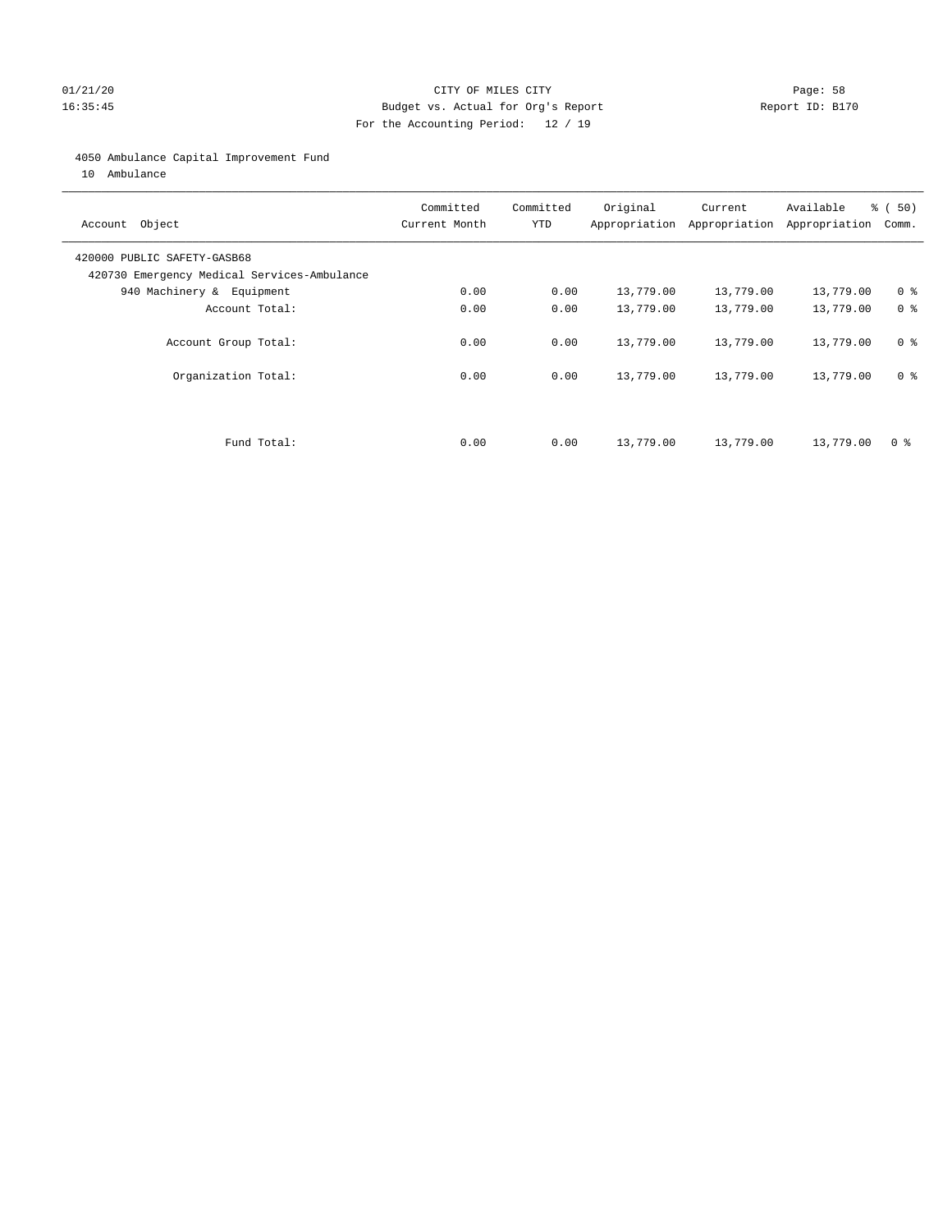# 01/21/20 Page: 58 16:35:45 Budget vs. Actual for Org's Report Report ID: B170 For the Accounting Period: 12 / 19

# 4050 Ambulance Capital Improvement Fund

10 Ambulance

| Account Object                                                             | Committed<br>Current Month | Committed<br><b>YTD</b> | Original  | Current<br>Appropriation Appropriation | Available<br>Appropriation | % (50)<br>Comm. |
|----------------------------------------------------------------------------|----------------------------|-------------------------|-----------|----------------------------------------|----------------------------|-----------------|
| 420000 PUBLIC SAFETY-GASB68<br>420730 Emergency Medical Services-Ambulance |                            |                         |           |                                        |                            |                 |
| 940 Machinery & Equipment                                                  | 0.00                       | 0.00                    | 13,779.00 | 13,779.00                              | 13,779.00                  | 0 <sup>8</sup>  |
| Account Total:                                                             | 0.00                       | 0.00                    | 13,779.00 | 13,779.00                              | 13,779.00                  | 0 <sup>8</sup>  |
| Account Group Total:                                                       | 0.00                       | 0.00                    | 13,779.00 | 13,779.00                              | 13,779.00                  | 0 <sup>8</sup>  |
| Organization Total:                                                        | 0.00                       | 0.00                    | 13,779.00 | 13,779.00                              | 13,779.00                  | 0 <sup>8</sup>  |
|                                                                            |                            |                         |           |                                        |                            |                 |
| Fund Total:                                                                | 0.00                       | 0.00                    | 13,779.00 | 13,779.00                              | 13,779.00                  | 0 %             |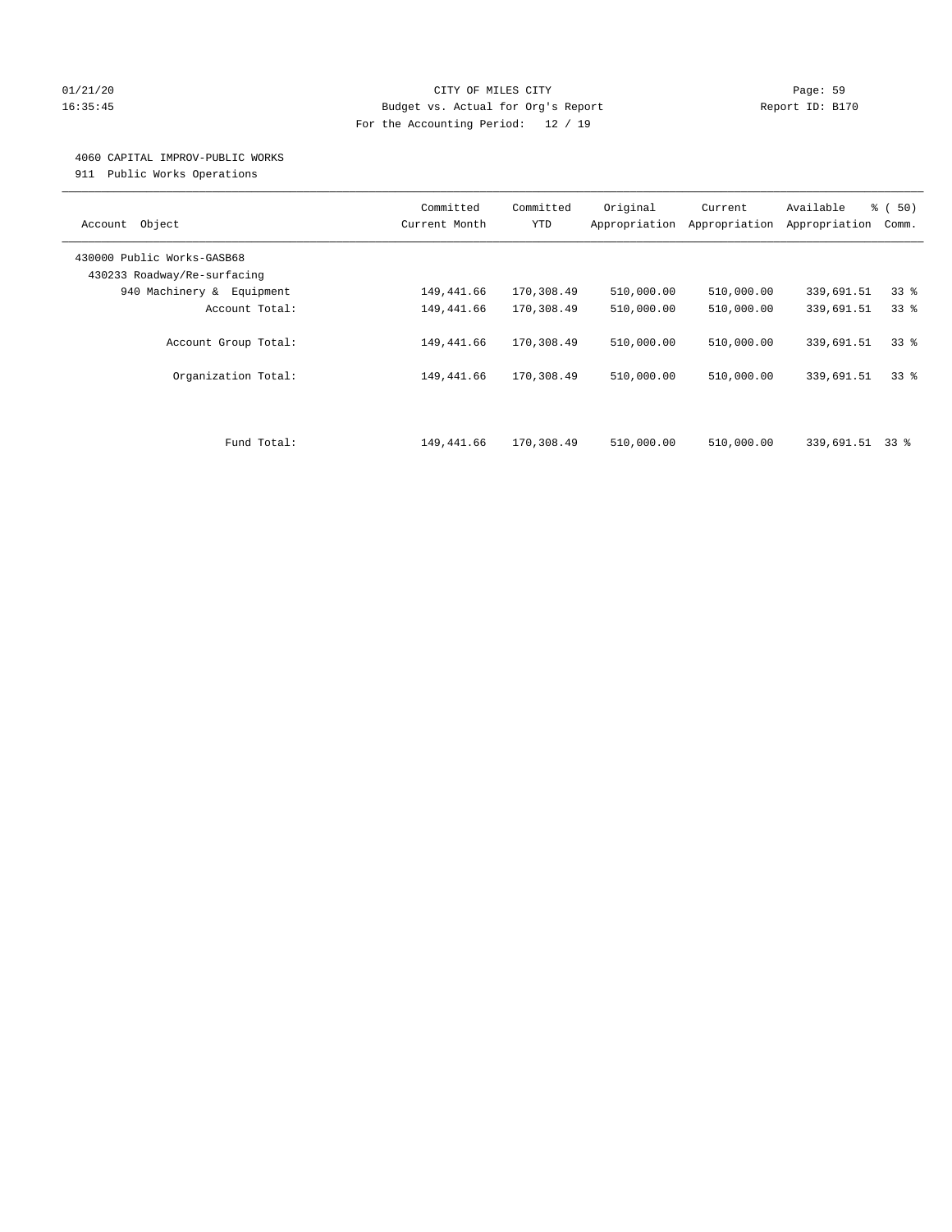# 01/21/20 Page: 59 16:35:45 Budget vs. Actual for Org's Report Report ID: B170 For the Accounting Period: 12 / 19

# 4060 CAPITAL IMPROV-PUBLIC WORKS

911 Public Works Operations

| Object<br>Account                                         | Committed<br>Current Month | Committed<br><b>YTD</b> | Original<br>Appropriation | Current<br>Appropriation | Available<br>Appropriation | % (50)<br>Comm. |
|-----------------------------------------------------------|----------------------------|-------------------------|---------------------------|--------------------------|----------------------------|-----------------|
| 430000 Public Works-GASB68<br>430233 Roadway/Re-surfacing |                            |                         |                           |                          |                            |                 |
| 940 Machinery &<br>Equipment                              | 149,441.66                 | 170,308.49              | 510,000.00                | 510,000.00               | 339,691.51                 | 33 <sup>8</sup> |
| Account Total:                                            | 149,441.66                 | 170,308.49              | 510,000.00                | 510,000.00               | 339,691.51                 | 338             |
| Account Group Total:                                      | 149,441.66                 | 170,308.49              | 510,000.00                | 510,000.00               | 339,691.51                 | 338             |
| Organization Total:                                       | 149,441.66                 | 170,308.49              | 510,000.00                | 510,000.00               | 339,691.51                 | 338             |
|                                                           |                            |                         |                           |                          |                            |                 |
| Fund Total:                                               | 149,441.66                 | 170,308.49              | 510,000.00                | 510,000.00               | 339,691.51                 | 33 %            |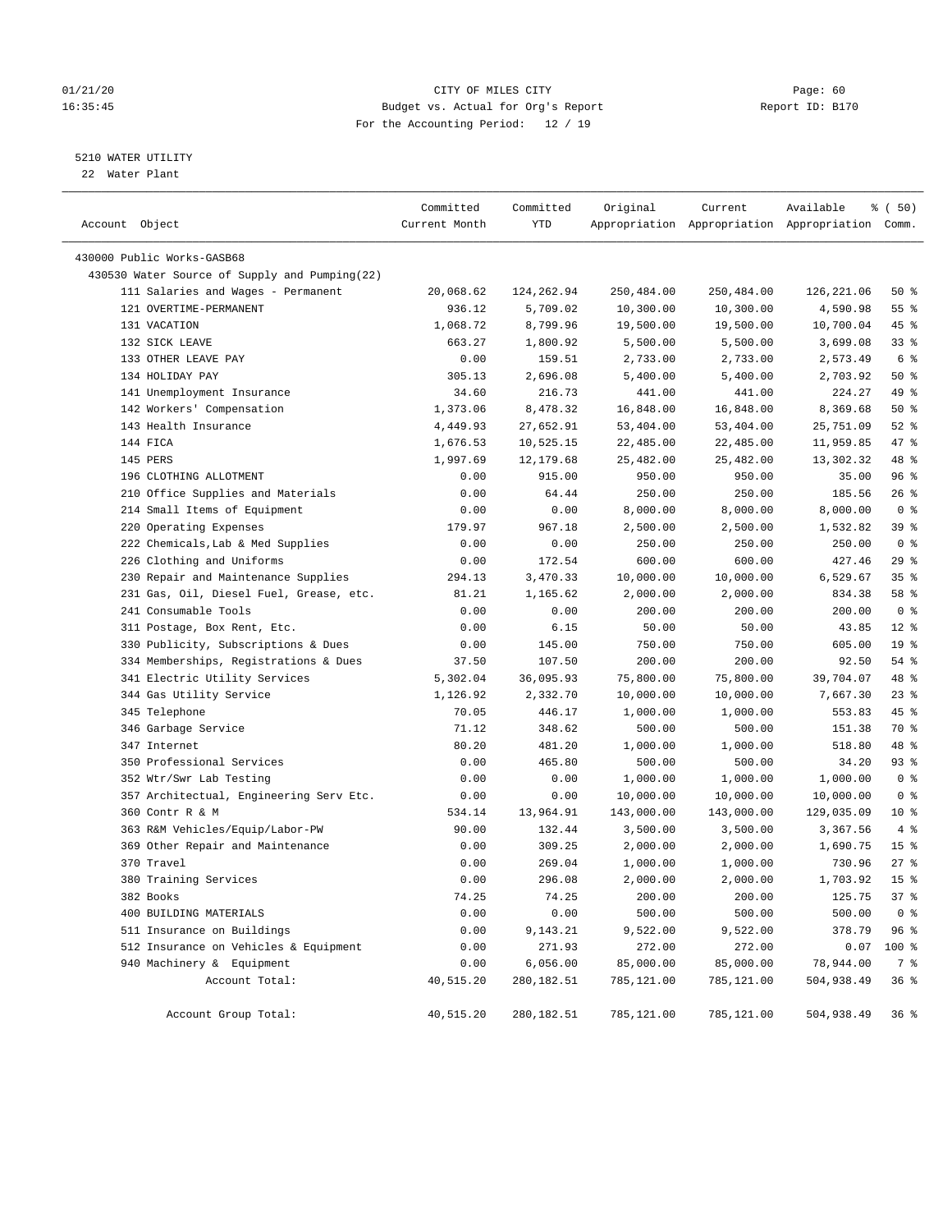# 01/21/20 Page: 60 16:35:45 Budget vs. Actual for Org's Report Report ID: B170 For the Accounting Period: 12 / 19

————————————————————————————————————————————————————————————————————————————————————————————————————————————————————————————————————

# 5210 WATER UTILITY

22 Water Plant

| Account Object |                                               | Committed<br>Current Month | Committed<br>YTD | Original   | Current    | Available<br>Appropriation Appropriation Appropriation Comm. | 8 ( 50)         |  |
|----------------|-----------------------------------------------|----------------------------|------------------|------------|------------|--------------------------------------------------------------|-----------------|--|
|                | 430000 Public Works-GASB68                    |                            |                  |            |            |                                                              |                 |  |
|                | 430530 Water Source of Supply and Pumping(22) |                            |                  |            |            |                                                              |                 |  |
|                | 111 Salaries and Wages - Permanent            | 20,068.62                  | 124,262.94       | 250,484.00 | 250,484.00 | 126,221.06                                                   | 50%             |  |
|                | 121 OVERTIME-PERMANENT                        | 936.12                     | 5,709.02         | 10,300.00  | 10,300.00  | 4,590.98                                                     | 55 %            |  |
|                | 131 VACATION                                  | 1,068.72                   | 8,799.96         | 19,500.00  | 19,500.00  | 10,700.04                                                    | 45 %            |  |
|                | 132 SICK LEAVE                                | 663.27                     | 1,800.92         | 5,500.00   | 5,500.00   | 3,699.08                                                     | 33%             |  |
|                | 133 OTHER LEAVE PAY                           | 0.00                       | 159.51           | 2,733.00   | 2,733.00   | 2,573.49                                                     | 6 %             |  |
|                | 134 HOLIDAY PAY                               | 305.13                     | 2,696.08         | 5,400.00   | 5,400.00   | 2,703.92                                                     | 50%             |  |
|                | 141 Unemployment Insurance                    | 34.60                      | 216.73           | 441.00     | 441.00     | 224.27                                                       | 49 %            |  |
|                | 142 Workers' Compensation                     | 1,373.06                   | 8,478.32         | 16,848.00  | 16,848.00  | 8,369.68                                                     | 50%             |  |
|                | 143 Health Insurance                          | 4,449.93                   | 27,652.91        | 53,404.00  | 53,404.00  | 25,751.09                                                    | $52$ $%$        |  |
|                | 144 FICA                                      | 1,676.53                   | 10,525.15        | 22,485.00  | 22,485.00  | 11,959.85                                                    | 47 %            |  |
|                | 145 PERS                                      | 1,997.69                   | 12,179.68        | 25,482.00  | 25,482.00  | 13,302.32                                                    | 48 %            |  |
|                | 196 CLOTHING ALLOTMENT                        | 0.00                       | 915.00           | 950.00     | 950.00     | 35.00                                                        | 96%             |  |
|                | 210 Office Supplies and Materials             | 0.00                       | 64.44            | 250.00     | 250.00     | 185.56                                                       | $26$ %          |  |
|                | 214 Small Items of Equipment                  | 0.00                       | 0.00             | 8,000.00   | 8,000.00   | 8,000.00                                                     | 0 <sup>8</sup>  |  |
|                | 220 Operating Expenses                        | 179.97                     | 967.18           | 2,500.00   | 2,500.00   | 1,532.82                                                     | 39%             |  |
|                | 222 Chemicals, Lab & Med Supplies             | 0.00                       | 0.00             | 250.00     | 250.00     | 250.00                                                       | 0 <sup>8</sup>  |  |
|                | 226 Clothing and Uniforms                     | 0.00                       | 172.54           | 600.00     | 600.00     | 427.46                                                       | 29%             |  |
|                | 230 Repair and Maintenance Supplies           | 294.13                     | 3,470.33         | 10,000.00  | 10,000.00  | 6,529.67                                                     | 35%             |  |
|                | 231 Gas, Oil, Diesel Fuel, Grease, etc.       | 81.21                      | 1,165.62         | 2,000.00   | 2,000.00   | 834.38                                                       | 58 %            |  |
|                | 241 Consumable Tools                          | 0.00                       | 0.00             | 200.00     | 200.00     | 200.00                                                       | 0 <sup>8</sup>  |  |
|                | 311 Postage, Box Rent, Etc.                   | 0.00                       | 6.15             | 50.00      | 50.00      | 43.85                                                        | $12*$           |  |
|                | 330 Publicity, Subscriptions & Dues           | 0.00                       | 145.00           | 750.00     | 750.00     | 605.00                                                       | 19 <sup>°</sup> |  |
|                | 334 Memberships, Registrations & Dues         | 37.50                      | 107.50           | 200.00     | 200.00     | 92.50                                                        | $54$ %          |  |
|                | 341 Electric Utility Services                 | 5,302.04                   | 36,095.93        | 75,800.00  | 75,800.00  | 39,704.07                                                    | 48 %            |  |
|                | 344 Gas Utility Service                       | 1,126.92                   | 2,332.70         | 10,000.00  | 10,000.00  | 7,667.30                                                     | $23$ $%$        |  |
|                | 345 Telephone                                 | 70.05                      | 446.17           | 1,000.00   | 1,000.00   | 553.83                                                       | 45 %            |  |
|                | 346 Garbage Service                           | 71.12                      | 348.62           | 500.00     | 500.00     | 151.38                                                       | 70 %            |  |
|                | 347 Internet                                  | 80.20                      | 481.20           | 1,000.00   | 1,000.00   | 518.80                                                       | 48 %            |  |
|                | 350 Professional Services                     | 0.00                       | 465.80           | 500.00     | 500.00     | 34.20                                                        | 93 %            |  |
|                | 352 Wtr/Swr Lab Testing                       | 0.00                       | 0.00             | 1,000.00   | 1,000.00   | 1,000.00                                                     | 0 <sup>8</sup>  |  |
|                | 357 Architectual, Engineering Serv Etc.       | 0.00                       | 0.00             | 10,000.00  | 10,000.00  | 10,000.00                                                    | 0 <sup>8</sup>  |  |
|                | 360 Contr R & M                               | 534.14                     | 13,964.91        | 143,000.00 | 143,000.00 | 129,035.09                                                   | $10*$           |  |
|                | 363 R&M Vehicles/Equip/Labor-PW               | 90.00                      | 132.44           | 3,500.00   | 3,500.00   | 3,367.56                                                     | 4%              |  |
|                | 369 Other Repair and Maintenance              | 0.00                       | 309.25           | 2,000.00   | 2,000.00   | 1,690.75                                                     | 15 <sup>8</sup> |  |
|                | 370 Travel                                    | 0.00                       | 269.04           | 1,000.00   | 1,000.00   | 730.96                                                       | $27$ %          |  |
|                | 380 Training Services                         | 0.00                       | 296.08           | 2,000.00   | 2,000.00   | 1,703.92                                                     | 15 <sup>°</sup> |  |
|                | 382 Books                                     | 74.25                      | 74.25            | 200.00     | 200.00     | 125.75                                                       | 37%             |  |
|                | 400 BUILDING MATERIALS                        | 0.00                       | 0.00             | 500.00     | 500.00     | 500.00                                                       | 0 <sup>8</sup>  |  |
|                | 511 Insurance on Buildings                    | 0.00                       | 9,143.21         | 9,522.00   | 9,522.00   | 378.79                                                       | 96 %            |  |
|                | 512 Insurance on Vehicles & Equipment         | 0.00                       | 271.93           | 272.00     | 272.00     | 0.07                                                         | 100 %           |  |
|                | 940 Machinery & Equipment                     | 0.00                       | 6,056.00         | 85,000.00  | 85,000.00  | 78,944.00                                                    | 7 %             |  |
|                | Account Total:                                | 40,515.20                  | 280,182.51       | 785,121.00 | 785,121.00 | 504,938.49                                                   | 36%             |  |
|                | Account Group Total:                          | 40,515.20                  | 280,182.51       | 785,121.00 | 785,121.00 | 504,938.49                                                   | 36 <sup>8</sup> |  |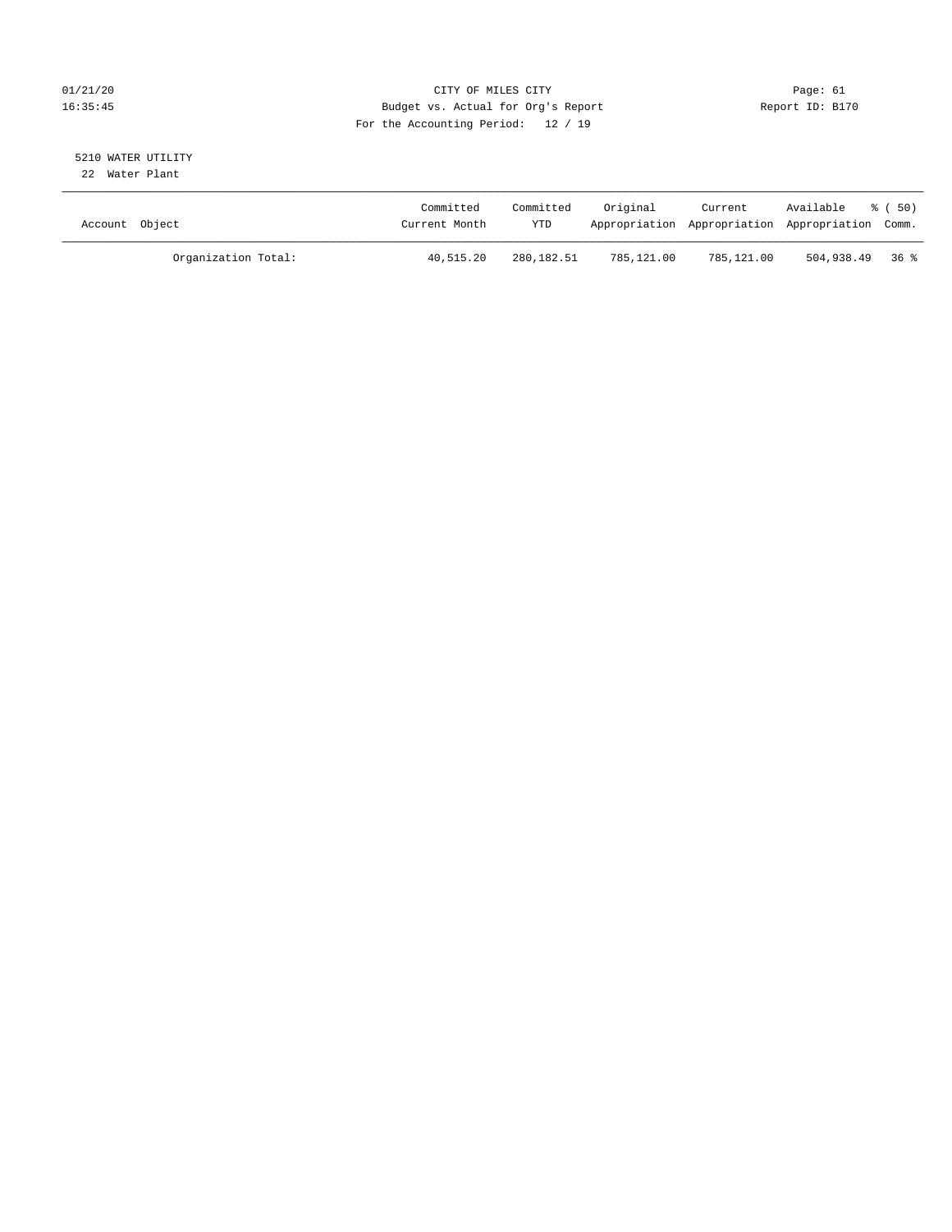# 01/21/20 Page: 61 16:35:45 Budget vs. Actual for Org's Report Report ID: B170 For the Accounting Period: 12 / 19

#### 5210 WATER UTILITY 22 Water Plant

| Account Object |                     | Committed<br>Current Month | Committed<br>YTD | Original   | Current<br>Appropriation Appropriation Appropriation Comm. | Available         | * (50) |
|----------------|---------------------|----------------------------|------------------|------------|------------------------------------------------------------|-------------------|--------|
|                | Organization Total: | 40,515.20                  | 280,182.51       | 785,121.00 | 785,121.00                                                 | $504,938.49$ 36 % |        |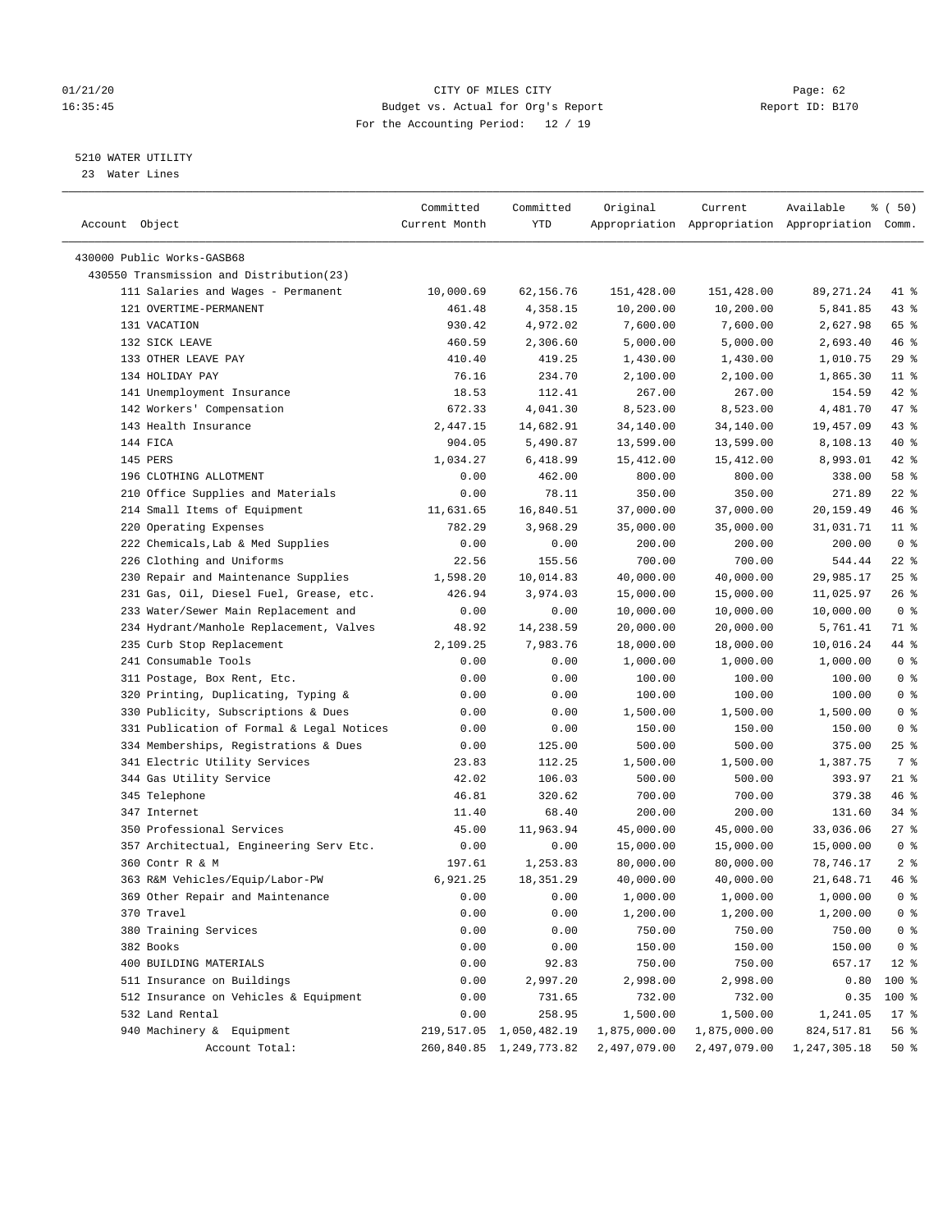# 01/21/20 Page: 62 16:35:45 Budget vs. Actual for Org's Report Report ID: B170 For the Accounting Period: 12 / 19

————————————————————————————————————————————————————————————————————————————————————————————————————————————————————————————————————

# 5210 WATER UTILITY

23 Water Lines

|                                           | Committed     | Committed               | Original     | Current                                         | Available              | % ( 50)        |
|-------------------------------------------|---------------|-------------------------|--------------|-------------------------------------------------|------------------------|----------------|
| Account Object                            | Current Month | YTD                     |              | Appropriation Appropriation Appropriation Comm. |                        |                |
|                                           |               |                         |              |                                                 |                        |                |
| 430000 Public Works-GASB68                |               |                         |              |                                                 |                        |                |
| 430550 Transmission and Distribution(23)  |               |                         |              |                                                 |                        |                |
| 111 Salaries and Wages - Permanent        | 10,000.69     | 62,156.76               | 151,428.00   | 151,428.00                                      | 89, 271.24             | 41 %           |
| 121 OVERTIME-PERMANENT                    | 461.48        | 4,358.15                | 10,200.00    | 10,200.00                                       | 5,841.85               | 43 %           |
| 131 VACATION                              | 930.42        | 4,972.02                | 7,600.00     | 7,600.00                                        | 2,627.98               | 65 %           |
| 132 SICK LEAVE                            | 460.59        | 2,306.60                | 5,000.00     | 5,000.00                                        | 2,693.40               | 46%            |
| 133 OTHER LEAVE PAY                       | 410.40        | 419.25                  | 1,430.00     | 1,430.00                                        | 1,010.75               | 29%            |
| 134 HOLIDAY PAY                           | 76.16         | 234.70                  | 2,100.00     | 2,100.00                                        | 1,865.30               | $11$ %         |
| 141 Unemployment Insurance                | 18.53         | 112.41                  | 267.00       | 267.00                                          | 154.59                 | $42$ %         |
| 142 Workers' Compensation                 | 672.33        | 4,041.30                | 8,523.00     | 8,523.00                                        | 4,481.70               | 47 %           |
| 143 Health Insurance                      | 2,447.15      | 14,682.91               | 34,140.00    | 34,140.00                                       | 19,457.09              | 43 %           |
| 144 FICA                                  | 904.05        | 5,490.87                | 13,599.00    | 13,599.00                                       | 8,108.13               | 40 %           |
| 145 PERS                                  | 1,034.27      | 6,418.99                | 15,412.00    | 15,412.00                                       | 8,993.01               | $42$ %         |
| 196 CLOTHING ALLOTMENT                    | 0.00          | 462.00                  | 800.00       | 800.00                                          | 338.00                 | 58 %           |
| 210 Office Supplies and Materials         | 0.00          | 78.11                   | 350.00       | 350.00                                          | 271.89                 | $22$ %         |
| 214 Small Items of Equipment              | 11,631.65     | 16,840.51               | 37,000.00    | 37,000.00                                       | 20,159.49              | 46 %           |
| 220 Operating Expenses                    | 782.29        | 3,968.29                | 35,000.00    | 35,000.00                                       | 31,031.71              | $11$ %         |
| 222 Chemicals, Lab & Med Supplies         | 0.00          | 0.00                    | 200.00       | 200.00                                          | 200.00                 | 0 <sup>8</sup> |
| 226 Clothing and Uniforms                 | 22.56         | 155.56                  | 700.00       | 700.00                                          | 544.44                 | $22$ %         |
| 230 Repair and Maintenance Supplies       | 1,598.20      | 10,014.83               | 40,000.00    | 40,000.00                                       | 29,985.17              | $25$ %         |
| 231 Gas, Oil, Diesel Fuel, Grease, etc.   | 426.94        | 3,974.03                | 15,000.00    | 15,000.00                                       | 11,025.97              | $26$ %         |
| 233 Water/Sewer Main Replacement and      | 0.00          | 0.00                    | 10,000.00    | 10,000.00                                       | 10,000.00              | 0 <sup>8</sup> |
| 234 Hydrant/Manhole Replacement, Valves   | 48.92         | 14,238.59               | 20,000.00    | 20,000.00                                       | 5,761.41               | 71 %           |
| 235 Curb Stop Replacement                 | 2,109.25      | 7,983.76                | 18,000.00    | 18,000.00                                       | 10,016.24              | 44 %           |
| 241 Consumable Tools                      | 0.00          | 0.00                    | 1,000.00     | 1,000.00                                        | 1,000.00               | 0 <sup>8</sup> |
| 311 Postage, Box Rent, Etc.               | 0.00          | 0.00                    | 100.00       | 100.00                                          | 100.00                 | 0 <sup>8</sup> |
| 320 Printing, Duplicating, Typing &       | 0.00          | 0.00                    | 100.00       | 100.00                                          | 100.00                 | 0 <sup>8</sup> |
| 330 Publicity, Subscriptions & Dues       | 0.00          | 0.00                    | 1,500.00     | 1,500.00                                        | 1,500.00               | 0 <sup>8</sup> |
| 331 Publication of Formal & Legal Notices | 0.00          | 0.00                    | 150.00       | 150.00                                          | 150.00                 | 0 <sup>8</sup> |
| 334 Memberships, Registrations & Dues     | 0.00          | 125.00                  | 500.00       | 500.00                                          | 375.00                 | $25$ %         |
| 341 Electric Utility Services             | 23.83         | 112.25                  | 1,500.00     | 1,500.00                                        | 1,387.75               | 7 %            |
| 344 Gas Utility Service                   | 42.02         | 106.03                  | 500.00       | 500.00                                          | 393.97                 | $21$ %         |
| 345 Telephone                             | 46.81         | 320.62                  | 700.00       | 700.00                                          | 379.38                 | 46 %           |
| 347 Internet                              | 11.40         | 68.40                   | 200.00       | 200.00                                          | 131.60                 | 34 %           |
| 350 Professional Services                 |               | 11,963.94               |              |                                                 |                        | $27$ %         |
|                                           | 45.00         |                         | 45,000.00    | 45,000.00                                       | 33,036.06<br>15,000.00 | 0 <sup>8</sup> |
| 357 Architectual, Engineering Serv Etc.   | 0.00          | 0.00                    | 15,000.00    | 15,000.00                                       |                        |                |
| 360 Contr R & M                           | 197.61        | 1,253.83                | 80,000.00    | 80,000.00                                       | 78,746.17              | 2 <sup>°</sup> |
| 363 R&M Vehicles/Equip/Labor-PW           | 6,921.25      | 18, 351. 29             | 40,000.00    | 40,000.00                                       | 21,648.71              | 46 %           |
| 369 Other Repair and Maintenance          | 0.00          | 0.00                    | 1,000.00     | 1,000.00                                        | 1,000.00               | 0 <sup>8</sup> |
| 370 Travel                                | 0.00          | 0.00                    | 1,200.00     | 1,200.00                                        | 1,200.00               | 0 <sup>8</sup> |
| 380 Training Services                     | 0.00          | 0.00                    | 750.00       | 750.00                                          | 750.00                 | 0 <sup>8</sup> |
| 382 Books                                 | 0.00          | 0.00                    | 150.00       | 150.00                                          | 150.00                 | 0 <sup>8</sup> |
| 400 BUILDING MATERIALS                    | 0.00          | 92.83                   | 750.00       | 750.00                                          | 657.17                 | $12*$          |
| 511 Insurance on Buildings                | 0.00          | 2,997.20                | 2,998.00     | 2,998.00                                        | 0.80                   | 100 %          |
| 512 Insurance on Vehicles & Equipment     | 0.00          | 731.65                  | 732.00       | 732.00                                          | 0.35                   | 100 %          |
| 532 Land Rental                           | 0.00          | 258.95                  | 1,500.00     | 1,500.00                                        | 1,241.05               | $17*$          |
| 940 Machinery & Equipment                 |               | 219,517.05 1,050,482.19 | 1,875,000.00 | 1,875,000.00                                    | 824,517.81             | 56 %           |
| Account Total:                            |               | 260,840.85 1,249,773.82 | 2,497,079.00 | 2,497,079.00                                    | 1,247,305.18           | 50%            |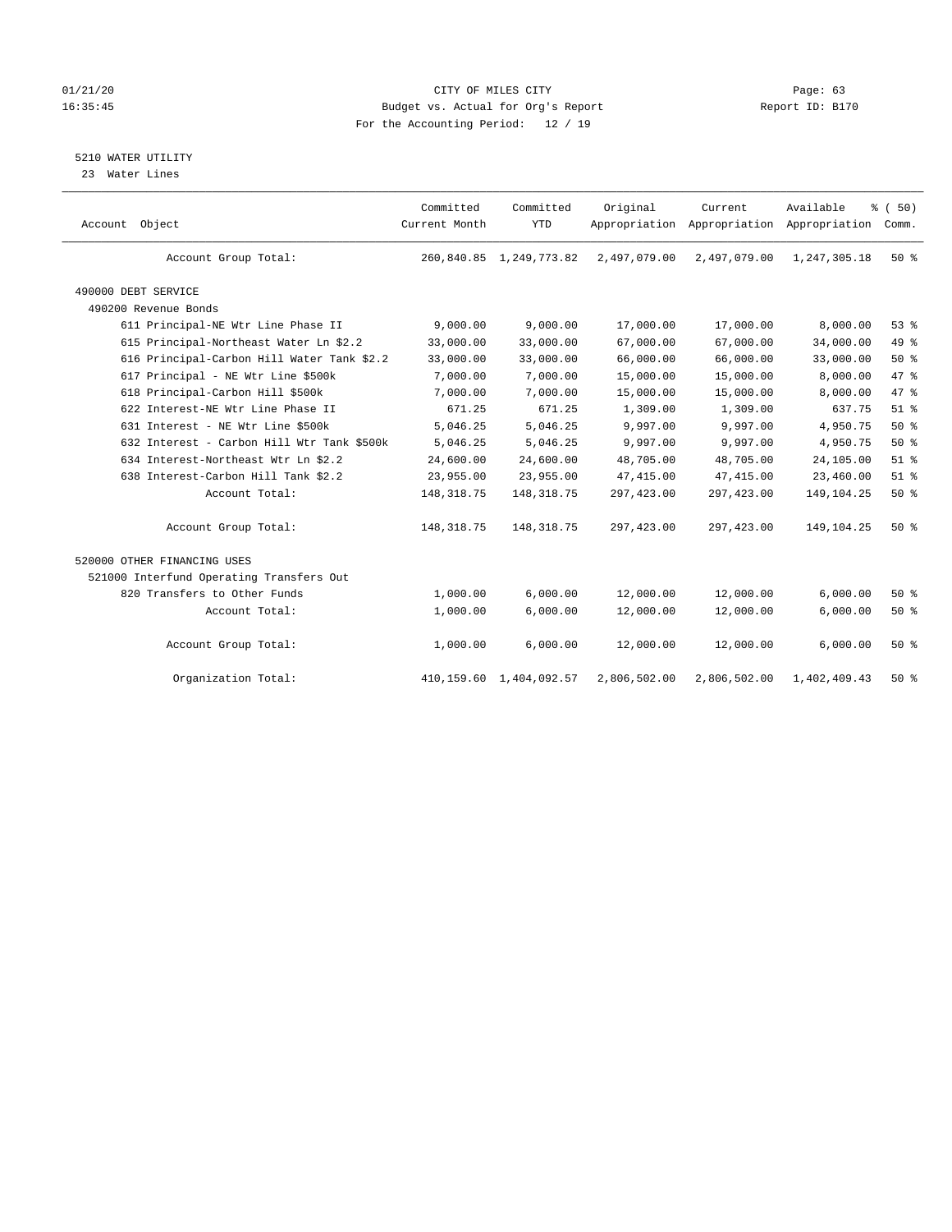# 01/21/20 Page: 63 16:35:45 Budget vs. Actual for Org's Report Report ID: B170 For the Accounting Period: 12 / 19

5210 WATER UTILITY

23 Water Lines

| Account Object                             | Committed<br>Current Month | Committed<br><b>YTD</b>    | Original     | Current<br>Appropriation Appropriation Appropriation | Available    | % (50)<br>Comm. |
|--------------------------------------------|----------------------------|----------------------------|--------------|------------------------------------------------------|--------------|-----------------|
| Account Group Total:                       |                            | 260,840.85 1,249,773.82    | 2,497,079.00 | 2,497,079.00                                         | 1,247,305.18 | 50%             |
| 490000 DEBT SERVICE                        |                            |                            |              |                                                      |              |                 |
| 490200 Revenue Bonds                       |                            |                            |              |                                                      |              |                 |
| 611 Principal-NE Wtr Line Phase II         | 9,000.00                   | 9,000.00                   | 17,000.00    | 17,000.00                                            | 8,000.00     | 53%             |
| 615 Principal-Northeast Water Ln \$2.2     | 33,000.00                  | 33,000.00                  | 67,000.00    | 67,000.00                                            | 34,000.00    | 49 %            |
| 616 Principal-Carbon Hill Water Tank \$2.2 | 33,000.00                  | 33,000.00                  | 66,000.00    | 66,000.00                                            | 33,000.00    | 50%             |
| 617 Principal - NE Wtr Line \$500k         | 7,000.00                   | 7,000.00                   | 15,000.00    | 15,000.00                                            | 8,000.00     | 47 %            |
| 618 Principal-Carbon Hill \$500k           | 7,000.00                   | 7,000.00                   | 15,000.00    | 15,000.00                                            | 8,000.00     | 47 %            |
| 622 Interest-NE Wtr Line Phase II          | 671.25                     | 671.25                     | 1,309.00     | 1,309.00                                             | 637.75       | $51$ $%$        |
| 631 Interest - NE Wtr Line \$500k          | 5,046.25                   | 5,046.25                   | 9,997.00     | 9,997.00                                             | 4,950.75     | 50%             |
| 632 Interest - Carbon Hill Wtr Tank \$500k | 5,046.25                   | 5,046.25                   | 9,997.00     | 9,997.00                                             | 4,950.75     | $50*$           |
| 634 Interest-Northeast Wtr Ln \$2.2        | 24,600.00                  | 24,600.00                  | 48,705.00    | 48,705.00                                            | 24,105.00    | $51$ %          |
| 638 Interest-Carbon Hill Tank \$2.2        | 23,955.00                  | 23,955.00                  | 47, 415.00   | 47, 415.00                                           | 23,460.00    | $51$ %          |
| Account Total:                             | 148, 318.75                | 148, 318.75                | 297,423.00   | 297, 423.00                                          | 149, 104. 25 | 50%             |
| Account Group Total:                       | 148, 318.75                | 148, 318.75                | 297,423.00   | 297, 423.00                                          | 149,104.25   | 50%             |
| 520000 OTHER FINANCING USES                |                            |                            |              |                                                      |              |                 |
| 521000 Interfund Operating Transfers Out   |                            |                            |              |                                                      |              |                 |
| 820 Transfers to Other Funds               | 1,000.00                   | 6,000.00                   | 12,000.00    | 12,000.00                                            | 6,000.00     | $50*$           |
| Account Total:                             | 1,000.00                   | 6,000.00                   | 12,000.00    | 12,000.00                                            | 6,000.00     | 50%             |
| Account Group Total:                       | 1,000.00                   | 6,000.00                   | 12,000.00    | 12,000.00                                            | 6,000.00     | 50%             |
| Organization Total:                        |                            | 410, 159.60 1, 404, 092.57 | 2,806,502.00 | 2,806,502.00                                         | 1,402,409.43 | $50*$           |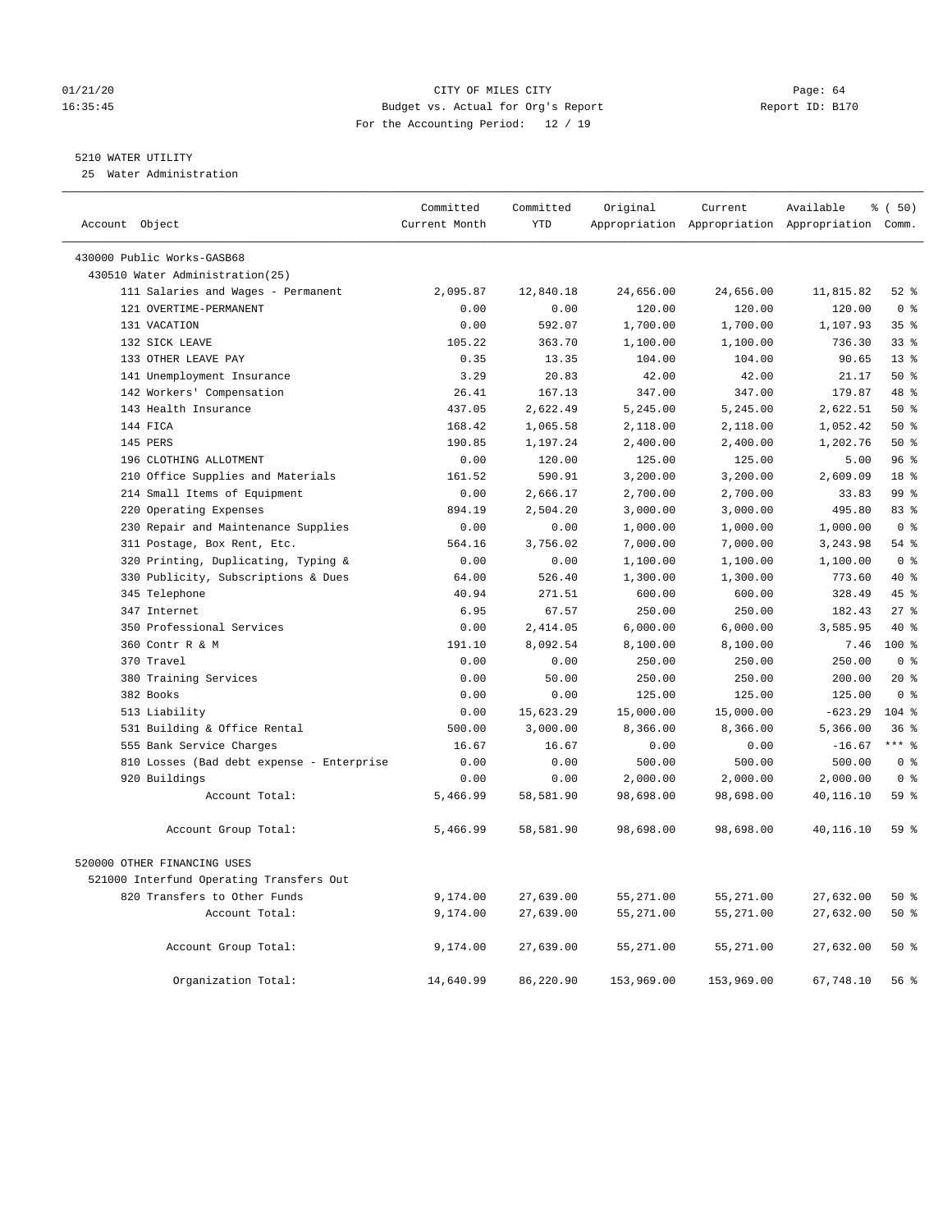# 01/21/20 Page: 64 16:35:45 Budget vs. Actual for Org's Report Report ID: B170 For the Accounting Period: 12 / 19

————————————————————————————————————————————————————————————————————————————————————————————————————————————————————————————————————

# 5210 WATER UTILITY

25 Water Administration

|                |                                           | Committed     | Committed  | Original   | Current    | Available                                       | % (50)               |
|----------------|-------------------------------------------|---------------|------------|------------|------------|-------------------------------------------------|----------------------|
| Account Object |                                           | Current Month | <b>YTD</b> |            |            | Appropriation Appropriation Appropriation Comm. |                      |
|                | 430000 Public Works-GASB68                |               |            |            |            |                                                 |                      |
|                | 430510 Water Administration(25)           |               |            |            |            |                                                 |                      |
|                | 111 Salaries and Wages - Permanent        | 2,095.87      | 12,840.18  | 24,656.00  | 24,656.00  | 11,815.82                                       | $52$ $%$             |
|                | 121 OVERTIME-PERMANENT                    | 0.00          | 0.00       | 120.00     | 120.00     | 120.00                                          | 0 <sup>8</sup>       |
|                | 131 VACATION                              | 0.00          | 592.07     | 1,700.00   | 1,700.00   | 1,107.93                                        | 35%                  |
|                | 132 SICK LEAVE                            | 105.22        | 363.70     | 1,100.00   | 1,100.00   | 736.30                                          | 33%                  |
|                | 133 OTHER LEAVE PAY                       | 0.35          | 13.35      | 104.00     | 104.00     | 90.65                                           | 13 <sup>8</sup>      |
|                | 141 Unemployment Insurance                | 3.29          | 20.83      | 42.00      | 42.00      | 21.17                                           | 50%                  |
|                | 142 Workers' Compensation                 | 26.41         | 167.13     | 347.00     | 347.00     | 179.87                                          | 48 %                 |
|                | 143 Health Insurance                      | 437.05        | 2,622.49   | 5,245.00   | 5,245.00   | 2,622.51                                        | $50*$                |
|                | 144 FICA                                  | 168.42        | 1,065.58   | 2,118.00   | 2,118.00   | 1,052.42                                        | 50%                  |
|                | 145 PERS                                  | 190.85        | 1,197.24   | 2,400.00   | 2,400.00   | 1,202.76                                        | 50%                  |
|                | 196 CLOTHING ALLOTMENT                    | 0.00          | 120.00     | 125.00     | 125.00     | 5.00                                            | 96%                  |
|                | 210 Office Supplies and Materials         | 161.52        | 590.91     | 3,200.00   | 3,200.00   | 2,609.09                                        | 18 %                 |
|                | 214 Small Items of Equipment              | 0.00          | 2,666.17   | 2,700.00   | 2,700.00   | 33.83                                           | 99 <sub>8</sub>      |
|                | 220 Operating Expenses                    | 894.19        | 2,504.20   | 3,000.00   | 3,000.00   | 495.80                                          | 83%                  |
|                | 230 Repair and Maintenance Supplies       | 0.00          | 0.00       | 1,000.00   | 1,000.00   | 1,000.00                                        | 0 <sup>8</sup>       |
|                | 311 Postage, Box Rent, Etc.               | 564.16        | 3,756.02   | 7,000.00   | 7,000.00   | 3,243.98                                        | 54 %                 |
|                | 320 Printing, Duplicating, Typing &       | 0.00          | 0.00       | 1,100.00   | 1,100.00   | 1,100.00                                        | 0 <sup>8</sup>       |
|                | 330 Publicity, Subscriptions & Dues       | 64.00         | 526.40     | 1,300.00   | 1,300.00   | 773.60                                          | $40*$                |
|                | 345 Telephone                             | 40.94         | 271.51     | 600.00     | 600.00     | 328.49                                          | 45 %                 |
|                | 347 Internet                              | 6.95          | 67.57      | 250.00     | 250.00     | 182.43                                          | 27%                  |
|                | 350 Professional Services                 | 0.00          | 2,414.05   | 6,000.00   | 6,000.00   | 3,585.95                                        | 40 %                 |
|                | 360 Contr R & M                           | 191.10        | 8,092.54   | 8,100.00   | 8,100.00   | 7.46                                            | $100*$               |
|                | 370 Travel                                | 0.00          | 0.00       | 250.00     | 250.00     | 250.00                                          | 0 <sup>8</sup>       |
|                | 380 Training Services                     | 0.00          | 50.00      | 250.00     | 250.00     | 200.00                                          | $20*$                |
|                | 382 Books                                 | 0.00          | 0.00       | 125.00     | 125.00     | 125.00                                          | 0 <sup>8</sup>       |
|                | 513 Liability                             | 0.00          | 15,623.29  | 15,000.00  | 15,000.00  | $-623.29$                                       | $104$ %              |
|                | 531 Building & Office Rental              | 500.00        | 3,000.00   | 8,366.00   | 8,366.00   | 5,366.00                                        | 36%                  |
|                | 555 Bank Service Charges                  | 16.67         | 16.67      | 0.00       | 0.00       | $-16.67$                                        | $***$ $_{8}^{\circ}$ |
|                | 810 Losses (Bad debt expense - Enterprise | 0.00          | 0.00       | 500.00     | 500.00     | 500.00                                          | 0 <sup>8</sup>       |
|                | 920 Buildings                             | 0.00          | 0.00       | 2,000.00   | 2,000.00   | 2,000.00                                        | 0 <sup>8</sup>       |
|                | Account Total:                            | 5,466.99      | 58,581.90  | 98,698.00  | 98,698.00  | 40,116.10                                       | 59 %                 |
|                | Account Group Total:                      | 5,466.99      | 58,581.90  | 98,698.00  | 98,698.00  | 40,116.10                                       | 59 %                 |
|                | 520000 OTHER FINANCING USES               |               |            |            |            |                                                 |                      |
|                | 521000 Interfund Operating Transfers Out  |               |            |            |            |                                                 |                      |
|                | 820 Transfers to Other Funds              | 9,174.00      | 27,639.00  | 55,271.00  | 55,271.00  | 27,632.00                                       | 50%                  |
|                | Account Total:                            | 9,174.00      | 27,639.00  | 55,271.00  | 55,271.00  | 27,632.00                                       | 50%                  |
|                |                                           |               |            |            |            |                                                 |                      |
|                | Account Group Total:                      | 9,174.00      | 27,639.00  | 55,271.00  | 55,271.00  | 27,632.00                                       | 50%                  |
|                | Organization Total:                       | 14,640.99     | 86,220.90  | 153,969.00 | 153,969.00 | 67,748.10                                       | 56%                  |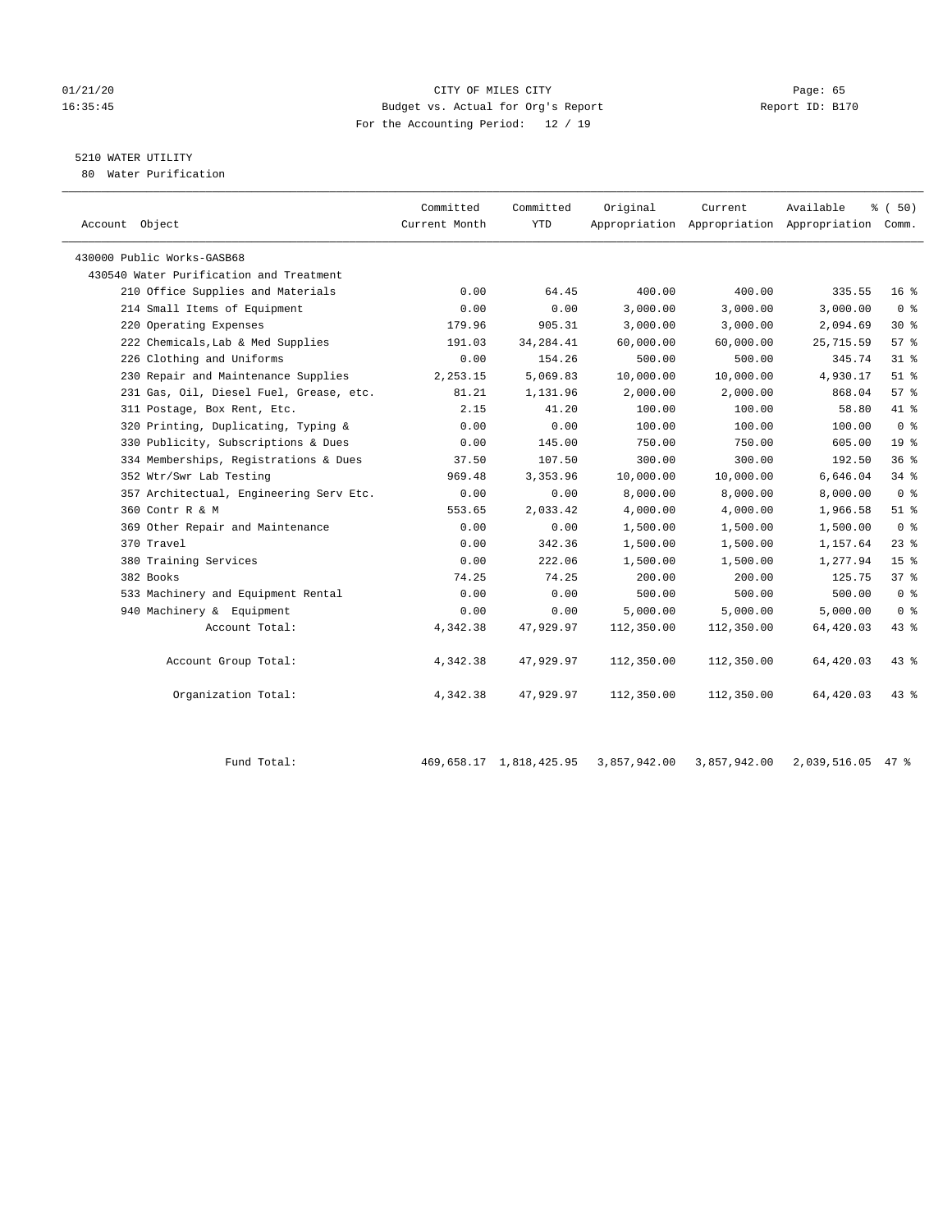# 01/21/20 Page: 65 16:35:45 Budget vs. Actual for Org's Report Report ID: B170 For the Accounting Period: 12 / 19

# 5210 WATER UTILITY

80 Water Purification

| Account Object                          | Committed<br>Current Month | Committed<br><b>YTD</b> | Original   | Current    | Available<br>Appropriation Appropriation Appropriation Comm. | % (50)          |
|-----------------------------------------|----------------------------|-------------------------|------------|------------|--------------------------------------------------------------|-----------------|
| 430000 Public Works-GASB68              |                            |                         |            |            |                                                              |                 |
| 430540 Water Purification and Treatment |                            |                         |            |            |                                                              |                 |
| 210 Office Supplies and Materials       | 0.00                       | 64.45                   | 400.00     | 400.00     | 335.55                                                       | 16 <sup>8</sup> |
| 214 Small Items of Equipment            | 0.00                       | 0.00                    | 3,000.00   | 3,000.00   | 3,000.00                                                     | 0 <sup>8</sup>  |
| 220 Operating Expenses                  | 179.96                     | 905.31                  | 3,000.00   | 3,000.00   | 2,094.69                                                     | $30*$           |
| 222 Chemicals, Lab & Med Supplies       | 191.03                     | 34, 284. 41             | 60,000.00  | 60,000.00  | 25,715.59                                                    | 57%             |
| 226 Clothing and Uniforms               | 0.00                       | 154.26                  | 500.00     | 500.00     | 345.74                                                       | $31$ $%$        |
| 230 Repair and Maintenance Supplies     | 2,253.15                   | 5,069.83                | 10,000.00  | 10,000.00  | 4,930.17                                                     | $51$ $%$        |
| 231 Gas, Oil, Diesel Fuel, Grease, etc. | 81.21                      | 1,131.96                | 2,000.00   | 2,000.00   | 868.04                                                       | 57%             |
| 311 Postage, Box Rent, Etc.             | 2.15                       | 41.20                   | 100.00     | 100.00     | 58.80                                                        | 41.8            |
| 320 Printing, Duplicating, Typing &     | 0.00                       | 0.00                    | 100.00     | 100.00     | 100.00                                                       | 0 <sup>8</sup>  |
| 330 Publicity, Subscriptions & Dues     | 0.00                       | 145.00                  | 750.00     | 750.00     | 605.00                                                       | 19 <sup>°</sup> |
| 334 Memberships, Registrations & Dues   | 37.50                      | 107.50                  | 300.00     | 300.00     | 192.50                                                       | 36%             |
| 352 Wtr/Swr Lab Testing                 | 969.48                     | 3,353.96                | 10,000.00  | 10,000.00  | 6,646.04                                                     | $34$ $%$        |
| 357 Architectual, Engineering Serv Etc. | 0.00                       | 0.00                    | 8,000.00   | 8,000.00   | 8,000.00                                                     | 0 <sup>8</sup>  |
| 360 Contr R & M                         | 553.65                     | 2,033.42                | 4,000.00   | 4,000.00   | 1,966.58                                                     | $51$ %          |
| 369 Other Repair and Maintenance        | 0.00                       | 0.00                    | 1,500.00   | 1,500.00   | 1,500.00                                                     | 0 <sup>8</sup>  |
| 370 Travel                              | 0.00                       | 342.36                  | 1,500.00   | 1,500.00   | 1,157.64                                                     | $23$ %          |
| 380 Training Services                   | 0.00                       | 222.06                  | 1,500.00   | 1,500.00   | 1,277.94                                                     | 15 <sup>°</sup> |
| 382 Books                               | 74.25                      | 74.25                   | 200.00     | 200.00     | 125.75                                                       | 37%             |
| 533 Machinery and Equipment Rental      | 0.00                       | 0.00                    | 500.00     | 500.00     | 500.00                                                       | 0 <sup>8</sup>  |
| 940 Machinery & Equipment               | 0.00                       | 0.00                    | 5,000.00   | 5,000.00   | 5,000.00                                                     | 0 <sup>8</sup>  |
| Account Total:                          | 4,342.38                   | 47,929.97               | 112,350.00 | 112,350.00 | 64,420.03                                                    | 43.8            |
| Account Group Total:                    | 4,342.38                   | 47,929.97               | 112,350.00 | 112,350.00 | 64,420.03                                                    | $43$ %          |
| Organization Total:                     | 4,342.38                   | 47,929.97               | 112,350.00 | 112,350.00 | 64,420.03                                                    | $43$ $%$        |

Fund Total: 469,658.17 1,818,425.95 3,857,942.00 3,857,942.00 2,039,516.05 47 %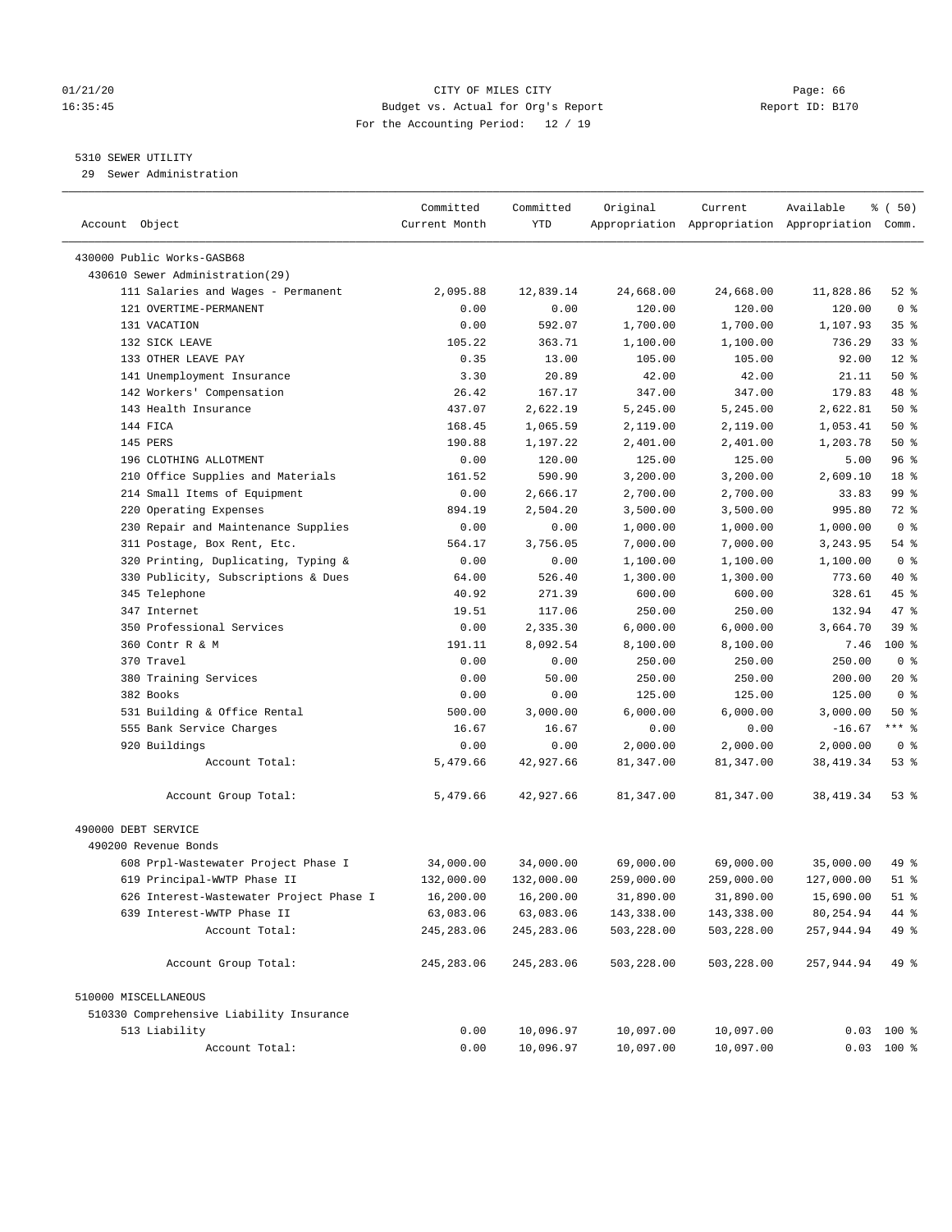# 01/21/20 Page: 66 16:35:45 Budget vs. Actual for Org's Report Report ID: B170 For the Accounting Period: 12 / 19

————————————————————————————————————————————————————————————————————————————————————————————————————————————————————————————————————

# 5310 SEWER UTILITY

29 Sewer Administration

|                                                               | Committed     | Committed        | Original   | Current    | Available                                       | ៖ (50)         |
|---------------------------------------------------------------|---------------|------------------|------------|------------|-------------------------------------------------|----------------|
| Account Object                                                | Current Month | YTD              |            |            | Appropriation Appropriation Appropriation Comm. |                |
|                                                               |               |                  |            |            |                                                 |                |
| 430000 Public Works-GASB68<br>430610 Sewer Administration(29) |               |                  |            |            |                                                 |                |
| 111 Salaries and Wages - Permanent                            | 2,095.88      | 12,839.14        | 24,668.00  | 24,668.00  | 11,828.86                                       | $52$ $%$       |
| 121 OVERTIME-PERMANENT                                        | 0.00          | 0.00             | 120.00     | 120.00     | 120.00                                          | 0 <sup>8</sup> |
| 131 VACATION                                                  | 0.00          | 592.07           | 1,700.00   | 1,700.00   | 1,107.93                                        | 35%            |
| 132 SICK LEAVE                                                | 105.22        | 363.71           | 1,100.00   | 1,100.00   | 736.29                                          | $33$ $%$       |
| 133 OTHER LEAVE PAY                                           | 0.35          | 13.00            | 105.00     | 105.00     | 92.00                                           | $12*$          |
| 141 Unemployment Insurance                                    | 3.30          | 20.89            | 42.00      | 42.00      | 21.11                                           | 50%            |
| 142 Workers' Compensation                                     | 26.42         | 167.17           | 347.00     | 347.00     | 179.83                                          | 48 %           |
| 143 Health Insurance                                          | 437.07        | 2,622.19         | 5,245.00   | 5,245.00   | 2,622.81                                        | 50%            |
| 144 FICA                                                      |               |                  | 2,119.00   |            | 1,053.41                                        | 50%            |
| 145 PERS                                                      | 168.45        | 1,065.59         |            | 2,119.00   |                                                 | 50%            |
| 196 CLOTHING ALLOTMENT                                        | 190.88        | 1,197.22         | 2,401.00   | 2,401.00   | 1,203.78                                        | 96%            |
|                                                               | 0.00          | 120.00<br>590.90 | 125.00     | 125.00     | 5.00                                            | 18 %           |
| 210 Office Supplies and Materials                             | 161.52        |                  | 3,200.00   | 3,200.00   | 2,609.10                                        | 99 %           |
| 214 Small Items of Equipment                                  | 0.00          | 2,666.17         | 2,700.00   | 2,700.00   | 33.83                                           | 72 %           |
| 220 Operating Expenses                                        | 894.19        | 2,504.20         | 3,500.00   | 3,500.00   | 995.80                                          |                |
| 230 Repair and Maintenance Supplies                           | 0.00          | 0.00             | 1,000.00   | 1,000.00   | 1,000.00                                        | 0 <sup>8</sup> |
| 311 Postage, Box Rent, Etc.                                   | 564.17        | 3,756.05         | 7,000.00   | 7,000.00   | 3,243.95                                        | $54$ %         |
| 320 Printing, Duplicating, Typing &                           | 0.00          | 0.00             | 1,100.00   | 1,100.00   | 1,100.00                                        | 0 <sup>8</sup> |
| 330 Publicity, Subscriptions & Dues                           | 64.00         | 526.40           | 1,300.00   | 1,300.00   | 773.60                                          | 40 %           |
| 345 Telephone                                                 | 40.92         | 271.39           | 600.00     | 600.00     | 328.61                                          | 45 %           |
| 347 Internet                                                  | 19.51         | 117.06           | 250.00     | 250.00     | 132.94                                          | 47 %           |
| 350 Professional Services                                     | 0.00          | 2,335.30         | 6,000.00   | 6,000.00   | 3,664.70                                        | 39%            |
| 360 Contr R & M                                               | 191.11        | 8,092.54         | 8,100.00   | 8,100.00   | 7.46                                            | $100*$         |
| 370 Travel                                                    | 0.00          | 0.00             | 250.00     | 250.00     | 250.00                                          | 0 <sup>8</sup> |
| 380 Training Services                                         | 0.00          | 50.00            | 250.00     | 250.00     | 200.00                                          | $20*$          |
| 382 Books                                                     | 0.00          | 0.00             | 125.00     | 125.00     | 125.00                                          | 0 <sup>8</sup> |
| 531 Building & Office Rental                                  | 500.00        | 3,000.00         | 6,000.00   | 6,000.00   | 3,000.00                                        | 50%            |
| 555 Bank Service Charges                                      | 16.67         | 16.67            | 0.00       | 0.00       | $-16.67$                                        | *** 응          |
| 920 Buildings                                                 | 0.00          | 0.00             | 2,000.00   | 2,000.00   | 2,000.00                                        | 0 <sup>8</sup> |
| Account Total:                                                | 5,479.66      | 42,927.66        | 81,347.00  | 81,347.00  | 38, 419. 34                                     | 53%            |
| Account Group Total:                                          | 5,479.66      | 42,927.66        | 81,347.00  | 81,347.00  | 38,419.34                                       | 53 %           |
| 490000 DEBT SERVICE                                           |               |                  |            |            |                                                 |                |
| 490200 Revenue Bonds                                          |               |                  |            |            |                                                 |                |
| 608 Prpl-Wastewater Project Phase I                           | 34,000.00     | 34,000.00        | 69,000.00  | 69,000.00  | 35,000.00                                       | 49 %           |
| 619 Principal-WWTP Phase II                                   | 132,000.00    | 132,000.00       | 259,000.00 | 259,000.00 | 127,000.00                                      | $51$ %         |
| 626 Interest-Wastewater Project Phase I                       | 16,200.00     | 16,200.00        | 31,890.00  | 31,890.00  | 15,690.00                                       | $51$ %         |
| 639 Interest-WWTP Phase II                                    | 63,083.06     | 63,083.06        | 143,338.00 | 143,338.00 | 80,254.94                                       | 44 %           |
| Account Total:                                                | 245, 283.06   | 245, 283.06      | 503,228.00 | 503,228.00 | 257,944.94                                      | 49 %           |
| Account Group Total:                                          | 245, 283.06   | 245, 283.06      | 503,228.00 | 503,228.00 | 257,944.94                                      | 49 %           |
|                                                               |               |                  |            |            |                                                 |                |
| 510000 MISCELLANEOUS                                          |               |                  |            |            |                                                 |                |
| 510330 Comprehensive Liability Insurance                      |               |                  |            |            |                                                 |                |
| 513 Liability                                                 | 0.00          | 10,096.97        | 10,097.00  | 10,097.00  |                                                 | $0.03$ 100 %   |
| Account Total:                                                | 0.00          | 10,096.97        | 10,097.00  | 10,097.00  |                                                 | $0.03$ 100 %   |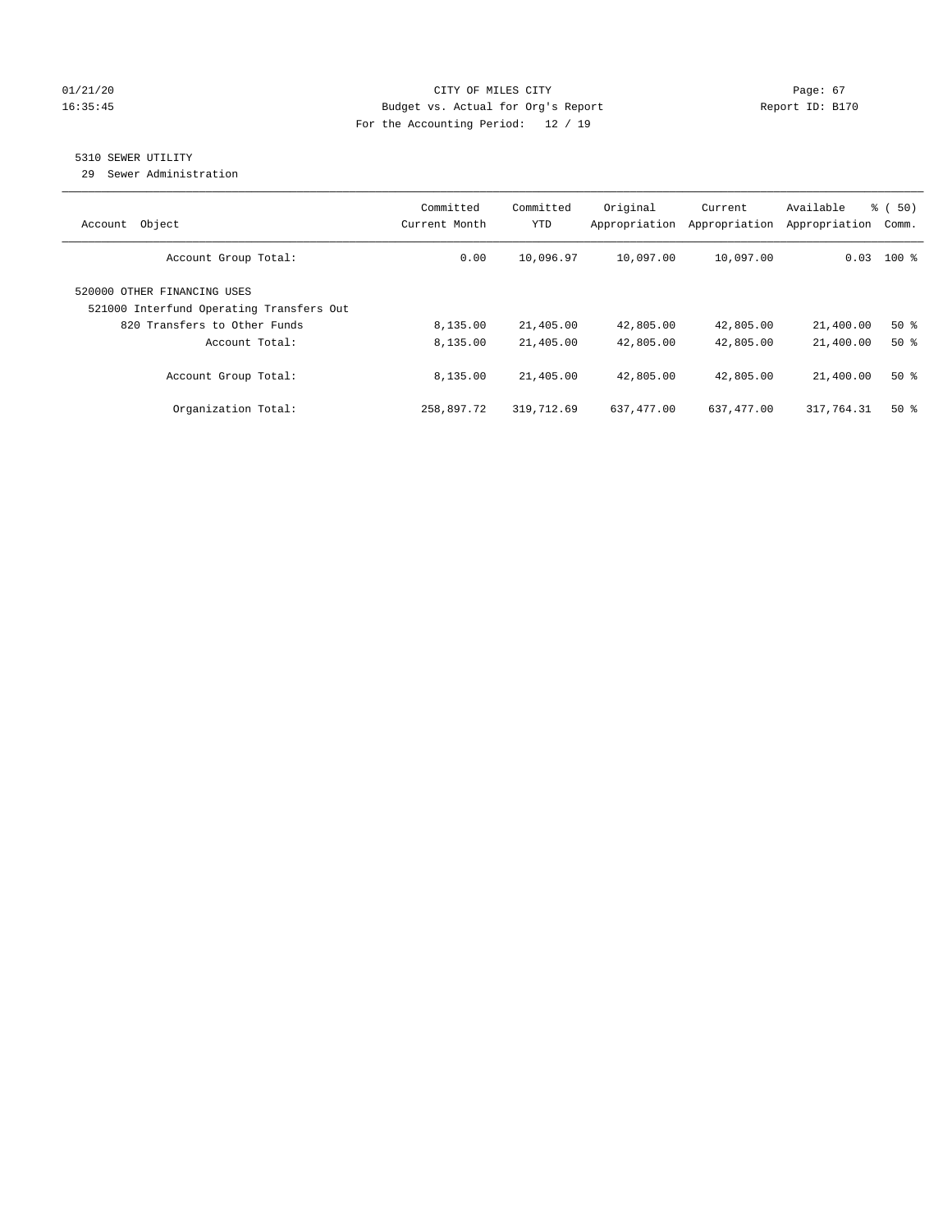# 01/21/20 Page: 67 16:35:45 Budget vs. Actual for Org's Report Report ID: B170 For the Accounting Period: 12 / 19

# 5310 SEWER UTILITY

29 Sewer Administration

| Object<br>Account                                                                                       | Committed<br>Current Month | Committed<br><b>YTD</b> | Original<br>Appropriation | Current<br>Appropriation | Available<br>Appropriation | % (50)<br>Comm. |
|---------------------------------------------------------------------------------------------------------|----------------------------|-------------------------|---------------------------|--------------------------|----------------------------|-----------------|
| Account Group Total:                                                                                    | 0.00                       | 10,096.97               | 10,097.00                 | 10,097.00                |                            | $0.03$ 100 %    |
| 520000 OTHER FINANCING USES<br>521000 Interfund Operating Transfers Out<br>820 Transfers to Other Funds | 8,135.00                   | 21,405.00               | 42,805.00                 | 42,805.00                | 21,400.00                  | 50%             |
| Account Total:                                                                                          | 8,135.00                   | 21,405.00               | 42,805.00                 | 42,805.00                | 21,400.00                  | $50*$           |
| Account Group Total:                                                                                    | 8,135.00                   | 21,405.00               | 42,805.00                 | 42,805.00                | 21,400.00                  | $50*$           |
| Organization Total:                                                                                     | 258,897.72                 | 319,712.69              | 637,477.00                | 637,477.00               | 317,764.31                 | $50*$           |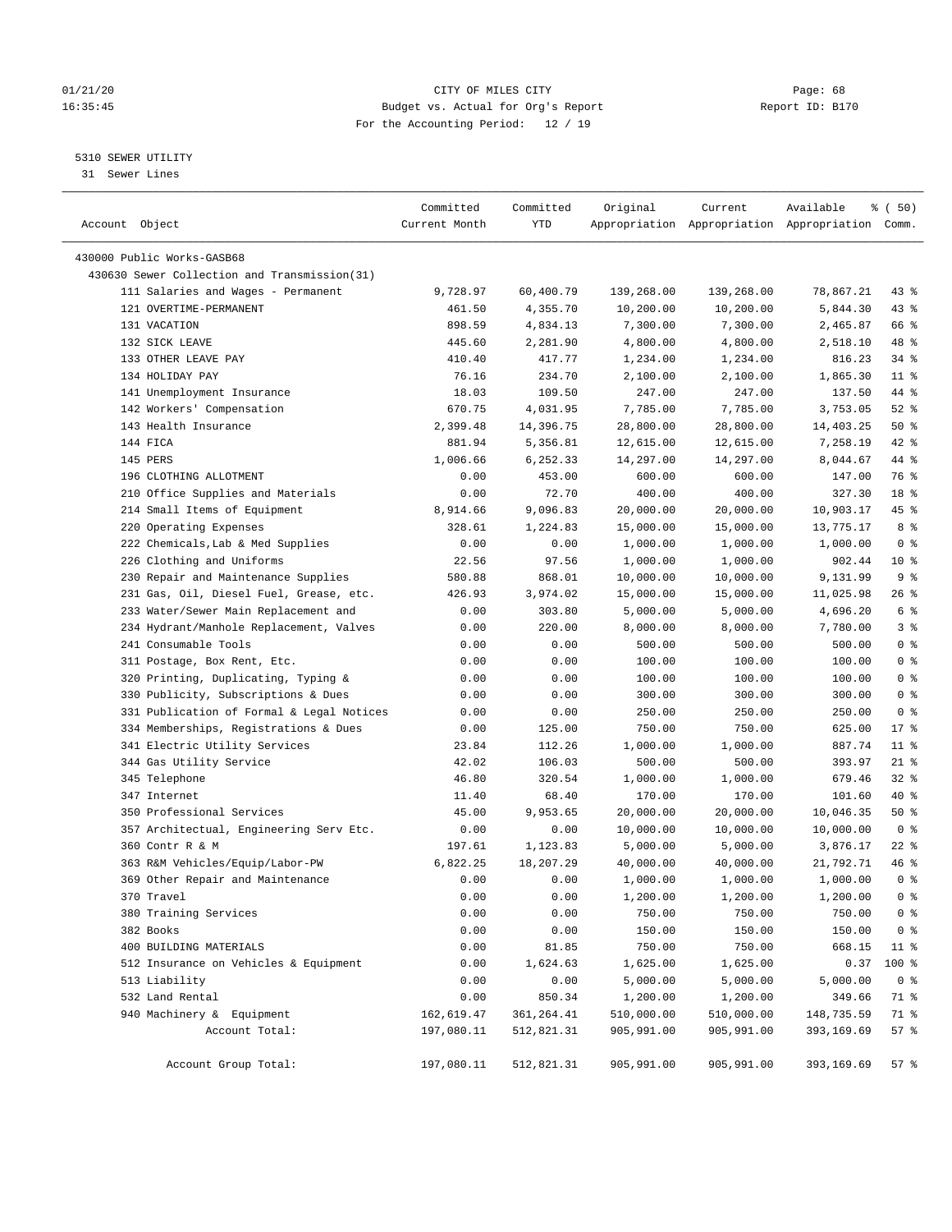# 01/21/20 Page: 68 16:35:45 Budget vs. Actual for Org's Report Report ID: B170 For the Accounting Period: 12 / 19

————————————————————————————————————————————————————————————————————————————————————————————————————————————————————————————————————

# 5310 SEWER UTILITY

31 Sewer Lines

|                                              | Committed     | Committed   | Original   | Current    | Available                                       | % (50)         |
|----------------------------------------------|---------------|-------------|------------|------------|-------------------------------------------------|----------------|
| Account Object                               | Current Month | YTD         |            |            | Appropriation Appropriation Appropriation Comm. |                |
| 430000 Public Works-GASB68                   |               |             |            |            |                                                 |                |
| 430630 Sewer Collection and Transmission(31) |               |             |            |            |                                                 |                |
| 111 Salaries and Wages - Permanent           | 9,728.97      | 60,400.79   | 139,268.00 | 139,268.00 | 78,867.21                                       | 43 %           |
| 121 OVERTIME-PERMANENT                       | 461.50        | 4,355.70    | 10,200.00  | 10,200.00  | 5,844.30                                        | 43 %           |
| 131 VACATION                                 | 898.59        | 4,834.13    | 7,300.00   | 7,300.00   | 2,465.87                                        | 66 %           |
| 132 SICK LEAVE                               | 445.60        | 2,281.90    | 4,800.00   | 4,800.00   | 2,518.10                                        | 48 %           |
| 133 OTHER LEAVE PAY                          | 410.40        | 417.77      | 1,234.00   | 1,234.00   | 816.23                                          | $34$ %         |
| 134 HOLIDAY PAY                              | 76.16         | 234.70      | 2,100.00   | 2,100.00   | 1,865.30                                        | $11$ %         |
| 141 Unemployment Insurance                   | 18.03         | 109.50      | 247.00     | 247.00     | 137.50                                          | 44 %           |
| 142 Workers' Compensation                    | 670.75        | 4,031.95    | 7,785.00   | 7,785.00   | 3,753.05                                        | $52$ $%$       |
| 143 Health Insurance                         | 2,399.48      | 14,396.75   | 28,800.00  | 28,800.00  | 14,403.25                                       | 50%            |
| 144 FICA                                     | 881.94        | 5,356.81    | 12,615.00  | 12,615.00  | 7,258.19                                        | 42 %           |
| 145 PERS                                     | 1,006.66      | 6,252.33    | 14,297.00  | 14,297.00  | 8,044.67                                        | 44 %           |
| 196 CLOTHING ALLOTMENT                       | 0.00          | 453.00      | 600.00     | 600.00     | 147.00                                          | 76 %           |
| 210 Office Supplies and Materials            | 0.00          | 72.70       | 400.00     | 400.00     | 327.30                                          | 18 %           |
| 214 Small Items of Equipment                 | 8,914.66      | 9,096.83    | 20,000.00  | 20,000.00  | 10,903.17                                       | 45 %           |
| 220 Operating Expenses                       | 328.61        | 1,224.83    | 15,000.00  | 15,000.00  | 13,775.17                                       | 8%             |
| 222 Chemicals, Lab & Med Supplies            | 0.00          | 0.00        | 1,000.00   | 1,000.00   | 1,000.00                                        | 0 <sup>8</sup> |
| 226 Clothing and Uniforms                    | 22.56         | 97.56       | 1,000.00   | 1,000.00   | 902.44                                          | $10*$          |
| 230 Repair and Maintenance Supplies          | 580.88        | 868.01      | 10,000.00  | 10,000.00  | 9,131.99                                        | 9 <sup>°</sup> |
| 231 Gas, Oil, Diesel Fuel, Grease, etc.      | 426.93        | 3,974.02    | 15,000.00  | 15,000.00  | 11,025.98                                       | 26 %           |
| 233 Water/Sewer Main Replacement and         | 0.00          | 303.80      | 5,000.00   | 5,000.00   | 4,696.20                                        | 6 <sup>8</sup> |
| 234 Hydrant/Manhole Replacement, Valves      | 0.00          | 220.00      | 8,000.00   | 8,000.00   | 7,780.00                                        | 3%             |
| 241 Consumable Tools                         | 0.00          | 0.00        | 500.00     | 500.00     | 500.00                                          | 0 <sup>°</sup> |
| 311 Postage, Box Rent, Etc.                  | 0.00          | 0.00        | 100.00     | 100.00     | 100.00                                          | 0 <sup>8</sup> |
| 320 Printing, Duplicating, Typing &          | 0.00          | 0.00        | 100.00     | 100.00     | 100.00                                          | 0 <sup>8</sup> |
| 330 Publicity, Subscriptions & Dues          | 0.00          | 0.00        | 300.00     | 300.00     | 300.00                                          | 0 <sup>8</sup> |
| 331 Publication of Formal & Legal Notices    | 0.00          | 0.00        | 250.00     | 250.00     | 250.00                                          | 0 <sup>8</sup> |
| 334 Memberships, Registrations & Dues        | 0.00          | 125.00      | 750.00     | 750.00     | 625.00                                          | 17%            |
| 341 Electric Utility Services                | 23.84         | 112.26      | 1,000.00   | 1,000.00   | 887.74                                          | $11$ %         |
| 344 Gas Utility Service                      | 42.02         | 106.03      | 500.00     | 500.00     | 393.97                                          | $21$ %         |
| 345 Telephone                                | 46.80         | 320.54      | 1,000.00   | 1,000.00   | 679.46                                          | 32%            |
| 347 Internet                                 | 11.40         | 68.40       | 170.00     | 170.00     | 101.60                                          | 40 %           |
| 350 Professional Services                    | 45.00         | 9,953.65    | 20,000.00  | 20,000.00  | 10,046.35                                       | 50%            |
| 357 Architectual, Engineering Serv Etc.      | 0.00          | 0.00        | 10,000.00  | 10,000.00  | 10,000.00                                       | 0 <sup>8</sup> |
| 360 Contr R & M                              | 197.61        | 1,123.83    | 5,000.00   | 5,000.00   | 3,876.17                                        | $22$ %         |
| 363 R&M Vehicles/Equip/Labor-PW              | 6,822.25      | 18,207.29   | 40,000.00  | 40,000.00  | 21,792.71                                       | 46 %           |
| 369 Other Repair and Maintenance             | 0.00          | 0.00        | 1,000.00   | 1,000.00   | 1,000.00                                        | 0 <sup>8</sup> |
| 370 Travel                                   | 0.00          | 0.00        | 1,200.00   | 1,200.00   | 1,200.00                                        | 0 <sup>8</sup> |
| 380 Training Services                        | 0.00          | 0.00        | 750.00     | 750.00     | 750.00                                          | 0 <sup>8</sup> |
| 382 Books                                    | 0.00          | 0.00        | 150.00     | 150.00     | 150.00                                          | 0 <sup>8</sup> |
| 400 BUILDING MATERIALS                       | 0.00          | 81.85       | 750.00     | 750.00     | 668.15                                          | $11$ %         |
| 512 Insurance on Vehicles & Equipment        | 0.00          | 1,624.63    | 1,625.00   | 1,625.00   | 0.37                                            | 100 %          |
| 513 Liability                                | 0.00          | 0.00        | 5,000.00   | 5,000.00   | 5,000.00                                        | 0 <sup>8</sup> |
| 532 Land Rental                              | 0.00          | 850.34      | 1,200.00   | 1,200.00   | 349.66                                          | 71 %           |
| 940 Machinery & Equipment                    | 162,619.47    | 361, 264.41 | 510,000.00 | 510,000.00 | 148,735.59                                      | 71 %           |
| Account Total:                               | 197,080.11    | 512,821.31  | 905,991.00 | 905,991.00 | 393,169.69                                      | 57%            |
| Account Group Total:                         | 197,080.11    | 512,821.31  | 905,991.00 | 905,991.00 | 393,169.69                                      | 57%            |
|                                              |               |             |            |            |                                                 |                |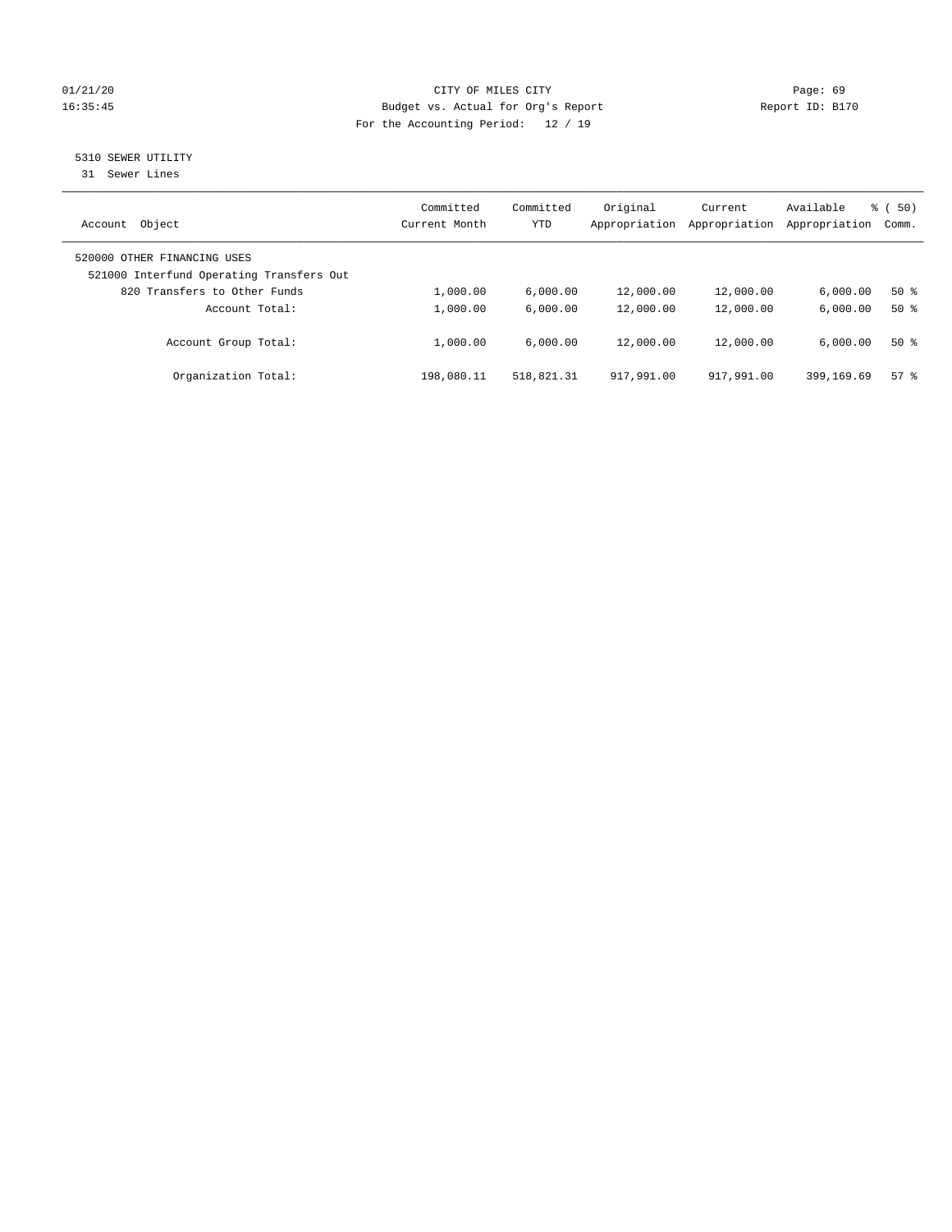# 01/21/20 Page: 69 16:35:45 Budget vs. Actual for Org's Report Report ID: B170 For the Accounting Period: 12 / 19

# 5310 SEWER UTILITY

31 Sewer Lines

| Object<br>Account                                                       | Committed<br>Current Month | Committed<br>YTD | Original<br>Appropriation | Current<br>Appropriation | Available<br>Appropriation | 8 ( 50)<br>Comm. |
|-------------------------------------------------------------------------|----------------------------|------------------|---------------------------|--------------------------|----------------------------|------------------|
| 520000 OTHER FINANCING USES<br>521000 Interfund Operating Transfers Out |                            |                  |                           |                          |                            |                  |
| 820 Transfers to Other Funds                                            | 1,000.00                   | 6.000.00         | 12,000.00                 | 12,000.00                | 6.000.00                   | $50*$            |
| Account Total:                                                          | 1,000.00                   | 6.000.00         | 12,000.00                 | 12,000.00                | 6.000.00                   | $50*$            |
| Account Group Total:                                                    | 1,000.00                   | 6.000.00         | 12,000.00                 | 12,000.00                | 6.000.00                   | $50*$            |
| Organization Total:                                                     | 198,080.11                 | 518,821.31       | 917,991.00                | 917,991.00               | 399,169.69                 | 57%              |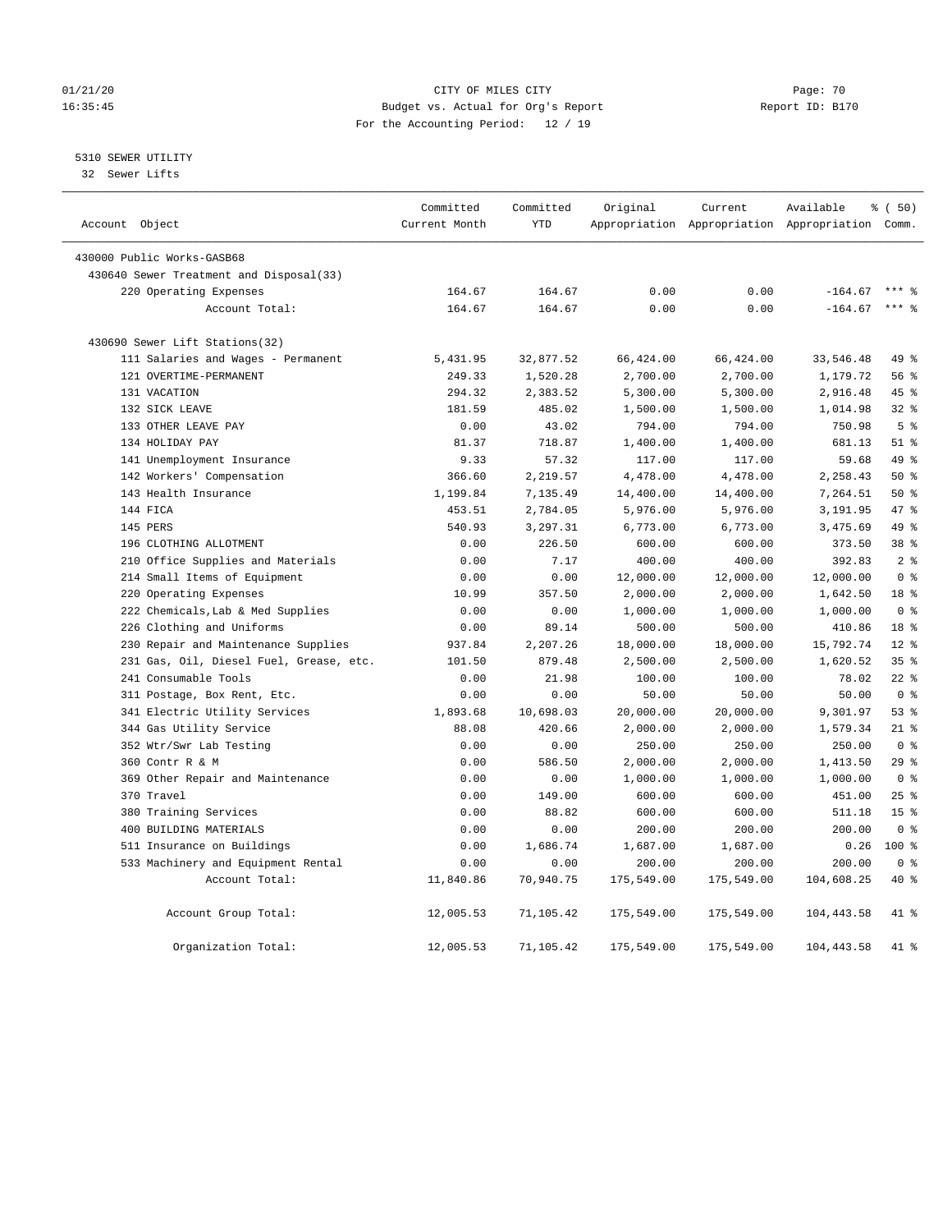# 01/21/20 Page: 70 16:35:45 Budget vs. Actual for Org's Report Report ID: B170 For the Accounting Period: 12 / 19

5310 SEWER UTILITY

32 Sewer Lifts

| Account Object |                                         | Committed<br>Current Month | Committed<br><b>YTD</b> | Original   | Current    | Available<br>Appropriation Appropriation Appropriation Comm. | 8 ( 50)         |
|----------------|-----------------------------------------|----------------------------|-------------------------|------------|------------|--------------------------------------------------------------|-----------------|
|                |                                         |                            |                         |            |            |                                                              |                 |
|                | 430000 Public Works-GASB68              |                            |                         |            |            |                                                              |                 |
|                | 430640 Sewer Treatment and Disposal(33) |                            |                         |            |            |                                                              |                 |
|                | 220 Operating Expenses                  | 164.67                     | 164.67                  | 0.00       | 0.00       | $-164.67$                                                    |                 |
|                | Account Total:                          | 164.67                     | 164.67                  | 0.00       | 0.00       | $-164.67$                                                    | $***$ 8         |
|                | 430690 Sewer Lift Stations(32)          |                            |                         |            |            |                                                              |                 |
|                | 111 Salaries and Wages - Permanent      | 5,431.95                   | 32,877.52               | 66,424.00  | 66,424.00  | 33,546.48                                                    | 49 %            |
|                | 121 OVERTIME-PERMANENT                  | 249.33                     | 1,520.28                | 2,700.00   | 2,700.00   | 1,179.72                                                     | 56%             |
|                | 131 VACATION                            | 294.32                     | 2,383.52                | 5,300.00   | 5,300.00   | 2,916.48                                                     | 45 %            |
|                | 132 SICK LEAVE                          | 181.59                     | 485.02                  | 1,500.00   | 1,500.00   | 1,014.98                                                     | 328             |
|                | 133 OTHER LEAVE PAY                     | 0.00                       | 43.02                   | 794.00     | 794.00     | 750.98                                                       | 5 <sup>8</sup>  |
|                | 134 HOLIDAY PAY                         | 81.37                      | 718.87                  | 1,400.00   | 1,400.00   | 681.13                                                       | $51$ %          |
|                | 141 Unemployment Insurance              | 9.33                       | 57.32                   | 117.00     | 117.00     | 59.68                                                        | 49 %            |
|                | 142 Workers' Compensation               | 366.60                     | 2,219.57                | 4,478.00   | 4,478.00   | 2,258.43                                                     | 50%             |
|                | 143 Health Insurance                    | 1,199.84                   | 7,135.49                | 14,400.00  | 14,400.00  | 7,264.51                                                     | $50*$           |
|                | 144 FICA                                | 453.51                     | 2,784.05                | 5,976.00   | 5,976.00   | 3,191.95                                                     | 47 %            |
|                | 145 PERS                                | 540.93                     | 3,297.31                | 6,773.00   | 6,773.00   | 3,475.69                                                     | 49 %            |
|                | 196 CLOTHING ALLOTMENT                  | 0.00                       | 226.50                  | 600.00     | 600.00     | 373.50                                                       | 38 <sup>8</sup> |
|                | 210 Office Supplies and Materials       | 0.00                       | 7.17                    | 400.00     | 400.00     | 392.83                                                       | 2 <sup>°</sup>  |
|                | 214 Small Items of Equipment            | 0.00                       | 0.00                    | 12,000.00  | 12,000.00  | 12,000.00                                                    | 0 <sup>8</sup>  |
|                | 220 Operating Expenses                  | 10.99                      | 357.50                  | 2,000.00   | 2,000.00   | 1,642.50                                                     | 18 <sup>8</sup> |
|                | 222 Chemicals, Lab & Med Supplies       | 0.00                       | 0.00                    | 1,000.00   | 1,000.00   | 1,000.00                                                     | 0 <sup>8</sup>  |
|                | 226 Clothing and Uniforms               | 0.00                       | 89.14                   | 500.00     | 500.00     | 410.86                                                       | 18 %            |
|                | 230 Repair and Maintenance Supplies     | 937.84                     | 2,207.26                | 18,000.00  | 18,000.00  | 15,792.74                                                    | $12*$           |
|                | 231 Gas, Oil, Diesel Fuel, Grease, etc. | 101.50                     | 879.48                  | 2,500.00   | 2,500.00   | 1,620.52                                                     | 35%             |
|                | 241 Consumable Tools                    | 0.00                       | 21.98                   | 100.00     | 100.00     | 78.02                                                        | $22$ %          |
|                | 311 Postage, Box Rent, Etc.             | 0.00                       | 0.00                    | 50.00      | 50.00      | 50.00                                                        | 0 <sup>8</sup>  |
|                | 341 Electric Utility Services           | 1,893.68                   | 10,698.03               | 20,000.00  | 20,000.00  | 9,301.97                                                     | 53%             |
|                | 344 Gas Utility Service                 | 88.08                      | 420.66                  | 2,000.00   | 2,000.00   | 1,579.34                                                     | $21$ %          |
|                | 352 Wtr/Swr Lab Testing                 | 0.00                       | 0.00                    | 250.00     | 250.00     | 250.00                                                       | 0 <sup>8</sup>  |
|                | 360 Contr R & M                         | 0.00                       | 586.50                  | 2,000.00   | 2,000.00   | 1,413.50                                                     | 29%             |
|                | 369 Other Repair and Maintenance        | 0.00                       | 0.00                    | 1,000.00   | 1,000.00   | 1,000.00                                                     | 0 <sup>8</sup>  |
|                | 370 Travel                              | 0.00                       | 149.00                  | 600.00     | 600.00     | 451.00                                                       | 25%             |
|                | 380 Training Services                   | 0.00                       | 88.82                   | 600.00     | 600.00     | 511.18                                                       | 15 <sup>8</sup> |
|                | 400 BUILDING MATERIALS                  | 0.00                       | 0.00                    | 200.00     | 200.00     | 200.00                                                       | 0 <sup>8</sup>  |
|                | 511 Insurance on Buildings              | 0.00                       | 1,686.74                | 1,687.00   | 1,687.00   | 0.26                                                         | $100*$          |
|                | 533 Machinery and Equipment Rental      | 0.00                       | 0.00                    | 200.00     | 200.00     | 200.00                                                       | 0 <sup>8</sup>  |
|                | Account Total:                          | 11,840.86                  | 70,940.75               | 175,549.00 | 175,549.00 | 104,608.25                                                   | $40*$           |
|                | Account Group Total:                    | 12,005.53                  | 71,105.42               | 175,549.00 | 175,549.00 | 104, 443.58                                                  | 41 %            |
|                | Organization Total:                     | 12,005.53                  | 71,105.42               | 175,549.00 | 175,549.00 | 104, 443.58                                                  | 41 %            |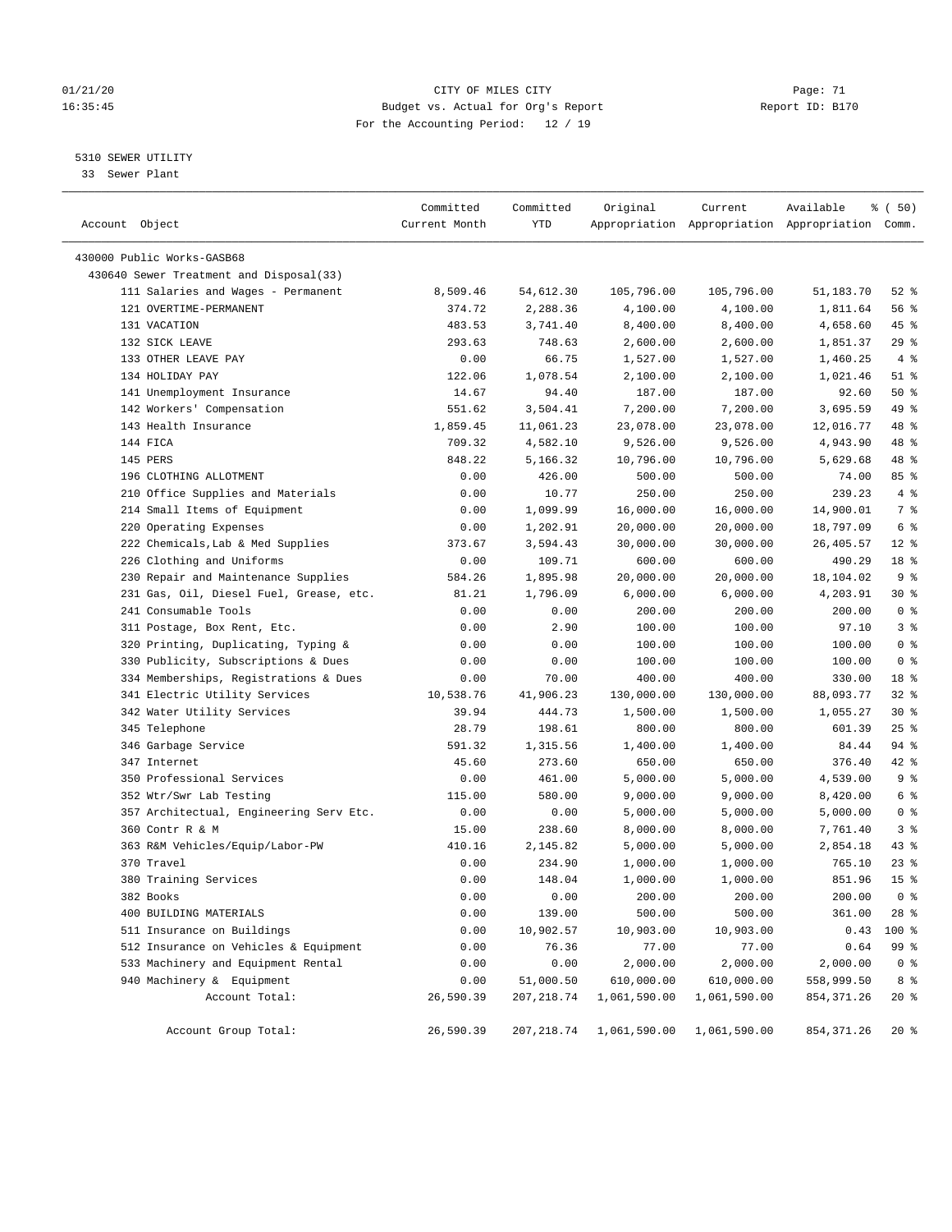# 01/21/20 Page: 71 CITY OF MILES CITY CONTROL Page: 71 16:35:45 Budget vs. Actual for Org's Report Report ID: B170 For the Accounting Period: 12 / 19

————————————————————————————————————————————————————————————————————————————————————————————————————————————————————————————————————

5310 SEWER UTILITY

33 Sewer Plant

|                                         | Committed     | Committed   | Original                   | Current      | Available                                       | 8 ( 50)         |
|-----------------------------------------|---------------|-------------|----------------------------|--------------|-------------------------------------------------|-----------------|
| Account Object                          | Current Month | YTD         |                            |              | Appropriation Appropriation Appropriation Comm. |                 |
| 430000 Public Works-GASB68              |               |             |                            |              |                                                 |                 |
| 430640 Sewer Treatment and Disposal(33) |               |             |                            |              |                                                 |                 |
| 111 Salaries and Wages - Permanent      | 8,509.46      | 54,612.30   | 105,796.00                 | 105,796.00   | 51,183.70                                       | $52$ %          |
| 121 OVERTIME-PERMANENT                  | 374.72        | 2,288.36    | 4,100.00                   | 4,100.00     | 1,811.64                                        | 56 %            |
| 131 VACATION                            | 483.53        | 3,741.40    | 8,400.00                   | 8,400.00     | 4,658.60                                        | 45 %            |
| 132 SICK LEAVE                          | 293.63        | 748.63      | 2,600.00                   | 2,600.00     | 1,851.37                                        | $29$ %          |
| 133 OTHER LEAVE PAY                     | 0.00          | 66.75       | 1,527.00                   | 1,527.00     | 1,460.25                                        | 4%              |
| 134 HOLIDAY PAY                         | 122.06        | 1,078.54    | 2,100.00                   | 2,100.00     | 1,021.46                                        | $51$ %          |
| 141 Unemployment Insurance              | 14.67         | 94.40       | 187.00                     | 187.00       | 92.60                                           | 50%             |
| 142 Workers' Compensation               | 551.62        | 3,504.41    | 7,200.00                   | 7,200.00     | 3,695.59                                        | 49 %            |
| 143 Health Insurance                    | 1,859.45      | 11,061.23   | 23,078.00                  | 23,078.00    | 12,016.77                                       | 48 %            |
| 144 FICA                                | 709.32        | 4,582.10    | 9,526.00                   | 9,526.00     | 4,943.90                                        | 48 %            |
| 145 PERS                                | 848.22        | 5,166.32    | 10,796.00                  | 10,796.00    | 5,629.68                                        | 48 %            |
| 196 CLOTHING ALLOTMENT                  | 0.00          | 426.00      | 500.00                     | 500.00       | 74.00                                           | 85 %            |
| 210 Office Supplies and Materials       | 0.00          | 10.77       | 250.00                     | 250.00       | 239.23                                          | 4%              |
| 214 Small Items of Equipment            | 0.00          | 1,099.99    | 16,000.00                  | 16,000.00    | 14,900.01                                       | 7 %             |
| 220 Operating Expenses                  | 0.00          | 1,202.91    | 20,000.00                  | 20,000.00    | 18,797.09                                       | 6 %             |
| 222 Chemicals, Lab & Med Supplies       | 373.67        | 3,594.43    | 30,000.00                  | 30,000.00    | 26,405.57                                       | $12*$           |
| 226 Clothing and Uniforms               | 0.00          | 109.71      | 600.00                     | 600.00       | 490.29                                          | 18 %            |
| 230 Repair and Maintenance Supplies     | 584.26        | 1,895.98    | 20,000.00                  | 20,000.00    | 18,104.02                                       | 9%              |
| 231 Gas, Oil, Diesel Fuel, Grease, etc. | 81.21         | 1,796.09    | 6,000.00                   | 6,000.00     | 4,203.91                                        | 30 %            |
| 241 Consumable Tools                    | 0.00          | 0.00        | 200.00                     | 200.00       | 200.00                                          | 0 <sup>8</sup>  |
| 311 Postage, Box Rent, Etc.             | 0.00          | 2.90        | 100.00                     | 100.00       | 97.10                                           | 3%              |
| 320 Printing, Duplicating, Typing &     | 0.00          | 0.00        | 100.00                     | 100.00       | 100.00                                          | 0 <sup>8</sup>  |
| 330 Publicity, Subscriptions & Dues     | 0.00          | 0.00        | 100.00                     | 100.00       | 100.00                                          | 0 <sup>8</sup>  |
| 334 Memberships, Registrations & Dues   | 0.00          | 70.00       | 400.00                     | 400.00       | 330.00                                          | 18 %            |
| 341 Electric Utility Services           | 10,538.76     | 41,906.23   | 130,000.00                 | 130,000.00   | 88,093.77                                       | $32$ $%$        |
| 342 Water Utility Services              | 39.94         | 444.73      | 1,500.00                   | 1,500.00     | 1,055.27                                        | $30*$           |
| 345 Telephone                           | 28.79         | 198.61      | 800.00                     | 800.00       | 601.39                                          | $25$ %          |
| 346 Garbage Service                     | 591.32        | 1,315.56    | 1,400.00                   | 1,400.00     | 84.44                                           | 94 %            |
| 347 Internet                            | 45.60         | 273.60      | 650.00                     | 650.00       | 376.40                                          | 42 %            |
| 350 Professional Services               | 0.00          | 461.00      | 5,000.00                   | 5,000.00     | 4,539.00                                        | 9 <sup>°</sup>  |
| 352 Wtr/Swr Lab Testing                 | 115.00        | 580.00      | 9,000.00                   | 9,000.00     | 8,420.00                                        | 6 %             |
| 357 Architectual, Engineering Serv Etc. | 0.00          | 0.00        | 5,000.00                   | 5,000.00     | 5,000.00                                        | 0 <sup>8</sup>  |
| 360 Contr R & M                         | 15.00         | 238.60      | 8,000.00                   | 8,000.00     | 7,761.40                                        | 3%              |
| 363 R&M Vehicles/Equip/Labor-PW         | 410.16        | 2,145.82    | 5,000.00                   | 5,000.00     | 2,854.18                                        | $43$ %          |
| 370 Travel                              | 0.00          | 234.90      | 1,000.00                   | 1,000.00     | 765.10                                          | $23$ $%$        |
| 380 Training Services                   | 0.00          | 148.04      | 1,000.00                   | 1,000.00     | 851.96                                          | 15 <sup>°</sup> |
| 382 Books                               | 0.00          | 0.00        | 200.00                     | 200.00       | 200.00                                          | 0 <sup>8</sup>  |
| 400 BUILDING MATERIALS                  | 0.00          | 139.00      | 500.00                     | 500.00       | 361.00                                          | $28$ %          |
| 511 Insurance on Buildings              | 0.00          | 10,902.57   | 10,903.00                  | 10,903.00    | 0.43                                            | 100 %           |
| 512 Insurance on Vehicles & Equipment   | 0.00          | 76.36       | 77.00                      | 77.00        | 0.64                                            | 99 %            |
| 533 Machinery and Equipment Rental      | 0.00          | 0.00        | 2,000.00                   | 2,000.00     | 2,000.00                                        | 0 <sup>8</sup>  |
| 940 Machinery & Equipment               | 0.00          | 51,000.50   | 610,000.00                 | 610,000.00   | 558,999.50                                      | 8 %             |
| Account Total:                          | 26,590.39     | 207, 218.74 | 1,061,590.00               | 1,061,590.00 | 854, 371.26                                     | $20*$           |
|                                         |               |             |                            |              |                                                 |                 |
| Account Group Total:                    | 26,590.39     |             | 207, 218.74 1, 061, 590.00 | 1,061,590.00 | 854, 371.26                                     | $20*$           |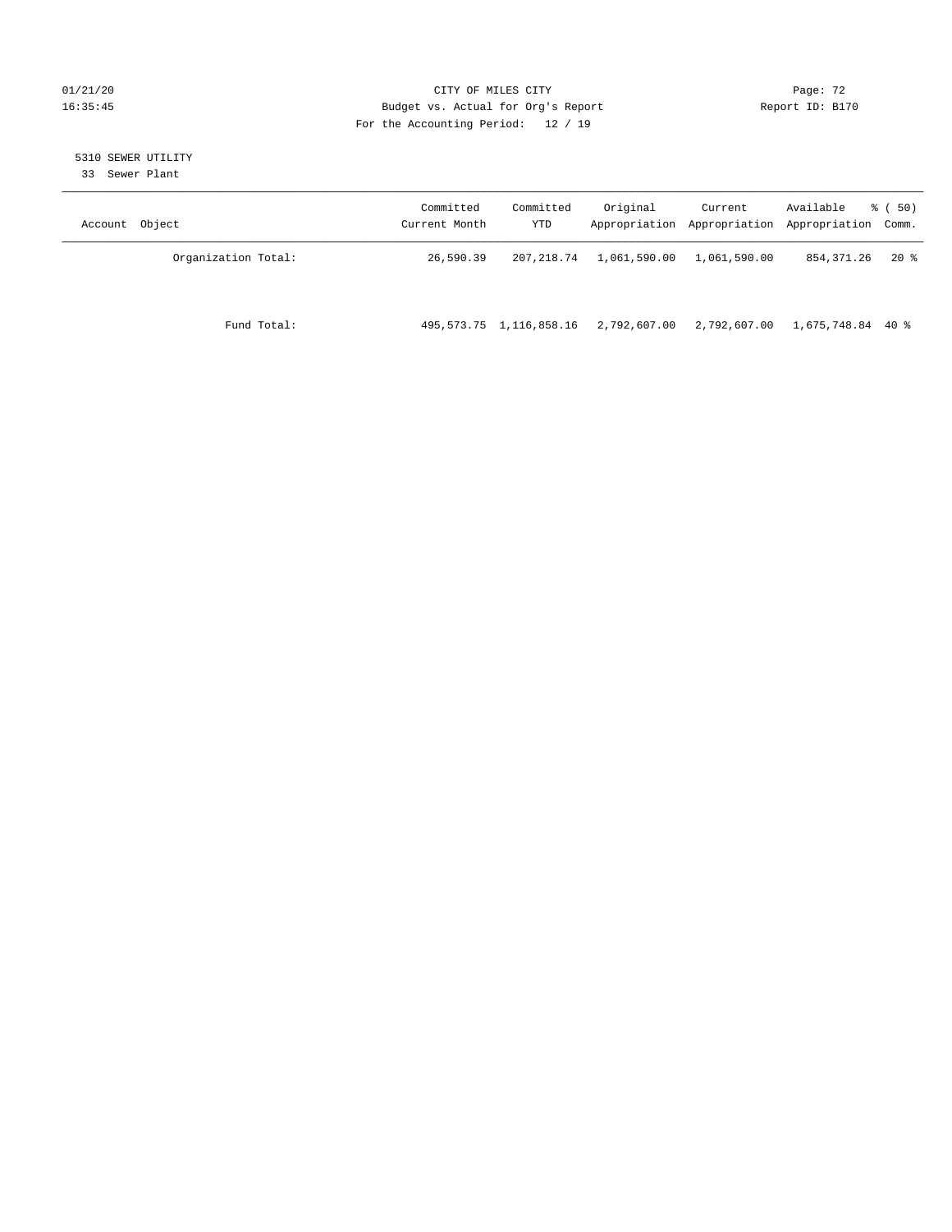# 01/21/20 Page: 72 16:35:45 Budget vs. Actual for Org's Report Report ID: B170 For the Accounting Period: 12 / 19

# 5310 SEWER UTILITY

33 Sewer Plant

| Account Object      | Committed<br>Current Month | Committed<br>YTD        | Original     | Current      | Available<br>Appropriation Appropriation Appropriation Comm. | 8 ( 50) |
|---------------------|----------------------------|-------------------------|--------------|--------------|--------------------------------------------------------------|---------|
| Organization Total: | 26,590.39                  | 207, 218, 74            | 1,061,590.00 | 1,061,590.00 | 854,371.26                                                   | $20*$   |
| Fund Total:         |                            | 495,573.75 1,116,858.16 | 2,792,607.00 | 2,792,607.00 | 1,675,748.84 40 %                                            |         |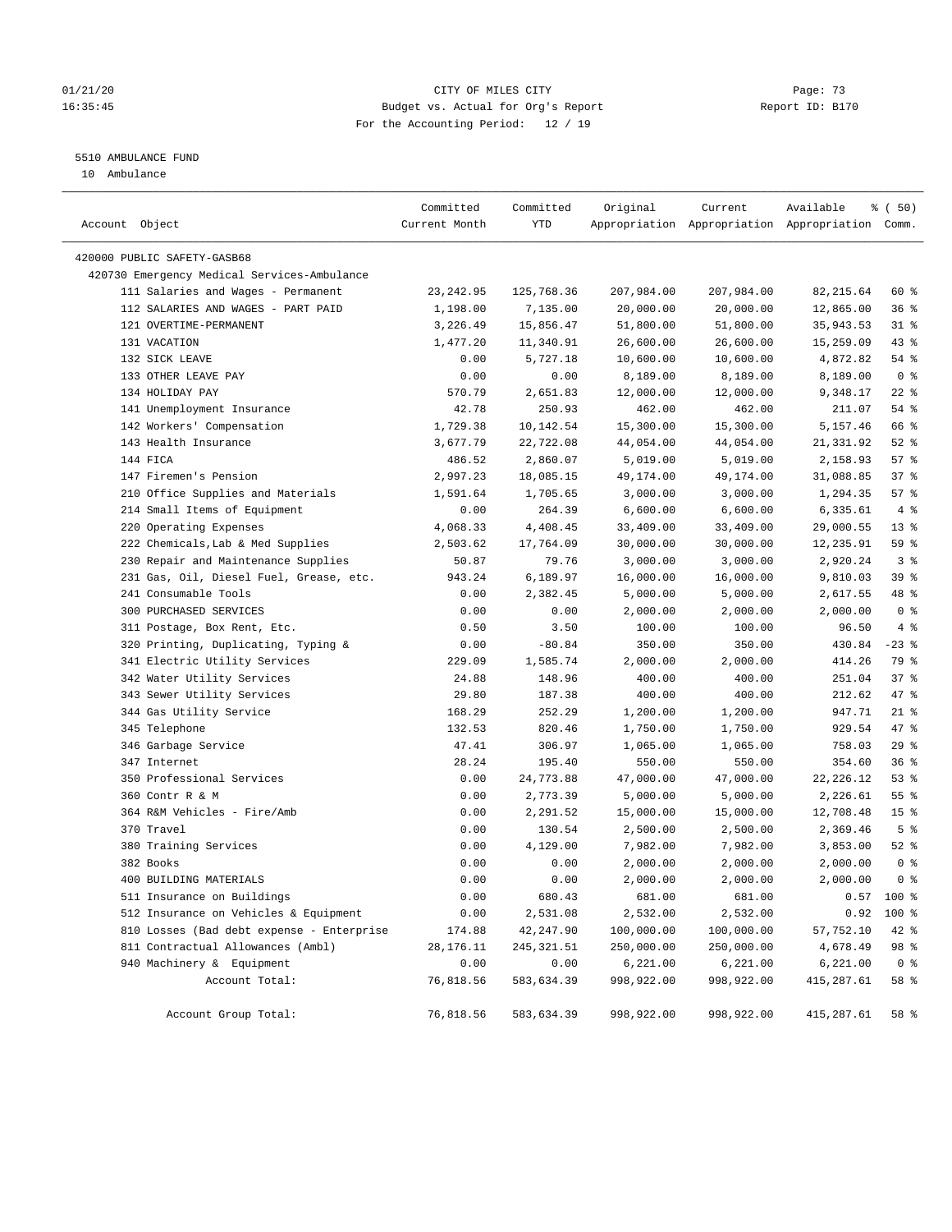## 01/21/20 Page: 73 16:35:45 Budget vs. Actual for Org's Report Report ID: B170 For the Accounting Period: 12 / 19

# 5510 AMBULANCE FUND

10 Ambulance

| Account Object                              | Committed<br>Current Month | Committed<br>YTD | Original   | Current    | Available<br>Appropriation Appropriation Appropriation Comm. | % (50)          |
|---------------------------------------------|----------------------------|------------------|------------|------------|--------------------------------------------------------------|-----------------|
| 420000 PUBLIC SAFETY-GASB68                 |                            |                  |            |            |                                                              |                 |
| 420730 Emergency Medical Services-Ambulance |                            |                  |            |            |                                                              |                 |
| 111 Salaries and Wages - Permanent          | 23, 242.95                 | 125,768.36       | 207,984.00 | 207,984.00 | 82, 215.64                                                   | 60 %            |
| 112 SALARIES AND WAGES - PART PAID          | 1,198.00                   | 7,135.00         | 20,000.00  | 20,000.00  | 12,865.00                                                    | 36%             |
| 121 OVERTIME-PERMANENT                      | 3,226.49                   | 15,856.47        | 51,800.00  | 51,800.00  | 35,943.53                                                    | $31$ %          |
| 131 VACATION                                | 1,477.20                   | 11,340.91        | 26,600.00  | 26,600.00  | 15,259.09                                                    | $43$ %          |
| 132 SICK LEAVE                              | 0.00                       | 5,727.18         | 10,600.00  | 10,600.00  | 4,872.82                                                     | 54 %            |
| 133 OTHER LEAVE PAY                         | 0.00                       | 0.00             | 8,189.00   | 8,189.00   | 8,189.00                                                     | 0 <sup>8</sup>  |
| 134 HOLIDAY PAY                             | 570.79                     | 2,651.83         | 12,000.00  | 12,000.00  | 9,348.17                                                     | $22$ %          |
| 141 Unemployment Insurance                  | 42.78                      | 250.93           | 462.00     | 462.00     | 211.07                                                       | 54 %            |
| 142 Workers' Compensation                   | 1,729.38                   | 10,142.54        | 15,300.00  | 15,300.00  | 5,157.46                                                     | 66 %            |
| 143 Health Insurance                        | 3,677.79                   | 22,722.08        | 44,054.00  | 44,054.00  | 21,331.92                                                    | $52$ $%$        |
| 144 FICA                                    | 486.52                     | 2,860.07         | 5,019.00   | 5,019.00   | 2,158.93                                                     | 57%             |
| 147 Firemen's Pension                       | 2,997.23                   | 18,085.15        | 49,174.00  | 49,174.00  | 31,088.85                                                    | 37%             |
| 210 Office Supplies and Materials           | 1,591.64                   | 1,705.65         | 3,000.00   | 3,000.00   | 1,294.35                                                     | 57%             |
| 214 Small Items of Equipment                | 0.00                       | 264.39           | 6,600.00   | 6,600.00   | 6,335.61                                                     | 4%              |
| 220 Operating Expenses                      | 4,068.33                   | 4,408.45         | 33,409.00  | 33,409.00  | 29,000.55                                                    | $13*$           |
| 222 Chemicals, Lab & Med Supplies           | 2,503.62                   | 17,764.09        | 30,000.00  | 30,000.00  | 12,235.91                                                    | 59 %            |
| 230 Repair and Maintenance Supplies         | 50.87                      | 79.76            | 3,000.00   | 3,000.00   | 2,920.24                                                     | 3 <sup>8</sup>  |
| 231 Gas, Oil, Diesel Fuel, Grease, etc.     | 943.24                     | 6,189.97         | 16,000.00  | 16,000.00  | 9,810.03                                                     | 39 %            |
| 241 Consumable Tools                        | 0.00                       | 2,382.45         | 5,000.00   | 5,000.00   | 2,617.55                                                     | 48 %            |
| 300 PURCHASED SERVICES                      | 0.00                       | 0.00             | 2,000.00   | 2,000.00   | 2,000.00                                                     | 0 <sup>8</sup>  |
| 311 Postage, Box Rent, Etc.                 | 0.50                       | 3.50             | 100.00     | 100.00     | 96.50                                                        | 4%              |
| 320 Printing, Duplicating, Typing &         | 0.00                       | $-80.84$         | 350.00     | 350.00     | 430.84                                                       | $-23$ %         |
| 341 Electric Utility Services               | 229.09                     | 1,585.74         | 2,000.00   | 2,000.00   | 414.26                                                       | 79 %            |
| 342 Water Utility Services                  | 24.88                      | 148.96           | 400.00     | 400.00     | 251.04                                                       | 37%             |
| 343 Sewer Utility Services                  | 29.80                      | 187.38           | 400.00     | 400.00     | 212.62                                                       | 47 %            |
| 344 Gas Utility Service                     | 168.29                     | 252.29           | 1,200.00   | 1,200.00   | 947.71                                                       | $21$ %          |
| 345 Telephone                               | 132.53                     | 820.46           | 1,750.00   | 1,750.00   | 929.54                                                       | 47 %            |
| 346 Garbage Service                         | 47.41                      | 306.97           | 1,065.00   | 1,065.00   | 758.03                                                       | 29%             |
| 347 Internet                                | 28.24                      | 195.40           | 550.00     | 550.00     | 354.60                                                       | 36%             |
| 350 Professional Services                   | 0.00                       | 24,773.88        | 47,000.00  | 47,000.00  | 22, 226.12                                                   | 53%             |
| 360 Contr R & M                             | 0.00                       | 2,773.39         | 5,000.00   | 5,000.00   | 2,226.61                                                     | 55 <sup>8</sup> |
| 364 R&M Vehicles - Fire/Amb                 | 0.00                       | 2,291.52         | 15,000.00  | 15,000.00  | 12,708.48                                                    | 15 <sup>°</sup> |
| 370 Travel                                  | 0.00                       | 130.54           | 2,500.00   | 2,500.00   | 2,369.46                                                     | 5 <sup>°</sup>  |
| 380 Training Services                       | 0.00                       | 4,129.00         | 7,982.00   | 7,982.00   | 3,853.00                                                     | $52$ $%$        |
| 382 Books                                   | 0.00                       | 0.00             | 2,000.00   | 2,000.00   | 2,000.00                                                     | 0 <sup>8</sup>  |
| 400 BUILDING MATERIALS                      | 0.00                       | 0.00             | 2,000.00   | 2,000.00   | 2,000.00                                                     | 0 <sup>8</sup>  |
| 511 Insurance on Buildings                  | 0.00                       | 680.43           | 681.00     | 681.00     | 0.57                                                         | $100*$          |
| 512 Insurance on Vehicles & Equipment       | 0.00                       | 2,531.08         | 2,532.00   | 2,532.00   | 0.92                                                         | 100 %           |
| 810 Losses (Bad debt expense - Enterprise   | 174.88                     | 42,247.90        | 100,000.00 | 100,000.00 | 57,752.10                                                    | 42 %            |
| 811 Contractual Allowances (Ambl)           | 28, 176. 11                | 245, 321.51      | 250,000.00 | 250,000.00 | 4,678.49                                                     | 98 %            |
| 940 Machinery & Equipment                   | 0.00                       | 0.00             | 6,221.00   | 6,221.00   | 6,221.00                                                     | 0 <sup>8</sup>  |
| Account Total:                              | 76,818.56                  | 583,634.39       | 998,922.00 | 998,922.00 | 415,287.61                                                   | 58 %            |
| Account Group Total:                        | 76,818.56                  | 583,634.39       | 998,922.00 | 998,922.00 | 415,287.61                                                   | 58 %            |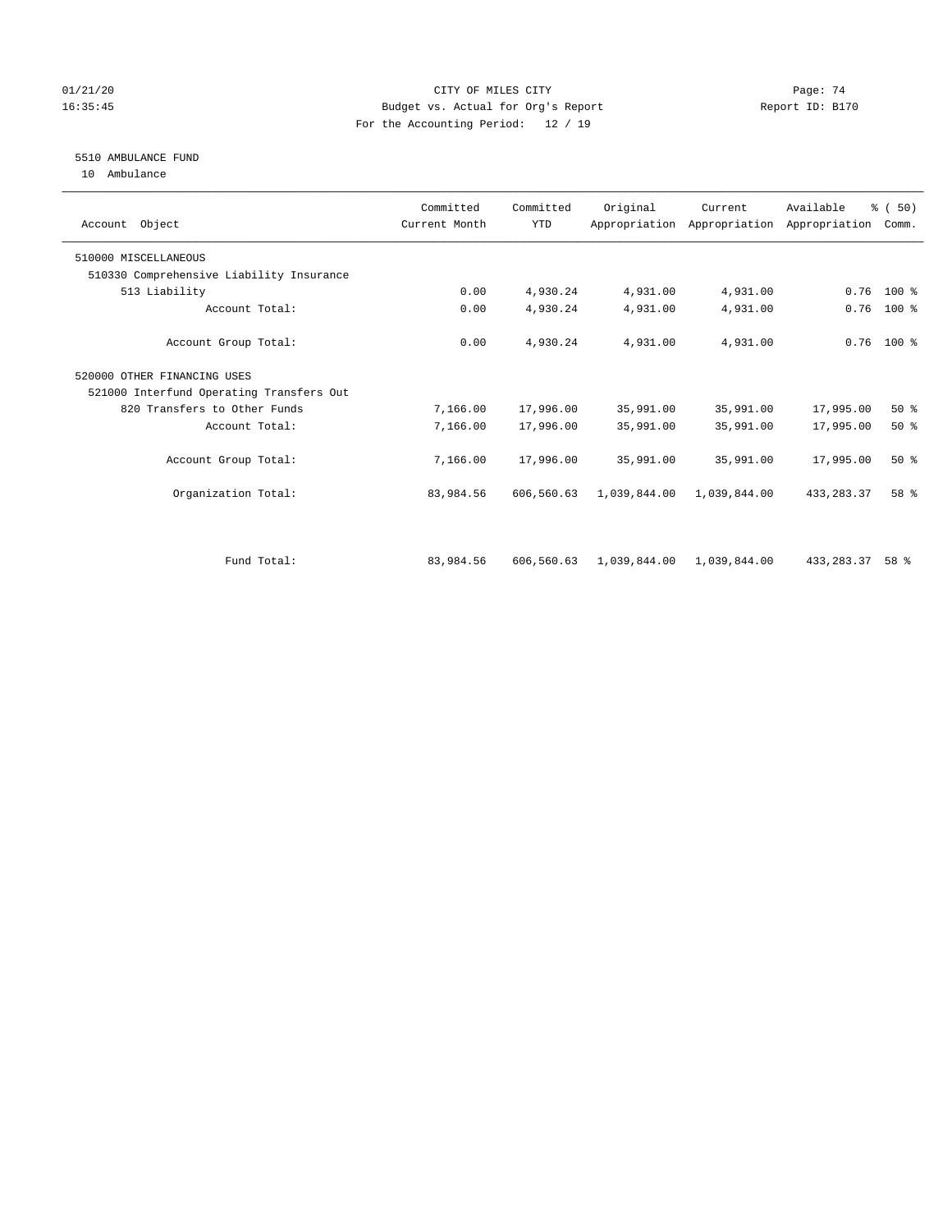## 01/21/20 Page: 74 16:35:45 Budget vs. Actual for Org's Report Report ID: B170 For the Accounting Period: 12 / 19

# 5510 AMBULANCE FUND

10 Ambulance

| Account Object                           | Committed<br>Current Month | Committed<br><b>YTD</b> | Original     | Current      | Available<br>Appropriation Appropriation Appropriation | % (50)<br>Comm. |  |
|------------------------------------------|----------------------------|-------------------------|--------------|--------------|--------------------------------------------------------|-----------------|--|
| 510000 MISCELLANEOUS                     |                            |                         |              |              |                                                        |                 |  |
| 510330 Comprehensive Liability Insurance |                            |                         |              |              |                                                        |                 |  |
| 513 Liability                            | 0.00                       | 4,930.24                | 4,931.00     | 4,931.00     | 0.76                                                   | $100*$          |  |
| Account Total:                           | 0.00                       | 4,930.24                | 4,931.00     | 4,931.00     | 0.76                                                   | $100$ %         |  |
| Account Group Total:                     | 0.00                       | 4,930.24                | 4,931.00     | 4,931.00     |                                                        | $0.76$ 100 %    |  |
| 520000 OTHER FINANCING USES              |                            |                         |              |              |                                                        |                 |  |
| 521000 Interfund Operating Transfers Out |                            |                         |              |              |                                                        |                 |  |
| 820 Transfers to Other Funds             | 7,166.00                   | 17,996.00               | 35,991.00    | 35,991.00    | 17,995.00                                              | 50%             |  |
| Account Total:                           | 7,166.00                   | 17,996.00               | 35,991.00    | 35,991.00    | 17,995.00                                              | $50*$           |  |
| Account Group Total:                     | 7,166.00                   | 17,996.00               | 35,991.00    | 35,991.00    | 17,995.00                                              | 50%             |  |
| Organization Total:                      | 83,984.56                  | 606,560.63              | 1,039,844.00 | 1,039,844.00 | 433, 283, 37                                           | 58 %            |  |
|                                          |                            |                         |              |              |                                                        |                 |  |
| Fund Total:                              | 83,984.56                  | 606,560.63              | 1,039,844.00 | 1,039,844.00 | 433,283.37                                             | $58*$           |  |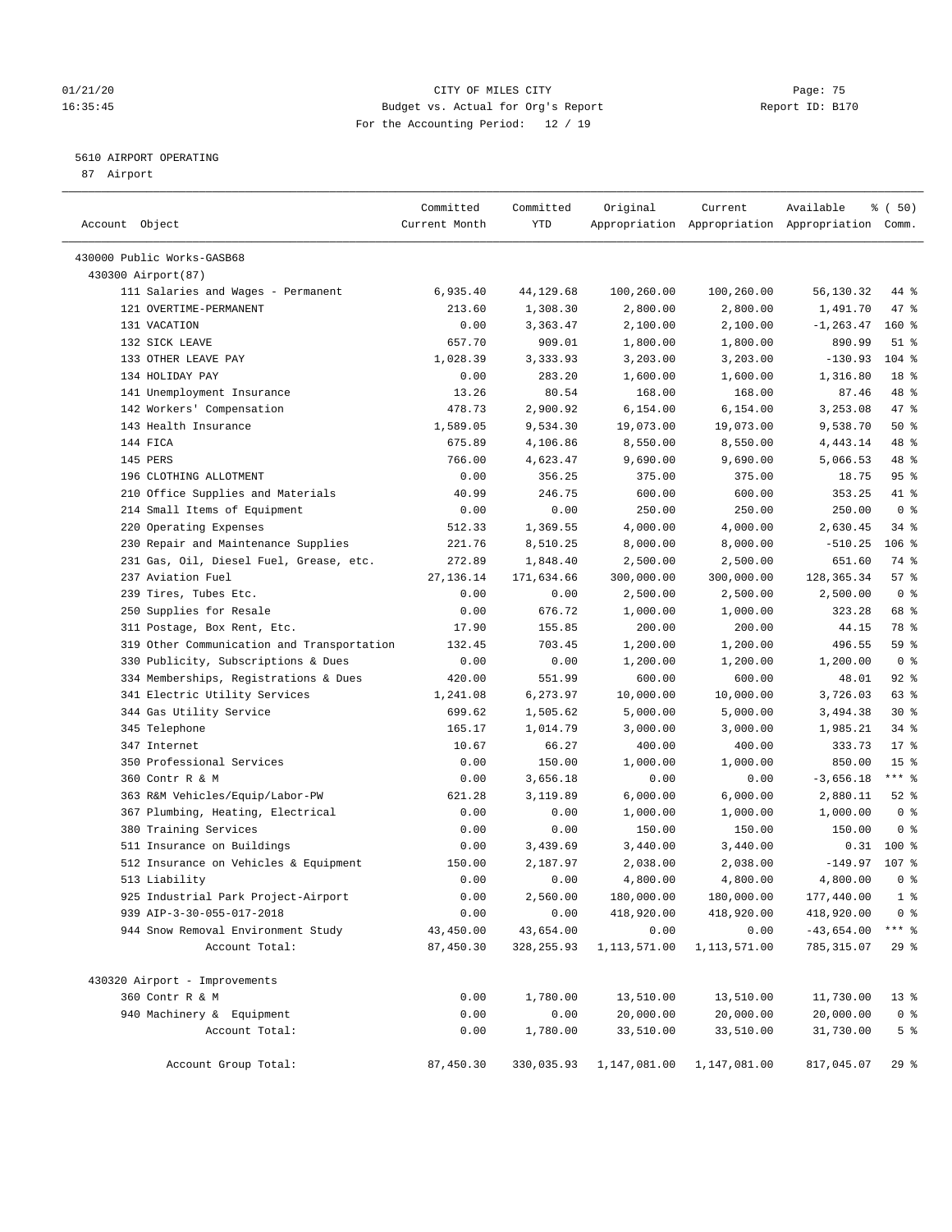## 01/21/20 Page: 75 16:35:45 Budget vs. Actual for Org's Report Report ID: B170 For the Accounting Period: 12 / 19

## 5610 AIRPORT OPERATING

87 Airport

| Account Object                             | Committed<br>Current Month | Committed<br>YTD | Original     | Current      | Available<br>Appropriation Appropriation Appropriation Comm. | % ( 50)         |
|--------------------------------------------|----------------------------|------------------|--------------|--------------|--------------------------------------------------------------|-----------------|
| 430000 Public Works-GASB68                 |                            |                  |              |              |                                                              |                 |
| 430300 Airport (87)                        |                            |                  |              |              |                                                              |                 |
| 111 Salaries and Wages - Permanent         | 6,935.40                   | 44,129.68        | 100,260.00   | 100,260.00   | 56,130.32                                                    | 44 %            |
| 121 OVERTIME-PERMANENT                     | 213.60                     | 1,308.30         | 2,800.00     | 2,800.00     | 1,491.70                                                     | 47 %            |
| 131 VACATION                               | 0.00                       | 3,363.47         | 2,100.00     | 2,100.00     | $-1, 263.47$                                                 | $160*$          |
| 132 SICK LEAVE                             | 657.70                     | 909.01           | 1,800.00     | 1,800.00     | 890.99                                                       | $51$ %          |
| 133 OTHER LEAVE PAY                        | 1,028.39                   | 3,333.93         | 3,203.00     | 3,203.00     | $-130.93$                                                    | 104 %           |
| 134 HOLIDAY PAY                            | 0.00                       | 283.20           | 1,600.00     | 1,600.00     | 1,316.80                                                     | 18 <sup>°</sup> |
| 141 Unemployment Insurance                 | 13.26                      | 80.54            | 168.00       | 168.00       | 87.46                                                        | 48 %            |
| 142 Workers' Compensation                  | 478.73                     | 2,900.92         | 6,154.00     | 6,154.00     | 3,253.08                                                     | 47 %            |
| 143 Health Insurance                       | 1,589.05                   | 9,534.30         | 19,073.00    | 19,073.00    | 9,538.70                                                     | 50%             |
| 144 FICA                                   | 675.89                     | 4,106.86         | 8,550.00     | 8,550.00     | 4,443.14                                                     | 48 %            |
| 145 PERS                                   | 766.00                     | 4,623.47         | 9,690.00     | 9,690.00     | 5,066.53                                                     | 48 %            |
| 196 CLOTHING ALLOTMENT                     | 0.00                       | 356.25           | 375.00       | 375.00       | 18.75                                                        | 95%             |
| 210 Office Supplies and Materials          | 40.99                      | 246.75           | 600.00       | 600.00       | 353.25                                                       | 41 %            |
| 214 Small Items of Equipment               | 0.00                       | 0.00             | 250.00       | 250.00       | 250.00                                                       | 0 <sup>8</sup>  |
| 220 Operating Expenses                     | 512.33                     | 1,369.55         | 4,000.00     | 4,000.00     | 2,630.45                                                     | 34%             |
| 230 Repair and Maintenance Supplies        | 221.76                     | 8,510.25         | 8,000.00     | 8,000.00     | $-510.25$                                                    | 106 %           |
| 231 Gas, Oil, Diesel Fuel, Grease, etc.    | 272.89                     | 1,848.40         | 2,500.00     | 2,500.00     | 651.60                                                       | 74 %            |
| 237 Aviation Fuel                          | 27, 136. 14                | 171,634.66       | 300,000.00   | 300,000.00   | 128, 365. 34                                                 | 57%             |
| 239 Tires, Tubes Etc.                      | 0.00                       | 0.00             | 2,500.00     | 2,500.00     | 2,500.00                                                     | 0 <sup>8</sup>  |
| 250 Supplies for Resale                    | 0.00                       | 676.72           | 1,000.00     | 1,000.00     | 323.28                                                       | 68 %            |
| 311 Postage, Box Rent, Etc.                | 17.90                      | 155.85           | 200.00       | 200.00       | 44.15                                                        | 78 %            |
| 319 Other Communication and Transportation | 132.45                     | 703.45           | 1,200.00     | 1,200.00     | 496.55                                                       | 59 %            |
| 330 Publicity, Subscriptions & Dues        | 0.00                       | 0.00             | 1,200.00     | 1,200.00     | 1,200.00                                                     | 0 <sup>8</sup>  |
| 334 Memberships, Registrations & Dues      | 420.00                     | 551.99           | 600.00       | 600.00       | 48.01                                                        | 92%             |
| 341 Electric Utility Services              | 1,241.08                   | 6,273.97         | 10,000.00    | 10,000.00    | 3,726.03                                                     | 63 %            |
| 344 Gas Utility Service                    | 699.62                     | 1,505.62         | 5,000.00     | 5,000.00     | 3,494.38                                                     | $30*$           |
| 345 Telephone                              | 165.17                     | 1,014.79         | 3,000.00     | 3,000.00     | 1,985.21                                                     | 34%             |
| 347 Internet                               | 10.67                      | 66.27            | 400.00       | 400.00       | 333.73                                                       | $17*$           |
| 350 Professional Services                  | 0.00                       | 150.00           | 1,000.00     | 1,000.00     | 850.00                                                       | 15 <sup>°</sup> |
| 360 Contr R & M                            | 0.00                       | 3,656.18         | 0.00         | 0.00         | $-3,656.18$                                                  | $***$ $_{8}$    |
| 363 R&M Vehicles/Equip/Labor-PW            | 621.28                     | 3,119.89         | 6,000.00     | 6,000.00     | 2,880.11                                                     | $52$ $%$        |
| 367 Plumbing, Heating, Electrical          | 0.00                       | 0.00             | 1,000.00     | 1,000.00     | 1,000.00                                                     | 0 <sup>8</sup>  |
| 380 Training Services                      | 0.00                       | 0.00             | 150.00       | 150.00       | 150.00                                                       | 0 <sup>8</sup>  |
| 511 Insurance on Buildings                 | 0.00                       | 3,439.69         | 3,440.00     | 3,440.00     | 0.31                                                         | $100*$          |
| 512 Insurance on Vehicles & Equipment      | 150.00                     | 2,187.97         | 2,038.00     | 2,038.00     | $-149.97$                                                    | 107 %           |
| 513 Liability                              | 0.00                       | 0.00             | 4,800.00     | 4,800.00     | 4,800.00                                                     | 0 <sup>8</sup>  |
| 925 Industrial Park Project-Airport        | 0.00                       | 2,560.00         | 180,000.00   | 180,000.00   | 177,440.00                                                   | 1 <sup>8</sup>  |
| 939 AIP-3-30-055-017-2018                  | 0.00                       | 0.00             | 418,920.00   | 418,920.00   | 418,920.00                                                   | 0 <sup>8</sup>  |
| 944 Snow Removal Environment Study         | 43,450.00                  | 43,654.00        | 0.00         | 0.00         | $-43,654.00$                                                 | $***$ $_{8}$    |
| Account Total:                             | 87,450.30                  | 328,255.93       | 1,113,571.00 | 1,113,571.00 | 785, 315.07                                                  | 29%             |
| 430320 Airport - Improvements              |                            |                  |              |              |                                                              |                 |
| 360 Contr R & M                            | 0.00                       | 1,780.00         | 13,510.00    | 13,510.00    | 11,730.00                                                    | $13*$           |
| 940 Machinery & Equipment                  | 0.00                       | 0.00             | 20,000.00    | 20,000.00    | 20,000.00                                                    | 0 <sup>8</sup>  |
| Account Total:                             | 0.00                       | 1,780.00         | 33,510.00    | 33,510.00    | 31,730.00                                                    | 5 <sup>°</sup>  |
| Account Group Total:                       | 87,450.30                  | 330,035.93       | 1,147,081.00 | 1,147,081.00 | 817,045.07                                                   | 29%             |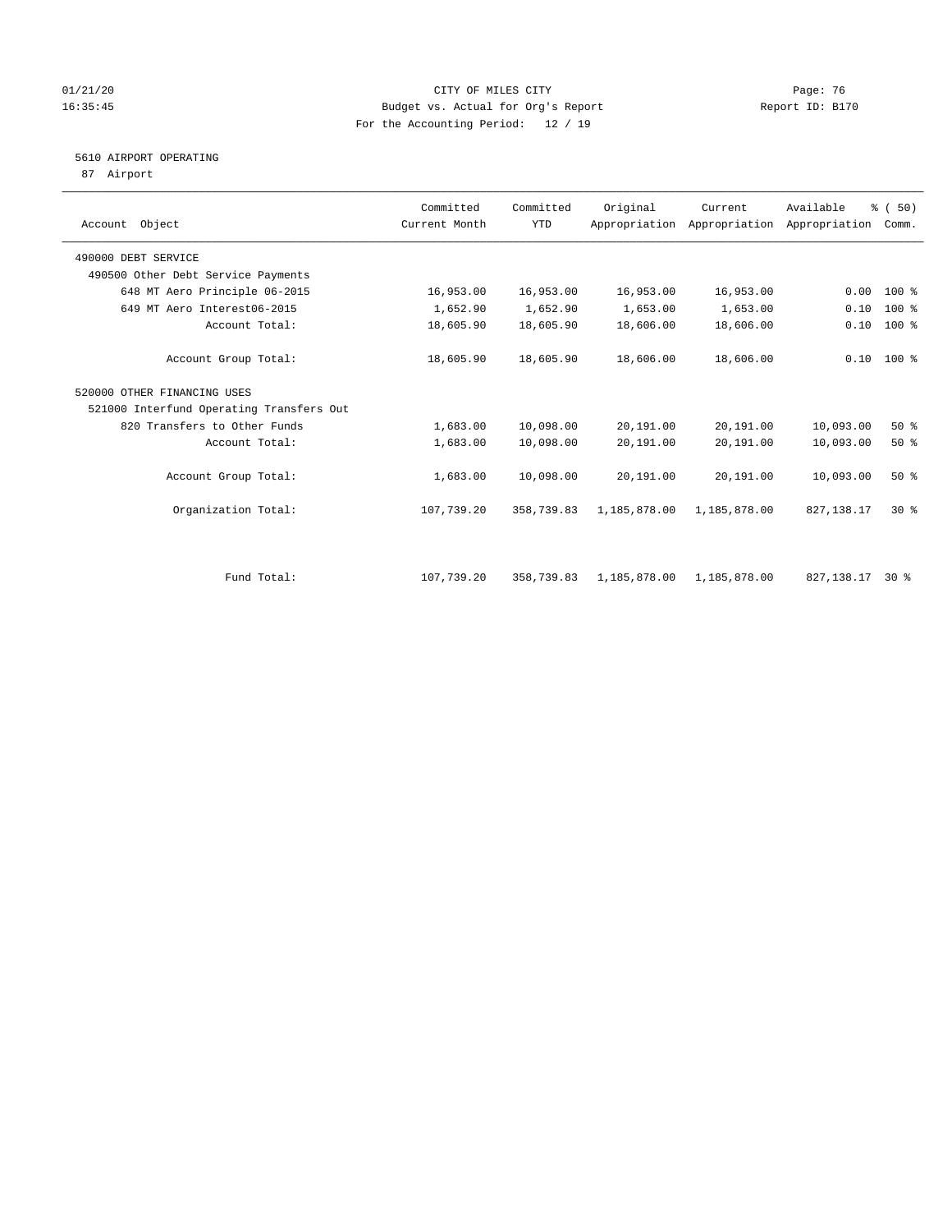## 01/21/20 Page: 76 16:35:45 Budget vs. Actual for Org's Report Report ID: B170 For the Accounting Period: 12 / 19

# 5610 AIRPORT OPERATING

87 Airport

| Account Object                           | Committed<br>Current Month | Committed<br><b>YTD</b> | Original     | Current<br>Appropriation Appropriation | Available<br>Appropriation | % (50)<br>Comm. |  |
|------------------------------------------|----------------------------|-------------------------|--------------|----------------------------------------|----------------------------|-----------------|--|
| 490000 DEBT SERVICE                      |                            |                         |              |                                        |                            |                 |  |
| 490500 Other Debt Service Payments       |                            |                         |              |                                        |                            |                 |  |
| 648 MT Aero Principle 06-2015            | 16,953.00                  | 16,953.00               | 16,953.00    | 16,953.00                              | 0.00                       | $100*$          |  |
| 649 MT Aero Interest06-2015              | 1,652.90                   | 1,652.90                | 1,653.00     | 1,653.00                               | 0.10                       | 100 %           |  |
| Account Total:                           | 18,605.90                  | 18,605.90               | 18,606.00    | 18,606.00                              | 0.10                       | $100$ %         |  |
| Account Group Total:                     | 18,605.90                  | 18,605.90               | 18,606.00    | 18,606.00                              | 0.10                       | $100*$          |  |
| 520000 OTHER FINANCING USES              |                            |                         |              |                                        |                            |                 |  |
| 521000 Interfund Operating Transfers Out |                            |                         |              |                                        |                            |                 |  |
| 820 Transfers to Other Funds             | 1,683.00                   | 10,098.00               | 20,191.00    | 20,191.00                              | 10,093.00                  | 50%             |  |
| Account Total:                           | 1,683.00                   | 10,098.00               | 20,191.00    | 20,191.00                              | 10,093.00                  | $50*$           |  |
| Account Group Total:                     | 1,683.00                   | 10,098.00               | 20,191.00    | 20,191.00                              | 10,093.00                  | 50%             |  |
| Organization Total:                      | 107,739.20                 | 358,739.83              | 1,185,878.00 | 1,185,878.00                           | 827, 138.17                | $30*$           |  |
|                                          |                            |                         |              |                                        |                            |                 |  |
| Fund Total:                              | 107,739.20                 | 358,739.83              | 1,185,878.00 | 1,185,878.00                           | 827,138.17                 | $30*$           |  |